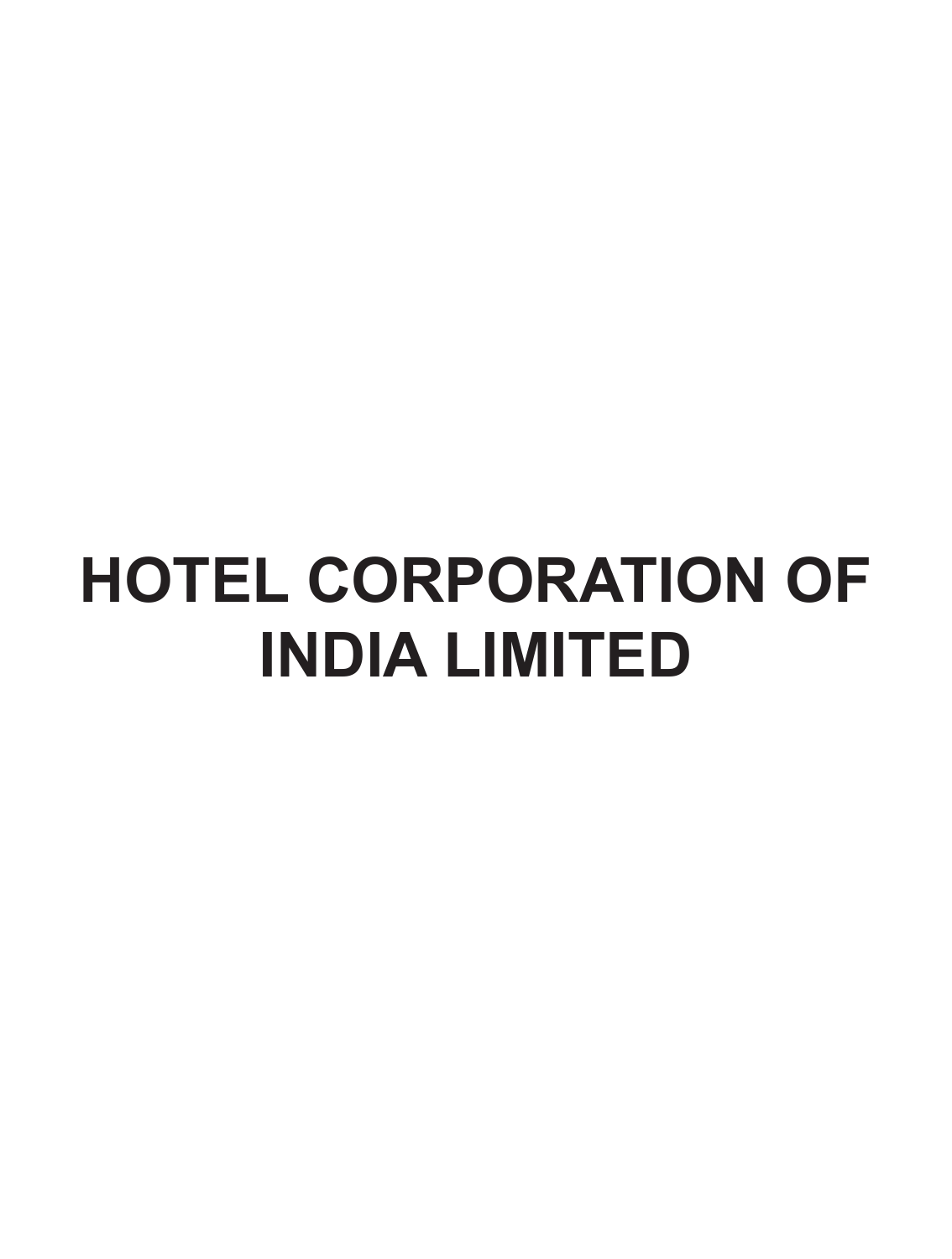# **HOTEL CORPORATION OF INDIA LIMITED**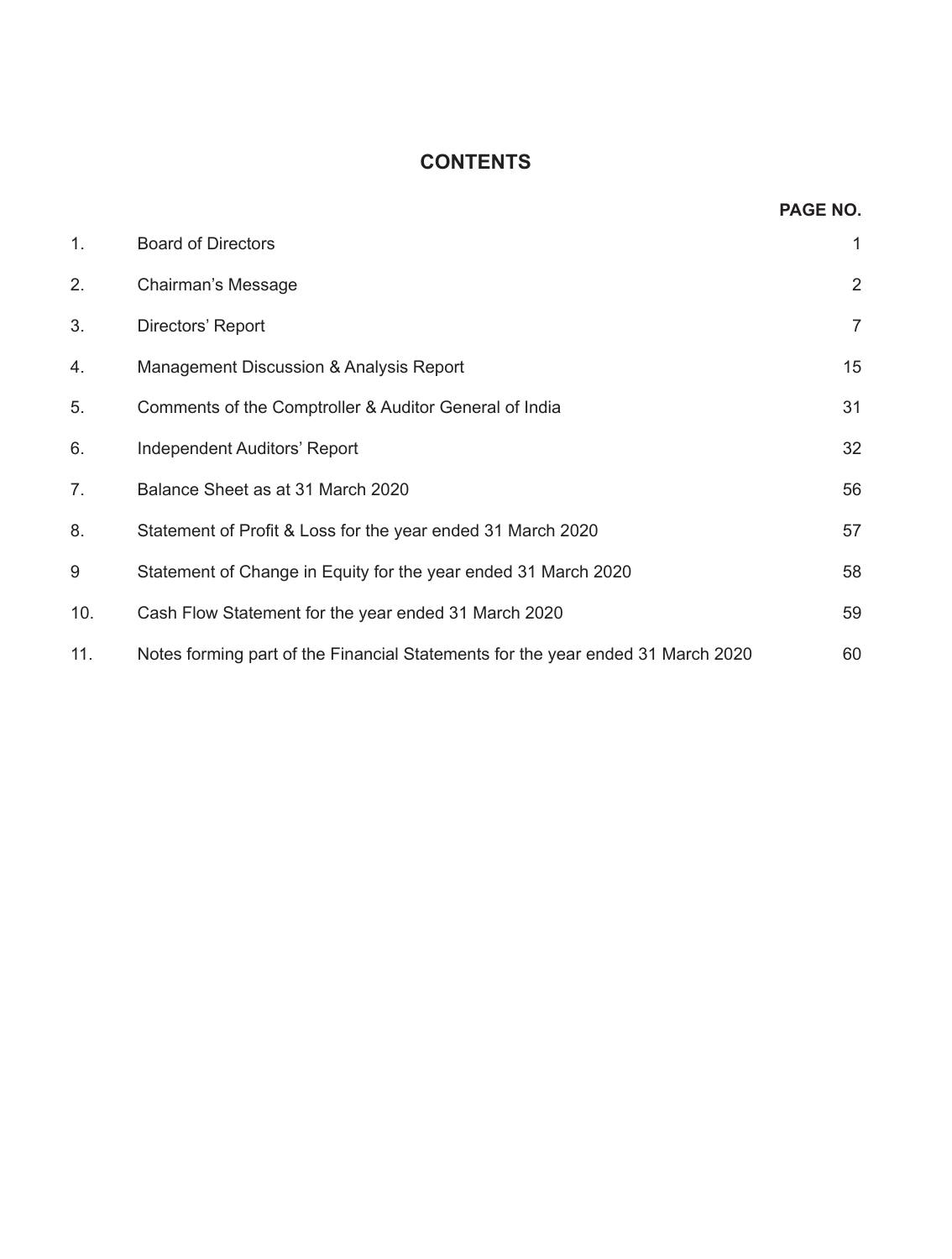# **CONTENTS**

| 1.  | <b>Board of Directors</b>                                                       | 1              |
|-----|---------------------------------------------------------------------------------|----------------|
| 2.  | Chairman's Message                                                              | 2              |
| 3.  | Directors' Report                                                               | $\overline{7}$ |
| 4.  | Management Discussion & Analysis Report                                         | 15             |
| 5.  | Comments of the Comptroller & Auditor General of India                          | 31             |
| 6.  | Independent Auditors' Report                                                    | 32             |
| 7.  | Balance Sheet as at 31 March 2020                                               | 56             |
| 8.  | Statement of Profit & Loss for the year ended 31 March 2020                     | 57             |
| 9   | Statement of Change in Equity for the year ended 31 March 2020                  | 58             |
| 10. | Cash Flow Statement for the year ended 31 March 2020                            | 59             |
| 11. | Notes forming part of the Financial Statements for the year ended 31 March 2020 | 60             |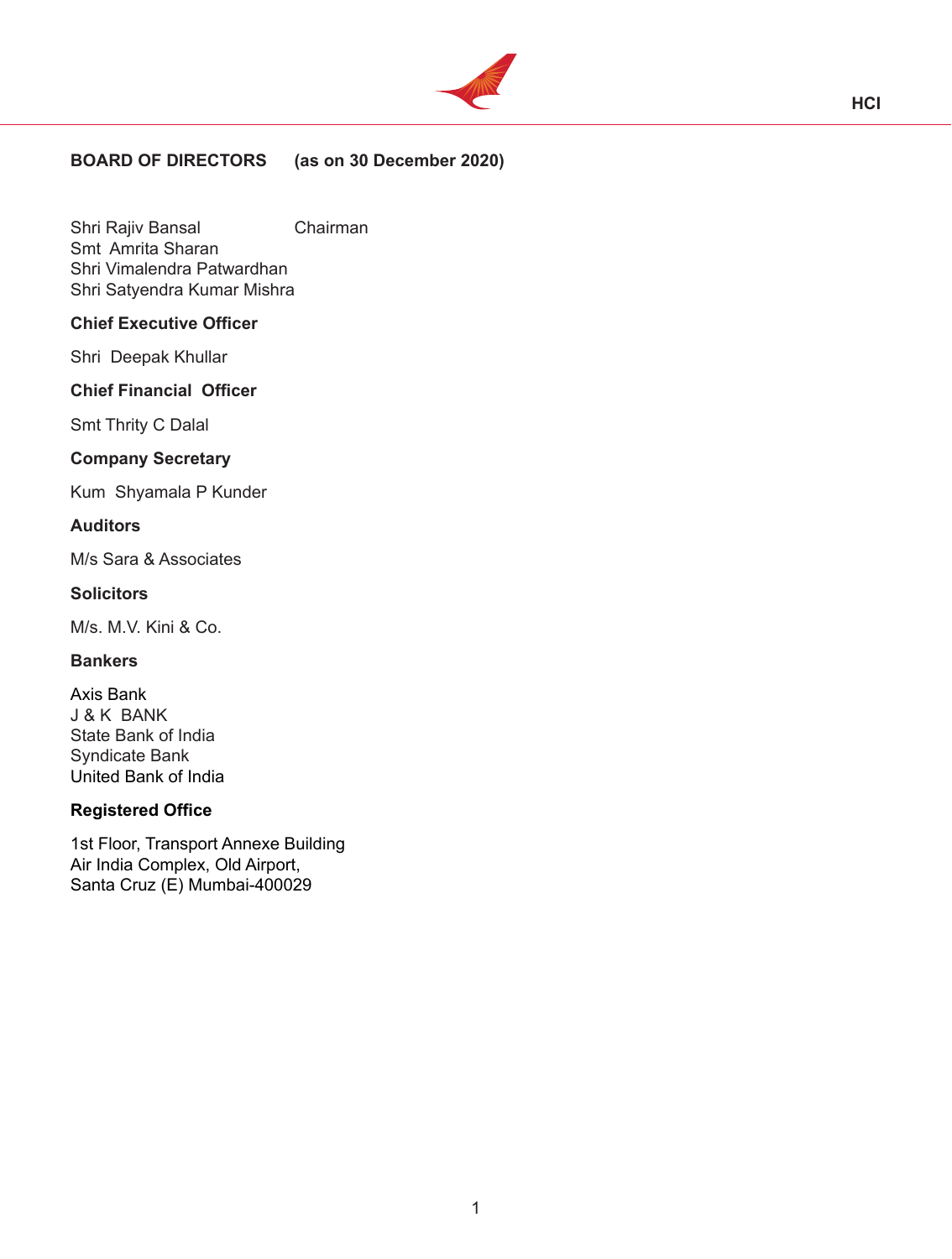

# **BOARD OF DIRECTORS (as on 30 December 2020)**

Shri Rajiv Bansal Chairman Smt Amrita Sharan Shri Vimalendra Patwardhan Shri Satyendra Kumar Mishra

#### **Chief Executive Officer**

Shri Deepak Khullar

#### **Chief Financial Officer**

Smt Thrity C Dalal

#### **Company Secretary**

Kum Shyamala P Kunder

#### **Auditors**

M/s Sara & Associates

#### **Solicitors**

M/s. M.V. Kini & Co.

#### **Bankers**

Axis Bank J & K BANK State Bank of India Syndicate Bank United Bank of India

# **Registered Office**

1st Floor, Transport Annexe Building Air India Complex, Old Airport, Santa Cruz (E) Mumbai-400029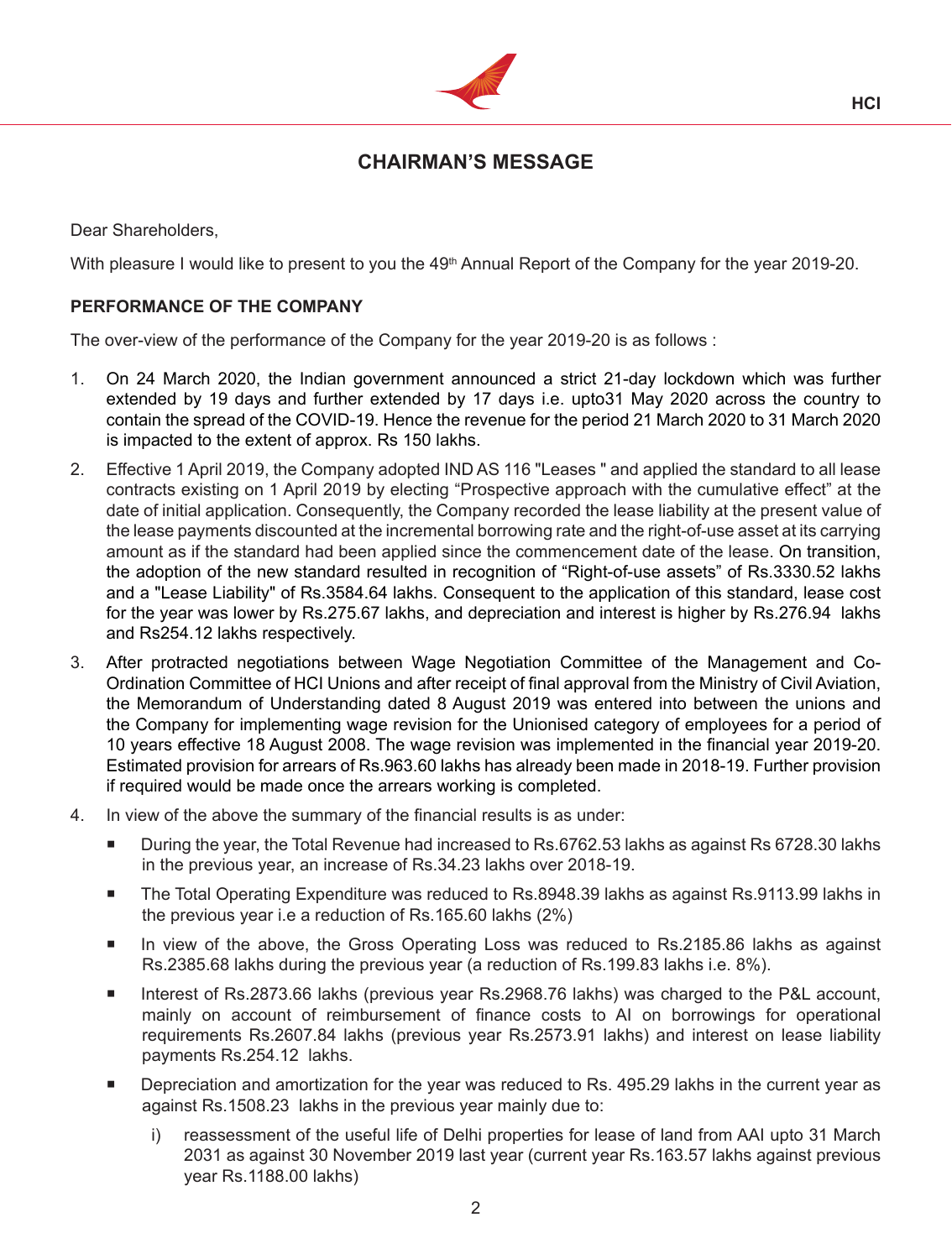

# **CHAIRMAN'S MESSAGE**

Dear Shareholders,

With pleasure I would like to present to you the 49<sup>th</sup> Annual Report of the Company for the year 2019-20.

#### **PERFORMANCE OF THE COMPANY**

The over-view of the performance of the Company for the year 2019-20 is as follows :

- 1. On 24 March 2020, the Indian government announced a strict 21-day lockdown which was further extended by 19 days and further extended by 17 days i.e. upto31 May 2020 across the country to contain the spread of the COVID-19. Hence the revenue for the period 21 March 2020 to 31 March 2020 is impacted to the extent of approx. Rs 150 lakhs.
- 2. Effective 1 April 2019, the Company adopted IND AS 116 "Leases " and applied the standard to all lease contracts existing on 1 April 2019 by electing "Prospective approach with the cumulative effect" at the date of initial application. Consequently, the Company recorded the lease liability at the present value of the lease payments discounted at the incremental borrowing rate and the right-of-use asset at its carrying amount as if the standard had been applied since the commencement date of the lease. On transition, the adoption of the new standard resulted in recognition of "Right-of-use assets" of Rs.3330.52 lakhs and a "Lease Liability" of Rs.3584.64 lakhs. Consequent to the application of this standard, lease cost for the year was lower by Rs.275.67 lakhs, and depreciation and interest is higher by Rs.276.94 lakhs and Rs254.12 lakhs respectively.
- 3. After protracted negotiations between Wage Negotiation Committee of the Management and Co-Ordination Committee of HCI Unions and after receipt of final approval from the Ministry of Civil Aviation, the Memorandum of Understanding dated 8 August 2019 was entered into between the unions and the Company for implementing wage revision for the Unionised category of employees for a period of 10 years effective 18 August 2008. The wage revision was implemented in the financial year 2019-20. Estimated provision for arrears of Rs.963.60 lakhs has already been made in 2018-19. Further provision if required would be made once the arrears working is completed.
- 4. In view of the above the summary of the financial results is as under:
	- During the year, the Total Revenue had increased to Rs.6762.53 lakhs as against Rs 6728.30 lakhs in the previous year, an increase of Rs.34.23 lakhs over 2018-19.
	- The Total Operating Expenditure was reduced to Rs.8948.39 lakhs as against Rs.9113.99 lakhs in the previous year i.e a reduction of Rs.165.60 lakhs (2%)
	- In view of the above, the Gross Operating Loss was reduced to Rs.2185.86 lakhs as against Rs.2385.68 lakhs during the previous year (a reduction of Rs.199.83 lakhs i.e. 8%).
	- Interest of Rs.2873.66 lakhs (previous year Rs.2968.76 lakhs) was charged to the P&L account, mainly on account of reimbursement of finance costs to AI on borrowings for operational requirements Rs.2607.84 lakhs (previous year Rs.2573.91 lakhs) and interest on lease liability payments Rs.254.12 lakhs.
	- Depreciation and amortization for the year was reduced to Rs. 495.29 lakhs in the current year as against Rs.1508.23 lakhs in the previous year mainly due to:
		- i) reassessment of the useful life of Delhi properties for lease of land from AAI upto 31 March 2031 as against 30 November 2019 last year (current year Rs.163.57 lakhs against previous year Rs.1188.00 lakhs)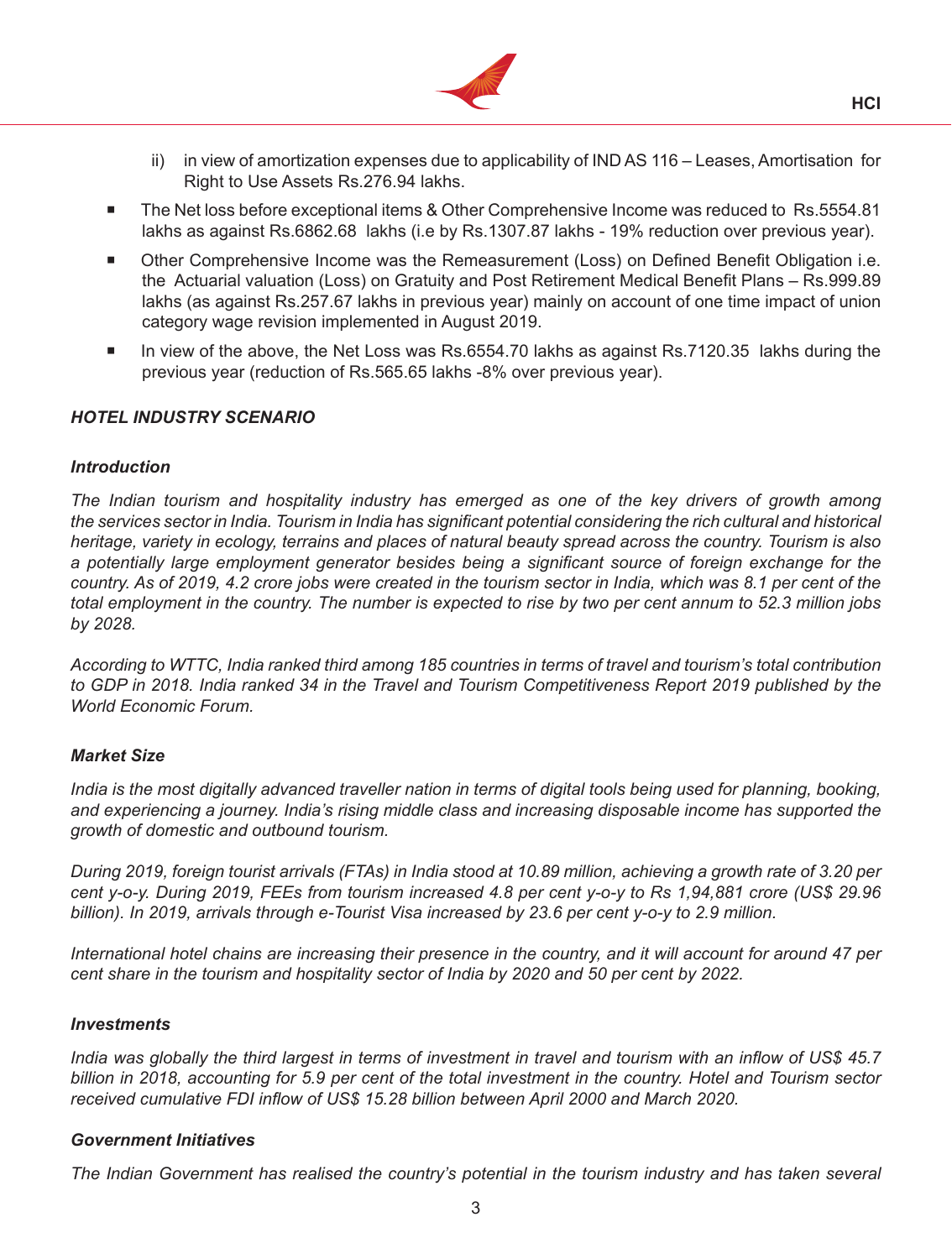

- $ii)$  in view of amortization expenses due to applicability of IND AS 116 Leases, Amortisation for Right to Use Assets Rs.276.94 lakhs.
- The Net loss before exceptional items & Other Comprehensive Income was reduced to Rs.5554.81 lakhs as against Rs.6862.68 lakhs (i.e by Rs.1307.87 lakhs - 19% reduction over previous year).
- Other Comprehensive Income was the Remeasurement (Loss) on Defined Benefit Obligation i.e. the Actuarial valuation (Loss) on Gratuity and Post Retirement Medical Benefit Plans – Rs.999.89 lakhs (as against Rs.257.67 lakhs in previous year) mainly on account of one time impact of union category wage revision implemented in August 2019.
- In view of the above, the Net Loss was Rs.6554.70 lakhs as against Rs.7120.35 lakhs during the previous year (reduction of Rs.565.65 lakhs -8% over previous year).

# *HOTEL INDUSTRY SCENARIO*

#### *Introduction*

*The Indian tourism and hospitality industry has emerged as one of the key drivers of growth among*  the services sector in India. Tourism in India has significant potential considering the rich cultural and historical *heritage, variety in ecology, terrains and places of natural beauty spread across the country. Tourism is also a potentially large employment generator besides being a significant source of foreign exchange for the country. As of 2019, 4.2 crore jobs were created in the tourism sector in India, which was 8.1 per cent of the*  total employment in the country. The number is expected to rise by two per cent annum to 52.3 million jobs *by 2028.*

According to WTTC, India ranked third among 185 countries in terms of travel and tourism's total contribution to GDP in 2018. India ranked 34 in the Travel and Tourism Competitiveness Report 2019 published by the *World Economic Forum.*

#### *Market Size*

*India is the most digitally advanced traveller nation in terms of digital tools being used for planning, booking, and experiencing a journey. India's rising middle class and increasing disposable income has supported the growth of domestic and outbound tourism.*

During 2019, foreign tourist arrivals (FTAs) in India stood at 10.89 million, achieving a growth rate of 3.20 per cent y-o-y. During 2019, FEEs from tourism increased 4.8 per cent y-o-y to Rs 1,94,881 crore (US\$ 29.96 *billion). In 2019, arrivals through e-Tourist Visa increased by 23.6 per cent y-o-y to 2.9 million.*

*International hotel chains are increasing their presence in the country, and it will account for around 47 per cent share in the tourism and hospitality sector of India by 2020 and 50 per cent by 2022.*

#### *Investments*

India was globally the third largest in terms of investment in travel and tourism with an inflow of US\$ 45.7 billion in 2018, accounting for 5.9 per cent of the total investment in the country. Hotel and Tourism sector *received cumulative FDI inflow of US\$ 15.28 billion between April 2000 and March 2020.*

#### *Government Initiatives*

*The Indian Government has realised the country's potential in the tourism industry and has taken several*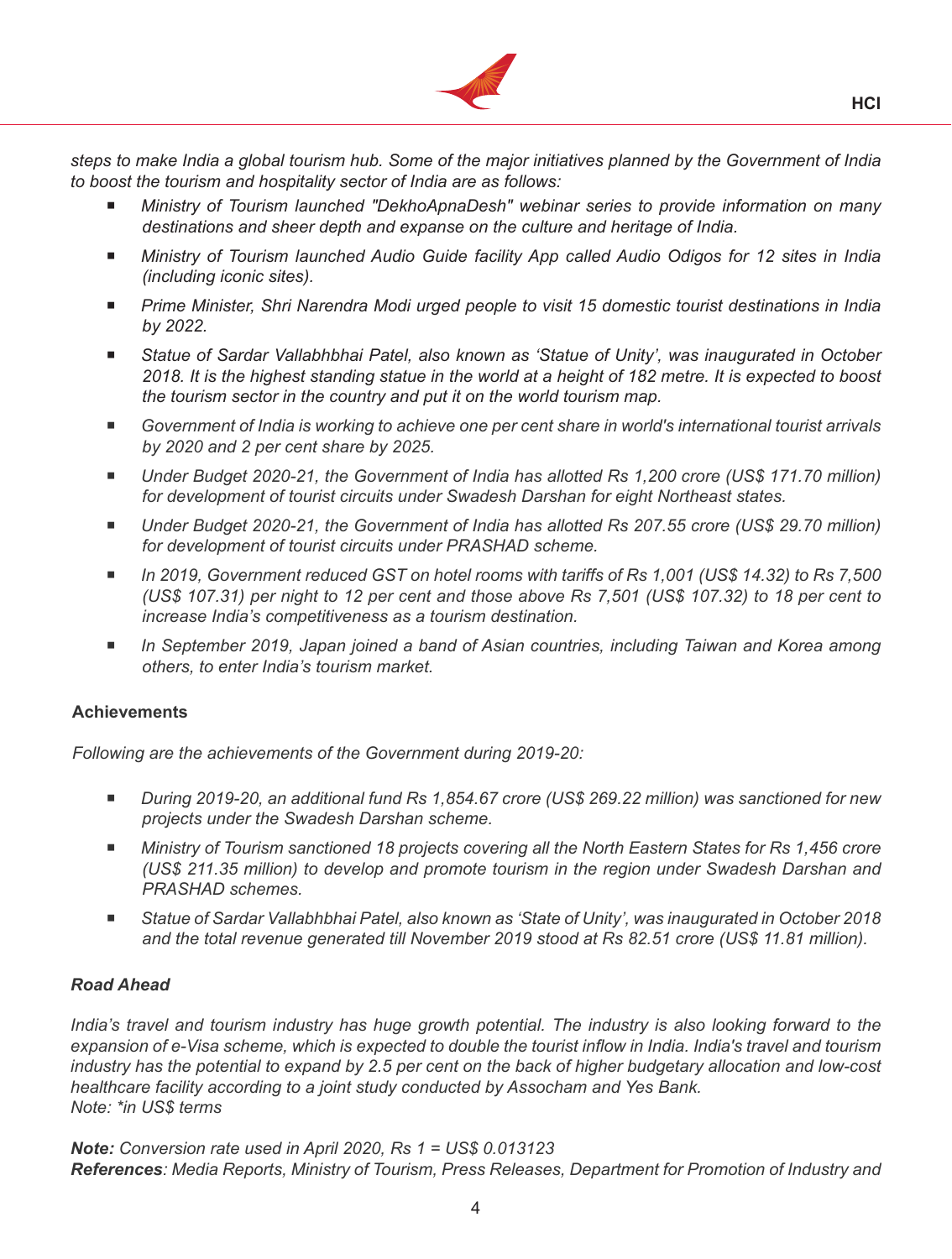

steps to make India a global tourism hub. Some of the major initiatives planned by the Government of India *to boost the tourism and hospitality sector of India are as follows:*

- *Ministry of Tourism launched "DekhoApnaDesh" webinar series to provide information on many destinations and sheer depth and expanse on the culture and heritage of India.*
- *Ministry of Tourism launched Audio Guide facility App called Audio Odigos for 12 sites in India (including iconic sites).*
- *Prime Minister, Shri Narendra Modi urged people to visit 15 domestic tourist destinations in India by 2022.*
- *Statue of Sardar Vallabhbhai Patel, also known as 'Statue of Unity', was inaugurated in October* 2018. It is the highest standing statue in the world at a height of 182 metre. It is expected to boost *the tourism sector in the country and put it on the world tourism map.*
- *Government of India is working to achieve one per cent share in world's international tourist arrivals by 2020 and 2 per cent share by 2025.*
- *Under Budget 2020-21, the Government of India has allotted Rs 1,200 crore (US\$ 171.70 million) for development of tourist circuits under Swadesh Darshan for eight Northeast states.*
- *Under Budget 2020-21, the Government of India has allotted Rs 207.55 crore (US\$ 29.70 million) for development of tourist circuits under PRASHAD scheme.*
- *In 2019, Government reduced GST on hotel rooms with tariffs of Rs 1,001 (US\$ 14.32) to Rs 7,500* (US\$ 107.31) per night to 12 per cent and those above Rs 7,501 (US\$ 107.32) to 18 per cent to *increase India's competitiveness as a tourism destination.*
- *In September 2019, Japan joined a band of Asian countries, including Taiwan and Korea among others, to enter India's tourism market.*

# **Achievements**

*Following are the achievements of the Government during 2019-20:*

- *During 2019-20, an additional fund Rs 1,854.67 crore (US\$ 269.22 million) was sanctioned for new projects under the Swadesh Darshan scheme.*
- *Ministry of Tourism sanctioned 18 projects covering all the North Eastern States for Rs 1,456 crore (US\$ 211.35 million) to develop and promote tourism in the region under Swadesh Darshan and PRASHAD schemes.*
- *Statue of Sardar Vallabhbhai Patel, also known as 'State of Unity', was inaugurated in October 2018 and the total revenue generated till November 2019 stood at Rs 82.51 crore (US\$ 11.81 million).*

# *Road Ahead*

India's travel and tourism industry has huge growth potential. The industry is also looking forward to the expansion of e-Visa scheme, which is expected to double the tourist inflow in India. India's travel and tourism industry has the potential to expand by 2.5 per cent on the back of higher budgetary allocation and low-cost *healthcare facility according to a joint study conducted by Assocham and Yes Bank. Note: \*in US\$ terms*

*Note: Conversion rate used in April 2020, Rs 1 = US\$ 0.013123 References: Media Reports, Ministry of Tourism, Press Releases, Department for Promotion of Industry and*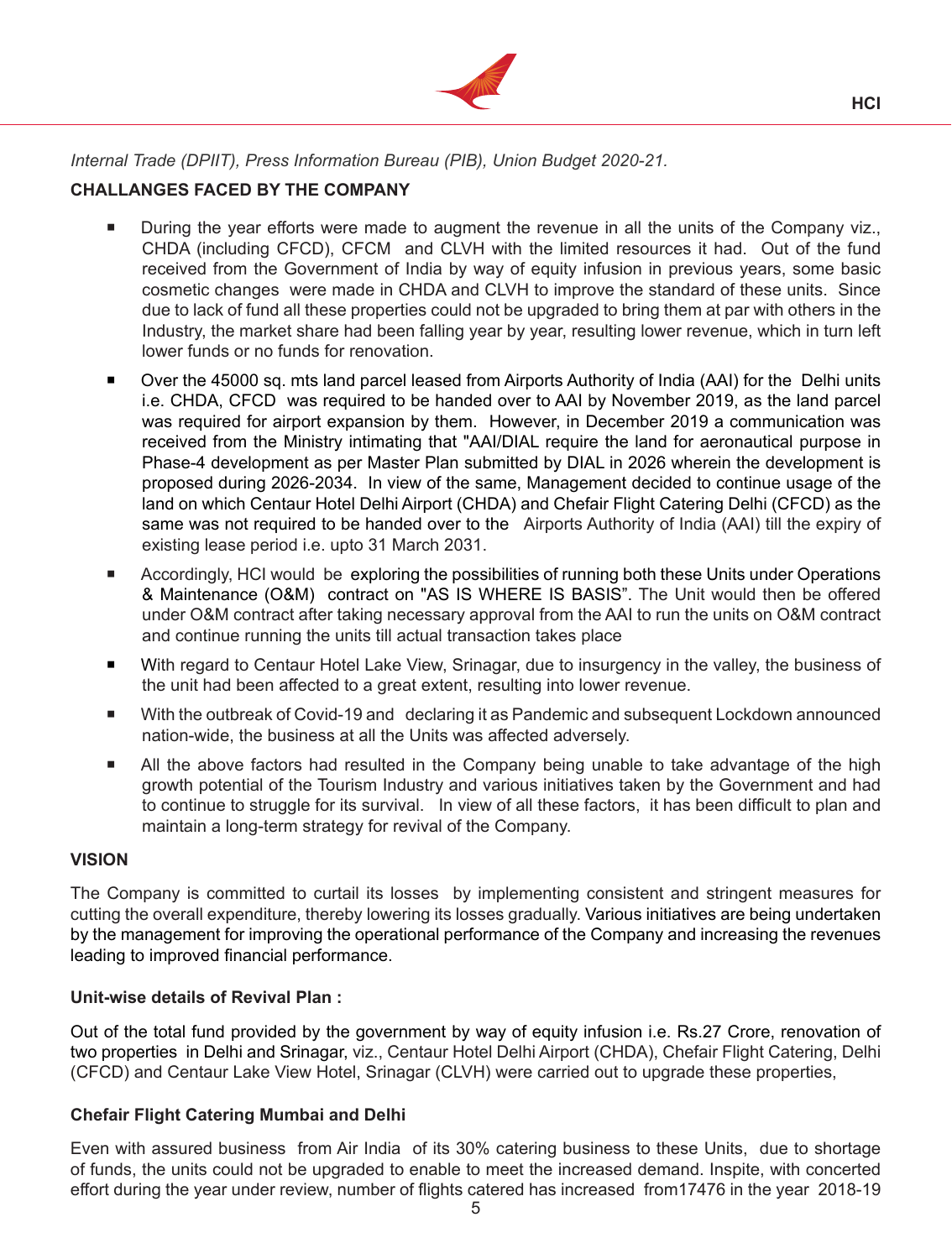

*Internal Trade (DPIIT), Press Information Bureau (PIB), Union Budget 2020-21.*

# **CHALLANGES FACED BY THE COMPANY**

- During the year efforts were made to augment the revenue in all the units of the Company viz., CHDA (including CFCD), CFCM and CLVH with the limited resources it had. Out of the fund received from the Government of India by way of equity infusion in previous years, some basic cosmetic changes were made in CHDA and CLVH to improve the standard of these units. Since due to lack of fund all these properties could not be upgraded to bring them at par with others in the Industry, the market share had been falling year by year, resulting lower revenue, which in turn left lower funds or no funds for renovation.
- Over the 45000 sq. mts land parcel leased from Airports Authority of India (AAI) for the Delhi units i.e. CHDA, CFCD was required to be handed over to AAI by November 2019, as the land parcel was required for airport expansion by them. However, in December 2019 a communication was received from the Ministry intimating that "AAI/DIAL require the land for aeronautical purpose in Phase-4 development as per Master Plan submitted by DIAL in 2026 wherein the development is proposed during 2026-2034. In view of the same, Management decided to continue usage of the land on which Centaur Hotel Delhi Airport (CHDA) and Chefair Flight Catering Delhi (CFCD) as the same was not required to be handed over to the Airports Authority of India (AAI) till the expiry of existing lease period i.e. upto 31 March 2031.
- Accordingly, HCI would be exploring the possibilities of running both these Units under Operations & Maintenance (O&M) contract on "AS IS WHERE IS BASIS". The Unit would then be offered under O&M contract after taking necessary approval from the AAI to run the units on O&M contract and continue running the units till actual transaction takes place
- With regard to Centaur Hotel Lake View, Srinagar, due to insurgency in the valley, the business of the unit had been affected to a great extent, resulting into lower revenue.
- With the outbreak of Covid-19 and declaring it as Pandemic and subsequent Lockdown announced nation-wide, the business at all the Units was affected adversely.
- All the above factors had resulted in the Company being unable to take advantage of the high growth potential of the Tourism Industry and various initiatives taken by the Government and had to continue to struggle for its survival. In view of all these factors, it has been difficult to plan and maintain a long-term strategy for revival of the Company.

# **VISION**

The Company is committed to curtail its losses by implementing consistent and stringent measures for cutting the overall expenditure, thereby lowering its losses gradually. Various initiatives are being undertaken by the management for improving the operational performance of the Company and increasing the revenues leading to improved financial performance.

# **Unit-wise details of Revival Plan :**

Out of the total fund provided by the government by way of equity infusion i.e. Rs.27 Crore, renovation of two properties in Delhi and Srinagar, viz., Centaur Hotel Delhi Airport (CHDA), Chefair Flight Catering, Delhi (CFCD) and Centaur Lake View Hotel, Srinagar (CLVH) were carried out to upgrade these properties,

# **Chefair Flight Catering Mumbai and Delhi**

Even with assured business from Air India of its 30% catering business to these Units, due to shortage of funds, the units could not be upgraded to enable to meet the increased demand. Inspite, with concerted effort during the year under review, number of flights catered has increased from17476 in the year 2018-19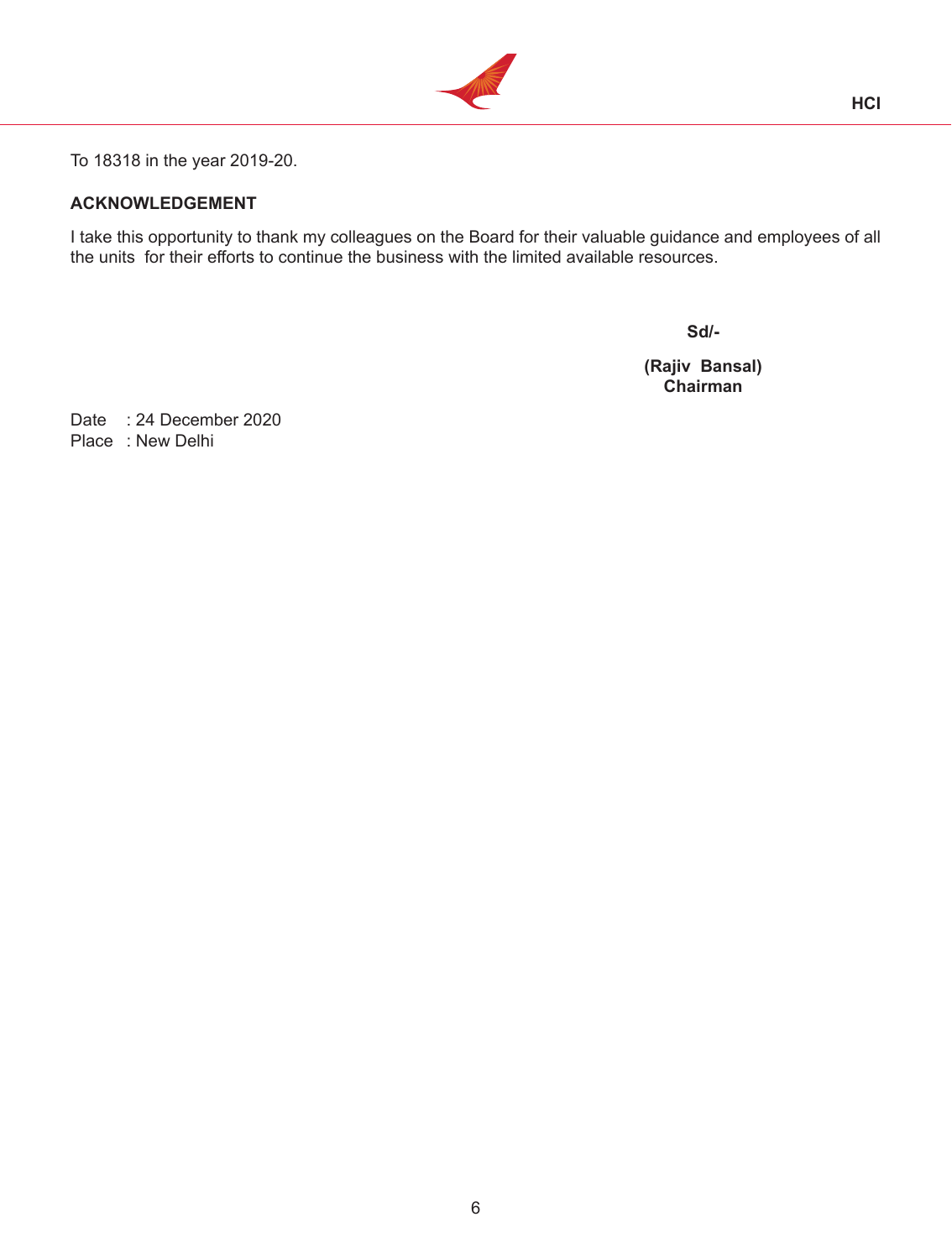

To 18318 in the year 2019-20.

# **ACKNOWLEDGEMENT**

I take this opportunity to thank my colleagues on the Board for their valuable guidance and employees of all the units for their efforts to continue the business with the limited available resources.

**Sd/-**

**(Rajiv Bansal) Chairman**

Date : 24 December 2020 Place : New Delhi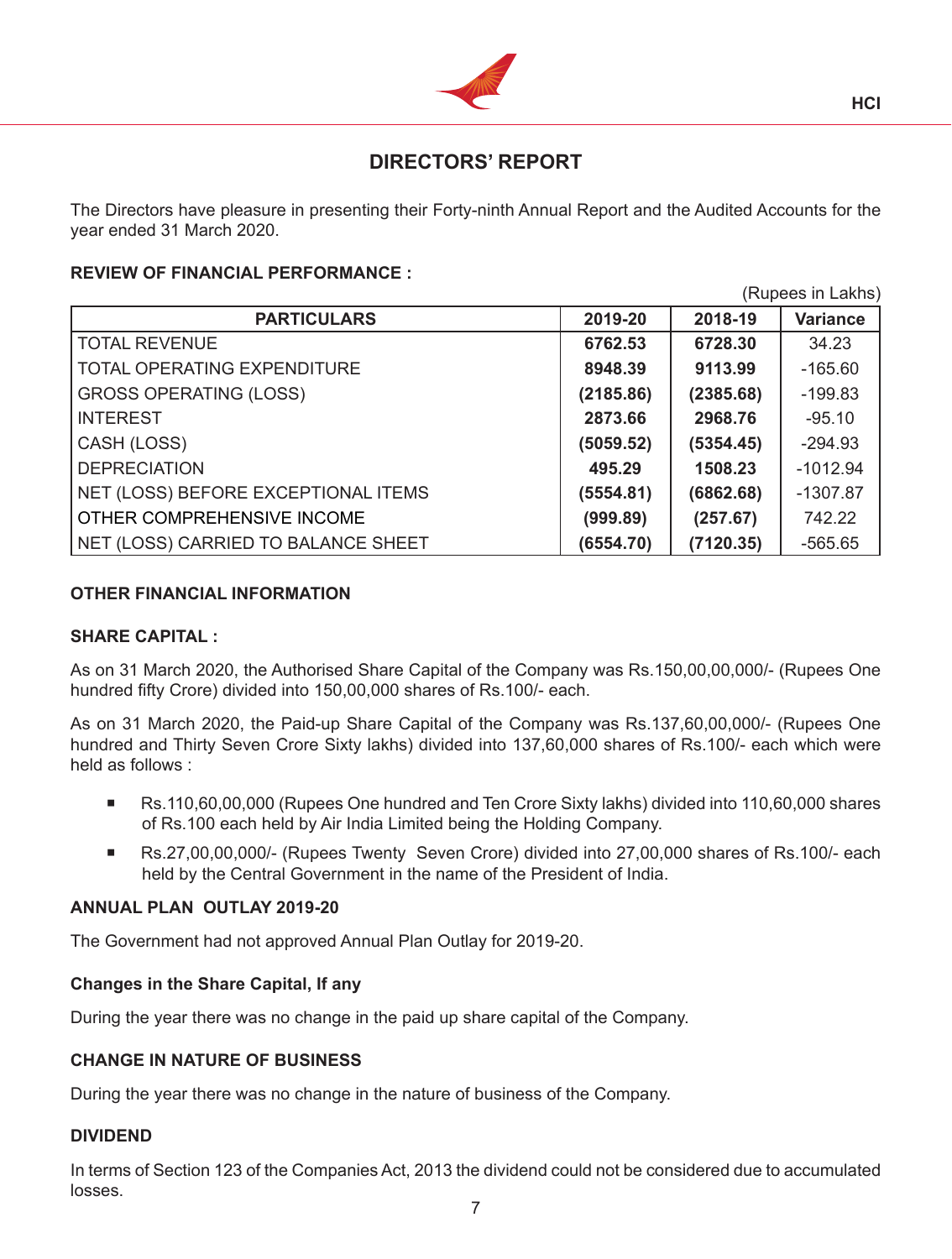

# **DIRECTORS' REPORT**

The Directors have pleasure in presenting their Forty-ninth Annual Report and the Audited Accounts for the year ended 31 March 2020.

# **REVIEW OF FINANCIAL PERFORMANCE :**

(Rupees in Lakhs) **PARTICULARS 2019-20 2018-19 Variance** TOTAL REVENUE **6762.53 6728.30** 34.23 TOTAL OPERATING EXPENDITURE **8948.39 9113.99** -165.60 GROSS OPERATING (LOSS) **(2185.86) (2385.68)** -199.83 INTEREST **2873.66 2968.76** -95.10 CASH (LOSS) **(5059.52) (5354.45)** -294.93 DEPRECIATION **495.29 1508.23** -1012.94 NET (LOSS) BEFORE EXCEPTIONAL ITEMS **(5554.81) (6862.68)** -1307.87 OTHER COMPREHENSIVE INCOME **(999.89) (257.67)** 742.22 NET (LOSS) CARRIED TO BALANCE SHEET **(6554.70) (7120.35)** -565.65

# **OTHER FINANCIAL INFORMATION**

#### **SHARE CAPITAL :**

As on 31 March 2020, the Authorised Share Capital of the Company was Rs.150,00,00,000/- (Rupees One hundred fifty Crore) divided into 150,00,000 shares of Rs.100/- each.

As on 31 March 2020, the Paid-up Share Capital of the Company was Rs.137,60,00,000/- (Rupees One hundred and Thirty Seven Crore Sixty lakhs) divided into 137,60,000 shares of Rs.100/- each which were held as follows :

- Rs.110,60,00,000 (Rupees One hundred and Ten Crore Sixty lakhs) divided into 110,60,000 shares of Rs.100 each held by Air India Limited being the Holding Company.
- Rs.27,00,00,000/- (Rupees Twenty Seven Crore) divided into 27,00,000 shares of Rs.100/- each held by the Central Government in the name of the President of India.

#### **ANNUAL PLAN OUTLAY 2019-20**

The Government had not approved Annual Plan Outlay for 2019-20.

#### **Changes in the Share Capital, If any**

During the year there was no change in the paid up share capital of the Company.

#### **CHANGE IN NATURE OF BUSINESS**

During the year there was no change in the nature of business of the Company.

# **DIVIDEND**

In terms of Section 123 of the Companies Act, 2013 the dividend could not be considered due to accumulated losses.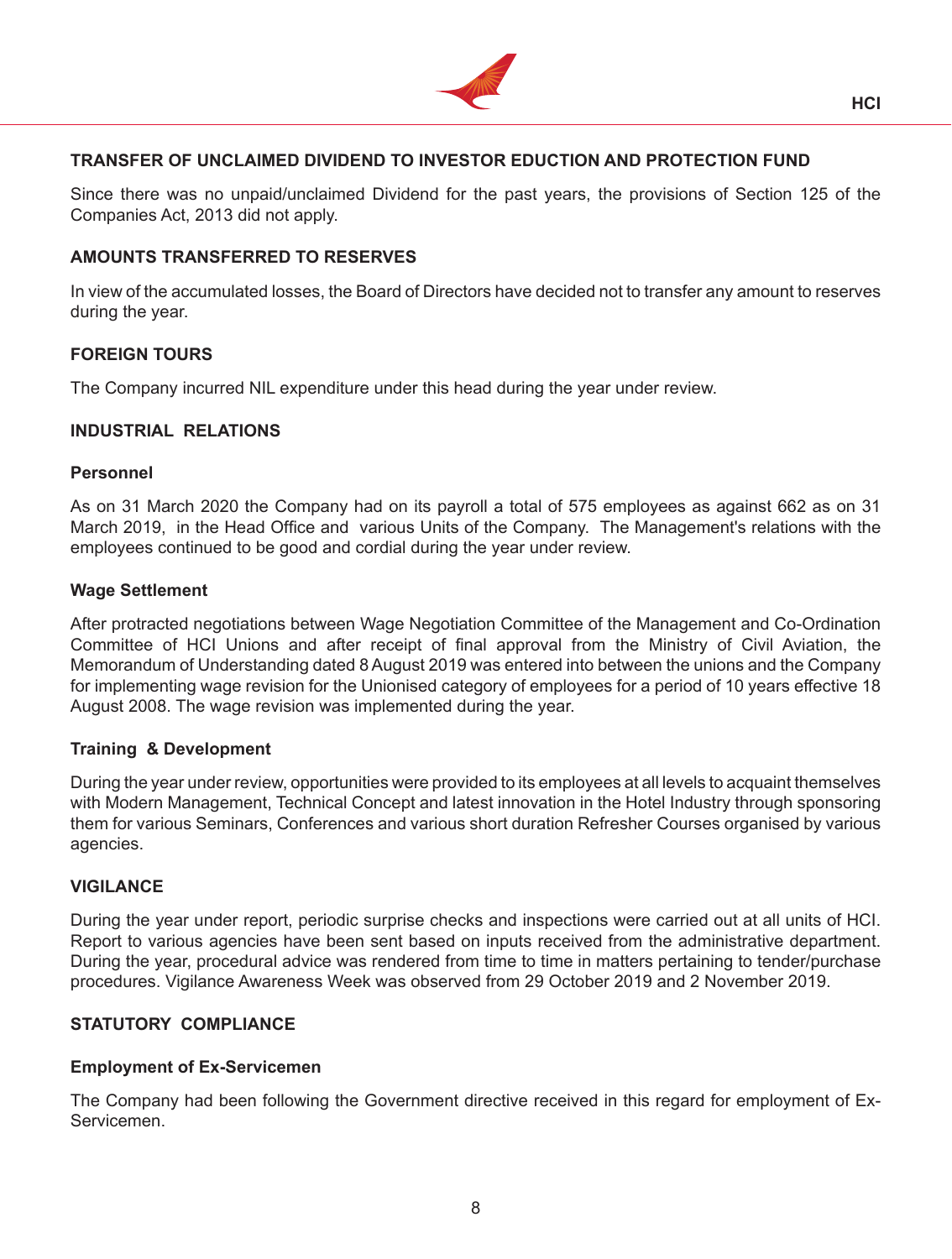

# **TRANSFER OF UNCLAIMED DIVIDEND TO INVESTOR EDUCTION AND PROTECTION FUND**

Since there was no unpaid/unclaimed Dividend for the past years, the provisions of Section 125 of the Companies Act, 2013 did not apply.

# **AMOUNTS TRANSFERRED TO RESERVES**

In view of the accumulated losses, the Board of Directors have decided not to transfer any amount to reserves during the year.

# **FOREIGN TOURS**

The Company incurred NIL expenditure under this head during the year under review.

# **INDUSTRIAL RELATIONS**

#### **Personnel**

As on 31 March 2020 the Company had on its payroll a total of 575 employees as against 662 as on 31 March 2019, in the Head Office and various Units of the Company. The Management's relations with the employees continued to be good and cordial during the year under review.

# **Wage Settlement**

After protracted negotiations between Wage Negotiation Committee of the Management and Co-Ordination Committee of HCI Unions and after receipt of final approval from the Ministry of Civil Aviation, the Memorandum of Understanding dated 8 August 2019 was entered into between the unions and the Company for implementing wage revision for the Unionised category of employees for a period of 10 years effective 18 August 2008. The wage revision was implemented during the year.

# **Training & Development**

During the year under review, opportunities were provided to its employees at all levels to acquaint themselves with Modern Management, Technical Concept and latest innovation in the Hotel Industry through sponsoring them for various Seminars, Conferences and various short duration Refresher Courses organised by various agencies.

# **VIGILANCE**

During the year under report, periodic surprise checks and inspections were carried out at all units of HCI. Report to various agencies have been sent based on inputs received from the administrative department. During the year, procedural advice was rendered from time to time in matters pertaining to tender/purchase procedures. Vigilance Awareness Week was observed from 29 October 2019 and 2 November 2019.

# **STATUTORY COMPLIANCE**

# **Employment of Ex-Servicemen**

The Company had been following the Government directive received in this regard for employment of Ex-Servicemen.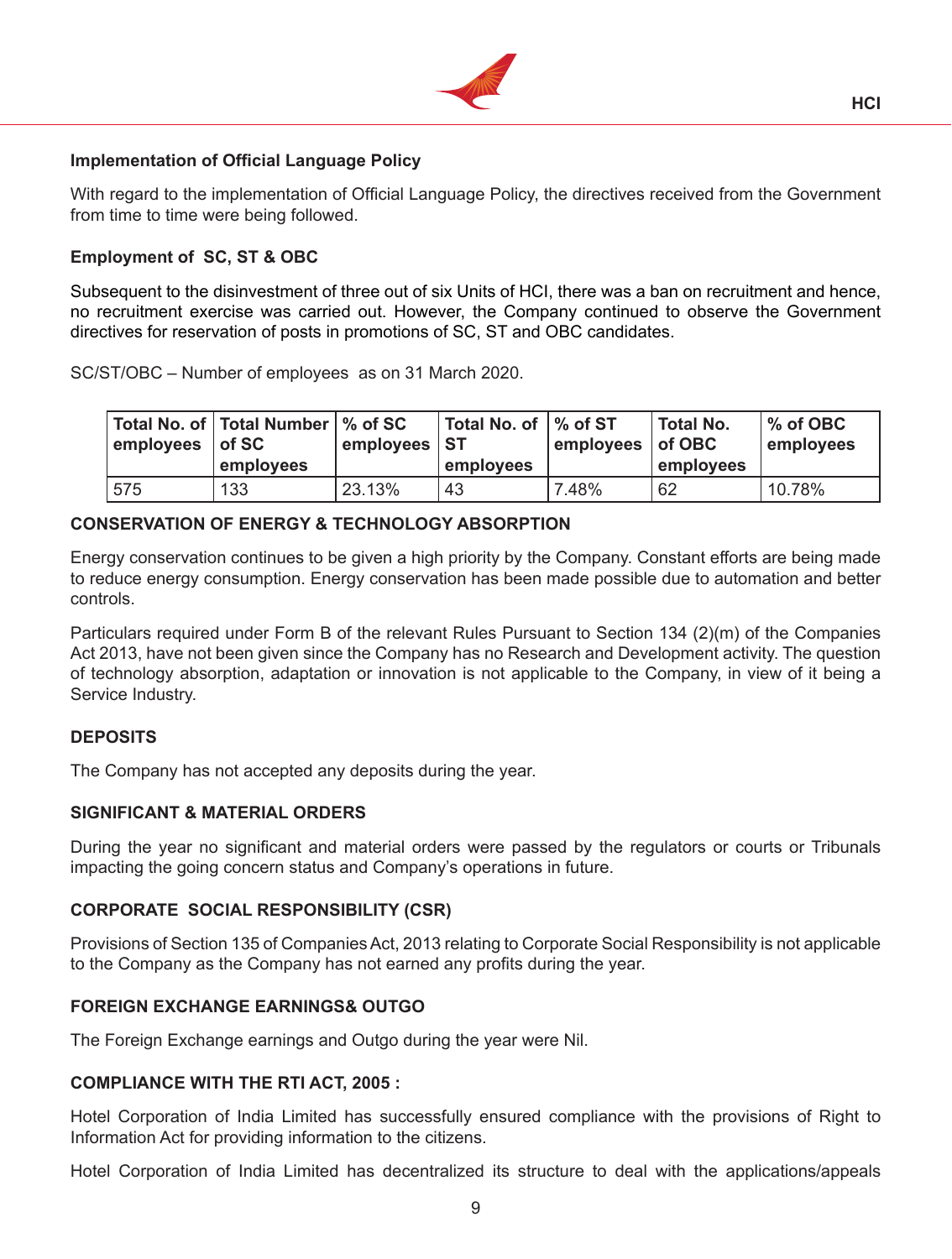

# **Implementation of Official Language Policy**

With regard to the implementation of Official Language Policy, the directives received from the Government from time to time were being followed.

# **Employment of SC, ST & OBC**

Subsequent to the disinvestment of three out of six Units of HCI, there was a ban on recruitment and hence, no recruitment exercise was carried out. However, the Company continued to observe the Government directives for reservation of posts in promotions of SC, ST and OBC candidates.

SC/ST/OBC – Number of employees as on 31 March 2020.

| employees of SC | Total No. of   Total Number   % of SC<br>employees | lemployees ST | Total No. of 1% of ST<br>employees | $ $ employees $ $ of OBC | <b>Total No.</b><br>employees | <sup>1</sup> % of OBC<br>employees |
|-----------------|----------------------------------------------------|---------------|------------------------------------|--------------------------|-------------------------------|------------------------------------|
| 575             | 133                                                | 23.13%        | 43                                 | 7.48%                    | 62                            | 10.78%                             |

# **CONSERVATION OF ENERGY & TECHNOLOGY ABSORPTION**

Energy conservation continues to be given a high priority by the Company. Constant efforts are being made to reduce energy consumption. Energy conservation has been made possible due to automation and better controls.

Particulars required under Form B of the relevant Rules Pursuant to Section 134 (2)(m) of the Companies Act 2013, have not been given since the Company has no Research and Development activity. The question of technology absorption, adaptation or innovation is not applicable to the Company, in view of it being a Service Industry.

# **DEPOSITS**

The Company has not accepted any deposits during the year.

# **SIGNIFICANT & MATERIAL ORDERS**

During the year no significant and material orders were passed by the regulators or courts or Tribunals impacting the going concern status and Company's operations in future.

# **CORPORATE SOCIAL RESPONSIBILITY (CSR)**

Provisions of Section 135 of Companies Act, 2013 relating to Corporate Social Responsibility is not applicable to the Company as the Company has not earned any profits during the year.

# **FOREIGN EXCHANGE EARNINGS& OUTGO**

The Foreign Exchange earnings and Outgo during the year were Nil.

#### **COMPLIANCE WITH THE RTI ACT, 2005 :**

Hotel Corporation of India Limited has successfully ensured compliance with the provisions of Right to Information Act for providing information to the citizens.

Hotel Corporation of India Limited has decentralized its structure to deal with the applications/appeals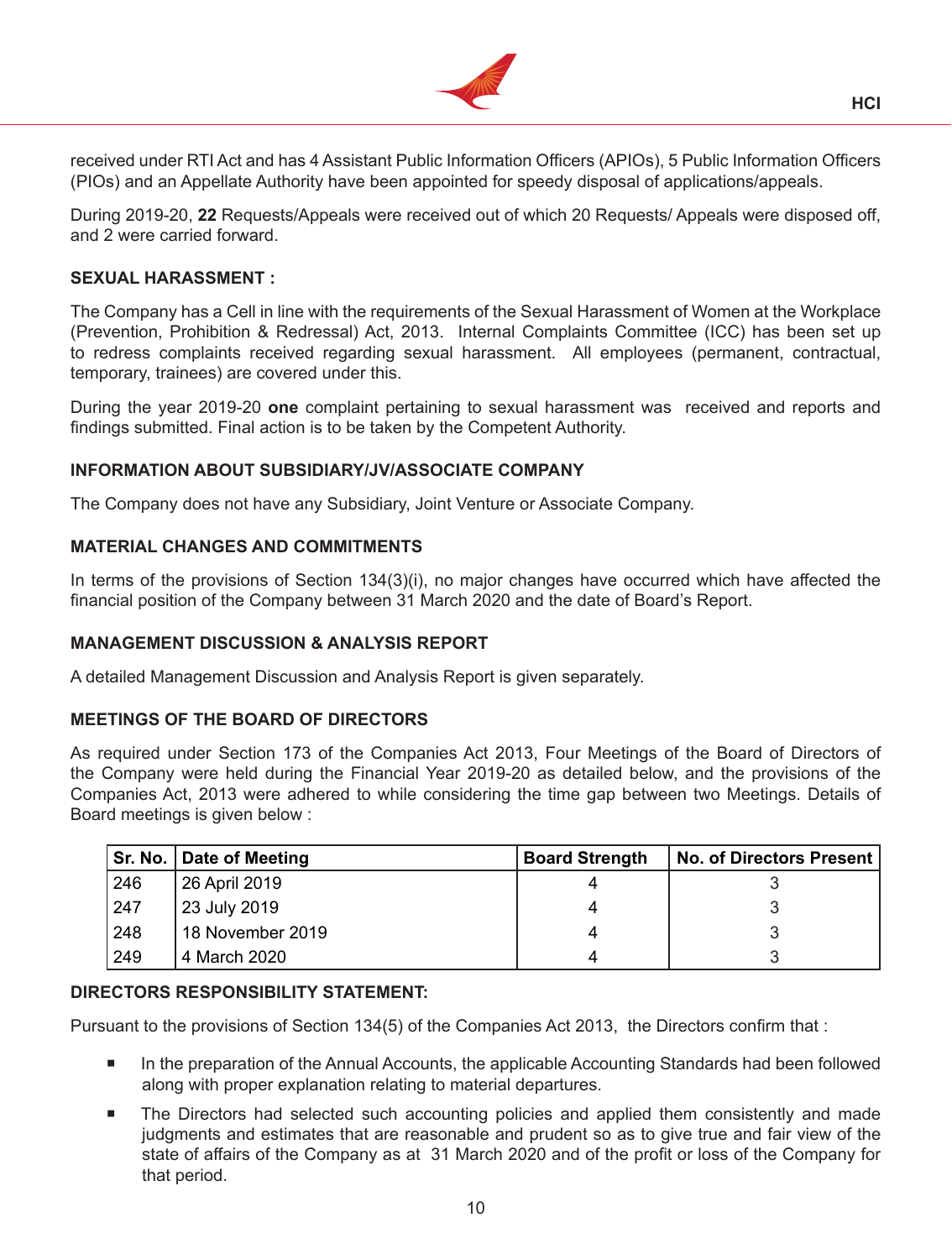

received under RTI Act and has 4 Assistant Public Information Officers (APIOs), 5 Public Information Officers (PIOs) and an Appellate Authority have been appointed for speedy disposal of applications/appeals.

During 2019-20, **22** Requests/Appeals were received out of which 20 Requests/ Appeals were disposed off, and 2 were carried forward.

#### **SEXUAL HARASSMENT :**

The Company has a Cell in line with the requirements of the Sexual Harassment of Women at the Workplace (Prevention, Prohibition & Redressal) Act, 2013. Internal Complaints Committee (ICC) has been set up to redress complaints received regarding sexual harassment. All employees (permanent, contractual, temporary, trainees) are covered under this.

During the year 2019-20 **one** complaint pertaining to sexual harassment was received and reports and findings submitted. Final action is to be taken by the Competent Authority.

#### **INFORMATION ABOUT SUBSIDIARY/JV/ASSOCIATE COMPANY**

The Company does not have any Subsidiary, Joint Venture or Associate Company.

# **MATERIAL CHANGES AND COMMITMENTS**

In terms of the provisions of Section 134(3)(i), no major changes have occurred which have affected the financial position of the Company between 31 March 2020 and the date of Board's Report.

#### **MANAGEMENT DISCUSSION & ANALYSIS REPORT**

A detailed Management Discussion and Analysis Report is given separately.

#### **MEETINGS OF THE BOARD OF DIRECTORS**

As required under Section 173 of the Companies Act 2013, Four Meetings of the Board of Directors of the Company were held during the Financial Year 2019-20 as detailed below, and the provisions of the Companies Act, 2013 were adhered to while considering the time gap between two Meetings. Details of Board meetings is given below :

| <b>Sr. No.</b> | Date of Meeting  | <b>Board Strength</b> | No. of Directors Present |
|----------------|------------------|-----------------------|--------------------------|
| 246            | 26 April 2019    |                       |                          |
| 247            | 23 July 2019     |                       |                          |
| 248            | 18 November 2019 |                       |                          |
| 249            | 4 March 2020     |                       |                          |

# **DIRECTORS RESPONSIBILITY STATEMENT:**

Pursuant to the provisions of Section 134(5) of the Companies Act 2013, the Directors confirm that :

- In the preparation of the Annual Accounts, the applicable Accounting Standards had been followed along with proper explanation relating to material departures.
- **The Directors had selected such accounting policies and applied them consistently and made** judgments and estimates that are reasonable and prudent so as to give true and fair view of the state of affairs of the Company as at 31 March 2020 and of the profit or loss of the Company for that period.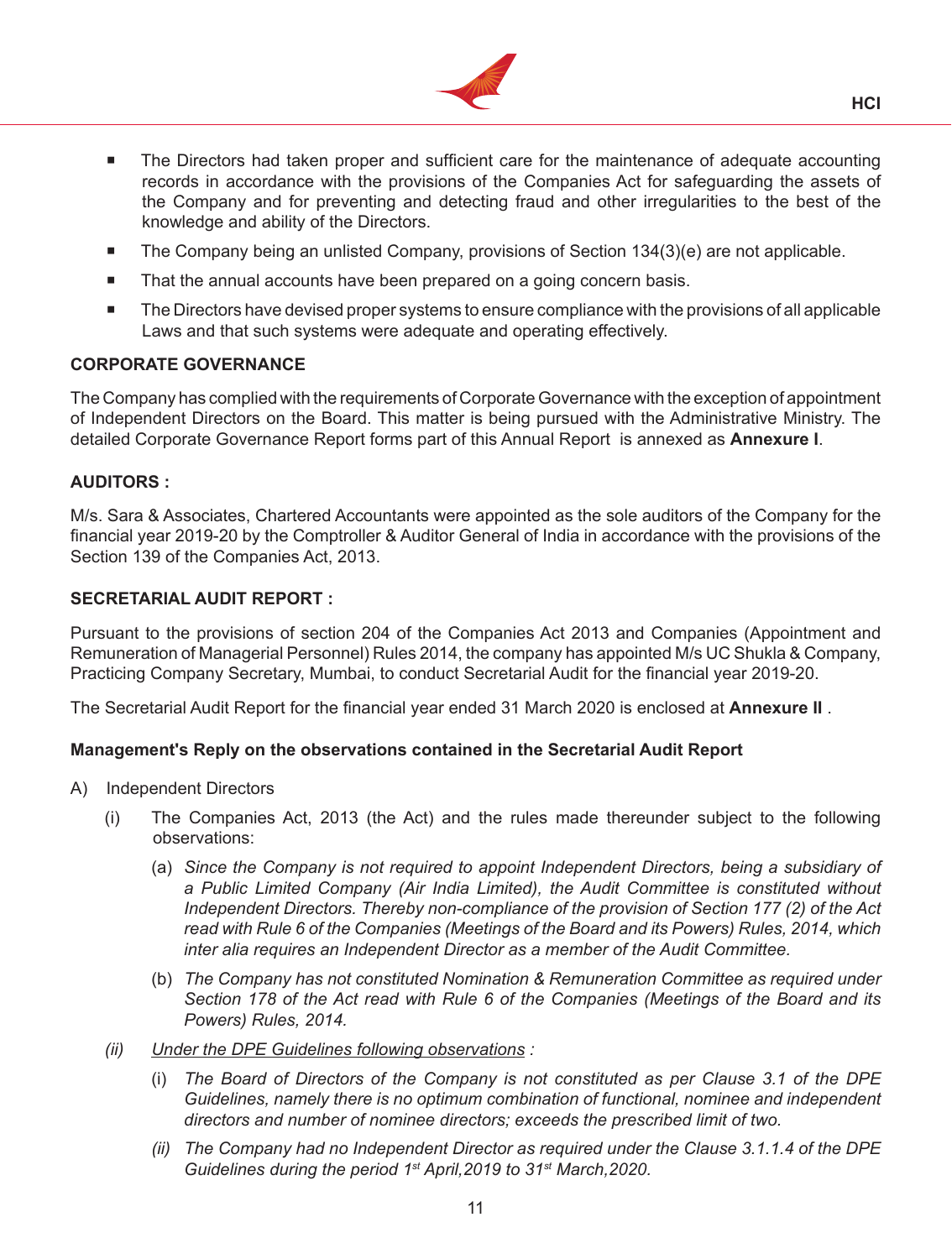

- **The Directors had taken proper and sufficient care for the maintenance of adequate accounting** records in accordance with the provisions of the Companies Act for safeguarding the assets of the Company and for preventing and detecting fraud and other irregularities to the best of the knowledge and ability of the Directors.
- The Company being an unlisted Company, provisions of Section 134(3)(e) are not applicable.
- **That the annual accounts have been prepared on a going concern basis.**
- **The Directors have devised proper systems to ensure compliance with the provisions of all applicable** Laws and that such systems were adequate and operating effectively.

# **CORPORATE GOVERNANCE**

The Company has complied with the requirements of Corporate Governance with the exception of appointment of Independent Directors on the Board. This matter is being pursued with the Administrative Ministry. The detailed Corporate Governance Report forms part of this Annual Report is annexed as **Annexure I**.

#### **AUDITORS :**

M/s. Sara & Associates, Chartered Accountants were appointed as the sole auditors of the Company for the financial year 2019-20 by the Comptroller & Auditor General of India in accordance with the provisions of the Section 139 of the Companies Act, 2013.

#### **SECRETARIAL AUDIT REPORT :**

Pursuant to the provisions of section 204 of the Companies Act 2013 and Companies (Appointment and Remuneration of Managerial Personnel) Rules 2014, the company has appointed M/s UC Shukla & Company, Practicing Company Secretary, Mumbai, to conduct Secretarial Audit for the financial year 2019-20.

The Secretarial Audit Report for the financial year ended 31 March 2020 is enclosed at **Annexure II** .

# **Management's Reply on the observations contained in the Secretarial Audit Report**

- A) Independent Directors
	- (i) The Companies Act, 2013 (the Act) and the rules made thereunder subject to the following observations:
		- (a) *Since the Company is not required to appoint Independent Directors, being a subsidiary of a Public Limited Company (Air India Limited), the Audit Committee is constituted without Independent Directors. Thereby non-compliance of the provision of Section 177 (2) of the Act read with Rule 6 of the Companies (Meetings of the Board and its Powers) Rules, 2014, which inter alia requires an Independent Director as a member of the Audit Committee.*
		- (b) *The Company has not constituted Nomination & Remuneration Committee as required under Section 178 of the Act read with Rule 6 of the Companies (Meetings of the Board and its Powers) Rules, 2014.*
	- *(ii) Under the DPE Guidelines following observations :*
		- (i) *The Board of Directors of the Company is not constituted as per Clause 3.1 of the DPE Guidelines, namely there is no optimum combination of functional, nominee and independent directors and number of nominee directors; exceeds the prescribed limit of two.*
		- *(ii) The Company had no Independent Director as required under the Clause 3.1.1.4 of the DPE Guidelines during the period 1st April,2019 to 31st March,2020.*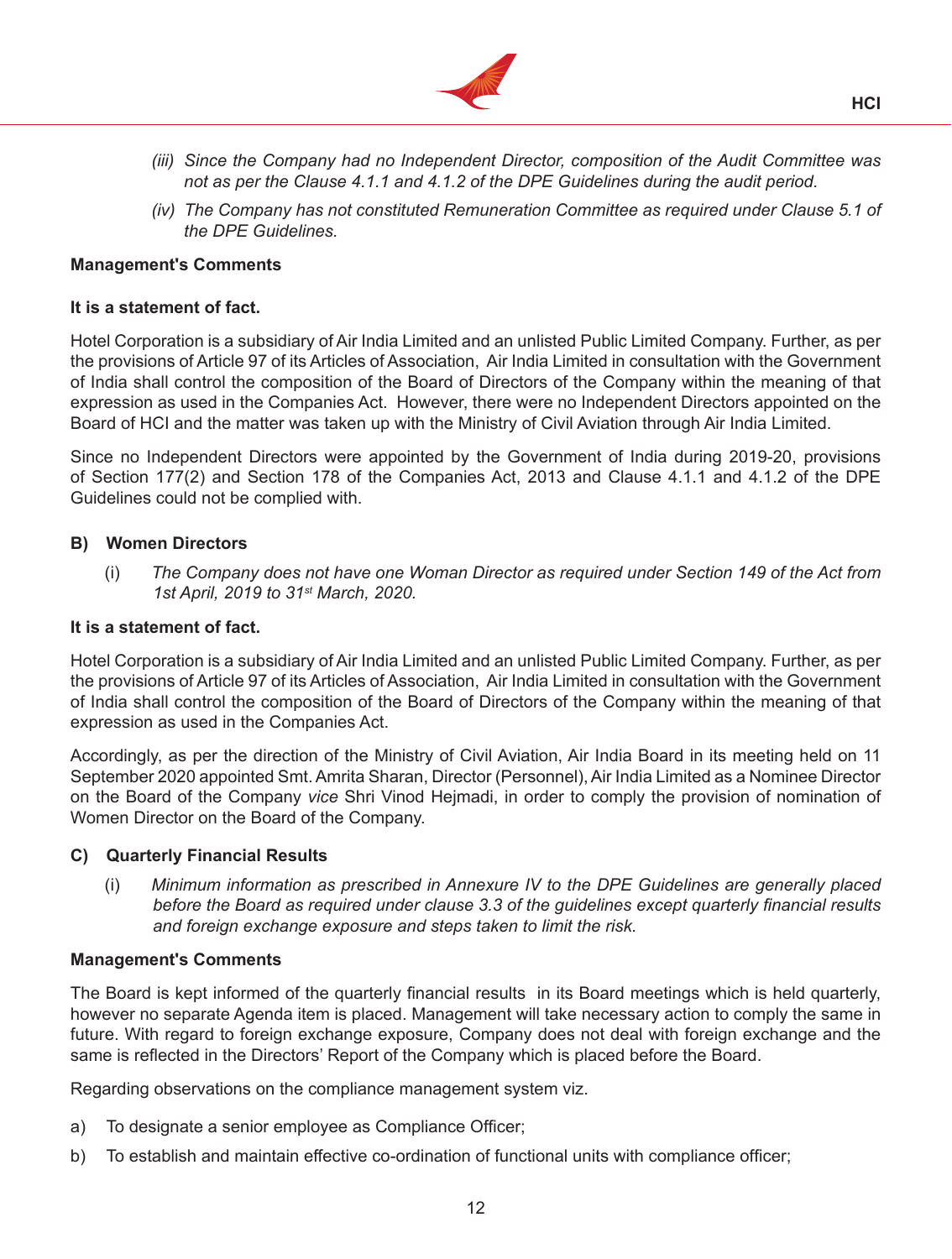

- *(iii) Since the Company had no Independent Director, composition of the Audit Committee was not as per the Clause 4.1.1 and 4.1.2 of the DPE Guidelines during the audit period.*
- *(iv) The Company has not constituted Remuneration Committee as required under Clause 5.1 of the DPE Guidelines.*

#### **Management's Comments**

#### **It is a statement of fact.**

Hotel Corporation is a subsidiary of Air India Limited and an unlisted Public Limited Company. Further, as per the provisions of Article 97 of its Articles of Association, Air India Limited in consultation with the Government of India shall control the composition of the Board of Directors of the Company within the meaning of that expression as used in the Companies Act. However, there were no Independent Directors appointed on the Board of HCI and the matter was taken up with the Ministry of Civil Aviation through Air India Limited.

Since no Independent Directors were appointed by the Government of India during 2019-20, provisions of Section 177(2) and Section 178 of the Companies Act, 2013 and Clause 4.1.1 and 4.1.2 of the DPE Guidelines could not be complied with.

#### **B) Women Directors**

(i) *The Company does not have one Woman Director as required under Section 149 of the Act from 1st April, 2019 to 31st March, 2020.*

#### **It is a statement of fact.**

Hotel Corporation is a subsidiary of Air India Limited and an unlisted Public Limited Company. Further, as per the provisions of Article 97 of its Articles of Association, Air India Limited in consultation with the Government of India shall control the composition of the Board of Directors of the Company within the meaning of that expression as used in the Companies Act.

Accordingly, as per the direction of the Ministry of Civil Aviation, Air India Board in its meeting held on 11 September 2020 appointed Smt. Amrita Sharan, Director (Personnel), Air India Limited as a Nominee Director on the Board of the Company *vice* Shri Vinod Hejmadi, in order to comply the provision of nomination of Women Director on the Board of the Company.

#### **C) Quarterly Financial Results**

(i) *Minimum information as prescribed in Annexure IV to the DPE Guidelines are generally placed before the Board as required under clause 3.3 of the guidelines except quarterly financial results and foreign exchange exposure and steps taken to limit the risk.*

#### **Management's Comments**

The Board is kept informed of the quarterly financial results in its Board meetings which is held quarterly, however no separate Agenda item is placed. Management will take necessary action to comply the same in future. With regard to foreign exchange exposure, Company does not deal with foreign exchange and the same is reflected in the Directors' Report of the Company which is placed before the Board.

Regarding observations on the compliance management system viz.

- a) To designate a senior employee as Compliance Officer;
- b) To establish and maintain effective co-ordination of functional units with compliance officer;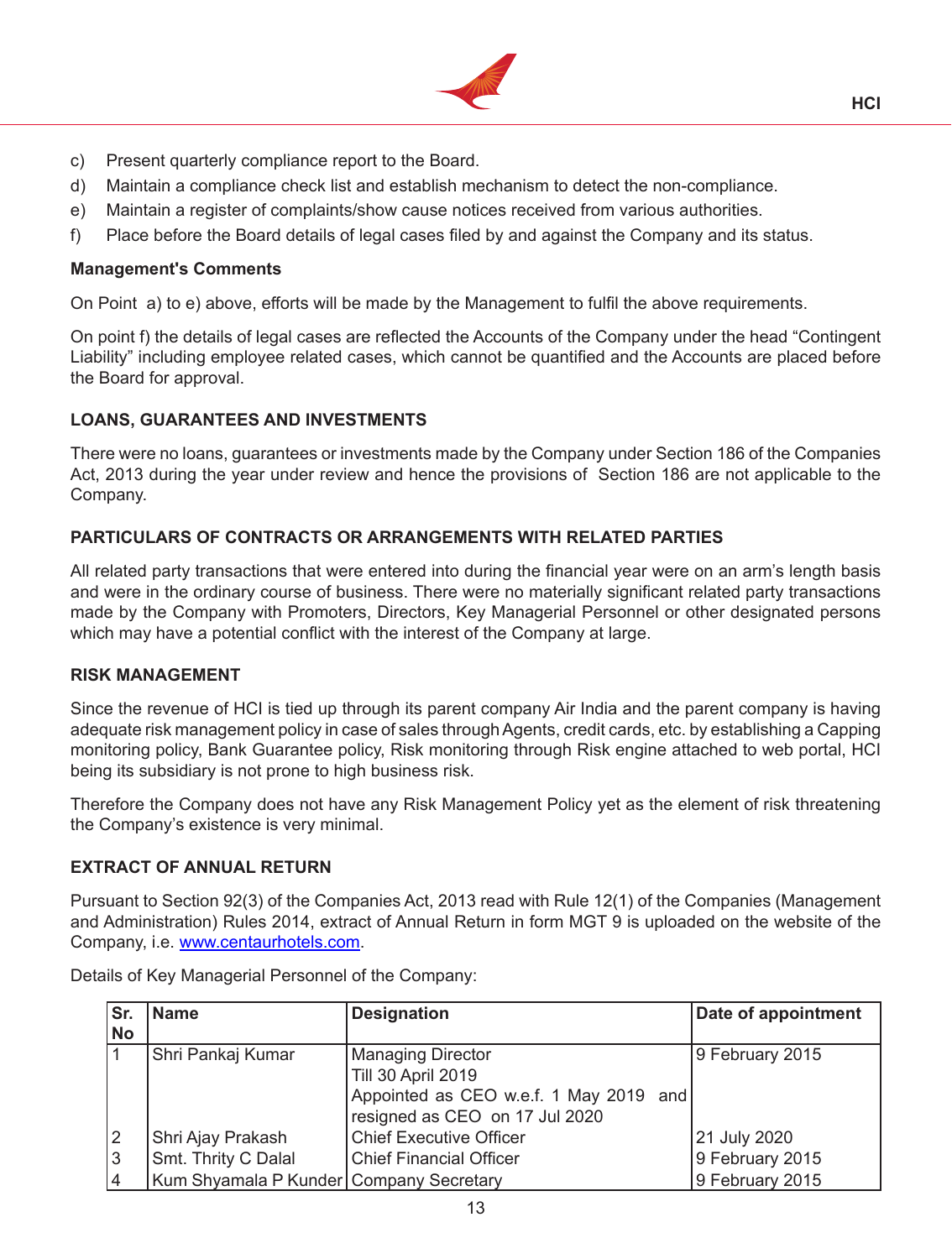

- c) Present quarterly compliance report to the Board.
- d) Maintain a compliance check list and establish mechanism to detect the non-compliance.
- e) Maintain a register of complaints/show cause notices received from various authorities.
- f) Place before the Board details of legal cases filed by and against the Company and its status.

#### **Management's Comments**

On Point a) to e) above, efforts will be made by the Management to fulfil the above requirements.

On point f) the details of legal cases are reflected the Accounts of the Company under the head "Contingent Liability" including employee related cases, which cannot be quantified and the Accounts are placed before the Board for approval.

# **LOANS, GUARANTEES AND INVESTMENTS**

There were no loans, guarantees or investments made by the Company under Section 186 of the Companies Act, 2013 during the year under review and hence the provisions of Section 186 are not applicable to the Company.

# **PARTICULARS OF CONTRACTS OR ARRANGEMENTS WITH RELATED PARTIES**

All related party transactions that were entered into during the financial year were on an arm's length basis and were in the ordinary course of business. There were no materially significant related party transactions made by the Company with Promoters, Directors, Key Managerial Personnel or other designated persons which may have a potential conflict with the interest of the Company at large.

#### **RISK MANAGEMENT**

Since the revenue of HCI is tied up through its parent company Air India and the parent company is having adequate risk management policy in case of sales through Agents, credit cards, etc. by establishing a Capping monitoring policy, Bank Guarantee policy, Risk monitoring through Risk engine attached to web portal, HCI being its subsidiary is not prone to high business risk.

Therefore the Company does not have any Risk Management Policy yet as the element of risk threatening the Company's existence is very minimal.

# **EXTRACT OF ANNUAL RETURN**

Pursuant to Section 92(3) of the Companies Act, 2013 read with Rule 12(1) of the Companies (Management and Administration) Rules 2014, extract of Annual Return in form MGT 9 is uploaded on the website of the Company, i.e. www.centaurhotels.com.

Details of Key Managerial Personnel of the Company:

| Sr.<br><b>No</b>     | <b>Name</b>                               | <b>Designation</b>                                                                                                  | Date of appointment |
|----------------------|-------------------------------------------|---------------------------------------------------------------------------------------------------------------------|---------------------|
| $\blacktriangleleft$ | Shri Pankaj Kumar                         | Managing Director<br>Till 30 April 2019<br>Appointed as CEO w.e.f. 1 May 2019 and<br>resigned as CEO on 17 Jul 2020 | 9 February 2015     |
| $\overline{2}$       | Shri Ajay Prakash                         | <b>Chief Executive Officer</b>                                                                                      | 21 July 2020        |
| 3                    | Smt. Thrity C Dalal                       | <b>Chief Financial Officer</b>                                                                                      | 9 February 2015     |
| ,4                   | Kum Shyamala P Kunder   Company Secretary |                                                                                                                     | 9 February 2015     |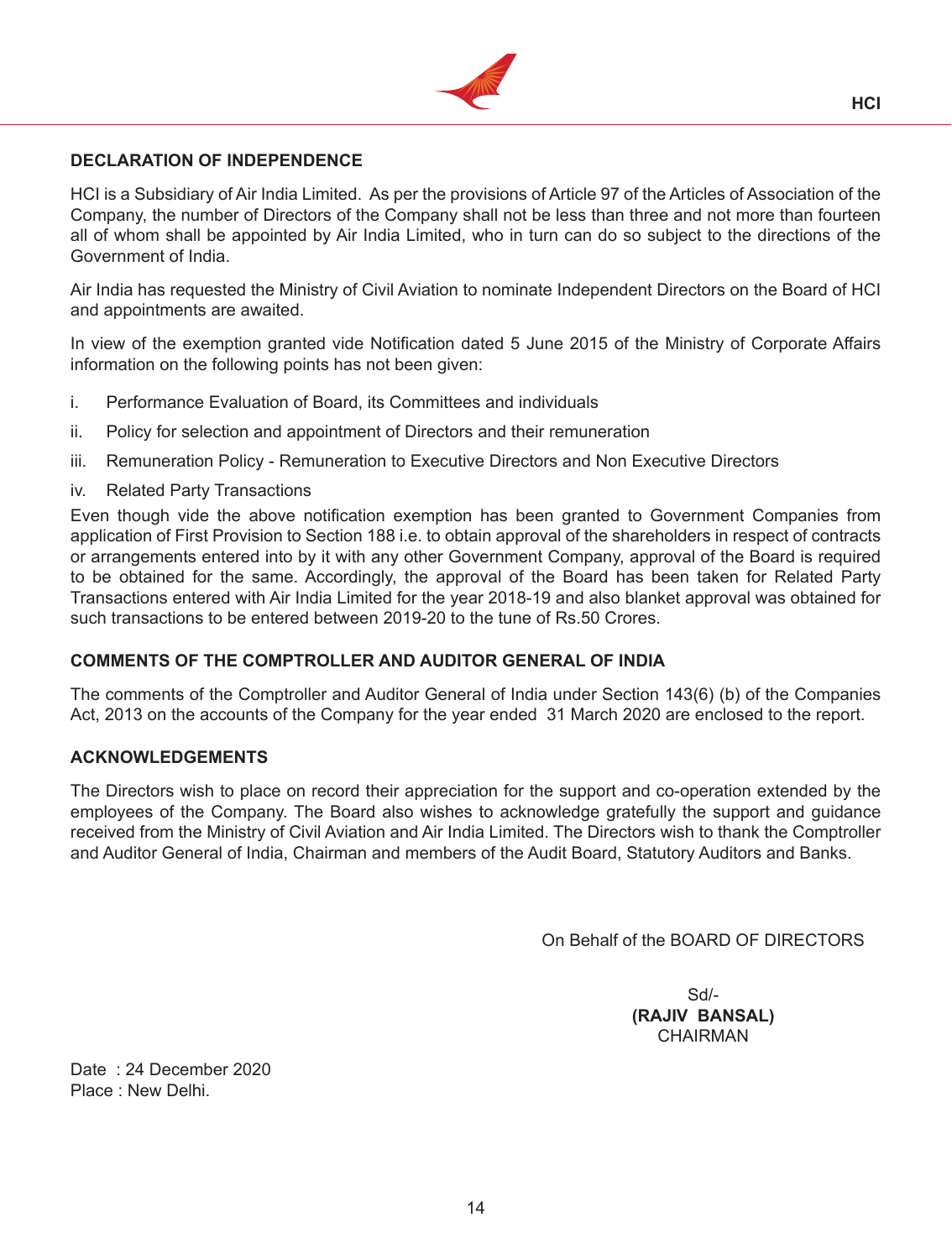

#### **DECLARATION OF INDEPENDENCE**

HCI is a Subsidiary of Air India Limited. As per the provisions of Article 97 of the Articles of Association of the Company, the number of Directors of the Company shall not be less than three and not more than fourteen all of whom shall be appointed by Air India Limited, who in turn can do so subject to the directions of the Government of India.

Air India has requested the Ministry of Civil Aviation to nominate Independent Directors on the Board of HCI and appointments are awaited.

In view of the exemption granted vide Notification dated 5 June 2015 of the Ministry of Corporate Affairs information on the following points has not been given:

- i. Performance Evaluation of Board, its Committees and individuals
- ii. Policy for selection and appointment of Directors and their remuneration
- iii. Remuneration Policy Remuneration to Executive Directors and Non Executive Directors
- iv. Related Party Transactions

Even though vide the above notification exemption has been granted to Government Companies from application of First Provision to Section 188 i.e. to obtain approval of the shareholders in respect of contracts or arrangements entered into by it with any other Government Company, approval of the Board is required to be obtained for the same. Accordingly, the approval of the Board has been taken for Related Party Transactions entered with Air India Limited for the year 2018-19 and also blanket approval was obtained for such transactions to be entered between 2019-20 to the tune of Rs.50 Crores.

# **COMMENTS OF THE COMPTROLLER AND AUDITOR GENERAL OF INDIA**

The comments of the Comptroller and Auditor General of India under Section 143(6) (b) of the Companies Act, 2013 on the accounts of the Company for the year ended 31 March 2020 are enclosed to the report.

#### **ACKNOWLEDGEMENTS**

The Directors wish to place on record their appreciation for the support and co-operation extended by the employees of the Company. The Board also wishes to acknowledge gratefully the support and guidance received from the Ministry of Civil Aviation and Air India Limited. The Directors wish to thank the Comptroller and Auditor General of India, Chairman and members of the Audit Board, Statutory Auditors and Banks.

On Behalf of the BOARD OF DIRECTORS

Sd/- **(RAJIV BANSAL) CHAIRMAN** 

Date : 24 December 2020 Place : New Delhi.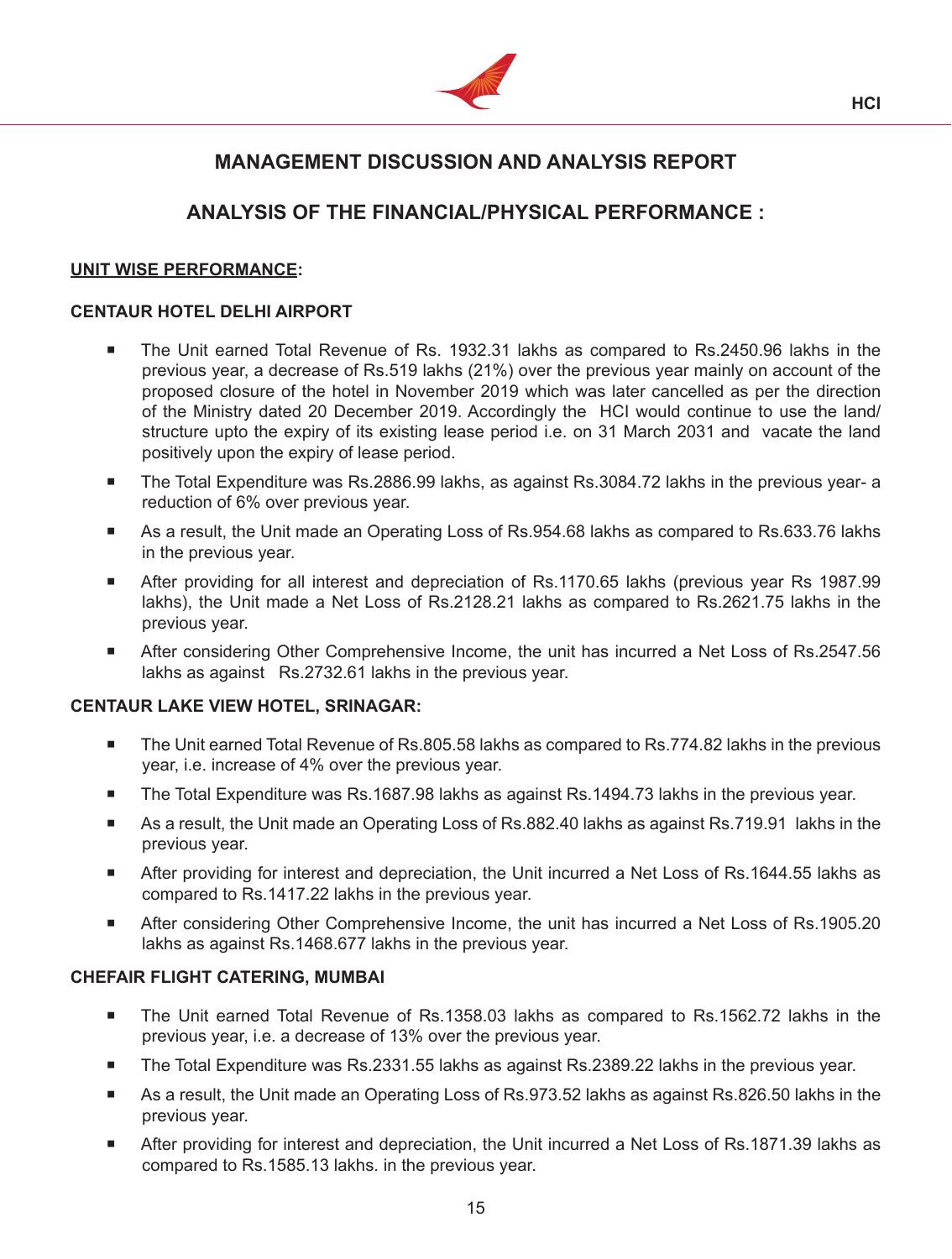

# **MANAGEMENT DISCUSSION AND ANALYSIS REPORT**

# **ANALYSIS OF THE FINANCIAL/PHYSICAL PERFORMANCE :**

# **UNIT WISE PERFORMANCE:**

# **CENTAUR HOTEL DELHI AIRPORT**

- The Unit earned Total Revenue of Rs. 1932.31 lakhs as compared to Rs.2450.96 lakhs in the previous year, a decrease of Rs.519 lakhs (21%) over the previous year mainly on account of the proposed closure of the hotel in November 2019 which was later cancelled as per the direction of the Ministry dated 20 December 2019. Accordingly the HCI would continue to use the land/ structure upto the expiry of its existing lease period i.e. on 31 March 2031 and vacate the land positively upon the expiry of lease period.
- The Total Expenditure was Rs.2886.99 lakhs, as against Rs.3084.72 lakhs in the previous year- a reduction of 6% over previous year.
- As a result, the Unit made an Operating Loss of Rs.954.68 lakhs as compared to Rs.633.76 lakhs in the previous year.
- After providing for all interest and depreciation of Rs.1170.65 lakhs (previous year Rs 1987.99 lakhs), the Unit made a Net Loss of Rs.2128.21 lakhs as compared to Rs.2621.75 lakhs in the previous year.
- After considering Other Comprehensive Income, the unit has incurred a Net Loss of Rs.2547.56 lakhs as against Rs.2732.61 lakhs in the previous year.

# **CENTAUR LAKE VIEW HOTEL, SRINAGAR:**

- The Unit earned Total Revenue of Rs.805.58 lakhs as compared to Rs.774.82 lakhs in the previous year, i.e. increase of 4% over the previous year.
- The Total Expenditure was Rs.1687.98 lakhs as against Rs.1494.73 lakhs in the previous year.
- As a result, the Unit made an Operating Loss of Rs.882.40 lakhs as against Rs.719.91 lakhs in the previous year.
- After providing for interest and depreciation, the Unit incurred a Net Loss of Rs.1644.55 lakhs as compared to Rs.1417.22 lakhs in the previous year.
- **After considering Other Comprehensive Income, the unit has incurred a Net Loss of Rs.1905.20** lakhs as against Rs.1468.677 lakhs in the previous year.

# **CHEFAIR FLIGHT CATERING, MUMBAI**

- The Unit earned Total Revenue of Rs.1358.03 lakhs as compared to Rs.1562.72 lakhs in the previous year, i.e. a decrease of 13% over the previous year.
- The Total Expenditure was Rs.2331.55 lakhs as against Rs.2389.22 lakhs in the previous year.
- As a result, the Unit made an Operating Loss of Rs.973.52 lakhs as against Rs.826.50 lakhs in the previous year.
- After providing for interest and depreciation, the Unit incurred a Net Loss of Rs.1871.39 lakhs as compared to Rs.1585.13 lakhs. in the previous year.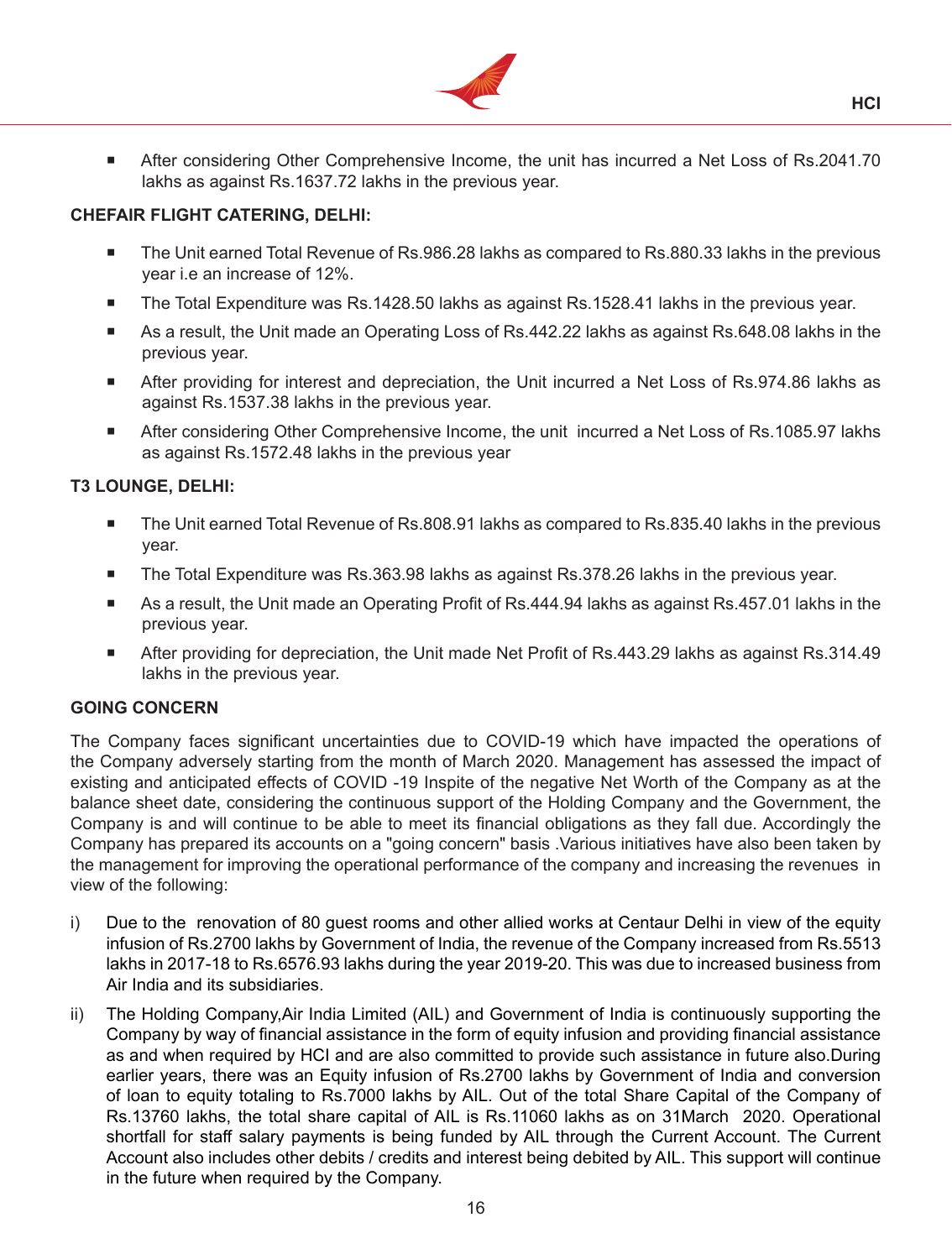

 After considering Other Comprehensive Income, the unit has incurred a Net Loss of Rs.2041.70 lakhs as against Rs.1637.72 lakhs in the previous year.

# **CHEFAIR FLIGHT CATERING, DELHI:**

- The Unit earned Total Revenue of Rs.986.28 lakhs as compared to Rs.880.33 lakhs in the previous year i.e an increase of 12%.
- The Total Expenditure was Rs.1428.50 lakhs as against Rs.1528.41 lakhs in the previous year.
- As a result, the Unit made an Operating Loss of Rs.442.22 lakhs as against Rs.648.08 lakhs in the previous year.
- After providing for interest and depreciation, the Unit incurred a Net Loss of Rs.974.86 lakhs as against Rs.1537.38 lakhs in the previous year.
- After considering Other Comprehensive Income, the unit incurred a Net Loss of Rs.1085.97 lakhs as against Rs.1572.48 lakhs in the previous year

# **T3 LOUNGE, DELHI:**

- The Unit earned Total Revenue of Rs.808.91 lakhs as compared to Rs.835.40 lakhs in the previous year.
- The Total Expenditure was Rs.363.98 lakhs as against Rs.378.26 lakhs in the previous year.
- As a result, the Unit made an Operating Profit of Rs.444.94 lakhs as against Rs.457.01 lakhs in the previous year.
- After providing for depreciation, the Unit made Net Profit of Rs.443.29 lakhs as against Rs.314.49 lakhs in the previous year.

# **GOING CONCERN**

The Company faces significant uncertainties due to COVID-19 which have impacted the operations of the Company adversely starting from the month of March 2020. Management has assessed the impact of existing and anticipated effects of COVID -19 Inspite of the negative Net Worth of the Company as at the balance sheet date, considering the continuous support of the Holding Company and the Government, the Company is and will continue to be able to meet its financial obligations as they fall due. Accordingly the Company has prepared its accounts on a "going concern" basis .Various initiatives have also been taken by the management for improving the operational performance of the company and increasing the revenues in view of the following:

- i) Due to the renovation of 80 guest rooms and other allied works at Centaur Delhi in view of the equity infusion of Rs.2700 lakhs by Government of India, the revenue of the Company increased from Rs.5513 lakhs in 2017-18 to Rs.6576.93 lakhs during the year 2019-20. This was due to increased business from Air India and its subsidiaries.
- ii) The Holding Company,Air India Limited (AIL) and Government of India is continuously supporting the Company by way of financial assistance in the form of equity infusion and providing financial assistance as and when required by HCI and are also committed to provide such assistance in future also.During earlier years, there was an Equity infusion of Rs.2700 lakhs by Government of India and conversion of loan to equity totaling to Rs.7000 lakhs by AIL. Out of the total Share Capital of the Company of Rs.13760 lakhs, the total share capital of AIL is Rs.11060 lakhs as on 31March 2020. Operational shortfall for staff salary payments is being funded by AIL through the Current Account. The Current Account also includes other debits / credits and interest being debited by AIL. This support will continue in the future when required by the Company.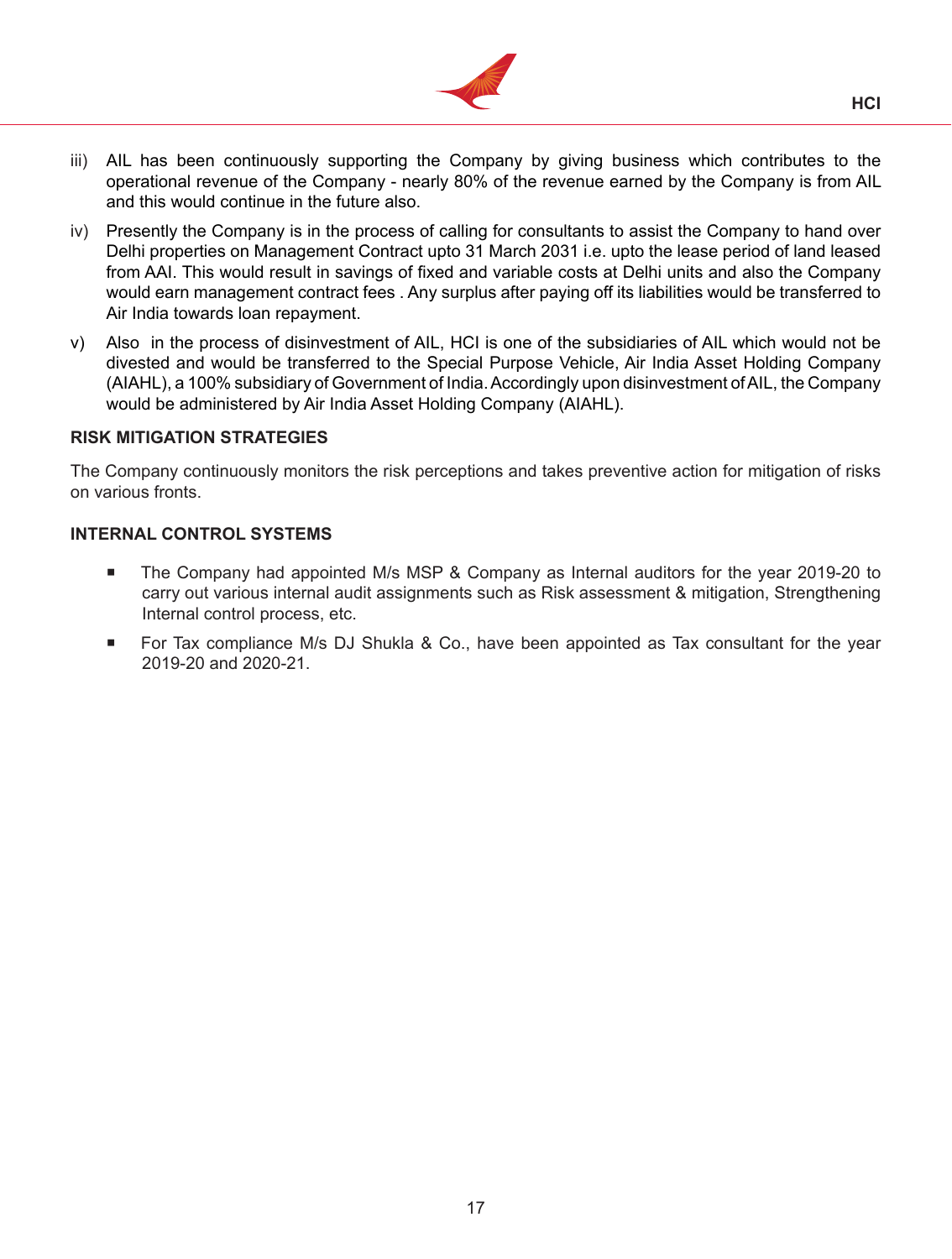

- iii) AIL has been continuously supporting the Company by giving business which contributes to the operational revenue of the Company - nearly 80% of the revenue earned by the Company is from AIL and this would continue in the future also.
- iv) Presently the Company is in the process of calling for consultants to assist the Company to hand over Delhi properties on Management Contract upto 31 March 2031 i.e. upto the lease period of land leased from AAI. This would result in savings of fixed and variable costs at Delhi units and also the Company would earn management contract fees . Any surplus after paying off its liabilities would be transferred to Air India towards loan repayment.
- v) Also in the process of disinvestment of AIL, HCI is one of the subsidiaries of AIL which would not be divested and would be transferred to the Special Purpose Vehicle, Air India Asset Holding Company (AIAHL), a 100% subsidiary of Government of India.Accordingly upon disinvestment ofAIL, the Company would be administered by Air India Asset Holding Company (AIAHL).

#### **RISK MITIGATION STRATEGIES**

The Company continuously monitors the risk perceptions and takes preventive action for mitigation of risks on various fronts.

#### **INTERNAL CONTROL SYSTEMS**

- The Company had appointed M/s MSP & Company as Internal auditors for the year 2019-20 to carry out various internal audit assignments such as Risk assessment & mitigation, Strengthening Internal control process, etc.
- For Tax compliance M/s DJ Shukla & Co., have been appointed as Tax consultant for the year 2019-20 and 2020-21.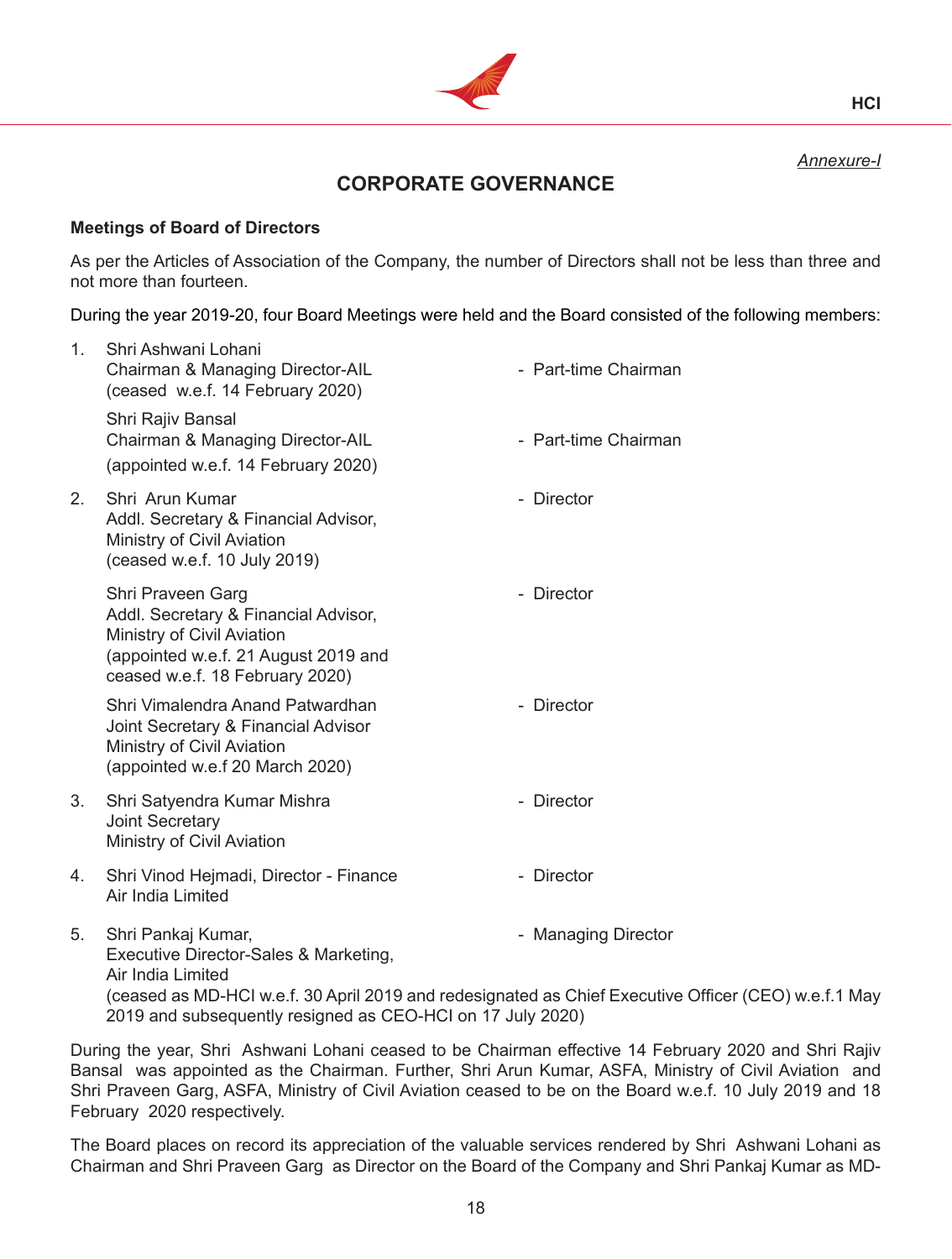

**HCI**

# **CORPORATE GOVERNANCE**

#### **Meetings of Board of Directors**

As per the Articles of Association of the Company, the number of Directors shall not be less than three and not more than fourteen.

During the year 2019-20, four Board Meetings were held and the Board consisted of the following members:

| 1. | Shri Ashwani Lohani<br>Chairman & Managing Director-AIL<br>(ceased w.e.f. 14 February 2020)                                                                        | - Part-time Chairman                                                                                                        |
|----|--------------------------------------------------------------------------------------------------------------------------------------------------------------------|-----------------------------------------------------------------------------------------------------------------------------|
|    | Shri Rajiv Bansal<br>Chairman & Managing Director-AIL<br>(appointed w.e.f. 14 February 2020)                                                                       | - Part-time Chairman                                                                                                        |
| 2. | Shri Arun Kumar<br>Addl. Secretary & Financial Advisor,<br>Ministry of Civil Aviation<br>(ceased w.e.f. 10 July 2019)                                              | - Director                                                                                                                  |
|    | Shri Praveen Garg<br>Addl. Secretary & Financial Advisor,<br>Ministry of Civil Aviation<br>(appointed w.e.f. 21 August 2019 and<br>ceased w.e.f. 18 February 2020) | - Director                                                                                                                  |
|    | Shri Vimalendra Anand Patwardhan<br>Joint Secretary & Financial Advisor<br>Ministry of Civil Aviation<br>(appointed w.e.f 20 March 2020)                           | - Director                                                                                                                  |
| 3. | Shri Satyendra Kumar Mishra<br>Joint Secretary<br>Ministry of Civil Aviation                                                                                       | - Director                                                                                                                  |
| 4. | Shri Vinod Hejmadi, Director - Finance<br>Air India Limited                                                                                                        | - Director                                                                                                                  |
| 5. | Shri Pankaj Kumar,<br>Executive Director-Sales & Marketing,<br>Air India Limited<br>2019 and subsequently resigned as CEO-HCI on 17 July 2020)                     | - Managing Director<br>(ceased as MD-HCI w.e.f. 30 April 2019 and redesignated as Chief Executive Officer (CEO) w.e.f.1 May |

During the year, Shri Ashwani Lohani ceased to be Chairman effective 14 February 2020 and Shri Rajiv Bansal was appointed as the Chairman. Further, Shri Arun Kumar, ASFA, Ministry of Civil Aviation and Shri Praveen Garg, ASFA, Ministry of Civil Aviation ceased to be on the Board w.e.f. 10 July 2019 and 18 February 2020 respectively.

The Board places on record its appreciation of the valuable services rendered by Shri Ashwani Lohani as Chairman and Shri Praveen Garg as Director on the Board of the Company and Shri Pankaj Kumar as MD-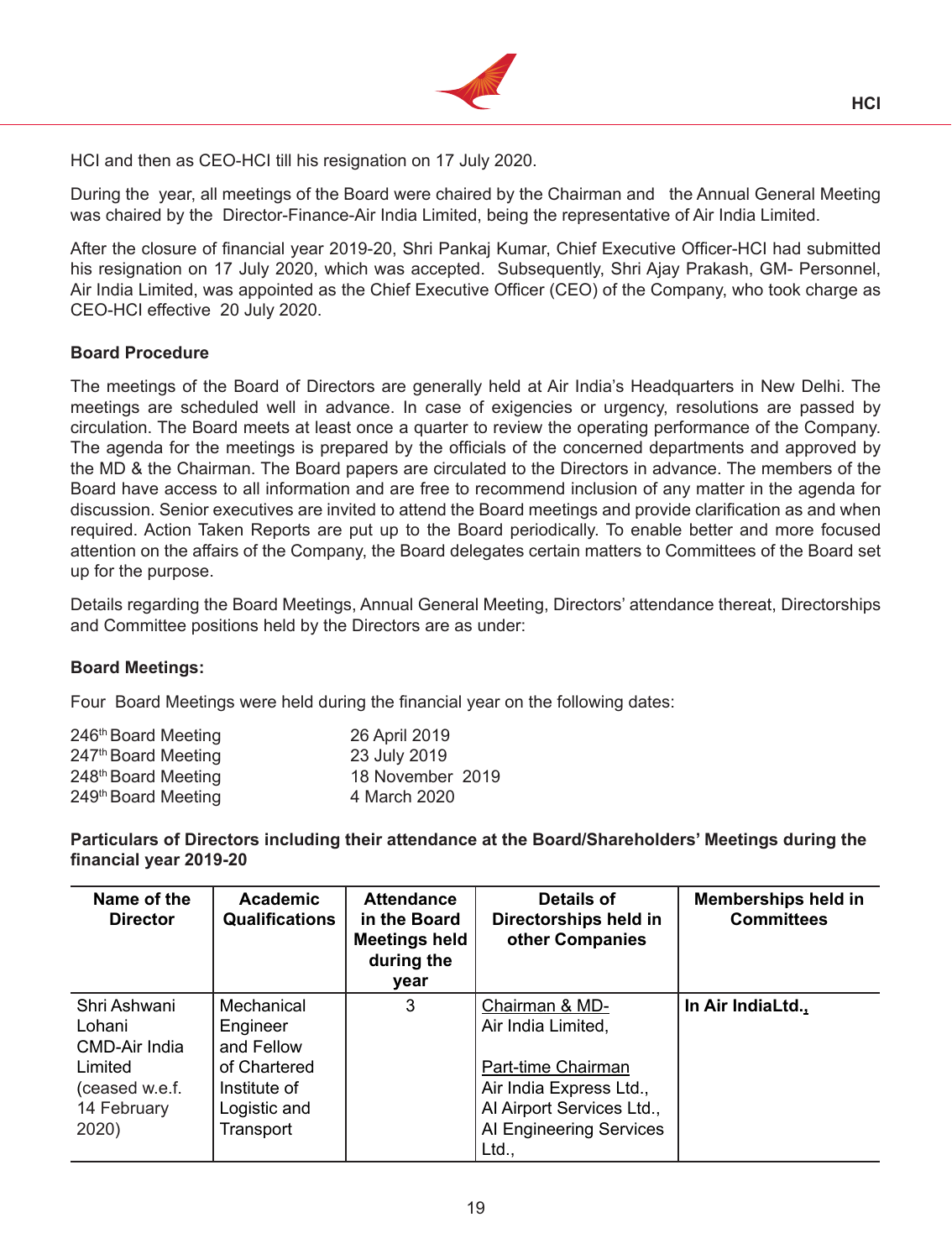

HCI and then as CEO-HCI till his resignation on 17 July 2020.

During the year, all meetings of the Board were chaired by the Chairman and the Annual General Meeting was chaired by the Director-Finance-Air India Limited, being the representative of Air India Limited.

After the closure of financial year 2019-20, Shri Pankaj Kumar, Chief Executive Officer-HCI had submitted his resignation on 17 July 2020, which was accepted. Subsequently, Shri Ajay Prakash, GM- Personnel, Air India Limited, was appointed as the Chief Executive Officer (CEO) of the Company, who took charge as CEO-HCI effective 20 July 2020.

# **Board Procedure**

The meetings of the Board of Directors are generally held at Air India's Headquarters in New Delhi. The meetings are scheduled well in advance. In case of exigencies or urgency, resolutions are passed by circulation. The Board meets at least once a quarter to review the operating performance of the Company. The agenda for the meetings is prepared by the officials of the concerned departments and approved by the MD & the Chairman. The Board papers are circulated to the Directors in advance. The members of the Board have access to all information and are free to recommend inclusion of any matter in the agenda for discussion. Senior executives are invited to attend the Board meetings and provide clarification as and when required. Action Taken Reports are put up to the Board periodically. To enable better and more focused attention on the affairs of the Company, the Board delegates certain matters to Committees of the Board set up for the purpose.

Details regarding the Board Meetings, Annual General Meeting, Directors' attendance thereat, Directorships and Committee positions held by the Directors are as under:

#### **Board Meetings:**

Four Board Meetings were held during the financial year on the following dates:

| 246 <sup>th</sup> Board Meeting | 26 April 2019    |
|---------------------------------|------------------|
| 247 <sup>th</sup> Board Meeting | 23 July 2019     |
| 248 <sup>th</sup> Board Meeting | 18 November 2019 |
| 249th Board Meeting             | 4 March 2020     |

**Particulars of Directors including their attendance at the Board/Shareholders' Meetings during the financial year 2019-20**

| Name of the<br><b>Director</b> | <b>Academic</b><br><b>Qualifications</b> | <b>Attendance</b><br>in the Board<br><b>Meetings held</b><br>during the<br>year | <b>Details of</b><br>Directorships held in<br>other Companies | <b>Memberships held in</b><br><b>Committees</b> |
|--------------------------------|------------------------------------------|---------------------------------------------------------------------------------|---------------------------------------------------------------|-------------------------------------------------|
| Shri Ashwani                   | Mechanical                               | 3                                                                               | Chairman & MD-                                                | In Air IndiaLtd.,                               |
| Lohani                         | Engineer                                 |                                                                                 | Air India Limited,                                            |                                                 |
| CMD-Air India                  | and Fellow                               |                                                                                 |                                                               |                                                 |
| Limited                        | of Chartered                             |                                                                                 | Part-time Chairman                                            |                                                 |
| (ceased w.e.f.)                | Institute of                             |                                                                                 | Air India Express Ltd.,                                       |                                                 |
| 14 February                    | Logistic and                             |                                                                                 | Al Airport Services Ltd.,                                     |                                                 |
| 2020)                          | Transport                                |                                                                                 | Al Engineering Services                                       |                                                 |
|                                |                                          |                                                                                 | Ltd.,                                                         |                                                 |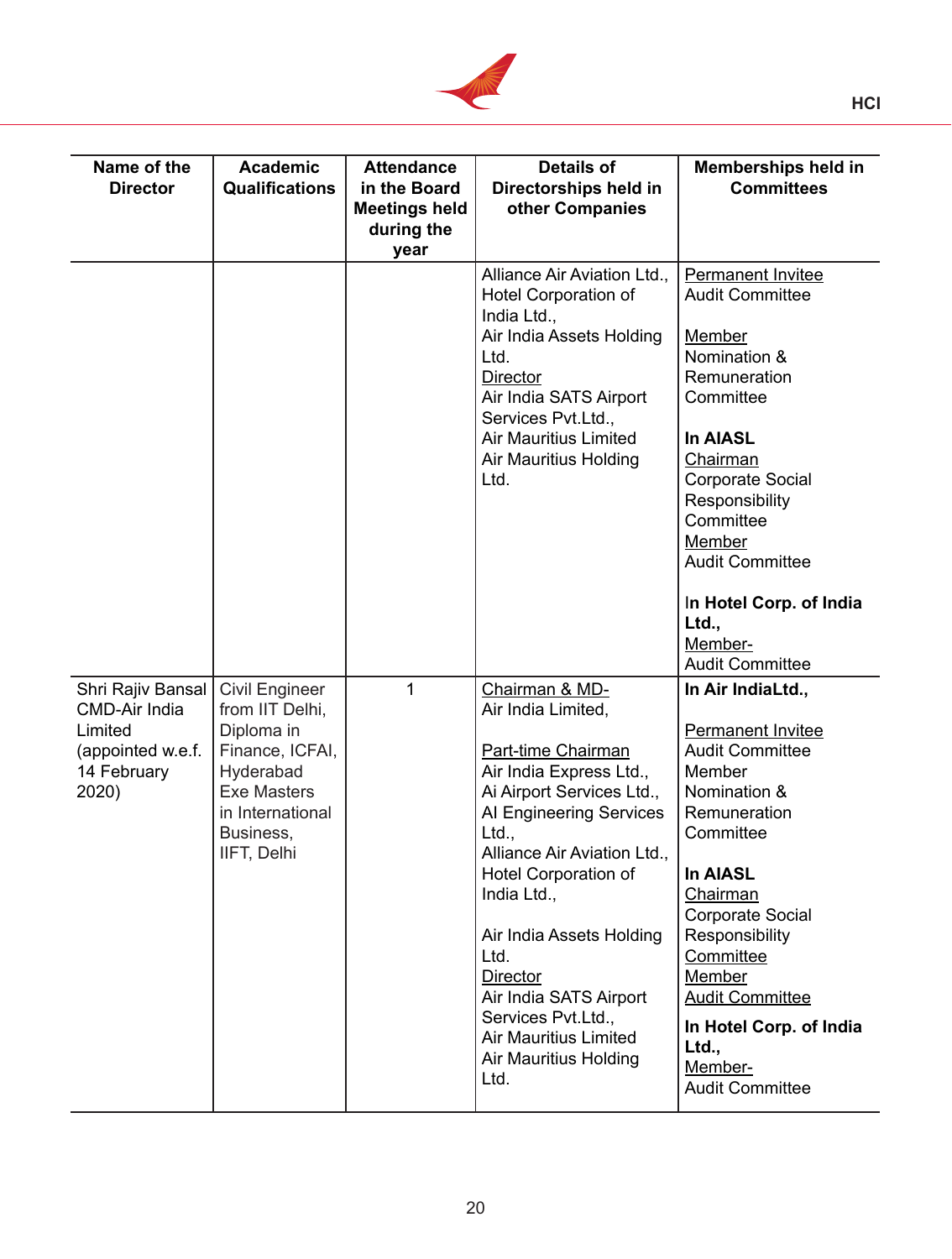

| Name of the<br><b>Director</b>                                                             | <b>Academic</b><br><b>Qualifications</b>                                                                                                              | <b>Attendance</b><br>in the Board<br><b>Meetings held</b><br>during the<br>year | <b>Details of</b><br>Directorships held in<br>other Companies                                                                                                                                                                                                                                                                                                                                        | <b>Memberships held in</b><br><b>Committees</b>                                                                                                                                                                                                                                                                                             |
|--------------------------------------------------------------------------------------------|-------------------------------------------------------------------------------------------------------------------------------------------------------|---------------------------------------------------------------------------------|------------------------------------------------------------------------------------------------------------------------------------------------------------------------------------------------------------------------------------------------------------------------------------------------------------------------------------------------------------------------------------------------------|---------------------------------------------------------------------------------------------------------------------------------------------------------------------------------------------------------------------------------------------------------------------------------------------------------------------------------------------|
|                                                                                            |                                                                                                                                                       |                                                                                 | Alliance Air Aviation Ltd.,<br>Hotel Corporation of<br>India Ltd.,<br>Air India Assets Holding<br>Ltd.<br><b>Director</b><br>Air India SATS Airport<br>Services Pvt.Ltd.,<br><b>Air Mauritius Limited</b><br>Air Mauritius Holding<br>Ltd.                                                                                                                                                           | <b>Permanent Invitee</b><br><b>Audit Committee</b><br><b>Member</b><br>Nomination &<br>Remuneration<br>Committee<br><b>In AIASL</b><br><b>Chairman</b><br><b>Corporate Social</b><br>Responsibility<br>Committee<br>Member<br><b>Audit Committee</b><br>In Hotel Corp. of India<br>Ltd.,<br>Member-<br><b>Audit Committee</b>               |
| Shri Rajiv Bansal<br>CMD-Air India<br>Limited<br>(appointed w.e.f.<br>14 February<br>2020) | Civil Engineer<br>from IIT Delhi,<br>Diploma in<br>Finance, ICFAI,<br>Hyderabad<br><b>Exe Masters</b><br>in International<br>Business,<br>IIFT, Delhi | $\mathbf{1}$                                                                    | Chairman & MD-<br>Air India Limited,<br>Part-time Chairman<br>Air India Express Ltd.,<br>Ai Airport Services Ltd.,<br>AI Engineering Services<br>Ltd.,<br>Alliance Air Aviation Ltd.,<br>Hotel Corporation of<br>India Ltd.,<br>Air India Assets Holding<br>Ltd.<br><b>Director</b><br>Air India SATS Airport<br>Services Pvt.Ltd.,<br><b>Air Mauritius Limited</b><br>Air Mauritius Holding<br>Ltd. | In Air IndiaLtd.,<br><b>Permanent Invitee</b><br><b>Audit Committee</b><br>Member<br>Nomination &<br>Remuneration<br>Committee<br><b>In AIASL</b><br>Chairman<br><b>Corporate Social</b><br>Responsibility<br>Committee<br><b>Member</b><br><b>Audit Committee</b><br>In Hotel Corp. of India<br>Ltd.,<br>Member-<br><b>Audit Committee</b> |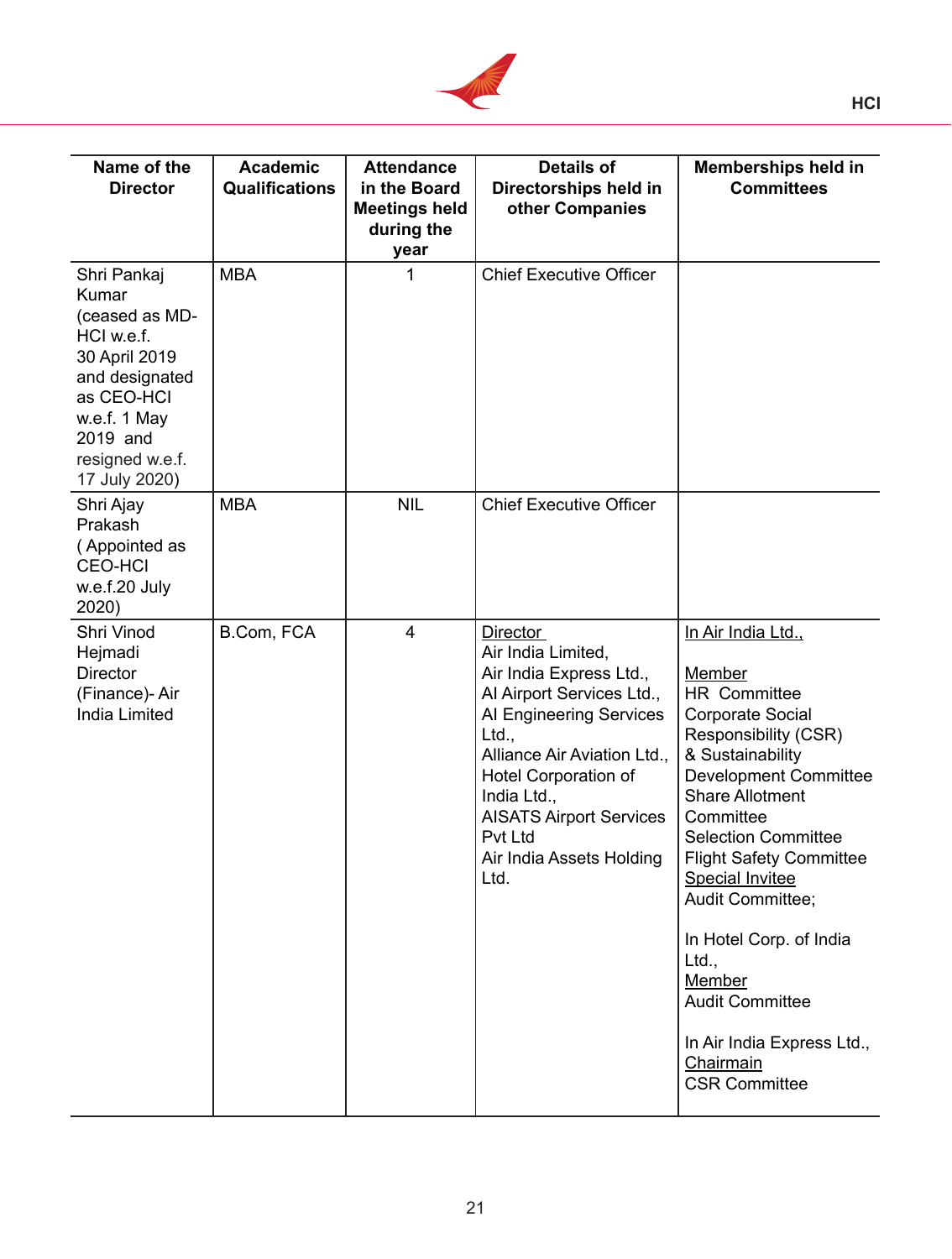

| Name of the<br><b>Director</b>                                                                                                                                        | <b>Academic</b><br><b>Qualifications</b> | <b>Attendance</b><br>in the Board<br><b>Meetings held</b><br>during the<br>year | <b>Details of</b><br>Directorships held in<br>other Companies                                                                                                                                                                                                                            | <b>Memberships held in</b><br><b>Committees</b>                                                                                                                                                                                                                                                                                                                                                                                                                   |
|-----------------------------------------------------------------------------------------------------------------------------------------------------------------------|------------------------------------------|---------------------------------------------------------------------------------|------------------------------------------------------------------------------------------------------------------------------------------------------------------------------------------------------------------------------------------------------------------------------------------|-------------------------------------------------------------------------------------------------------------------------------------------------------------------------------------------------------------------------------------------------------------------------------------------------------------------------------------------------------------------------------------------------------------------------------------------------------------------|
| Shri Pankaj<br>Kumar<br>(ceased as MD-<br>HCI w.e.f.<br>30 April 2019<br>and designated<br>as CEO-HCI<br>w.e.f. 1 May<br>2019 and<br>resigned w.e.f.<br>17 July 2020) | <b>MBA</b>                               | 1                                                                               | <b>Chief Executive Officer</b>                                                                                                                                                                                                                                                           |                                                                                                                                                                                                                                                                                                                                                                                                                                                                   |
| Shri Ajay<br>Prakash<br>(Appointed as<br><b>CEO-HCI</b><br>w.e.f.20 July<br>2020)                                                                                     | <b>MBA</b>                               | <b>NIL</b>                                                                      | <b>Chief Executive Officer</b>                                                                                                                                                                                                                                                           |                                                                                                                                                                                                                                                                                                                                                                                                                                                                   |
| Shri Vinod<br>Hejmadi<br><b>Director</b><br>(Finance)- Air<br><b>India Limited</b>                                                                                    | B.Com, FCA                               | 4                                                                               | <b>Director</b><br>Air India Limited,<br>Air India Express Ltd.,<br>Al Airport Services Ltd.,<br>AI Engineering Services<br>Ltd.,<br>Alliance Air Aviation Ltd.,<br>Hotel Corporation of<br>India Ltd.,<br><b>AISATS Airport Services</b><br>Pvt Ltd<br>Air India Assets Holding<br>Ltd. | In Air India Ltd.,<br><b>Member</b><br>HR Committee<br><b>Corporate Social</b><br>Responsibility (CSR)<br>& Sustainability<br><b>Development Committee</b><br><b>Share Allotment</b><br>Committee<br><b>Selection Committee</b><br><b>Flight Safety Committee</b><br><b>Special Invitee</b><br>Audit Committee;<br>In Hotel Corp. of India<br>Ltd.,<br><b>Member</b><br><b>Audit Committee</b><br>In Air India Express Ltd.,<br>Chairmain<br><b>CSR Committee</b> |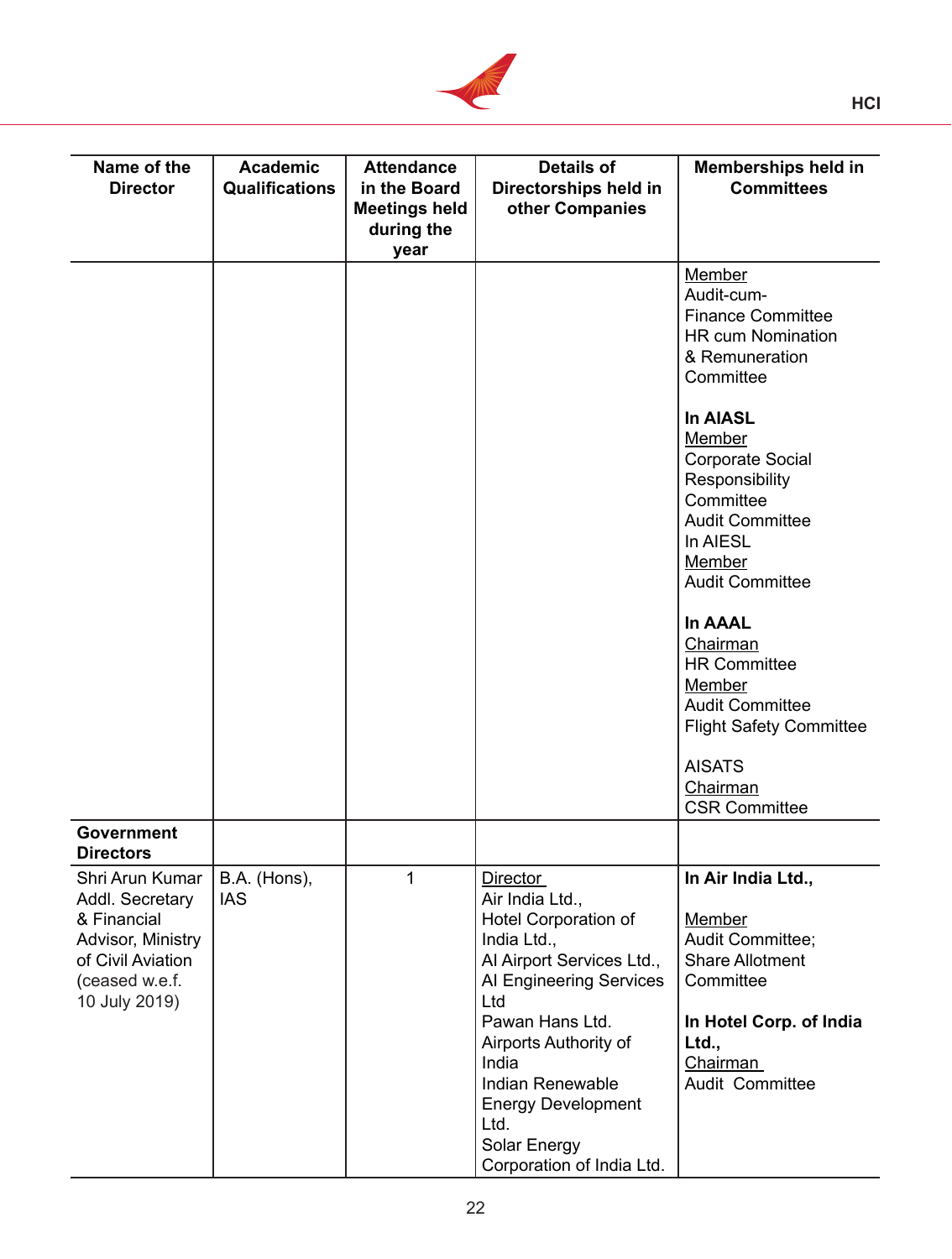

| Name of the<br><b>Director</b>                                                                                                 | <b>Academic</b><br><b>Qualifications</b> | <b>Attendance</b><br>in the Board<br><b>Meetings held</b><br>during the<br>year | <b>Details of</b><br>Directorships held in<br>other Companies                                                                                                                                                                                                                                       | <b>Memberships held in</b><br><b>Committees</b>                                                                                                                      |
|--------------------------------------------------------------------------------------------------------------------------------|------------------------------------------|---------------------------------------------------------------------------------|-----------------------------------------------------------------------------------------------------------------------------------------------------------------------------------------------------------------------------------------------------------------------------------------------------|----------------------------------------------------------------------------------------------------------------------------------------------------------------------|
|                                                                                                                                |                                          |                                                                                 |                                                                                                                                                                                                                                                                                                     | <b>Member</b><br>Audit-cum-<br><b>Finance Committee</b><br><b>HR cum Nomination</b><br>& Remuneration<br>Committee                                                   |
|                                                                                                                                |                                          |                                                                                 |                                                                                                                                                                                                                                                                                                     | <b>In AIASL</b><br><b>Member</b><br><b>Corporate Social</b><br>Responsibility<br>Committee<br><b>Audit Committee</b><br>In AIESL<br>Member<br><b>Audit Committee</b> |
|                                                                                                                                |                                          |                                                                                 |                                                                                                                                                                                                                                                                                                     | <b>In AAAL</b><br>Chairman<br><b>HR Committee</b><br>Member<br><b>Audit Committee</b><br><b>Flight Safety Committee</b>                                              |
|                                                                                                                                |                                          |                                                                                 |                                                                                                                                                                                                                                                                                                     | <b>AISATS</b><br>Chairman<br><b>CSR Committee</b>                                                                                                                    |
| <b>Government</b><br><b>Directors</b>                                                                                          |                                          |                                                                                 |                                                                                                                                                                                                                                                                                                     |                                                                                                                                                                      |
| Shri Arun Kumar<br>Addl. Secretary<br>& Financial<br>Advisor, Ministry<br>of Civil Aviation<br>(ceased w.e.f.<br>10 July 2019) | B.A. (Hons),<br><b>IAS</b>               | 1                                                                               | <b>Director</b><br>Air India Ltd.,<br>Hotel Corporation of<br>India Ltd.,<br>Al Airport Services Ltd.,<br>AI Engineering Services<br>Ltd<br>Pawan Hans Ltd.<br>Airports Authority of<br>India<br>Indian Renewable<br><b>Energy Development</b><br>Ltd.<br>Solar Energy<br>Corporation of India Ltd. | In Air India Ltd.,<br><b>Member</b><br>Audit Committee;<br><b>Share Allotment</b><br>Committee<br>In Hotel Corp. of India<br>Ltd.,<br>Chairman<br>Audit Committee    |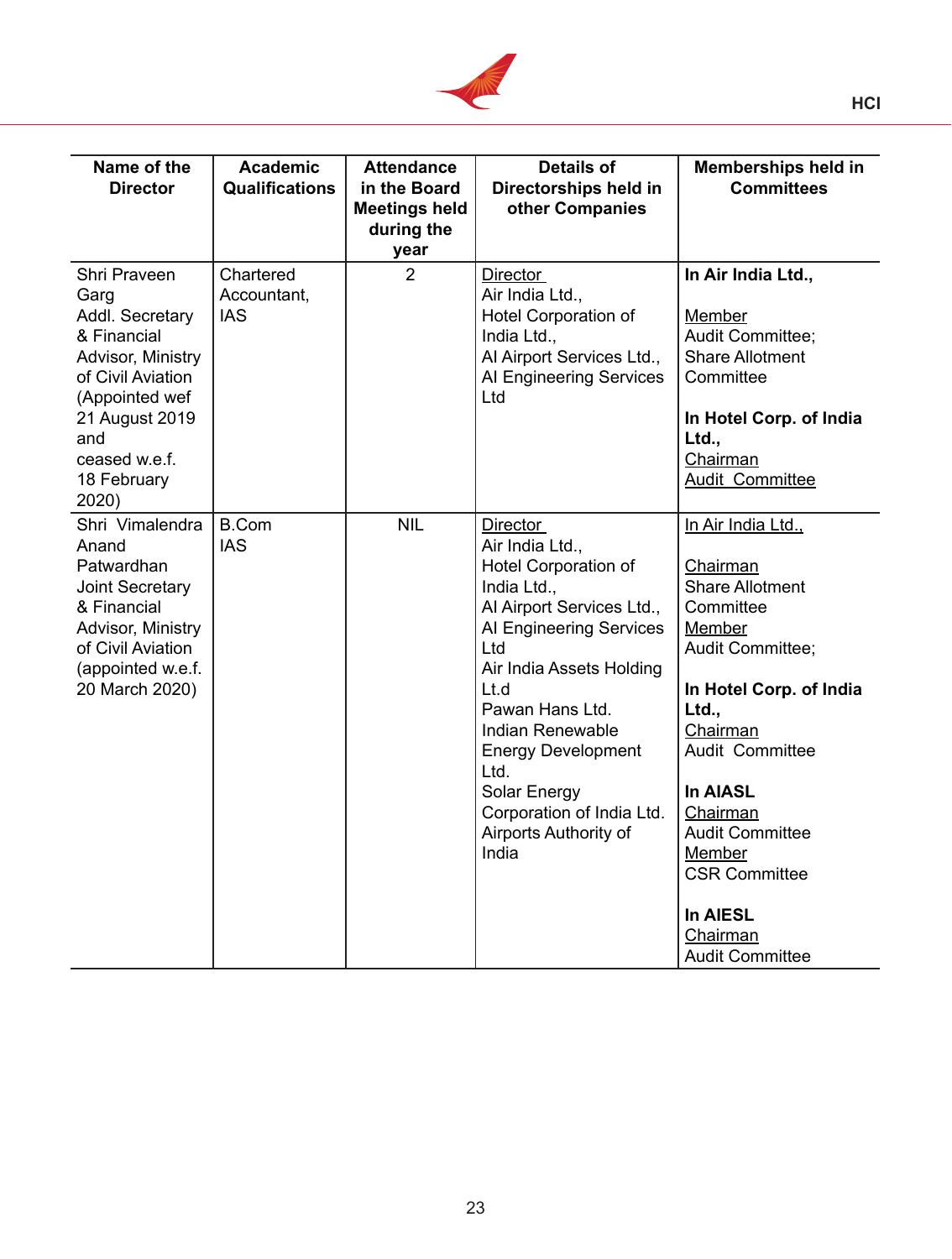

| Name of the<br><b>Director</b>                                                                                                                                                       | <b>Academic</b><br><b>Qualifications</b> | <b>Attendance</b><br>in the Board<br><b>Meetings held</b><br>during the<br>year | <b>Details of</b><br>Directorships held in<br>other Companies                                                                                                                                                                                                                                                                           | <b>Memberships held in</b><br><b>Committees</b>                                                                                                                                                                                                                                                                            |
|--------------------------------------------------------------------------------------------------------------------------------------------------------------------------------------|------------------------------------------|---------------------------------------------------------------------------------|-----------------------------------------------------------------------------------------------------------------------------------------------------------------------------------------------------------------------------------------------------------------------------------------------------------------------------------------|----------------------------------------------------------------------------------------------------------------------------------------------------------------------------------------------------------------------------------------------------------------------------------------------------------------------------|
| Shri Praveen<br>Garg<br>Addl. Secretary<br>& Financial<br>Advisor, Ministry<br>of Civil Aviation<br>(Appointed wef<br>21 August 2019<br>and<br>ceased w.e.f.<br>18 February<br>2020) | Chartered<br>Accountant,<br><b>IAS</b>   | $\overline{2}$                                                                  | <b>Director</b><br>Air India Ltd.,<br>Hotel Corporation of<br>India Ltd.,<br>Al Airport Services Ltd.,<br>Al Engineering Services<br>Ltd                                                                                                                                                                                                | In Air India Ltd.,<br>Member<br>Audit Committee;<br><b>Share Allotment</b><br>Committee<br>In Hotel Corp. of India<br>Ltd.,<br>Chairman<br><b>Audit Committee</b>                                                                                                                                                          |
| Shri Vimalendra<br>Anand<br>Patwardhan<br>Joint Secretary<br>& Financial<br>Advisor, Ministry<br>of Civil Aviation<br>(appointed w.e.f.<br>20 March 2020)                            | <b>B.Com</b><br><b>IAS</b>               | <b>NIL</b>                                                                      | <b>Director</b><br>Air India Ltd.,<br>Hotel Corporation of<br>India Ltd.,<br>Al Airport Services Ltd.,<br>Al Engineering Services<br>Ltd<br>Air India Assets Holding<br>Lt.d<br>Pawan Hans Ltd.<br>Indian Renewable<br><b>Energy Development</b><br>Ltd.<br>Solar Energy<br>Corporation of India Ltd.<br>Airports Authority of<br>India | In Air India Ltd.,<br>Chairman<br><b>Share Allotment</b><br>Committee<br><b>Member</b><br>Audit Committee;<br>In Hotel Corp. of India<br>Ltd.,<br>Chairman<br>Audit Committee<br><b>In AIASL</b><br>Chairman<br><b>Audit Committee</b><br>Member<br><b>CSR Committee</b><br>In AIESL<br>Chairman<br><b>Audit Committee</b> |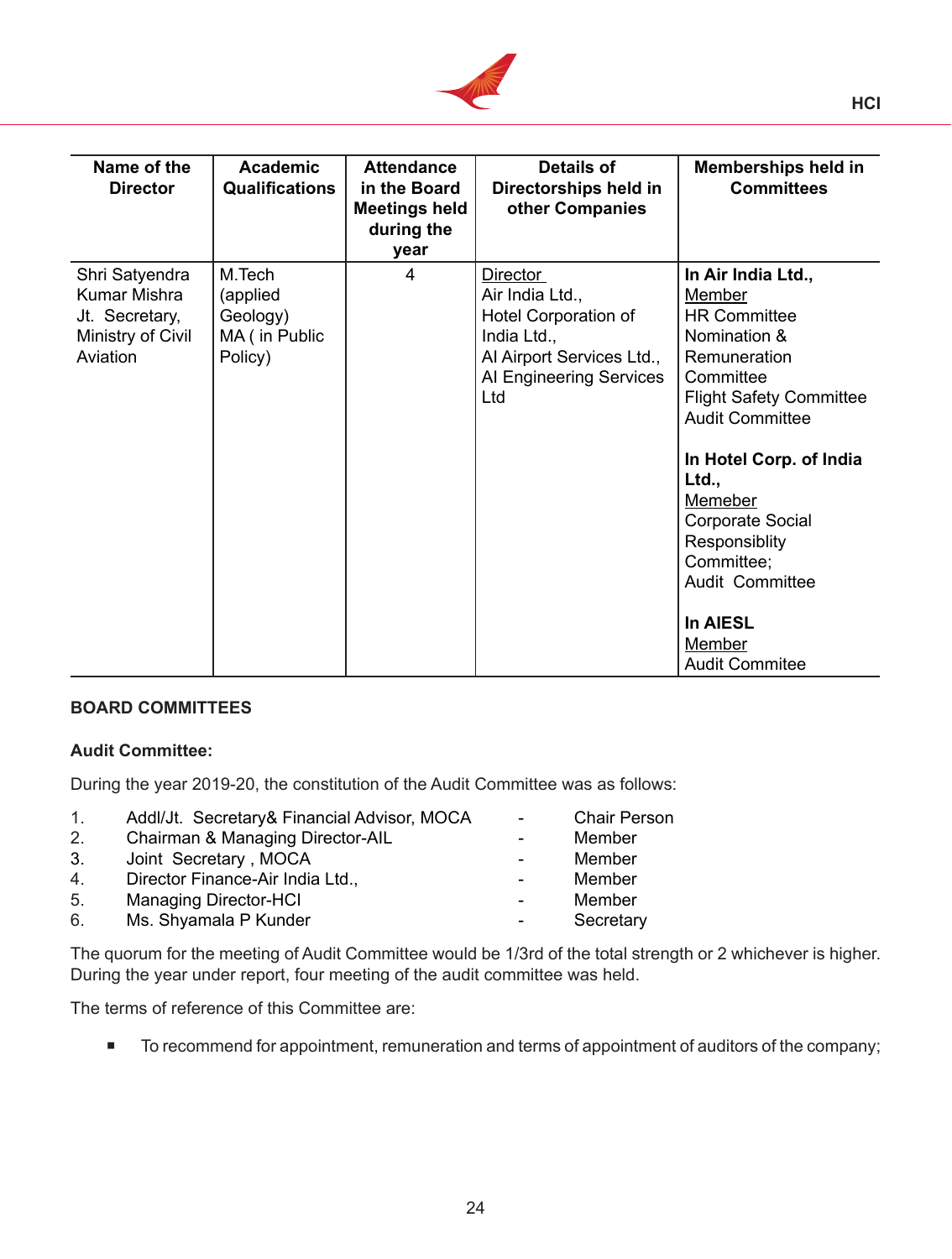

| Name of the<br><b>Director</b>                                                           | <b>Academic</b><br><b>Qualifications</b>                    | <b>Attendance</b><br>in the Board<br><b>Meetings held</b><br>during the<br>year | Details of<br>Directorships held in<br>other Companies                                                                                   | <b>Memberships held in</b><br><b>Committees</b>                                                                                                                                                                                                                                                                                                                     |
|------------------------------------------------------------------------------------------|-------------------------------------------------------------|---------------------------------------------------------------------------------|------------------------------------------------------------------------------------------------------------------------------------------|---------------------------------------------------------------------------------------------------------------------------------------------------------------------------------------------------------------------------------------------------------------------------------------------------------------------------------------------------------------------|
| Shri Satyendra<br><b>Kumar Mishra</b><br>Jt. Secretary,<br>Ministry of Civil<br>Aviation | M.Tech<br>(applied<br>Geology)<br>MA ( in Public<br>Policy) | $\overline{4}$                                                                  | <b>Director</b><br>Air India Ltd.,<br>Hotel Corporation of<br>India Ltd.,<br>Al Airport Services Ltd.,<br>AI Engineering Services<br>Ltd | In Air India Ltd.,<br><b>Member</b><br><b>HR Committee</b><br>Nomination &<br>Remuneration<br>Committee<br><b>Flight Safety Committee</b><br><b>Audit Committee</b><br>In Hotel Corp. of India<br>Ltd.,<br>Memeber<br><b>Corporate Social</b><br>Responsiblity<br>Committee;<br><b>Audit Committee</b><br><b>In AIESL</b><br><b>Member</b><br><b>Audit Commitee</b> |

# **BOARD COMMITTEES**

# **Audit Committee:**

During the year 2019-20, the constitution of the Audit Committee was as follows:

| $\mathbf{1}$ . | Addl/Jt. Secretary& Financial Advisor, MOCA | $\sim$ 10 $\pm$          | <b>Chair Person</b> |
|----------------|---------------------------------------------|--------------------------|---------------------|
| 2.             | Chairman & Managing Director-AIL            | $\overline{\phantom{a}}$ | Member              |
| 3.             | Joint Secretary, MOCA                       | $\sim$                   | Member              |
| 4.             | Director Finance-Air India Ltd.,            | <b>Contract Contract</b> | Member              |
| 5.             | <b>Managing Director-HCI</b>                | $\sim$                   | Member              |
| 6.             | Ms. Shyamala P Kunder                       | $\sim$                   | Secretary           |
|                |                                             |                          |                     |

The quorum for the meeting of Audit Committee would be 1/3rd of the total strength or 2 whichever is higher. During the year under report, four meeting of the audit committee was held.

The terms of reference of this Committee are:

■ To recommend for appointment, remuneration and terms of appointment of auditors of the company;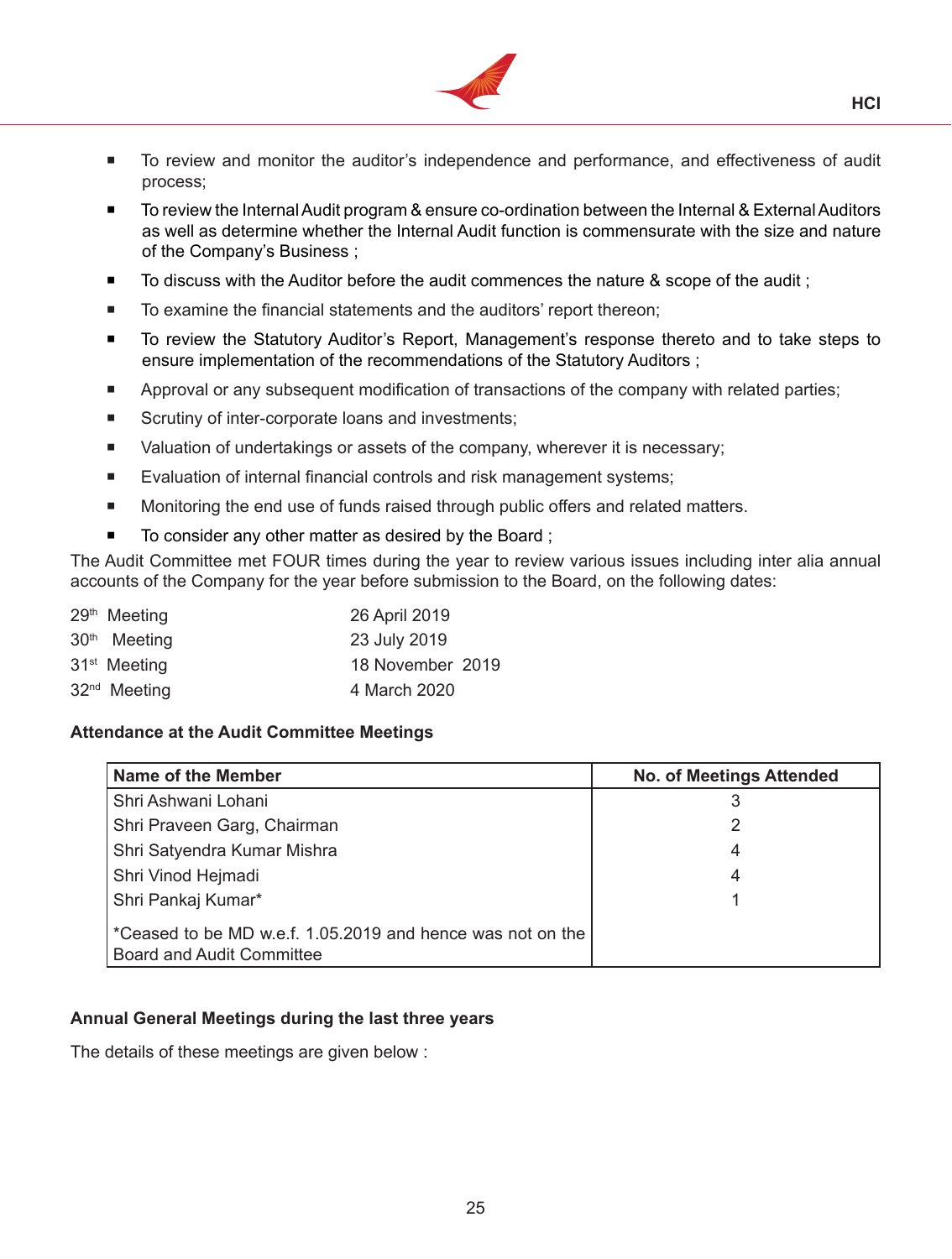

- To review and monitor the auditor's independence and performance, and effectiveness of audit process;
- To review the Internal Audit program & ensure co-ordination between the Internal & External Auditors as well as determine whether the Internal Audit function is commensurate with the size and nature of the Company's Business ;
- To discuss with the Auditor before the audit commences the nature & scope of the audit ;
- To examine the financial statements and the auditors' report thereon;
- To review the Statutory Auditor's Report, Management's response thereto and to take steps to ensure implementation of the recommendations of the Statutory Auditors ;
- Approval or any subsequent modification of transactions of the company with related parties;
- Scrutiny of inter-corporate loans and investments;
- Valuation of undertakings or assets of the company, wherever it is necessary;
- **Exaluation of internal financial controls and risk management systems;**
- Monitoring the end use of funds raised through public offers and related matters.
- To consider any other matter as desired by the Board ;

The Audit Committee met FOUR times during the year to review various issues including inter alia annual accounts of the Company for the year before submission to the Board, on the following dates:

| 29th Meeting             | 26 April 2019    |
|--------------------------|------------------|
| 30 <sup>th</sup> Meeting | 23 July 2019     |
| 31 <sup>st</sup> Meeting | 18 November 2019 |
| 32 <sup>nd</sup> Meeting | 4 March 2020     |

# **Attendance at the Audit Committee Meetings**

| <b>Name of the Member</b>                                                                      | <b>No. of Meetings Attended</b> |
|------------------------------------------------------------------------------------------------|---------------------------------|
| Shri Ashwani Lohani                                                                            |                                 |
| Shri Praveen Garg, Chairman                                                                    | 2                               |
| Shri Satyendra Kumar Mishra                                                                    | 4                               |
| Shri Vinod Hejmadi                                                                             | 4                               |
| Shri Pankaj Kumar*                                                                             |                                 |
| *Ceased to be MD w.e.f. 1.05.2019 and hence was not on the<br><b>Board and Audit Committee</b> |                                 |

# **Annual General Meetings during the last three years**

The details of these meetings are given below :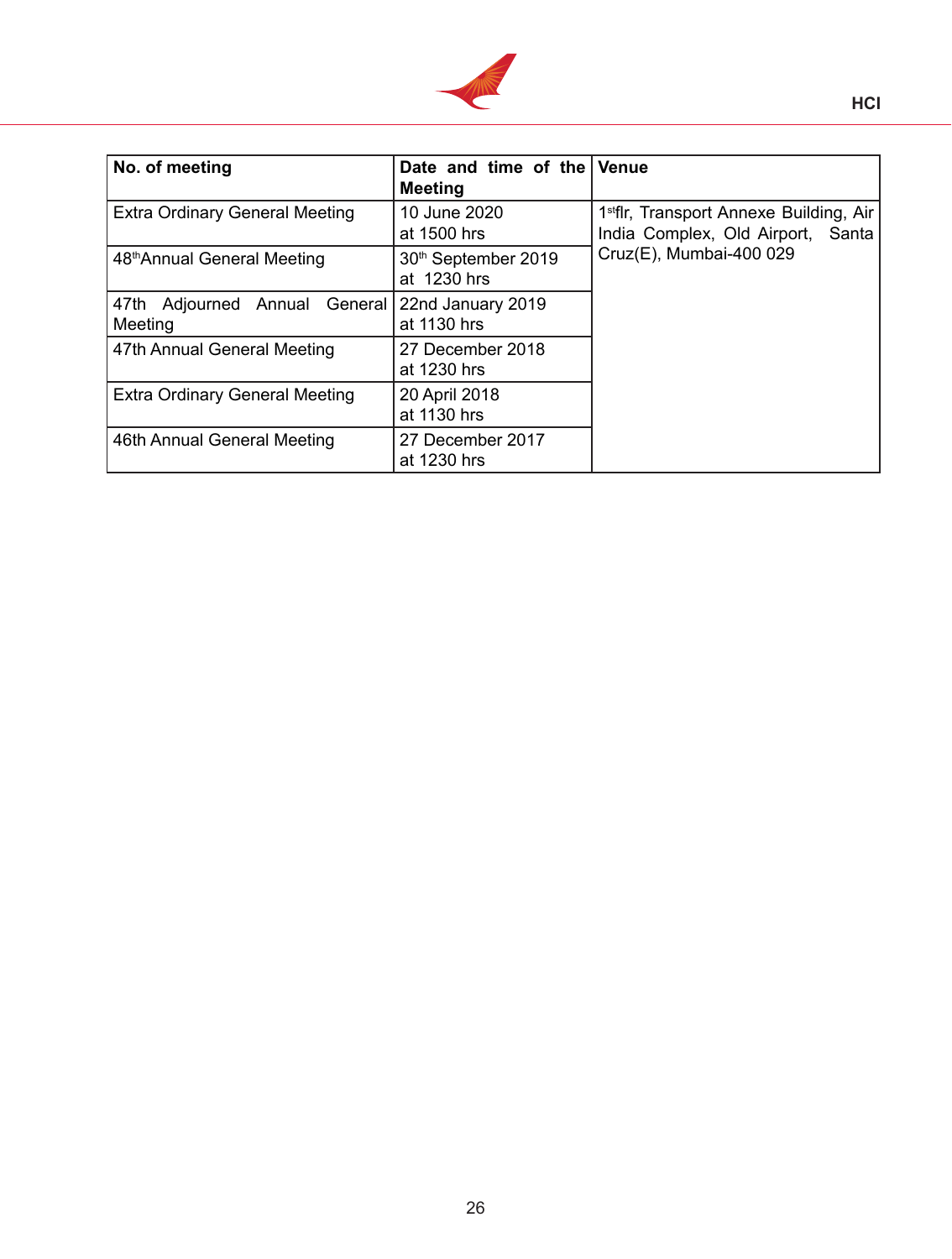

| No. of meeting                           | Date and time of the Venue<br><b>Meeting</b>   |                                                                                                                        |
|------------------------------------------|------------------------------------------------|------------------------------------------------------------------------------------------------------------------------|
| <b>Extra Ordinary General Meeting</b>    | 10 June 2020<br>at 1500 hrs                    | 1 <sup>st</sup> flr, Transport Annexe Building, Air<br>India Complex, Old Airport,<br>Santa<br>Cruz(E), Mumbai-400 029 |
| 48th Annual General Meeting              | 30 <sup>th</sup> September 2019<br>at 1230 hrs |                                                                                                                        |
| 47th Adjourned Annual General<br>Meeting | 22nd January 2019<br>at 1130 hrs               |                                                                                                                        |
| 47th Annual General Meeting              | 27 December 2018<br>at 1230 hrs                |                                                                                                                        |
| <b>Extra Ordinary General Meeting</b>    | 20 April 2018<br>at 1130 hrs                   |                                                                                                                        |
| 46th Annual General Meeting              | 27 December 2017<br>at 1230 hrs                |                                                                                                                        |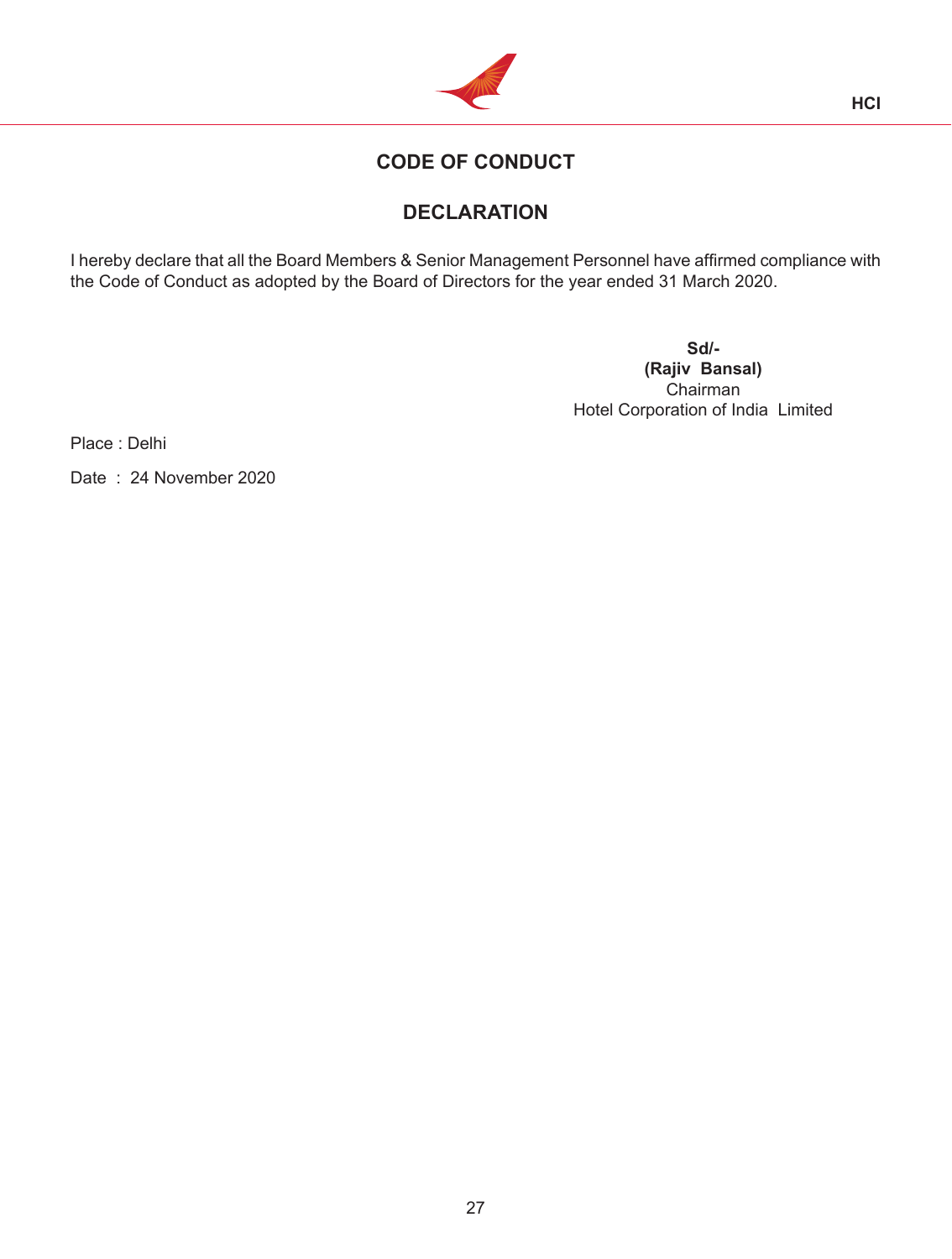

# **CODE OF CONDUCT**

# **DECLARATION**

I hereby declare that all the Board Members & Senior Management Personnel have affirmed compliance with the Code of Conduct as adopted by the Board of Directors for the year ended 31 March 2020.

> **Sd/- (Rajiv Bansal)** Chairman Hotel Corporation of India Limited

Place : Delhi

Date : 24 November 2020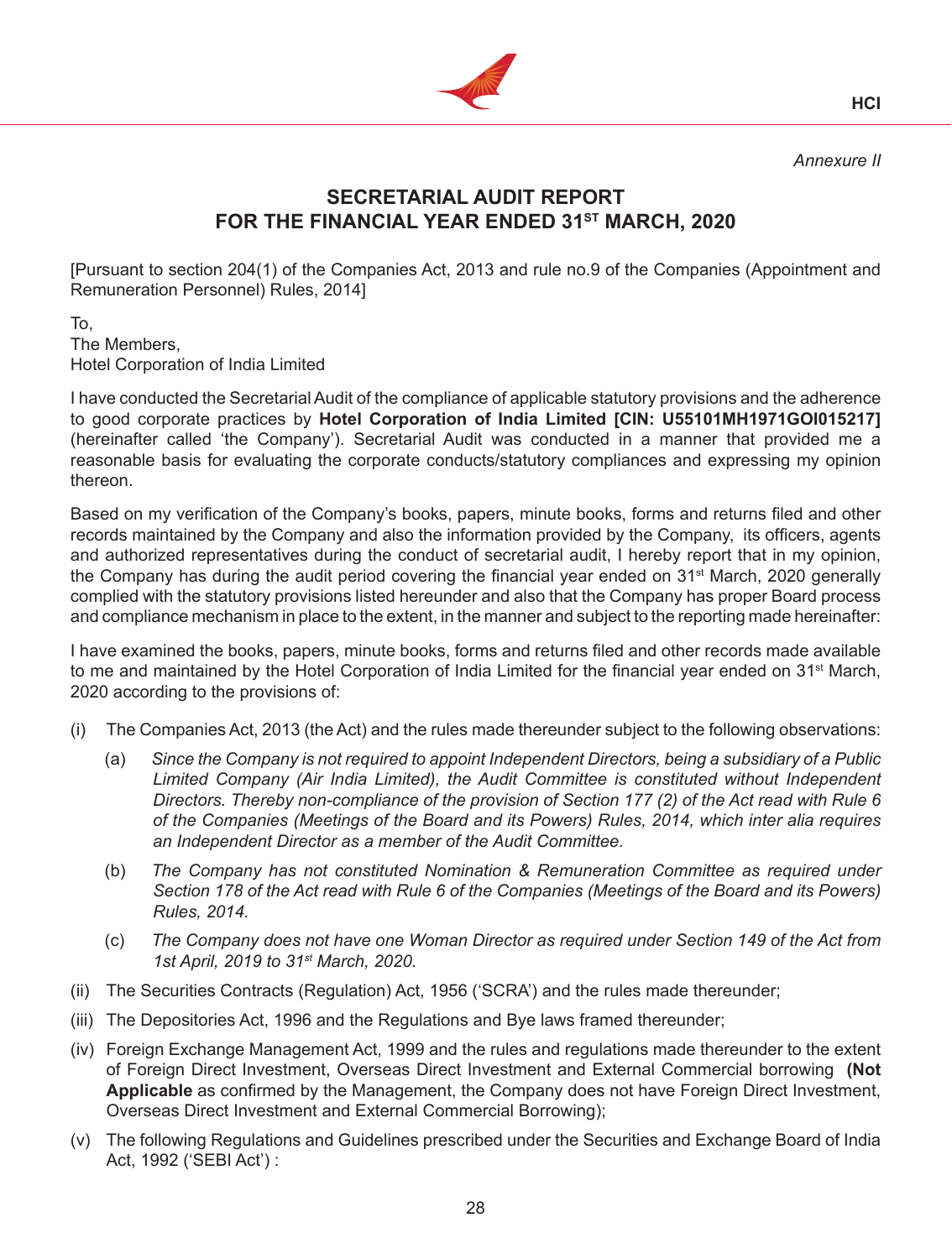

*Annexure II*

# **SECRETARIAL AUDIT REPORT** FOR THE FINANCIAL YEAR ENDED 31<sup>ST</sup> MARCH, 2020

[Pursuant to section 204(1) of the Companies Act, 2013 and rule no.9 of the Companies (Appointment and Remuneration Personnel) Rules, 2014]

To, The Members, Hotel Corporation of India Limited

I have conducted the Secretarial Audit of the compliance of applicable statutory provisions and the adherence to good corporate practices by **Hotel Corporation of India Limited [CIN: U55101MH1971GOI015217]** (hereinafter called 'the Company'). Secretarial Audit was conducted in a manner that provided me a reasonable basis for evaluating the corporate conducts/statutory compliances and expressing my opinion thereon.

Based on my verification of the Company's books, papers, minute books, forms and returns filed and other records maintained by the Company and also the information provided by the Company, its officers, agents and authorized representatives during the conduct of secretarial audit, I hereby report that in my opinion, the Company has during the audit period covering the financial year ended on 31<sup>st</sup> March, 2020 generally complied with the statutory provisions listed hereunder and also that the Company has proper Board process and compliance mechanism in place to the extent, in the manner and subject to the reporting made hereinafter:

I have examined the books, papers, minute books, forms and returns filed and other records made available to me and maintained by the Hotel Corporation of India Limited for the financial year ended on 31<sup>st</sup> March, 2020 according to the provisions of:

- (i) The Companies Act, 2013 (the Act) and the rules made thereunder subject to the following observations:
	- (a) *Since the Company is not required to appoint Independent Directors, being a subsidiary of a Public Limited Company (Air India Limited), the Audit Committee is constituted without Independent Directors. Thereby non-compliance of the provision of Section 177 (2) of the Act read with Rule 6 of the Companies (Meetings of the Board and its Powers) Rules, 2014, which inter alia requires an Independent Director as a member of the Audit Committee.*
	- (b) *The Company has not constituted Nomination & Remuneration Committee as required under* Section 178 of the Act read with Rule 6 of the Companies (Meetings of the Board and its Powers) *Rules, 2014.*
	- (c) *The Company does not have one Woman Director as required under Section 149 of the Act from 1st April, 2019 to 31st March, 2020.*
- (ii) The Securities Contracts (Regulation) Act, 1956 ('SCRA') and the rules made thereunder;
- (iii) The Depositories Act, 1996 and the Regulations and Bye laws framed thereunder;
- (iv) Foreign Exchange Management Act, 1999 and the rules and regulations made thereunder to the extent of Foreign Direct Investment, Overseas Direct Investment and External Commercial borrowing **(Not Applicable** as confirmed by the Management, the Company does not have Foreign Direct Investment, Overseas Direct Investment and External Commercial Borrowing);
- (v) The following Regulations and Guidelines prescribed under the Securities and Exchange Board of India Act, 1992 ('SEBI Act') :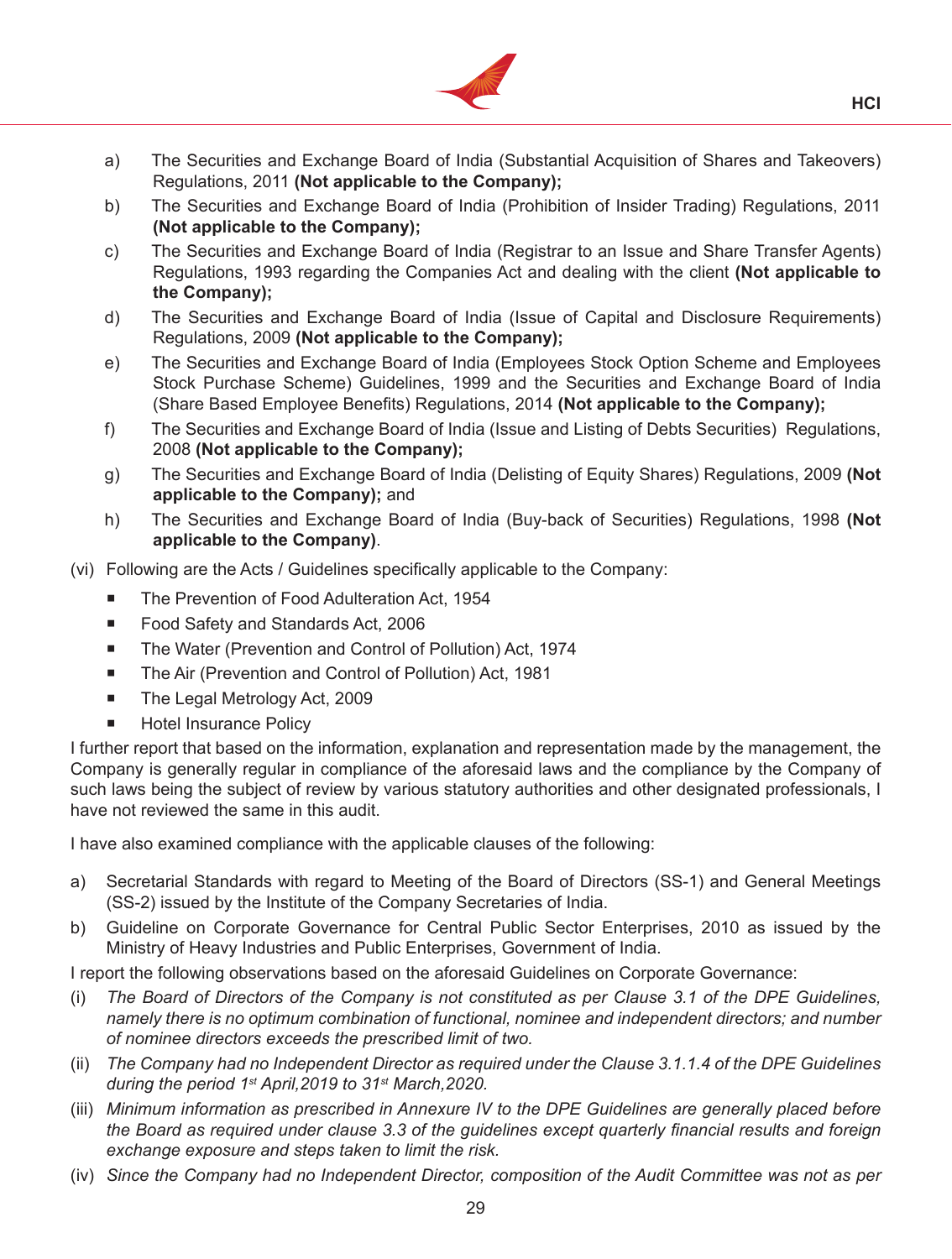

- a) The Securities and Exchange Board of India (Substantial Acquisition of Shares and Takeovers) Regulations, 2011 **(Not applicable to the Company);**
- b) The Securities and Exchange Board of India (Prohibition of Insider Trading) Regulations, 2011 **(Not applicable to the Company);**
- c) The Securities and Exchange Board of India (Registrar to an Issue and Share Transfer Agents) Regulations, 1993 regarding the Companies Act and dealing with the client **(Not applicable to the Company);**
- d) The Securities and Exchange Board of India (Issue of Capital and Disclosure Requirements) Regulations, 2009 **(Not applicable to the Company);**
- e) The Securities and Exchange Board of India (Employees Stock Option Scheme and Employees Stock Purchase Scheme) Guidelines, 1999 and the Securities and Exchange Board of India (Share Based Employee Benefits) Regulations, 2014 **(Not applicable to the Company);**
- f) The Securities and Exchange Board of India (Issue and Listing of Debts Securities) Regulations, 2008 **(Not applicable to the Company);**
- g) The Securities and Exchange Board of India (Delisting of Equity Shares) Regulations, 2009 **(Not applicable to the Company);** and
- h) The Securities and Exchange Board of India (Buy-back of Securities) Regulations, 1998 **(Not applicable to the Company)**.
- (vi) Following are the Acts / Guidelines specifically applicable to the Company:
	- The Prevention of Food Adulteration Act, 1954
	- Food Safety and Standards Act, 2006
	- The Water (Prevention and Control of Pollution) Act, 1974
	- **The Air (Prevention and Control of Pollution) Act, 1981**
	- The Legal Metrology Act, 2009
	- Hotel Insurance Policy

I further report that based on the information, explanation and representation made by the management, the Company is generally regular in compliance of the aforesaid laws and the compliance by the Company of such laws being the subject of review by various statutory authorities and other designated professionals, I have not reviewed the same in this audit.

I have also examined compliance with the applicable clauses of the following:

- a) Secretarial Standards with regard to Meeting of the Board of Directors (SS-1) and General Meetings (SS-2) issued by the Institute of the Company Secretaries of India.
- b) Guideline on Corporate Governance for Central Public Sector Enterprises, 2010 as issued by the Ministry of Heavy Industries and Public Enterprises, Government of India.

I report the following observations based on the aforesaid Guidelines on Corporate Governance:

- (i) The Board of Directors of the Company is not constituted as per Clause 3.1 of the DPE Guidelines, *namely there is no optimum combination of functional, nominee and independent directors; and number of nominee directors exceeds the prescribed limit of two.*
- (ii) *The Company had no Independent Director as required under the Clause 3.1.1.4 of the DPE Guidelines during the period 1st April,2019 to 31st March,2020.*
- (iii) *Minimum information as prescribed in Annexure IV to the DPE Guidelines are generally placed before the Board as required under clause 3.3 of the guidelines except quarterly financial results and foreign exchange exposure and steps taken to limit the risk.*
- (iv) *Since the Company had no Independent Director, composition of the Audit Committee was not as per*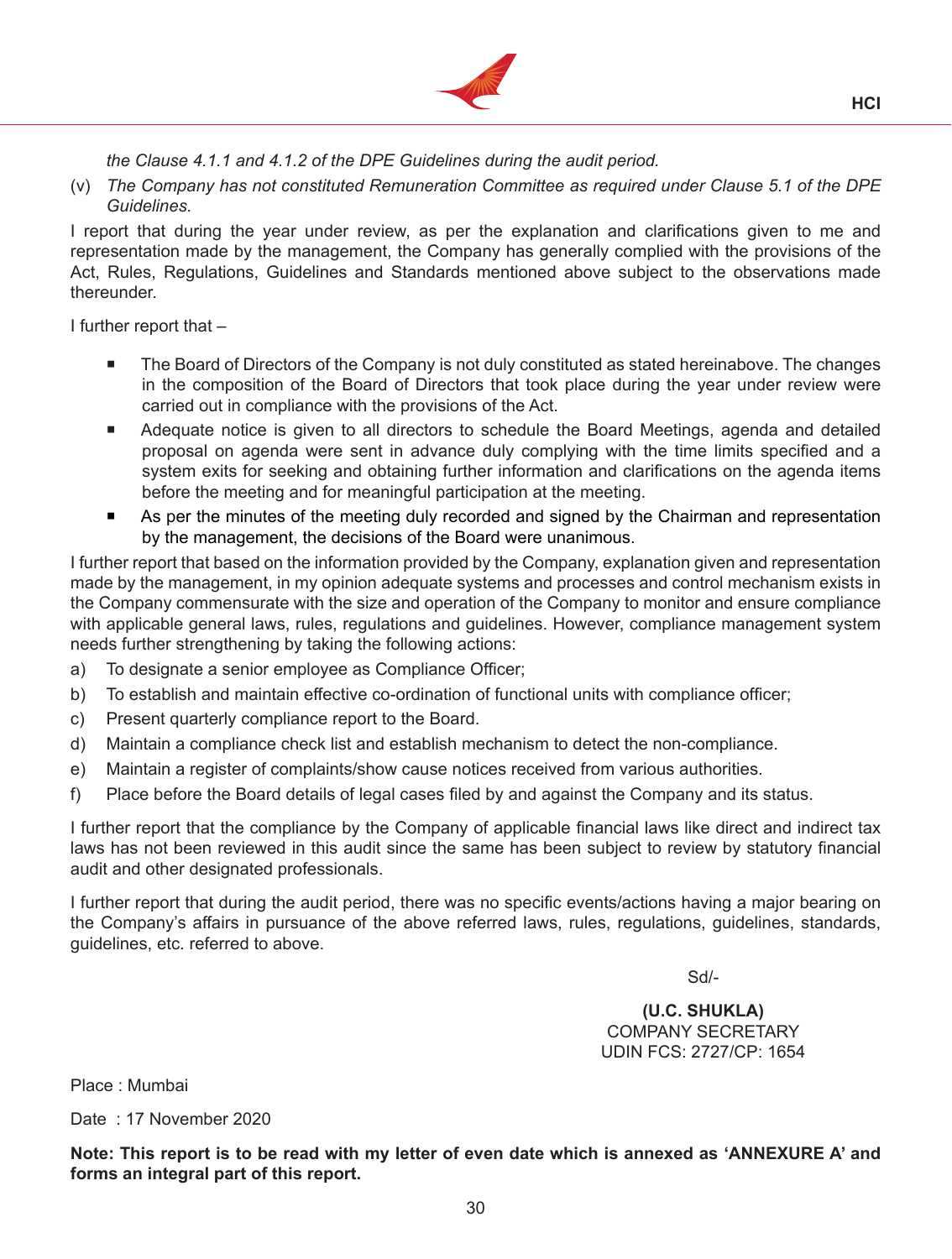

*the Clause 4.1.1 and 4.1.2 of the DPE Guidelines during the audit period.* 

(v) *The Company has not constituted Remuneration Committee as required under Clause 5.1 of the DPE Guidelines.* 

I report that during the year under review, as per the explanation and clarifications given to me and representation made by the management, the Company has generally complied with the provisions of the Act, Rules, Regulations, Guidelines and Standards mentioned above subject to the observations made thereunder.

I further report that –

- The Board of Directors of the Company is not duly constituted as stated hereinabove. The changes in the composition of the Board of Directors that took place during the year under review were carried out in compliance with the provisions of the Act.
- **Adequate notice is given to all directors to schedule the Board Meetings, agenda and detailed** proposal on agenda were sent in advance duly complying with the time limits specified and a system exits for seeking and obtaining further information and clarifications on the agenda items before the meeting and for meaningful participation at the meeting.
- As per the minutes of the meeting duly recorded and signed by the Chairman and representation by the management, the decisions of the Board were unanimous.

I further report that based on the information provided by the Company, explanation given and representation made by the management, in my opinion adequate systems and processes and control mechanism exists in the Company commensurate with the size and operation of the Company to monitor and ensure compliance with applicable general laws, rules, regulations and guidelines. However, compliance management system needs further strengthening by taking the following actions:

- a) To designate a senior employee as Compliance Officer;
- b) To establish and maintain effective co-ordination of functional units with compliance officer;
- c) Present quarterly compliance report to the Board.
- d) Maintain a compliance check list and establish mechanism to detect the non-compliance.
- e) Maintain a register of complaints/show cause notices received from various authorities.
- f) Place before the Board details of legal cases filed by and against the Company and its status.

I further report that the compliance by the Company of applicable financial laws like direct and indirect tax laws has not been reviewed in this audit since the same has been subject to review by statutory financial audit and other designated professionals.

I further report that during the audit period, there was no specific events/actions having a major bearing on the Company's affairs in pursuance of the above referred laws, rules, regulations, guidelines, standards, guidelines, etc. referred to above.

Sd/-

**(U.C. SHUKLA)** COMPANY SECRETARY UDIN FCS: 2727/CP: 1654

Place : Mumbai

Date : 17 November 2020

**Note: This report is to be read with my letter of even date which is annexed as 'ANNEXURE A' and forms an integral part of this report.**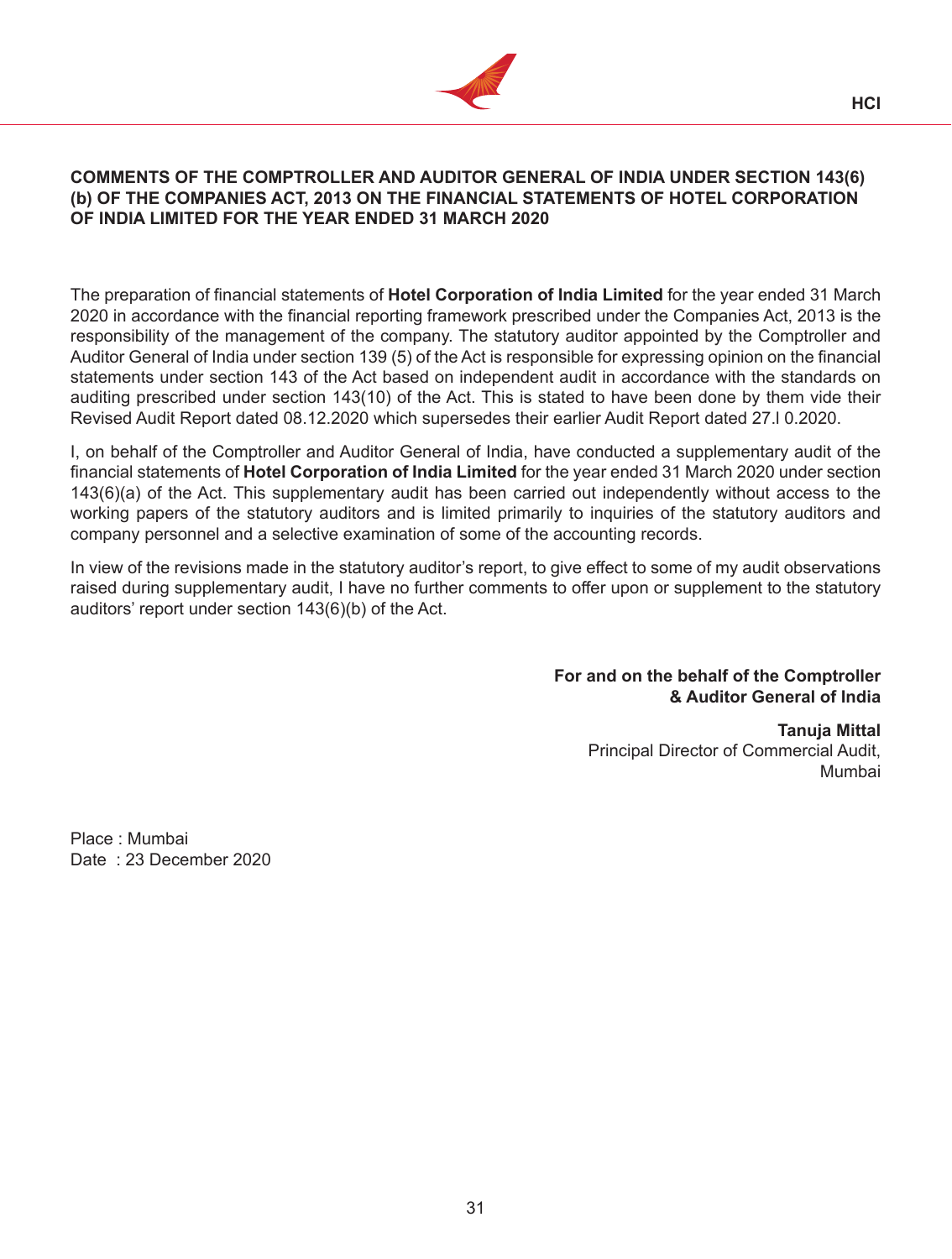

# **COMMENTS OF THE COMPTROLLER AND AUDITOR GENERAL OF INDIA UNDER SECTION 143(6) (b) OF THE COMPANIES ACT, 2013 ON THE FINANCIAL STATEMENTS OF HOTEL CORPORATION OF INDIA LIMITED FOR THE YEAR ENDED 31 MARCH 2020**

The preparation of financial statements of **Hotel Corporation of India Limited** for the year ended 31 March 2020 in accordance with the financial reporting framework prescribed under the Companies Act, 2013 is the responsibility of the management of the company. The statutory auditor appointed by the Comptroller and Auditor General of India under section 139 (5) of the Act is responsible for expressing opinion on the financial statements under section 143 of the Act based on independent audit in accordance with the standards on auditing prescribed under section 143(10) of the Act. This is stated to have been done by them vide their Revised Audit Report dated 08.12.2020 which supersedes their earlier Audit Report dated 27.l 0.2020.

I, on behalf of the Comptroller and Auditor General of India, have conducted a supplementary audit of the financial statements of **Hotel Corporation of India Limited** for the year ended 31 March 2020 under section 143(6)(a) of the Act. This supplementary audit has been carried out independently without access to the working papers of the statutory auditors and is limited primarily to inquiries of the statutory auditors and company personnel and a selective examination of some of the accounting records.

In view of the revisions made in the statutory auditor's report, to give effect to some of my audit observations raised during supplementary audit, I have no further comments to offer upon or supplement to the statutory auditors' report under section 143(6)(b) of the Act.

> **For and on the behalf of the Comptroller & Auditor General of India**

> > **Tanuja Mittal** Principal Director of Commercial Audit, Mumbai

Place : Mumbai Date : 23 December 2020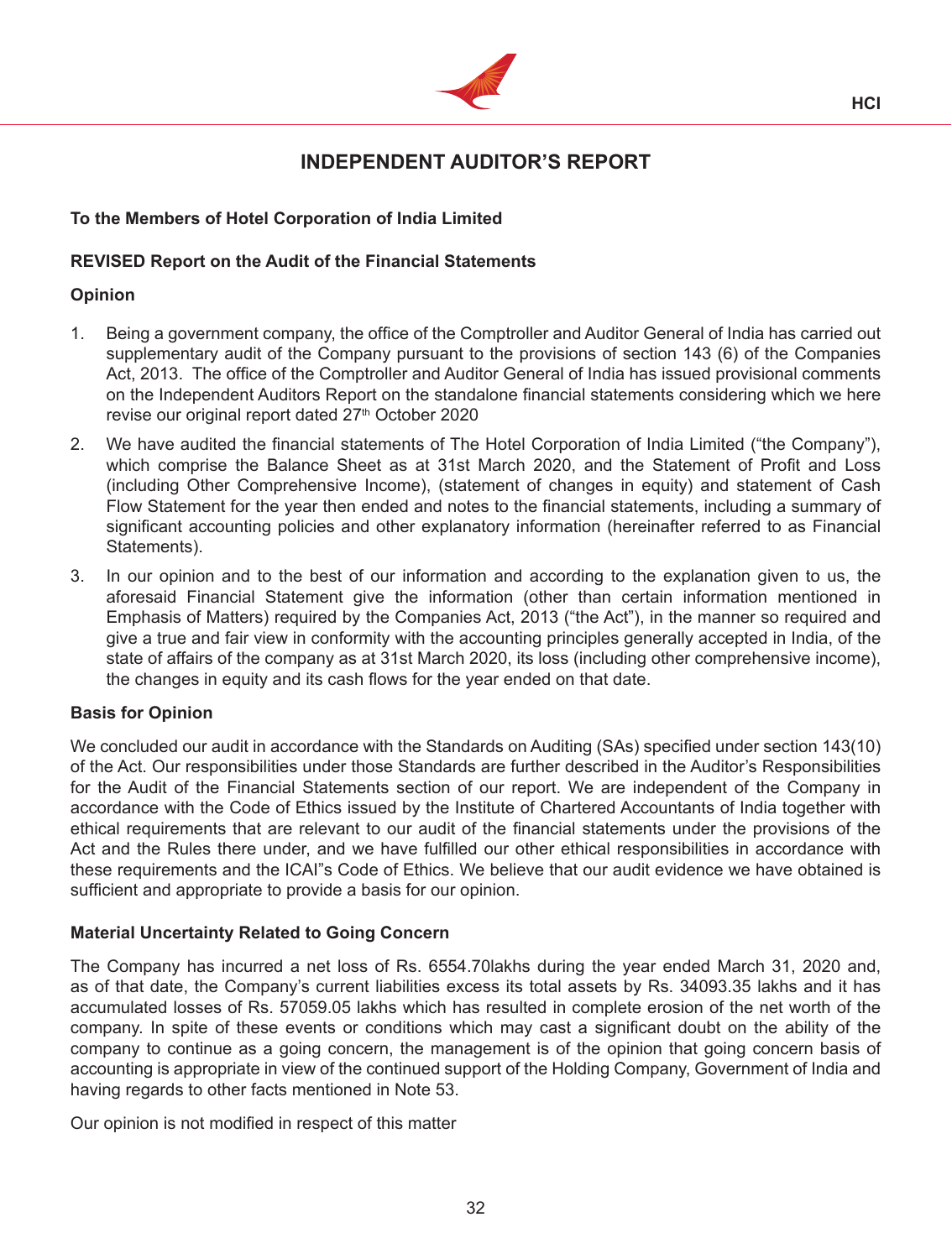

**HCI**

# **INDEPENDENT AUDITOR'S REPORT**

# **To the Members of Hotel Corporation of India Limited**

# **REVISED Report on the Audit of the Financial Statements**

#### **Opinion**

- 1. Being a government company, the office of the Comptroller and Auditor General of India has carried out supplementary audit of the Company pursuant to the provisions of section 143 (6) of the Companies Act, 2013. The office of the Comptroller and Auditor General of India has issued provisional comments on the Independent Auditors Report on the standalone financial statements considering which we here revise our original report dated 27<sup>th</sup> October 2020
- 2. We have audited the financial statements of The Hotel Corporation of India Limited ("the Company"), which comprise the Balance Sheet as at 31st March 2020, and the Statement of Profit and Loss (including Other Comprehensive Income), (statement of changes in equity) and statement of Cash Flow Statement for the year then ended and notes to the financial statements, including a summary of significant accounting policies and other explanatory information (hereinafter referred to as Financial Statements).
- 3. In our opinion and to the best of our information and according to the explanation given to us, the aforesaid Financial Statement give the information (other than certain information mentioned in Emphasis of Matters) required by the Companies Act, 2013 ("the Act"), in the manner so required and give a true and fair view in conformity with the accounting principles generally accepted in India, of the state of affairs of the company as at 31st March 2020, its loss (including other comprehensive income), the changes in equity and its cash flows for the year ended on that date.

# **Basis for Opinion**

We concluded our audit in accordance with the Standards on Auditing (SAs) specified under section 143(10) of the Act. Our responsibilities under those Standards are further described in the Auditor's Responsibilities for the Audit of the Financial Statements section of our report. We are independent of the Company in accordance with the Code of Ethics issued by the Institute of Chartered Accountants of India together with ethical requirements that are relevant to our audit of the financial statements under the provisions of the Act and the Rules there under, and we have fulfilled our other ethical responsibilities in accordance with these requirements and the ICAI"s Code of Ethics. We believe that our audit evidence we have obtained is sufficient and appropriate to provide a basis for our opinion.

# **Material Uncertainty Related to Going Concern**

The Company has incurred a net loss of Rs. 6554.70lakhs during the year ended March 31, 2020 and, as of that date, the Company's current liabilities excess its total assets by Rs. 34093.35 lakhs and it has accumulated losses of Rs. 57059.05 lakhs which has resulted in complete erosion of the net worth of the company. In spite of these events or conditions which may cast a significant doubt on the ability of the company to continue as a going concern, the management is of the opinion that going concern basis of accounting is appropriate in view of the continued support of the Holding Company, Government of India and having regards to other facts mentioned in Note 53.

Our opinion is not modified in respect of this matter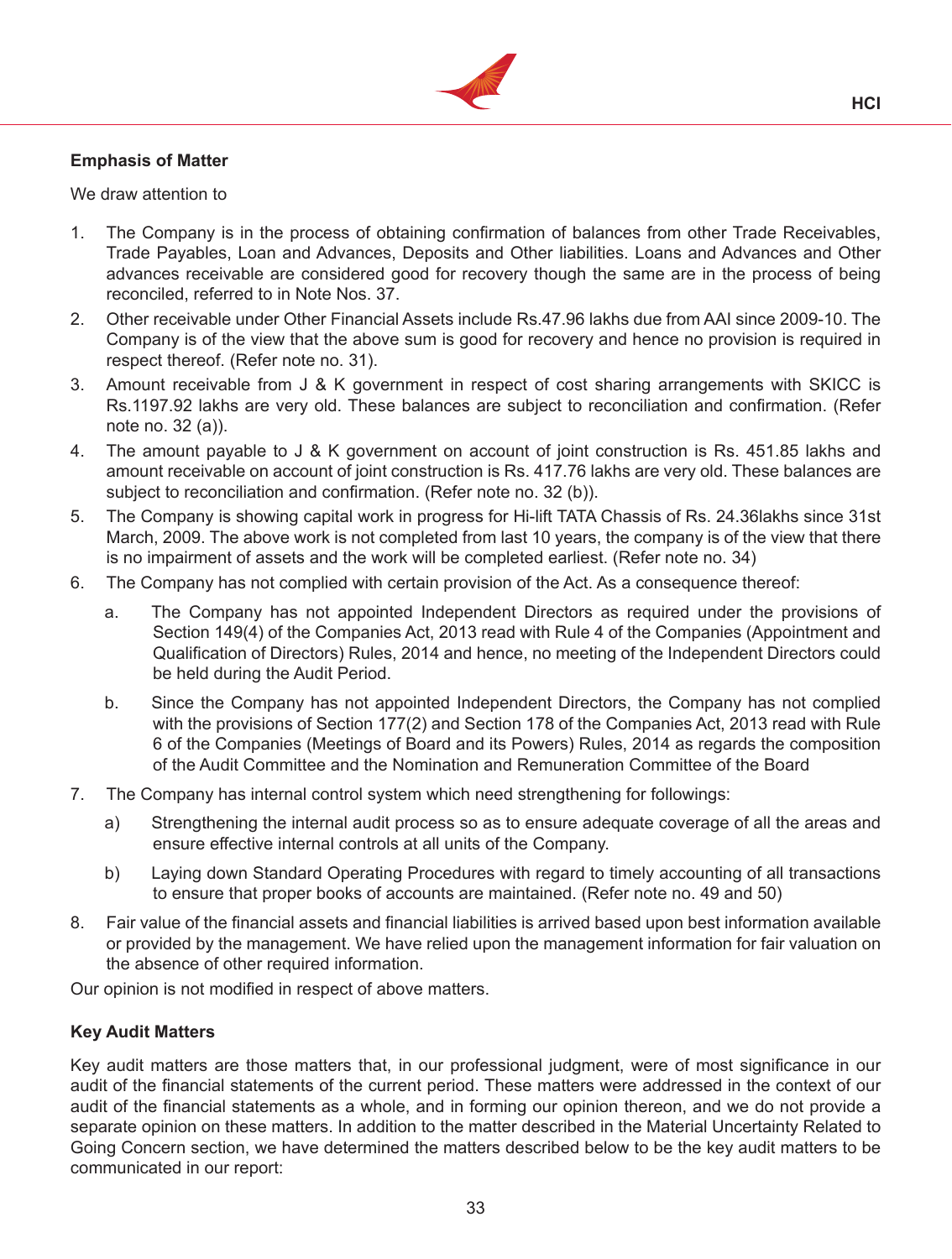

# **Emphasis of Matter**

We draw attention to

- 1. The Company is in the process of obtaining confirmation of balances from other Trade Receivables, Trade Payables, Loan and Advances, Deposits and Other liabilities. Loans and Advances and Other advances receivable are considered good for recovery though the same are in the process of being reconciled, referred to in Note Nos. 37.
- 2. Other receivable under Other Financial Assets include Rs.47.96 lakhs due from AAI since 2009-10. The Company is of the view that the above sum is good for recovery and hence no provision is required in respect thereof. (Refer note no. 31).
- 3. Amount receivable from J & K government in respect of cost sharing arrangements with SKICC is Rs.1197.92 lakhs are very old. These balances are subject to reconciliation and confirmation. (Refer note no. 32 (a)).
- 4. The amount payable to J & K government on account of joint construction is Rs. 451.85 lakhs and amount receivable on account of joint construction is Rs. 417.76 lakhs are very old. These balances are subject to reconciliation and confirmation. (Refer note no. 32 (b)).
- 5. The Company is showing capital work in progress for Hi-lift TATA Chassis of Rs. 24.36lakhs since 31st March, 2009. The above work is not completed from last 10 years, the company is of the view that there is no impairment of assets and the work will be completed earliest. (Refer note no. 34)
- 6. The Company has not complied with certain provision of the Act. As a consequence thereof:
	- a. The Company has not appointed Independent Directors as required under the provisions of Section 149(4) of the Companies Act, 2013 read with Rule 4 of the Companies (Appointment and Qualification of Directors) Rules, 2014 and hence, no meeting of the Independent Directors could be held during the Audit Period.
	- b. Since the Company has not appointed Independent Directors, the Company has not complied with the provisions of Section 177(2) and Section 178 of the Companies Act, 2013 read with Rule 6 of the Companies (Meetings of Board and its Powers) Rules, 2014 as regards the composition of the Audit Committee and the Nomination and Remuneration Committee of the Board
- 7. The Company has internal control system which need strengthening for followings:
	- a) Strengthening the internal audit process so as to ensure adequate coverage of all the areas and ensure effective internal controls at all units of the Company.
	- b) Laying down Standard Operating Procedures with regard to timely accounting of all transactions to ensure that proper books of accounts are maintained. (Refer note no. 49 and 50)
- 8. Fair value of the financial assets and financial liabilities is arrived based upon best information available or provided by the management. We have relied upon the management information for fair valuation on the absence of other required information.

Our opinion is not modified in respect of above matters.

# **Key Audit Matters**

Key audit matters are those matters that, in our professional judgment, were of most significance in our audit of the financial statements of the current period. These matters were addressed in the context of our audit of the financial statements as a whole, and in forming our opinion thereon, and we do not provide a separate opinion on these matters. In addition to the matter described in the Material Uncertainty Related to Going Concern section, we have determined the matters described below to be the key audit matters to be communicated in our report: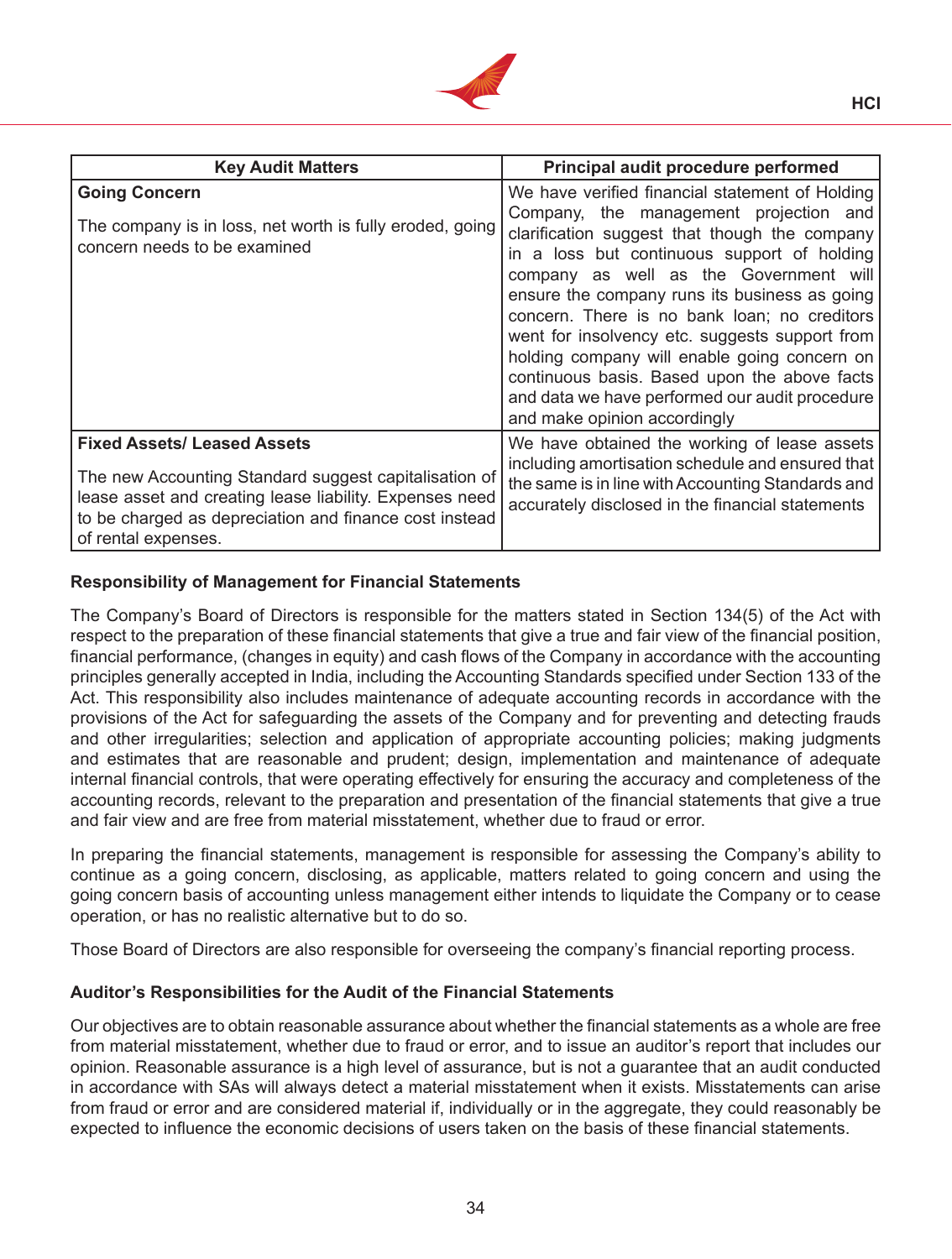

| <b>Key Audit Matters</b>                                                                                                                                                                                                                | Principal audit procedure performed                                                                                                                                                                                                                                                                                                                                                                                                                                                                                                                                      |
|-----------------------------------------------------------------------------------------------------------------------------------------------------------------------------------------------------------------------------------------|--------------------------------------------------------------------------------------------------------------------------------------------------------------------------------------------------------------------------------------------------------------------------------------------------------------------------------------------------------------------------------------------------------------------------------------------------------------------------------------------------------------------------------------------------------------------------|
| <b>Going Concern</b><br>The company is in loss, net worth is fully eroded, going<br>concern needs to be examined                                                                                                                        | We have verified financial statement of Holding<br>Company, the management projection and<br>clarification suggest that though the company<br>in a loss but continuous support of holding<br>company as well as the Government will<br>ensure the company runs its business as going<br>concern. There is no bank loan; no creditors<br>went for insolvency etc. suggests support from<br>holding company will enable going concern on<br>continuous basis. Based upon the above facts<br>and data we have performed our audit procedure<br>and make opinion accordingly |
| <b>Fixed Assets/ Leased Assets</b><br>The new Accounting Standard suggest capitalisation of<br>lease asset and creating lease liability. Expenses need<br>to be charged as depreciation and finance cost instead<br>of rental expenses. | We have obtained the working of lease assets<br>including amortisation schedule and ensured that<br>the same is in line with Accounting Standards and<br>accurately disclosed in the financial statements                                                                                                                                                                                                                                                                                                                                                                |

# **Responsibility of Management for Financial Statements**

The Company's Board of Directors is responsible for the matters stated in Section 134(5) of the Act with respect to the preparation of these financial statements that give a true and fair view of the financial position, financial performance, (changes in equity) and cash flows of the Company in accordance with the accounting principles generally accepted in India, including the Accounting Standards specified under Section 133 of the Act. This responsibility also includes maintenance of adequate accounting records in accordance with the provisions of the Act for safeguarding the assets of the Company and for preventing and detecting frauds and other irregularities; selection and application of appropriate accounting policies; making judgments and estimates that are reasonable and prudent; design, implementation and maintenance of adequate internal financial controls, that were operating effectively for ensuring the accuracy and completeness of the accounting records, relevant to the preparation and presentation of the financial statements that give a true and fair view and are free from material misstatement, whether due to fraud or error.

In preparing the financial statements, management is responsible for assessing the Company's ability to continue as a going concern, disclosing, as applicable, matters related to going concern and using the going concern basis of accounting unless management either intends to liquidate the Company or to cease operation, or has no realistic alternative but to do so.

Those Board of Directors are also responsible for overseeing the company's financial reporting process.

### **Auditor's Responsibilities for the Audit of the Financial Statements**

Our objectives are to obtain reasonable assurance about whether the financial statements as a whole are free from material misstatement, whether due to fraud or error, and to issue an auditor's report that includes our opinion. Reasonable assurance is a high level of assurance, but is not a guarantee that an audit conducted in accordance with SAs will always detect a material misstatement when it exists. Misstatements can arise from fraud or error and are considered material if, individually or in the aggregate, they could reasonably be expected to influence the economic decisions of users taken on the basis of these financial statements.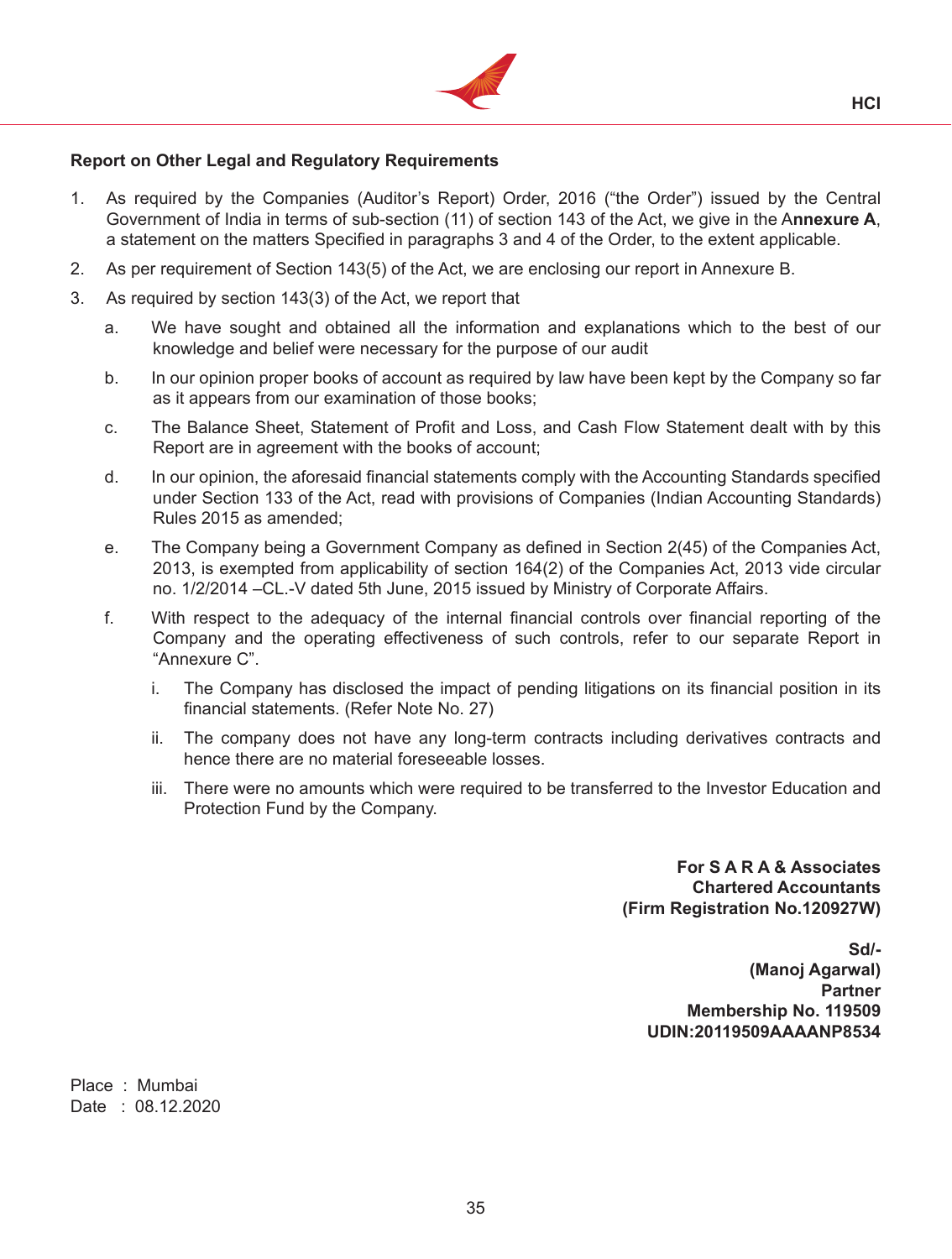

# **Report on Other Legal and Regulatory Requirements**

- 1. As required by the Companies (Auditor's Report) Order, 2016 ("the Order") issued by the Central Government of India in terms of sub-section (11) of section 143 of the Act, we give in the A**nnexure A**, a statement on the matters Specified in paragraphs 3 and 4 of the Order, to the extent applicable.
- 2. As per requirement of Section 143(5) of the Act, we are enclosing our report in Annexure B.
- 3. As required by section 143(3) of the Act, we report that
	- a. We have sought and obtained all the information and explanations which to the best of our knowledge and belief were necessary for the purpose of our audit
	- b. In our opinion proper books of account as required by law have been kept by the Company so far as it appears from our examination of those books;
	- c. The Balance Sheet, Statement of Profit and Loss, and Cash Flow Statement dealt with by this Report are in agreement with the books of account;
	- d. In our opinion, the aforesaid financial statements comply with the Accounting Standards specified under Section 133 of the Act, read with provisions of Companies (Indian Accounting Standards) Rules 2015 as amended;
	- e. The Company being a Government Company as defined in Section 2(45) of the Companies Act, 2013, is exempted from applicability of section 164(2) of the Companies Act, 2013 vide circular no. 1/2/2014 –CL.-V dated 5th June, 2015 issued by Ministry of Corporate Affairs.
	- f. With respect to the adequacy of the internal financial controls over financial reporting of the Company and the operating effectiveness of such controls, refer to our separate Report in "Annexure C".
		- i. The Company has disclosed the impact of pending litigations on its financial position in its financial statements. (Refer Note No. 27)
		- ii. The company does not have any long-term contracts including derivatives contracts and hence there are no material foreseeable losses.
		- iii. There were no amounts which were required to be transferred to the Investor Education and Protection Fund by the Company.

**For S A R A & Associates Chartered Accountants (Firm Registration No.120927W)**

**Sd/- (Manoj Agarwal) Partner Membership No. 119509 UDIN:20119509AAAANP8534**

Place : Mumbai Date : 08.12.2020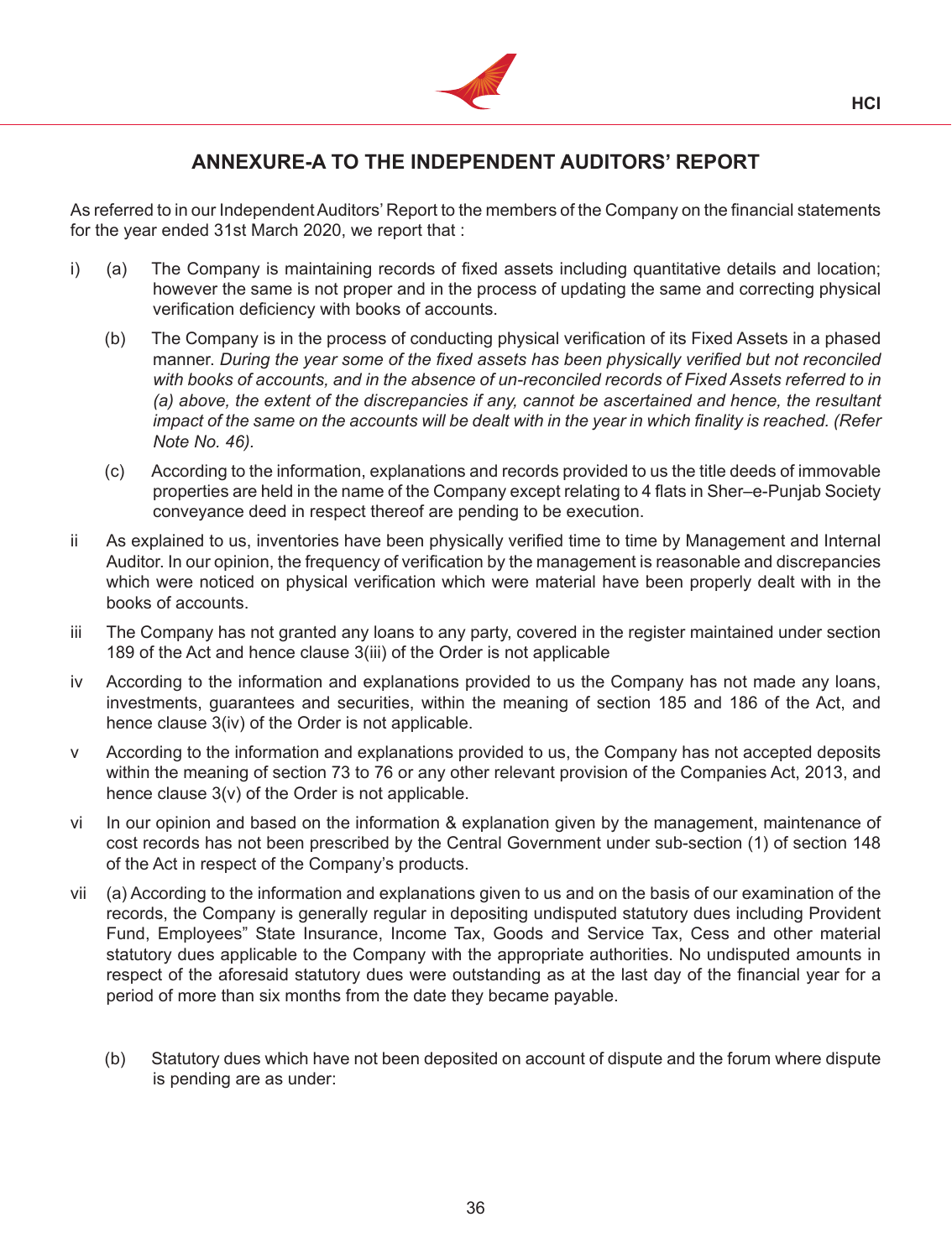

# **ANNEXURE-A TO THE INDEPENDENT AUDITORS' REPORT**

As referred to in our Independent Auditors' Report to the members of the Company on the financial statements for the year ended 31st March 2020, we report that :

- $i)$  (a) The Company is maintaining records of fixed assets including quantitative details and location; however the same is not proper and in the process of updating the same and correcting physical verification deficiency with books of accounts.
	- (b) The Company is in the process of conducting physical verification of its Fixed Assets in a phased manner. *During the year some of the fixed assets has been physically verified but not reconciled with books of accounts, and in the absence of un-reconciled records of Fixed Assets referred to in (a) above, the extent of the discrepancies if any, cannot be ascertained and hence, the resultant* impact of the same on the accounts will be dealt with in the year in which finality is reached. (Refer *Note No. 46).*
	- (c) According to the information, explanations and records provided to us the title deeds of immovable properties are held in the name of the Company except relating to 4 flats in Sher–e-Punjab Society conveyance deed in respect thereof are pending to be execution.
- ii As explained to us, inventories have been physically verified time to time by Management and Internal Auditor. In our opinion, the frequency of verification by the management is reasonable and discrepancies which were noticed on physical verification which were material have been properly dealt with in the books of accounts.
- iii The Company has not granted any loans to any party, covered in the register maintained under section 189 of the Act and hence clause 3(iii) of the Order is not applicable
- iv According to the information and explanations provided to us the Company has not made any loans, investments, guarantees and securities, within the meaning of section 185 and 186 of the Act, and hence clause 3(iv) of the Order is not applicable.
- v According to the information and explanations provided to us, the Company has not accepted deposits within the meaning of section 73 to 76 or any other relevant provision of the Companies Act, 2013, and hence clause 3(v) of the Order is not applicable.
- vi In our opinion and based on the information & explanation given by the management, maintenance of cost records has not been prescribed by the Central Government under sub-section (1) of section 148 of the Act in respect of the Company's products.
- vii (a) According to the information and explanations given to us and on the basis of our examination of the records, the Company is generally regular in depositing undisputed statutory dues including Provident Fund, Employees" State Insurance, Income Tax, Goods and Service Tax, Cess and other material statutory dues applicable to the Company with the appropriate authorities. No undisputed amounts in respect of the aforesaid statutory dues were outstanding as at the last day of the financial year for a period of more than six months from the date they became payable.
	- (b) Statutory dues which have not been deposited on account of dispute and the forum where dispute is pending are as under: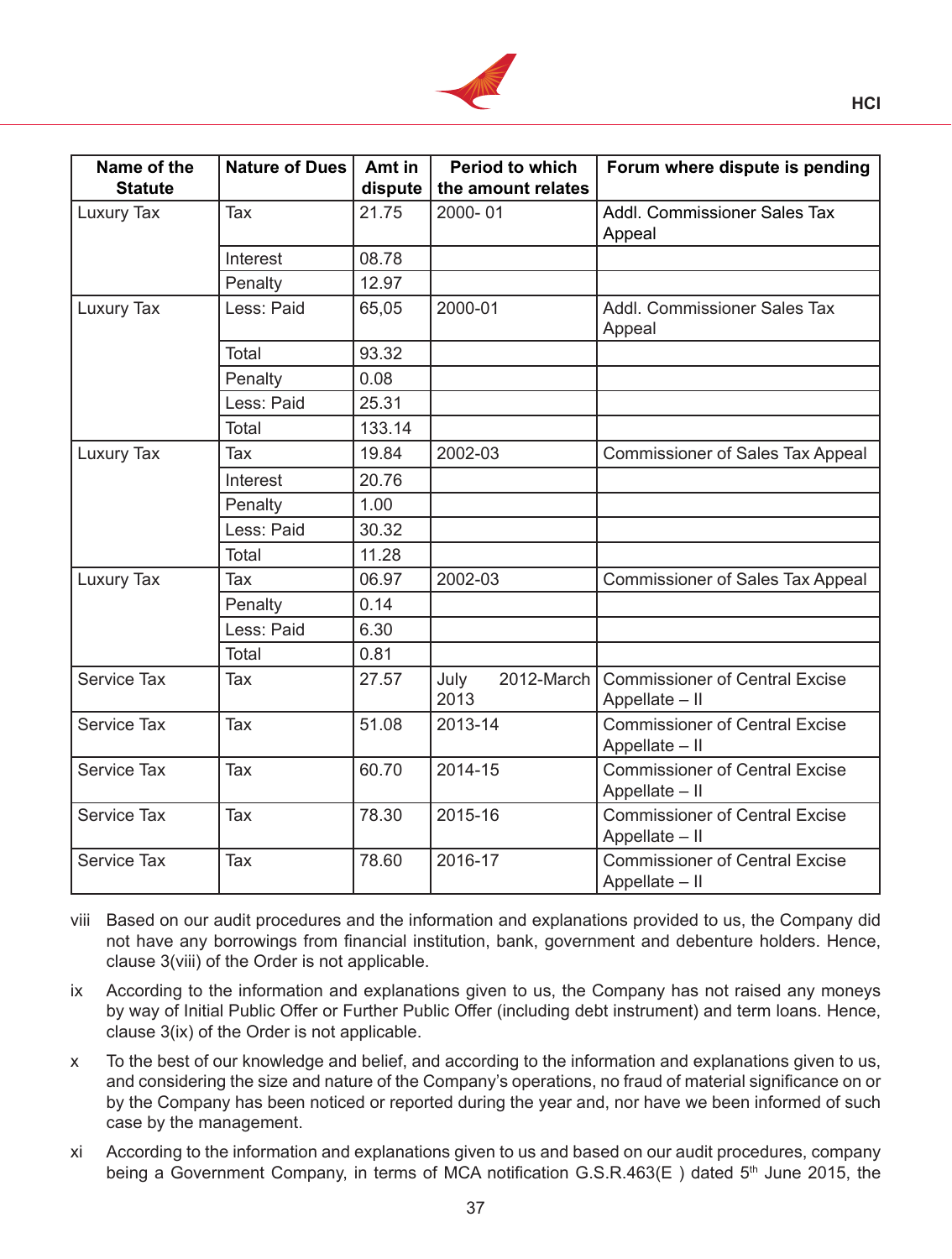

| Name of the<br><b>Statute</b> | <b>Nature of Dues</b> | Amt in<br>dispute | <b>Period to which</b><br>the amount relates | Forum where dispute is pending                          |
|-------------------------------|-----------------------|-------------------|----------------------------------------------|---------------------------------------------------------|
| Luxury Tax                    | Tax                   | 21.75             | 2000-01                                      | <b>Addl. Commissioner Sales Tax</b><br>Appeal           |
|                               | Interest              | 08.78             |                                              |                                                         |
|                               | Penalty               | 12.97             |                                              |                                                         |
| Luxury Tax                    | Less: Paid            | 65,05             | 2000-01                                      | Addl. Commissioner Sales Tax<br>Appeal                  |
|                               | Total                 | 93.32             |                                              |                                                         |
|                               | Penalty               | 0.08              |                                              |                                                         |
|                               | Less: Paid            | 25.31             |                                              |                                                         |
|                               | Total                 | 133.14            |                                              |                                                         |
| Luxury Tax                    | Tax                   | 19.84             | 2002-03                                      | <b>Commissioner of Sales Tax Appeal</b>                 |
|                               | Interest              | 20.76             |                                              |                                                         |
|                               | Penalty               | 1.00              |                                              |                                                         |
|                               | Less: Paid            | 30.32             |                                              |                                                         |
|                               | Total                 | 11.28             |                                              |                                                         |
| Luxury Tax                    | Tax                   | 06.97             | 2002-03                                      | <b>Commissioner of Sales Tax Appeal</b>                 |
|                               | Penalty               | 0.14              |                                              |                                                         |
|                               | Less: Paid            | 6.30              |                                              |                                                         |
|                               | Total                 | 0.81              |                                              |                                                         |
| Service Tax                   | Tax                   | 27.57             | 2012-March<br>July<br>2013                   | <b>Commissioner of Central Excise</b><br>Appellate - II |
| Service Tax                   | Tax                   | 51.08             | 2013-14                                      | <b>Commissioner of Central Excise</b><br>Appellate - II |
| Service Tax                   | Tax                   | 60.70             | 2014-15                                      | <b>Commissioner of Central Excise</b><br>Appellate - II |
| Service Tax                   | Tax                   | 78.30             | 2015-16                                      | <b>Commissioner of Central Excise</b><br>Appellate - II |
| Service Tax                   | Tax                   | 78.60             | 2016-17                                      | <b>Commissioner of Central Excise</b><br>Appellate - II |

viii Based on our audit procedures and the information and explanations provided to us, the Company did not have any borrowings from financial institution, bank, government and debenture holders. Hence, clause 3(viii) of the Order is not applicable.

- ix According to the information and explanations given to us, the Company has not raised any moneys by way of Initial Public Offer or Further Public Offer (including debt instrument) and term loans. Hence, clause 3(ix) of the Order is not applicable.
- x To the best of our knowledge and belief, and according to the information and explanations given to us, and considering the size and nature of the Company's operations, no fraud of material significance on or by the Company has been noticed or reported during the year and, nor have we been informed of such case by the management.
- xi According to the information and explanations given to us and based on our audit procedures, company being a Government Company, in terms of MCA notification G.S.R.463(E) dated 5<sup>th</sup> June 2015, the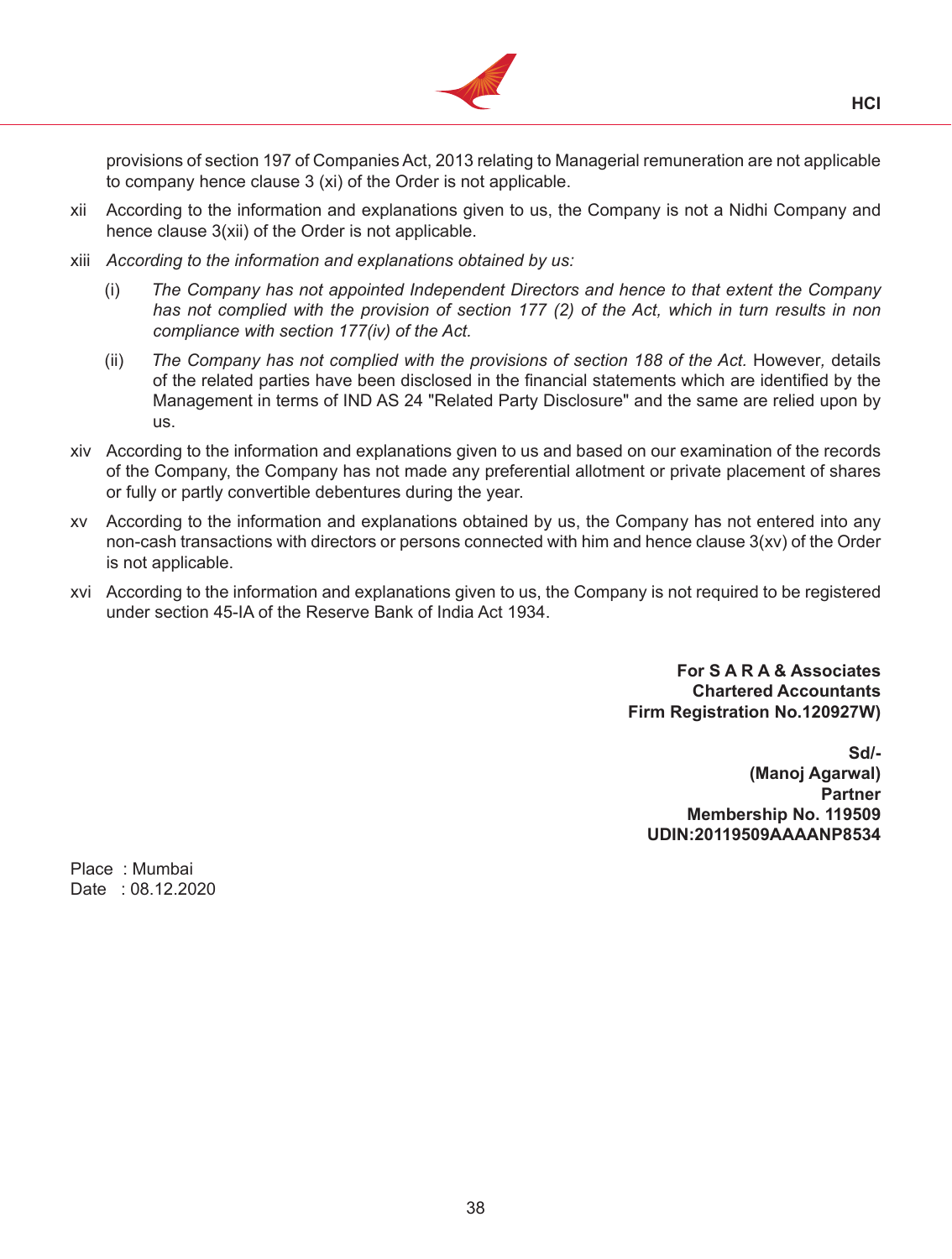

provisions of section 197 of Companies Act, 2013 relating to Managerial remuneration are not applicable to company hence clause 3 (xi) of the Order is not applicable.

- xii According to the information and explanations given to us, the Company is not a Nidhi Company and hence clause 3(xii) of the Order is not applicable.
- xiii *According to the information and explanations obtained by us:*
	- (i) *The Company has not appointed Independent Directors and hence to that extent the Company has not complied with the provision of section 177 (2) of the Act, which in turn results in non compliance with section 177(iv) of the Act.*
	- (ii) *The Company has not complied with the provisions of section 188 of the Act.* However*,* details of the related parties have been disclosed in the financial statements which are identified by the Management in terms of IND AS 24 "Related Party Disclosure" and the same are relied upon by us.
- xiv According to the information and explanations given to us and based on our examination of the records of the Company, the Company has not made any preferential allotment or private placement of shares or fully or partly convertible debentures during the year.
- xv According to the information and explanations obtained by us, the Company has not entered into any non-cash transactions with directors or persons connected with him and hence clause 3(xv) of the Order is not applicable.
- xvi According to the information and explanations given to us, the Company is not required to be registered under section 45-IA of the Reserve Bank of India Act 1934.

**For S A R A & Associates Chartered Accountants Firm Registration No.120927W)**

**Sd/- (Manoj Agarwal) Partner Membership No. 119509 UDIN:20119509AAAANP8534**

Place : Mumbai Date : 08.12.2020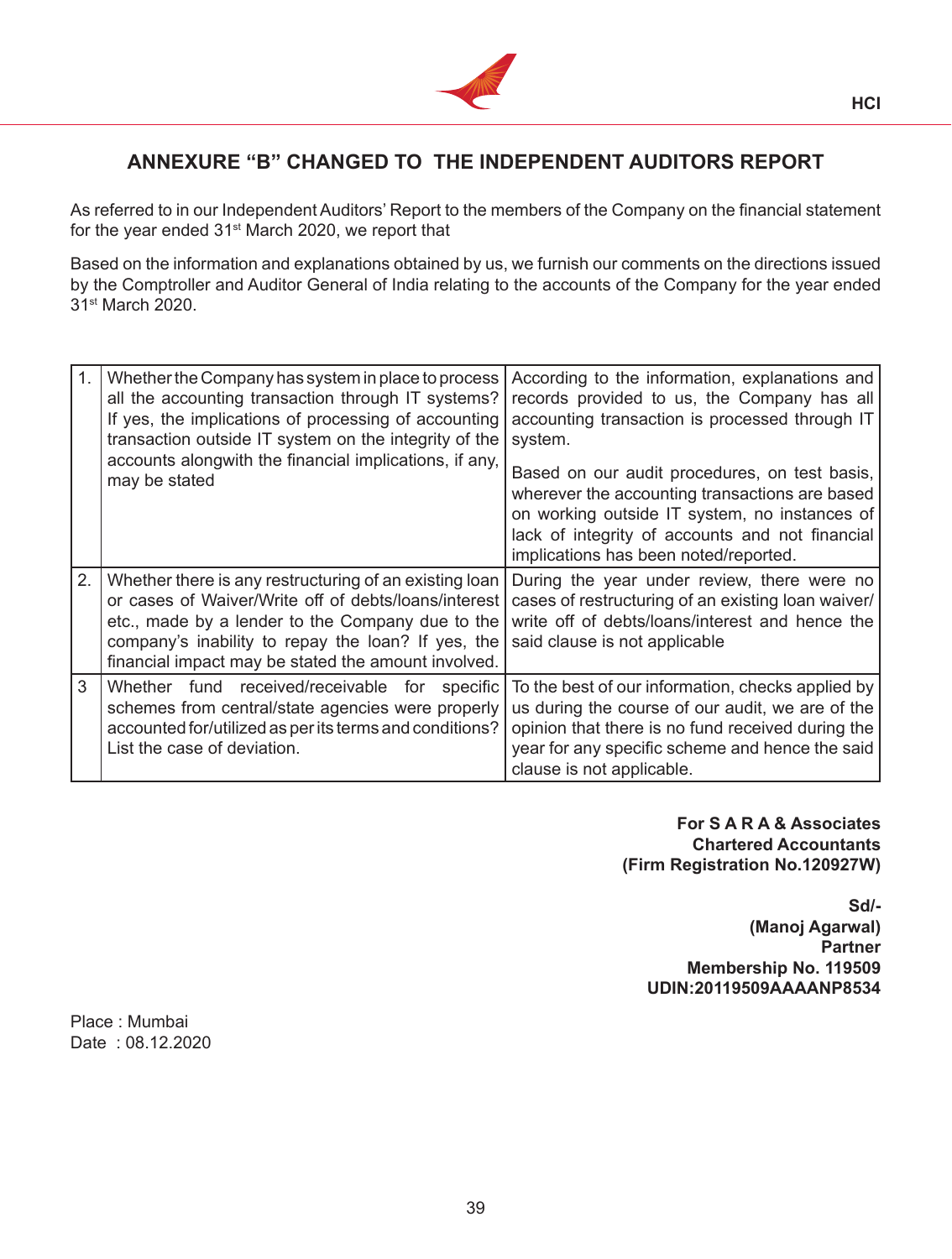

# **ANNEXURE "B" CHANGED TO THE INDEPENDENT AUDITORS REPORT**

As referred to in our Independent Auditors' Report to the members of the Company on the financial statement for the year ended 31<sup>st</sup> March 2020, we report that

Based on the information and explanations obtained by us, we furnish our comments on the directions issued by the Comptroller and Auditor General of India relating to the accounts of the Company for the year ended 31<sup>st</sup> March 2020.

| $\mathbf 1$ | Whether the Company has system in place to process<br>all the accounting transaction through IT systems?<br>If yes, the implications of processing of accounting<br>transaction outside IT system on the integrity of the<br>accounts alongwith the financial implications, if any,<br>may be stated | According to the information, explanations and<br>records provided to us, the Company has all<br>accounting transaction is processed through IT<br>system.<br>Based on our audit procedures, on test basis,<br>wherever the accounting transactions are based<br>on working outside IT system, no instances of<br>lack of integrity of accounts and not financial<br>implications has been noted/reported. |
|-------------|------------------------------------------------------------------------------------------------------------------------------------------------------------------------------------------------------------------------------------------------------------------------------------------------------|------------------------------------------------------------------------------------------------------------------------------------------------------------------------------------------------------------------------------------------------------------------------------------------------------------------------------------------------------------------------------------------------------------|
| 2.          | Whether there is any restructuring of an existing loan<br>or cases of Waiver/Write off of debts/loans/interest<br>etc., made by a lender to the Company due to the<br>company's inability to repay the loan? If yes, the<br>financial impact may be stated the amount involved.                      | During the year under review, there were no<br>cases of restructuring of an existing loan waiver/<br>write off of debts/loans/interest and hence the<br>said clause is not applicable                                                                                                                                                                                                                      |
| 3           | Whether fund received/receivable for specific<br>schemes from central/state agencies were properly<br>accounted for/utilized as per its terms and conditions?<br>List the case of deviation.                                                                                                         | To the best of our information, checks applied by<br>us during the course of our audit, we are of the<br>opinion that there is no fund received during the<br>year for any specific scheme and hence the said<br>clause is not applicable.                                                                                                                                                                 |

### **For S A R A & Associates Chartered Accountants (Firm Registration No.120927W)**

**Sd/- (Manoj Agarwal) Partner Membership No. 119509 UDIN:20119509AAAANP8534**

Place : Mumbai Date : 08.12.2020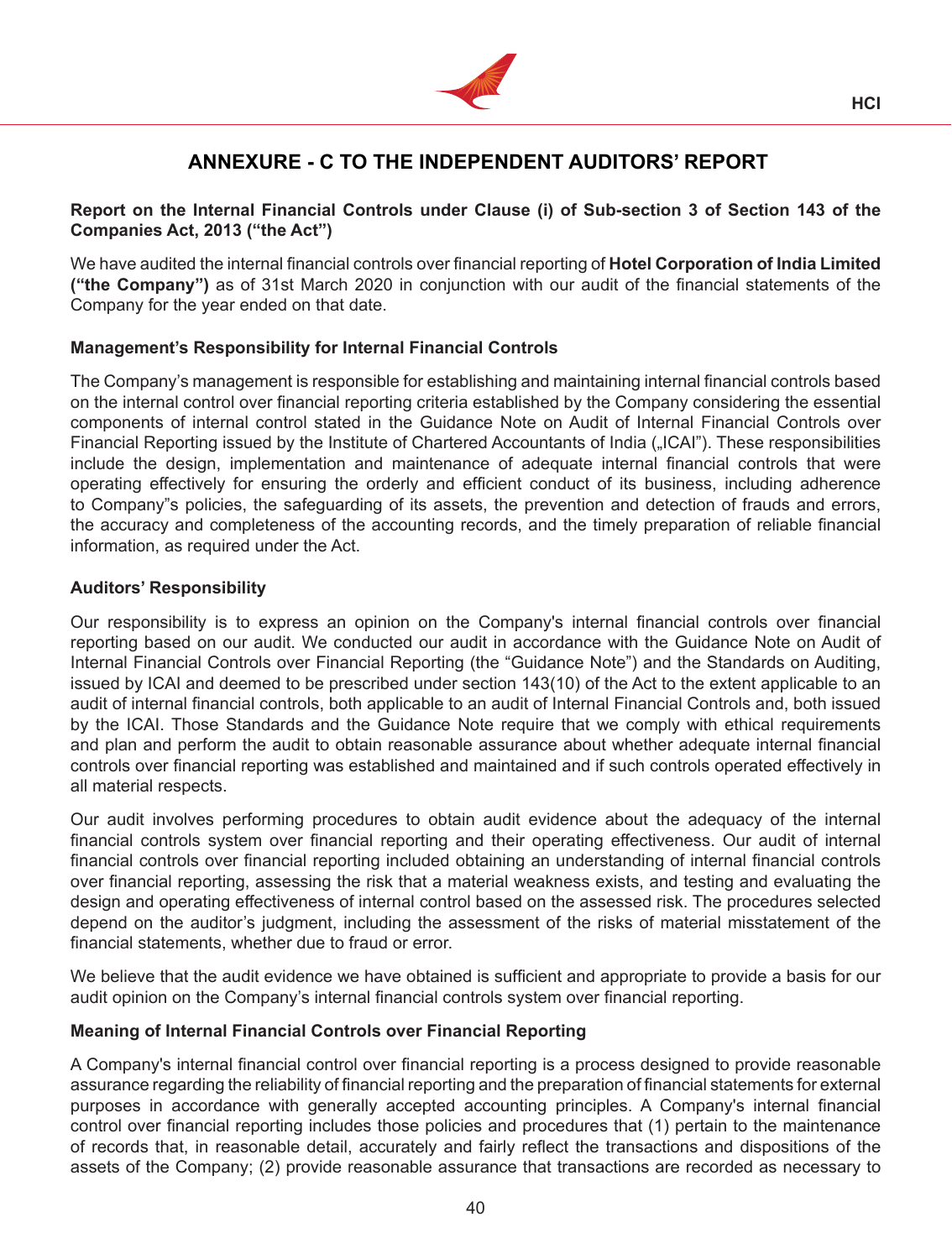

# **ANNEXURE - C TO THE INDEPENDENT AUDITORS' REPORT**

**Report on the Internal Financial Controls under Clause (i) of Sub-section 3 of Section 143 of the Companies Act, 2013 ("the Act")** 

We have audited the internal financial controls over financial reporting of **Hotel Corporation of India Limited ("the Company")** as of 31st March 2020 in conjunction with our audit of the financial statements of the Company for the year ended on that date.

# **Management's Responsibility for Internal Financial Controls**

The Company's management is responsible for establishing and maintaining internal financial controls based on the internal control over financial reporting criteria established by the Company considering the essential components of internal control stated in the Guidance Note on Audit of Internal Financial Controls over Financial Reporting issued by the Institute of Chartered Accountants of India ("ICAI"). These responsibilities include the design, implementation and maintenance of adequate internal financial controls that were operating effectively for ensuring the orderly and efficient conduct of its business, including adherence to Company"s policies, the safeguarding of its assets, the prevention and detection of frauds and errors, the accuracy and completeness of the accounting records, and the timely preparation of reliable financial information, as required under the Act.

### **Auditors' Responsibility**

Our responsibility is to express an opinion on the Company's internal financial controls over financial reporting based on our audit. We conducted our audit in accordance with the Guidance Note on Audit of Internal Financial Controls over Financial Reporting (the "Guidance Note") and the Standards on Auditing, issued by ICAI and deemed to be prescribed under section 143(10) of the Act to the extent applicable to an audit of internal financial controls, both applicable to an audit of Internal Financial Controls and, both issued by the ICAI. Those Standards and the Guidance Note require that we comply with ethical requirements and plan and perform the audit to obtain reasonable assurance about whether adequate internal financial controls over financial reporting was established and maintained and if such controls operated effectively in all material respects.

Our audit involves performing procedures to obtain audit evidence about the adequacy of the internal financial controls system over financial reporting and their operating effectiveness. Our audit of internal financial controls over financial reporting included obtaining an understanding of internal financial controls over financial reporting, assessing the risk that a material weakness exists, and testing and evaluating the design and operating effectiveness of internal control based on the assessed risk. The procedures selected depend on the auditor's judgment, including the assessment of the risks of material misstatement of the financial statements, whether due to fraud or error.

We believe that the audit evidence we have obtained is sufficient and appropriate to provide a basis for our audit opinion on the Company's internal financial controls system over financial reporting.

# **Meaning of Internal Financial Controls over Financial Reporting**

A Company's internal financial control over financial reporting is a process designed to provide reasonable assurance regarding the reliability of financial reporting and the preparation of financial statements for external purposes in accordance with generally accepted accounting principles. A Company's internal financial control over financial reporting includes those policies and procedures that (1) pertain to the maintenance of records that, in reasonable detail, accurately and fairly reflect the transactions and dispositions of the assets of the Company; (2) provide reasonable assurance that transactions are recorded as necessary to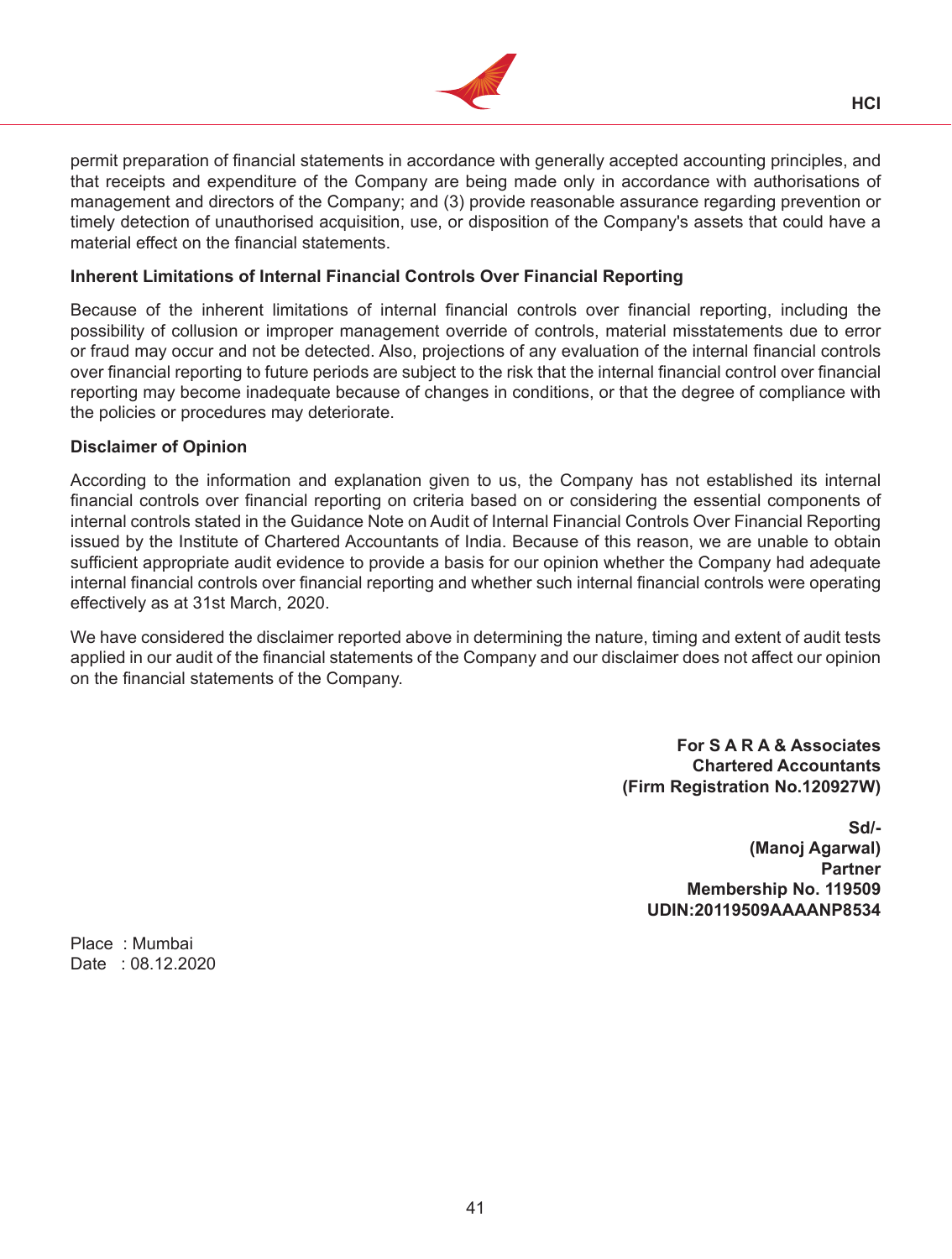

permit preparation of financial statements in accordance with generally accepted accounting principles, and that receipts and expenditure of the Company are being made only in accordance with authorisations of management and directors of the Company; and (3) provide reasonable assurance regarding prevention or timely detection of unauthorised acquisition, use, or disposition of the Company's assets that could have a material effect on the financial statements.

# **Inherent Limitations of Internal Financial Controls Over Financial Reporting**

Because of the inherent limitations of internal financial controls over financial reporting, including the possibility of collusion or improper management override of controls, material misstatements due to error or fraud may occur and not be detected. Also, projections of any evaluation of the internal financial controls over financial reporting to future periods are subject to the risk that the internal financial control over financial reporting may become inadequate because of changes in conditions, or that the degree of compliance with the policies or procedures may deteriorate.

# **Disclaimer of Opinion**

According to the information and explanation given to us, the Company has not established its internal financial controls over financial reporting on criteria based on or considering the essential components of internal controls stated in the Guidance Note on Audit of Internal Financial Controls Over Financial Reporting issued by the Institute of Chartered Accountants of India. Because of this reason, we are unable to obtain sufficient appropriate audit evidence to provide a basis for our opinion whether the Company had adequate internal financial controls over financial reporting and whether such internal financial controls were operating effectively as at 31st March, 2020.

We have considered the disclaimer reported above in determining the nature, timing and extent of audit tests applied in our audit of the financial statements of the Company and our disclaimer does not affect our opinion on the financial statements of the Company.

> **For S A R A & Associates Chartered Accountants (Firm Registration No.120927W)**

**Sd/- (Manoj Agarwal) Partner Membership No. 119509 UDIN:20119509AAAANP8534**

Place : Mumbai Date : 08.12.2020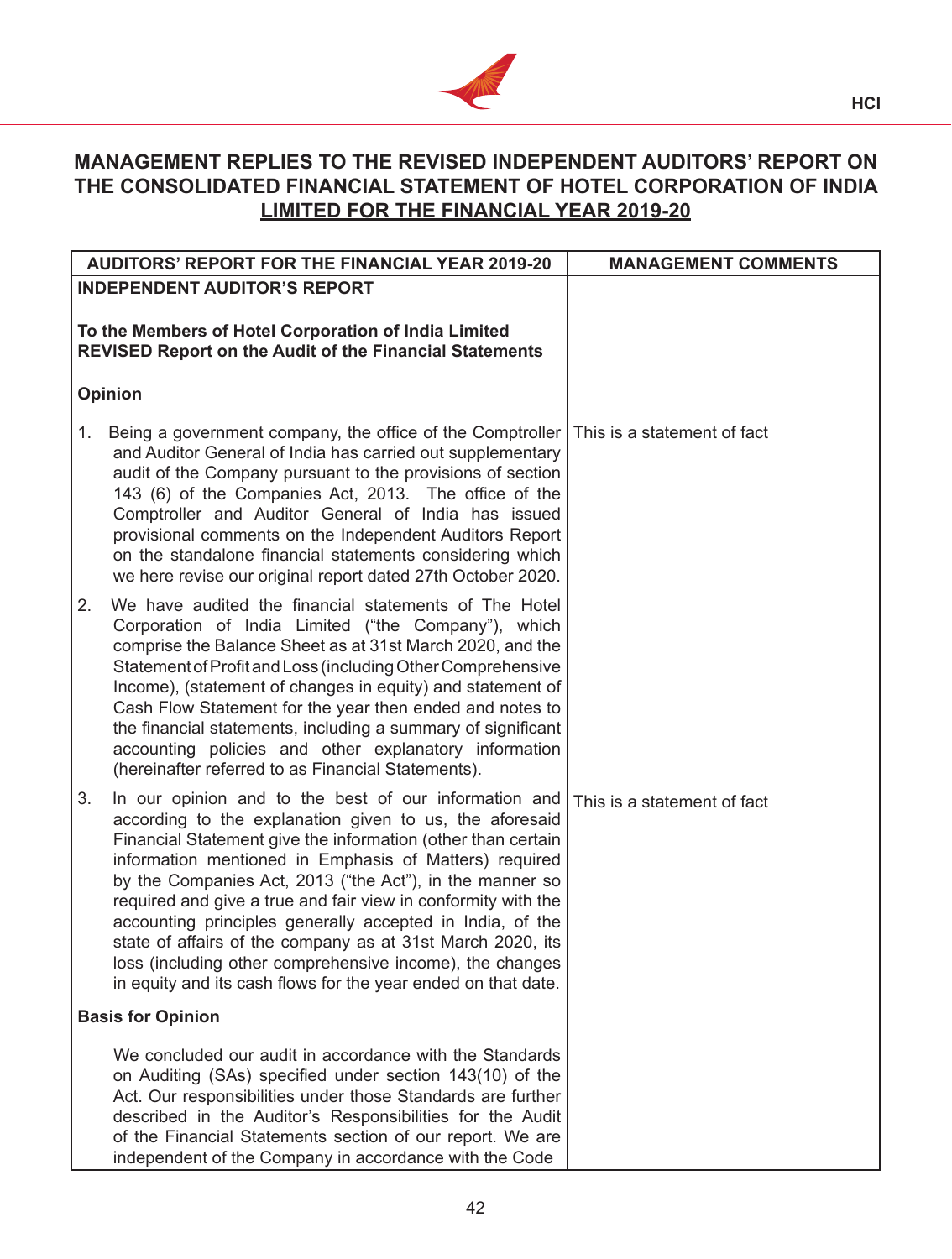

# **MANAGEMENT REPLIES TO THE REVISED INDEPENDENT AUDITORS' REPORT ON THE CONSOLIDATED FINANCIAL STATEMENT OF HOTEL CORPORATION OF INDIA LIMITED FOR THE FINANCIAL YEAR 2019-20**

| <b>AUDITORS' REPORT FOR THE FINANCIAL YEAR 2019-20</b> |                                                                                                                                                                                                                                                                                                                                                                                                                                                                                                                                                                                                                                 | <b>MANAGEMENT COMMENTS</b>  |
|--------------------------------------------------------|---------------------------------------------------------------------------------------------------------------------------------------------------------------------------------------------------------------------------------------------------------------------------------------------------------------------------------------------------------------------------------------------------------------------------------------------------------------------------------------------------------------------------------------------------------------------------------------------------------------------------------|-----------------------------|
|                                                        | <b>INDEPENDENT AUDITOR'S REPORT</b>                                                                                                                                                                                                                                                                                                                                                                                                                                                                                                                                                                                             |                             |
|                                                        | To the Members of Hotel Corporation of India Limited<br><b>REVISED Report on the Audit of the Financial Statements</b>                                                                                                                                                                                                                                                                                                                                                                                                                                                                                                          |                             |
|                                                        | <b>Opinion</b>                                                                                                                                                                                                                                                                                                                                                                                                                                                                                                                                                                                                                  |                             |
| 1.                                                     | Being a government company, the office of the Comptroller This is a statement of fact<br>and Auditor General of India has carried out supplementary<br>audit of the Company pursuant to the provisions of section<br>143 (6) of the Companies Act, 2013. The office of the<br>Comptroller and Auditor General of India has issued<br>provisional comments on the Independent Auditors Report<br>on the standalone financial statements considering which<br>we here revise our original report dated 27th October 2020.                                                                                                         |                             |
| 2.                                                     | We have audited the financial statements of The Hotel<br>Corporation of India Limited ("the Company"), which<br>comprise the Balance Sheet as at 31st March 2020, and the<br>Statement of Profit and Loss (including Other Comprehensive<br>Income), (statement of changes in equity) and statement of<br>Cash Flow Statement for the year then ended and notes to<br>the financial statements, including a summary of significant<br>accounting policies and other explanatory information<br>(hereinafter referred to as Financial Statements).                                                                               |                             |
| 3.                                                     | In our opinion and to the best of our information and<br>according to the explanation given to us, the aforesaid<br>Financial Statement give the information (other than certain<br>information mentioned in Emphasis of Matters) required<br>by the Companies Act, 2013 ("the Act"), in the manner so<br>required and give a true and fair view in conformity with the<br>accounting principles generally accepted in India, of the<br>state of affairs of the company as at 31st March 2020, its<br>loss (including other comprehensive income), the changes<br>in equity and its cash flows for the year ended on that date. | This is a statement of fact |
|                                                        | <b>Basis for Opinion</b>                                                                                                                                                                                                                                                                                                                                                                                                                                                                                                                                                                                                        |                             |
|                                                        | We concluded our audit in accordance with the Standards<br>on Auditing (SAs) specified under section 143(10) of the<br>Act. Our responsibilities under those Standards are further<br>described in the Auditor's Responsibilities for the Audit<br>of the Financial Statements section of our report. We are<br>independent of the Company in accordance with the Code                                                                                                                                                                                                                                                          |                             |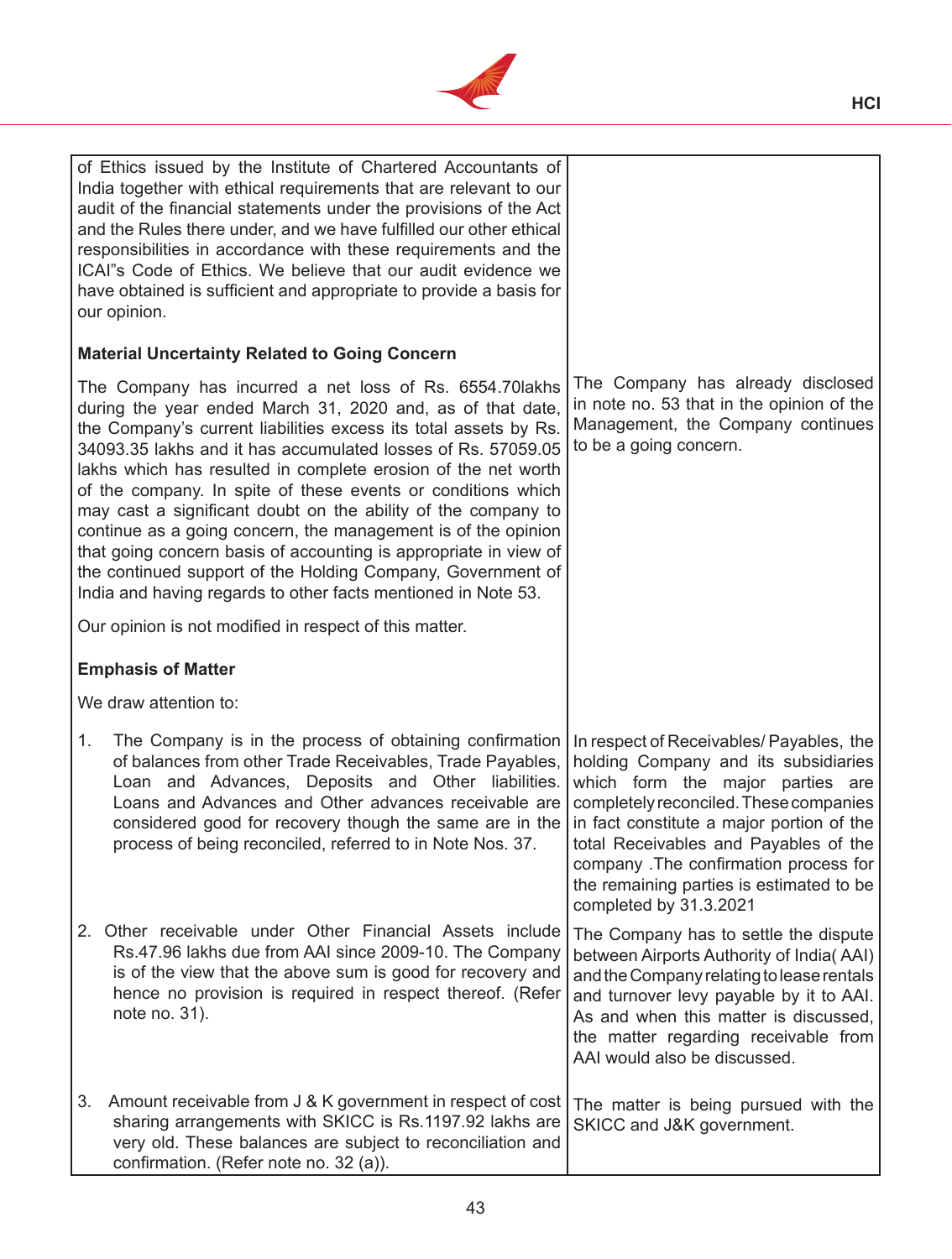

| of Ethics issued by the Institute of Chartered Accountants of<br>India together with ethical requirements that are relevant to our<br>audit of the financial statements under the provisions of the Act<br>and the Rules there under, and we have fulfilled our other ethical<br>responsibilities in accordance with these requirements and the<br>ICAI"s Code of Ethics. We believe that our audit evidence we<br>have obtained is sufficient and appropriate to provide a basis for<br>our opinion.                                                                                                                                                                                                                             |                                                                                                                                                                                                                                                                                                                                                                     |
|-----------------------------------------------------------------------------------------------------------------------------------------------------------------------------------------------------------------------------------------------------------------------------------------------------------------------------------------------------------------------------------------------------------------------------------------------------------------------------------------------------------------------------------------------------------------------------------------------------------------------------------------------------------------------------------------------------------------------------------|---------------------------------------------------------------------------------------------------------------------------------------------------------------------------------------------------------------------------------------------------------------------------------------------------------------------------------------------------------------------|
| <b>Material Uncertainty Related to Going Concern</b>                                                                                                                                                                                                                                                                                                                                                                                                                                                                                                                                                                                                                                                                              |                                                                                                                                                                                                                                                                                                                                                                     |
| The Company has incurred a net loss of Rs. 6554.70 lakhs<br>during the year ended March 31, 2020 and, as of that date,<br>the Company's current liabilities excess its total assets by Rs.<br>34093.35 lakhs and it has accumulated losses of Rs. 57059.05<br>lakhs which has resulted in complete erosion of the net worth<br>of the company. In spite of these events or conditions which<br>may cast a significant doubt on the ability of the company to<br>continue as a going concern, the management is of the opinion<br>that going concern basis of accounting is appropriate in view of<br>the continued support of the Holding Company, Government of<br>India and having regards to other facts mentioned in Note 53. | The Company has already disclosed<br>in note no. 53 that in the opinion of the<br>Management, the Company continues<br>to be a going concern.                                                                                                                                                                                                                       |
| Our opinion is not modified in respect of this matter.                                                                                                                                                                                                                                                                                                                                                                                                                                                                                                                                                                                                                                                                            |                                                                                                                                                                                                                                                                                                                                                                     |
| <b>Emphasis of Matter</b>                                                                                                                                                                                                                                                                                                                                                                                                                                                                                                                                                                                                                                                                                                         |                                                                                                                                                                                                                                                                                                                                                                     |
| We draw attention to:                                                                                                                                                                                                                                                                                                                                                                                                                                                                                                                                                                                                                                                                                                             |                                                                                                                                                                                                                                                                                                                                                                     |
| 1.<br>The Company is in the process of obtaining confirmation<br>of balances from other Trade Receivables, Trade Payables,<br>Loan and Advances, Deposits and Other liabilities.<br>Loans and Advances and Other advances receivable are<br>considered good for recovery though the same are in the<br>process of being reconciled, referred to in Note Nos. 37.                                                                                                                                                                                                                                                                                                                                                                  | In respect of Receivables/ Payables, the<br>holding Company and its subsidiaries<br>which form the major parties are<br>completely reconciled. These companies<br>in fact constitute a major portion of the<br>total Receivables and Payables of the<br>company. The confirmation process for<br>the remaining parties is estimated to be<br>completed by 31.3.2021 |
| 2. Other receivable under Other Financial Assets include<br>Rs.47.96 lakhs due from AAI since 2009-10. The Company<br>is of the view that the above sum is good for recovery and<br>hence no provision is required in respect thereof. (Refer<br>note no. 31).                                                                                                                                                                                                                                                                                                                                                                                                                                                                    | The Company has to settle the dispute<br>between Airports Authority of India(AAI)<br>and the Company relating to lease rentals<br>and turnover levy payable by it to AAI.<br>As and when this matter is discussed,<br>the matter regarding receivable from<br>AAI would also be discussed.                                                                          |
| 3.<br>Amount receivable from J & K government in respect of cost<br>sharing arrangements with SKICC is Rs.1197.92 lakhs are<br>very old. These balances are subject to reconciliation and<br>confirmation. (Refer note no. 32 (a)).                                                                                                                                                                                                                                                                                                                                                                                                                                                                                               | The matter is being pursued with the<br>SKICC and J&K government.                                                                                                                                                                                                                                                                                                   |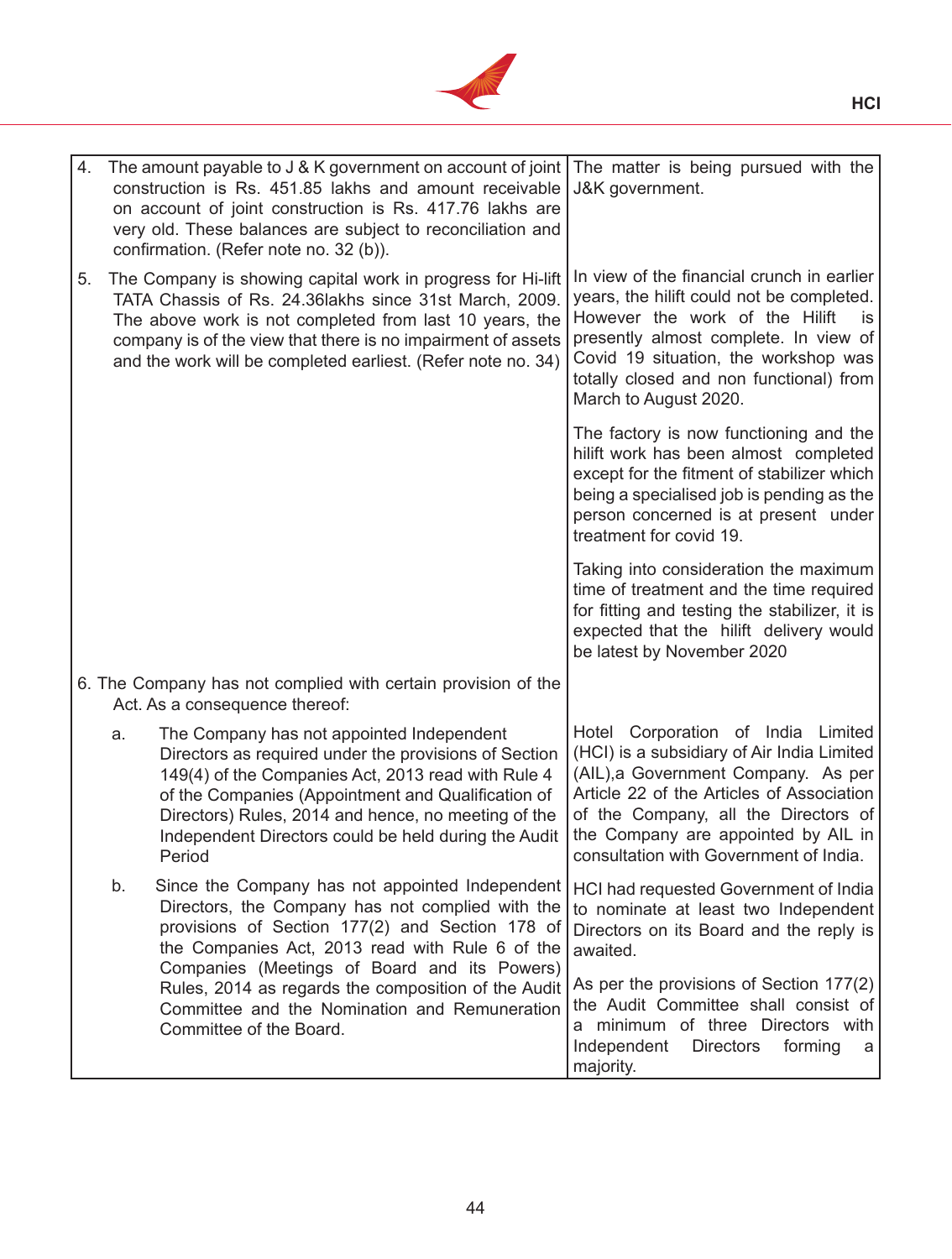

| 4.                                                                                                                                                                                                                                                                                                                     |    | The amount payable to J & K government on account of joint<br>construction is Rs. 451.85 lakhs and amount receivable<br>on account of joint construction is Rs. 417.76 lakhs are<br>very old. These balances are subject to reconciliation and<br>confirmation. (Refer note no. 32 (b)).                                                | The matter is being pursued with the<br>J&K government.                                                                                                                                                                                                                                       |
|------------------------------------------------------------------------------------------------------------------------------------------------------------------------------------------------------------------------------------------------------------------------------------------------------------------------|----|-----------------------------------------------------------------------------------------------------------------------------------------------------------------------------------------------------------------------------------------------------------------------------------------------------------------------------------------|-----------------------------------------------------------------------------------------------------------------------------------------------------------------------------------------------------------------------------------------------------------------------------------------------|
| The Company is showing capital work in progress for Hi-lift<br>5.<br>TATA Chassis of Rs. 24.36lakhs since 31st March, 2009.<br>The above work is not completed from last 10 years, the<br>company is of the view that there is no impairment of assets<br>and the work will be completed earliest. (Refer note no. 34) |    |                                                                                                                                                                                                                                                                                                                                         | In view of the financial crunch in earlier<br>years, the hilift could not be completed.<br>However the work of the Hilift<br>İS<br>presently almost complete. In view of<br>Covid 19 situation, the workshop was<br>totally closed and non functional) from<br>March to August 2020.          |
|                                                                                                                                                                                                                                                                                                                        |    |                                                                                                                                                                                                                                                                                                                                         | The factory is now functioning and the<br>hilift work has been almost completed<br>except for the fitment of stabilizer which<br>being a specialised job is pending as the<br>person concerned is at present under<br>treatment for covid 19.                                                 |
|                                                                                                                                                                                                                                                                                                                        |    |                                                                                                                                                                                                                                                                                                                                         | Taking into consideration the maximum<br>time of treatment and the time required<br>for fitting and testing the stabilizer, it is<br>expected that the hilift delivery would<br>be latest by November 2020                                                                                    |
|                                                                                                                                                                                                                                                                                                                        |    | 6. The Company has not complied with certain provision of the<br>Act. As a consequence thereof:                                                                                                                                                                                                                                         |                                                                                                                                                                                                                                                                                               |
|                                                                                                                                                                                                                                                                                                                        | a. | The Company has not appointed Independent<br>Directors as required under the provisions of Section<br>149(4) of the Companies Act, 2013 read with Rule 4<br>of the Companies (Appointment and Qualification of<br>Directors) Rules, 2014 and hence, no meeting of the<br>Independent Directors could be held during the Audit<br>Period | Hotel Corporation of India Limited<br>(HCI) is a subsidiary of Air India Limited<br>(AIL), a Government Company. As per<br>Article 22 of the Articles of Association<br>of the Company, all the Directors of<br>the Company are appointed by AIL in<br>consultation with Government of India. |
|                                                                                                                                                                                                                                                                                                                        | b. | Since the Company has not appointed Independent<br>Directors, the Company has not complied with the<br>provisions of Section 177(2) and Section 178 of<br>the Companies Act, 2013 read with Rule 6 of the                                                                                                                               | HCI had requested Government of India<br>to nominate at least two Independent<br>Directors on its Board and the reply is<br>awaited.                                                                                                                                                          |
|                                                                                                                                                                                                                                                                                                                        |    | Companies (Meetings of Board and its Powers)<br>Rules, 2014 as regards the composition of the Audit<br>Committee and the Nomination and Remuneration<br>Committee of the Board.                                                                                                                                                         | As per the provisions of Section 177(2)<br>the Audit Committee shall consist of<br>a minimum of three Directors with<br>Independent<br>Directors<br>forming<br>a<br>majority.                                                                                                                 |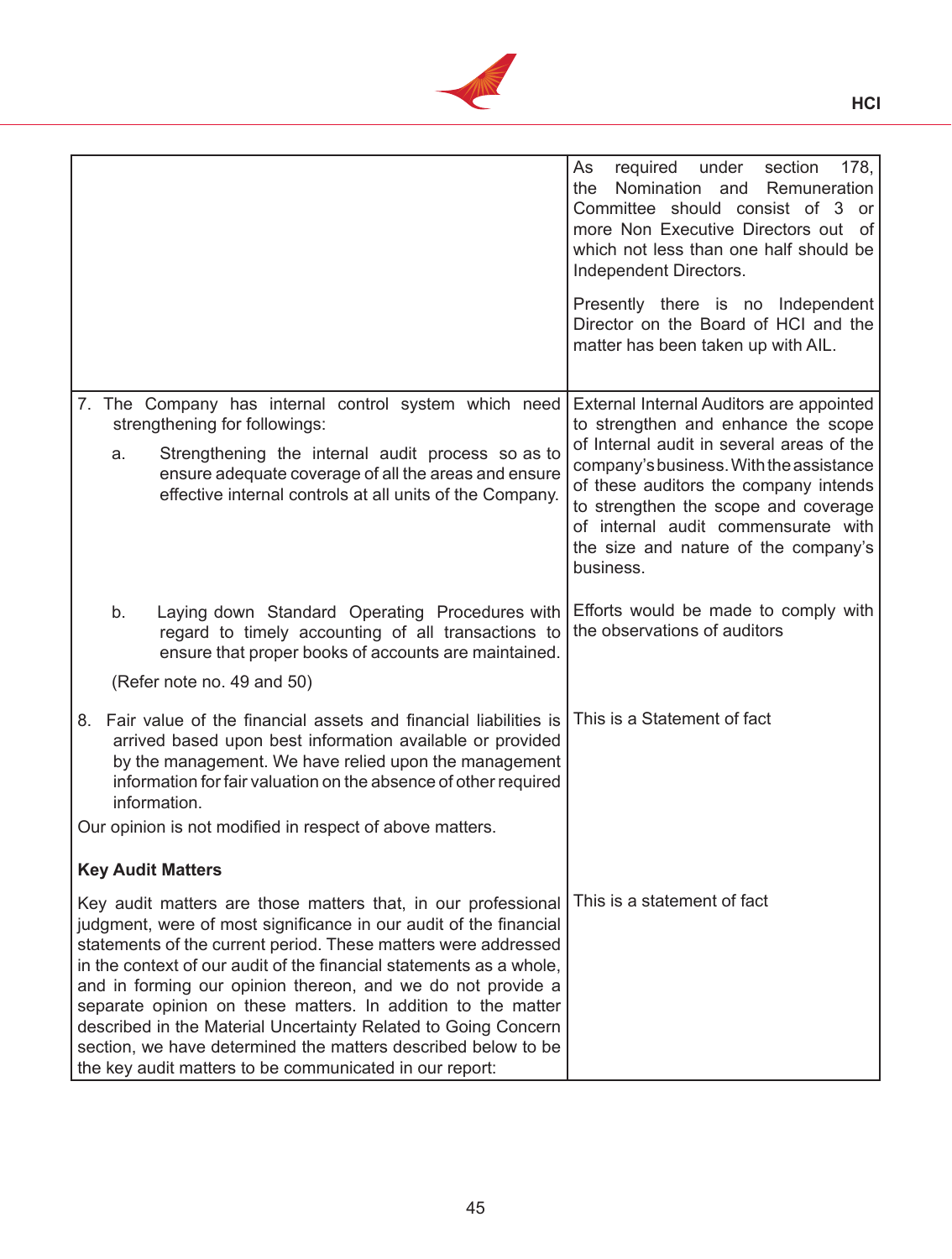

|                                                                                                                                                                                                                                                                                                                                                                                                                                                                                                                                                                                                          | As<br>required under<br>section<br>178,<br>Nomination and<br>the<br>Remuneration<br>Committee should consist of 3 or<br>more Non Executive Directors out of<br>which not less than one half should be<br>Independent Directors.                                                                                                                      |
|----------------------------------------------------------------------------------------------------------------------------------------------------------------------------------------------------------------------------------------------------------------------------------------------------------------------------------------------------------------------------------------------------------------------------------------------------------------------------------------------------------------------------------------------------------------------------------------------------------|------------------------------------------------------------------------------------------------------------------------------------------------------------------------------------------------------------------------------------------------------------------------------------------------------------------------------------------------------|
|                                                                                                                                                                                                                                                                                                                                                                                                                                                                                                                                                                                                          | Presently there is no Independent<br>Director on the Board of HCI and the<br>matter has been taken up with AIL.                                                                                                                                                                                                                                      |
| 7. The Company has internal control system which need<br>strengthening for followings:<br>Strengthening the internal audit process so as to<br>a.<br>ensure adequate coverage of all the areas and ensure<br>effective internal controls at all units of the Company.                                                                                                                                                                                                                                                                                                                                    | External Internal Auditors are appointed<br>to strengthen and enhance the scope<br>of Internal audit in several areas of the<br>company's business. With the assistance<br>of these auditors the company intends<br>to strengthen the scope and coverage<br>of internal audit commensurate with<br>the size and nature of the company's<br>business. |
| b.<br>Laying down Standard Operating Procedures with<br>regard to timely accounting of all transactions to<br>ensure that proper books of accounts are maintained.<br>(Refer note no. 49 and 50)                                                                                                                                                                                                                                                                                                                                                                                                         | Efforts would be made to comply with<br>the observations of auditors                                                                                                                                                                                                                                                                                 |
| 8. Fair value of the financial assets and financial liabilities is<br>arrived based upon best information available or provided<br>by the management. We have relied upon the management<br>information for fair valuation on the absence of other required<br>information.                                                                                                                                                                                                                                                                                                                              | This is a Statement of fact                                                                                                                                                                                                                                                                                                                          |
| Our opinion is not modified in respect of above matters.                                                                                                                                                                                                                                                                                                                                                                                                                                                                                                                                                 |                                                                                                                                                                                                                                                                                                                                                      |
| <b>Key Audit Matters</b>                                                                                                                                                                                                                                                                                                                                                                                                                                                                                                                                                                                 |                                                                                                                                                                                                                                                                                                                                                      |
| Key audit matters are those matters that, in our professional<br>judgment, were of most significance in our audit of the financial<br>statements of the current period. These matters were addressed<br>in the context of our audit of the financial statements as a whole,<br>and in forming our opinion thereon, and we do not provide a<br>separate opinion on these matters. In addition to the matter<br>described in the Material Uncertainty Related to Going Concern<br>section, we have determined the matters described below to be<br>the key audit matters to be communicated in our report: | This is a statement of fact                                                                                                                                                                                                                                                                                                                          |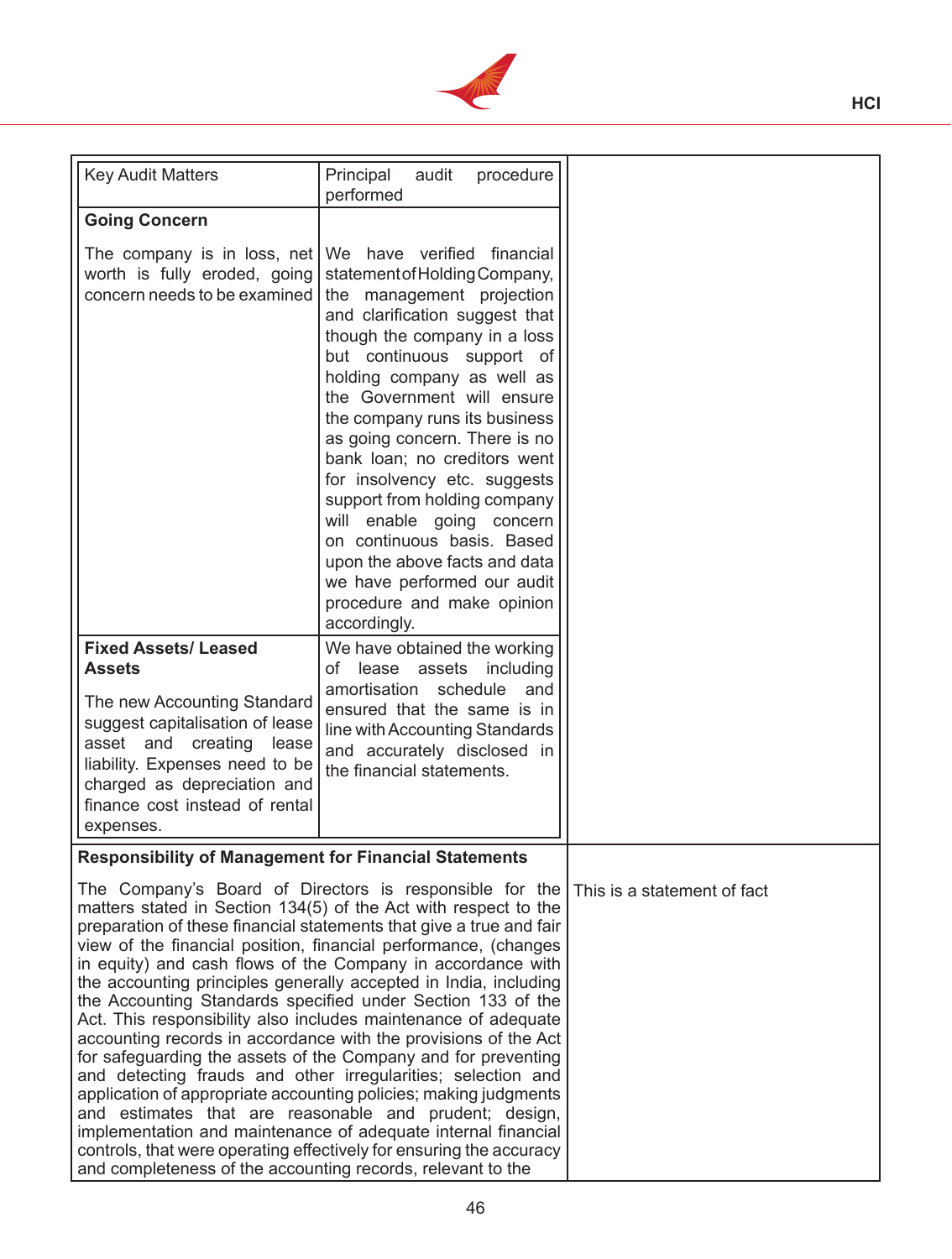

| <b>Key Audit Matters</b>                                                                                                                                                                                                                                                                                                                                                                                                                                                                                                                                                                                                                                                                                                                                                                                                                                                                                                                                                                                                                                                          | Principal<br>audit<br>procedure<br>performed                                                                                                                                                                                                                                                                                                                                                                                                                                                                                                                                                   |  |
|-----------------------------------------------------------------------------------------------------------------------------------------------------------------------------------------------------------------------------------------------------------------------------------------------------------------------------------------------------------------------------------------------------------------------------------------------------------------------------------------------------------------------------------------------------------------------------------------------------------------------------------------------------------------------------------------------------------------------------------------------------------------------------------------------------------------------------------------------------------------------------------------------------------------------------------------------------------------------------------------------------------------------------------------------------------------------------------|------------------------------------------------------------------------------------------------------------------------------------------------------------------------------------------------------------------------------------------------------------------------------------------------------------------------------------------------------------------------------------------------------------------------------------------------------------------------------------------------------------------------------------------------------------------------------------------------|--|
| <b>Going Concern</b>                                                                                                                                                                                                                                                                                                                                                                                                                                                                                                                                                                                                                                                                                                                                                                                                                                                                                                                                                                                                                                                              |                                                                                                                                                                                                                                                                                                                                                                                                                                                                                                                                                                                                |  |
| The company is in loss, net<br>worth is fully eroded, going<br>concern needs to be examined                                                                                                                                                                                                                                                                                                                                                                                                                                                                                                                                                                                                                                                                                                                                                                                                                                                                                                                                                                                       | We have verified financial<br>statement of Holding Company,<br>the management projection<br>and clarification suggest that<br>though the company in a loss<br>but continuous support of<br>holding company as well as<br>the Government will ensure<br>the company runs its business<br>as going concern. There is no<br>bank loan; no creditors went<br>for insolvency etc. suggests<br>support from holding company<br>will enable going concern<br>on continuous basis. Based<br>upon the above facts and data<br>we have performed our audit<br>procedure and make opinion<br>accordingly. |  |
| <b>Fixed Assets/Leased</b>                                                                                                                                                                                                                                                                                                                                                                                                                                                                                                                                                                                                                                                                                                                                                                                                                                                                                                                                                                                                                                                        | We have obtained the working                                                                                                                                                                                                                                                                                                                                                                                                                                                                                                                                                                   |  |
| <b>Assets</b><br>The new Accounting Standard<br>suggest capitalisation of lease<br>asset and creating<br>lease<br>liability. Expenses need to be<br>charged as depreciation and<br>finance cost instead of rental<br>expenses.                                                                                                                                                                                                                                                                                                                                                                                                                                                                                                                                                                                                                                                                                                                                                                                                                                                    | lease assets including<br>of<br>amortisation<br>schedule<br>and<br>ensured that the same is in<br>line with Accounting Standards<br>and accurately disclosed in<br>the financial statements.                                                                                                                                                                                                                                                                                                                                                                                                   |  |
| <b>Responsibility of Management for Financial Statements</b>                                                                                                                                                                                                                                                                                                                                                                                                                                                                                                                                                                                                                                                                                                                                                                                                                                                                                                                                                                                                                      |                                                                                                                                                                                                                                                                                                                                                                                                                                                                                                                                                                                                |  |
| The Company's Board of Directors is responsible for the<br>matters stated in Section 134(5) of the Act with respect to the<br>preparation of these financial statements that give a true and fair<br>view of the financial position, financial performance, (changes<br>in equity) and cash flows of the Company in accordance with<br>the accounting principles generally accepted in India, including<br>the Accounting Standards specified under Section 133 of the<br>Act. This responsibility also includes maintenance of adequate<br>accounting records in accordance with the provisions of the Act<br>for safeguarding the assets of the Company and for preventing<br>and detecting frauds and other irregularities; selection and<br>application of appropriate accounting policies; making judgments<br>and estimates that are reasonable and prudent; design,<br>implementation and maintenance of adequate internal financial<br>controls, that were operating effectively for ensuring the accuracy<br>and completeness of the accounting records, relevant to the | This is a statement of fact                                                                                                                                                                                                                                                                                                                                                                                                                                                                                                                                                                    |  |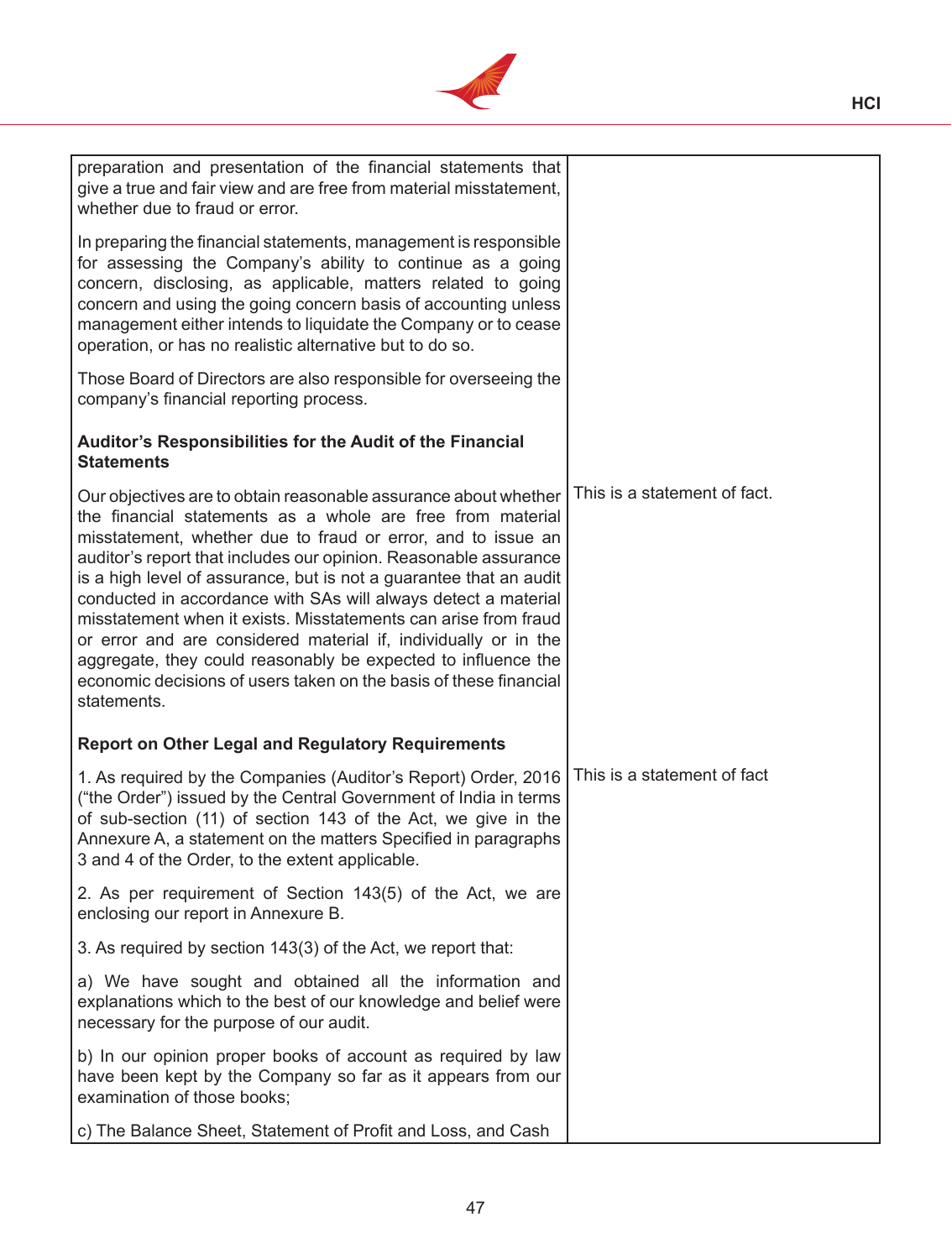

| preparation and presentation of the financial statements that<br>give a true and fair view and are free from material misstatement,<br>whether due to fraud or error.                                                                                                                                                                                                                                                                                                                                                                                                                                                                                                                                |                              |
|------------------------------------------------------------------------------------------------------------------------------------------------------------------------------------------------------------------------------------------------------------------------------------------------------------------------------------------------------------------------------------------------------------------------------------------------------------------------------------------------------------------------------------------------------------------------------------------------------------------------------------------------------------------------------------------------------|------------------------------|
| In preparing the financial statements, management is responsible<br>for assessing the Company's ability to continue as a going<br>concern, disclosing, as applicable, matters related to going<br>concern and using the going concern basis of accounting unless<br>management either intends to liquidate the Company or to cease<br>operation, or has no realistic alternative but to do so.                                                                                                                                                                                                                                                                                                       |                              |
| Those Board of Directors are also responsible for overseeing the<br>company's financial reporting process.                                                                                                                                                                                                                                                                                                                                                                                                                                                                                                                                                                                           |                              |
| Auditor's Responsibilities for the Audit of the Financial<br><b>Statements</b>                                                                                                                                                                                                                                                                                                                                                                                                                                                                                                                                                                                                                       |                              |
| Our objectives are to obtain reasonable assurance about whether<br>the financial statements as a whole are free from material<br>misstatement, whether due to fraud or error, and to issue an<br>auditor's report that includes our opinion. Reasonable assurance<br>is a high level of assurance, but is not a guarantee that an audit<br>conducted in accordance with SAs will always detect a material<br>misstatement when it exists. Misstatements can arise from fraud<br>or error and are considered material if, individually or in the<br>aggregate, they could reasonably be expected to influence the<br>economic decisions of users taken on the basis of these financial<br>statements. | This is a statement of fact. |
| <b>Report on Other Legal and Regulatory Requirements</b>                                                                                                                                                                                                                                                                                                                                                                                                                                                                                                                                                                                                                                             |                              |
| 1. As required by the Companies (Auditor's Report) Order, 2016<br>("the Order") issued by the Central Government of India in terms<br>of sub-section (11) of section 143 of the Act, we give in the<br>Annexure A, a statement on the matters Specified in paragraphs<br>3 and 4 of the Order, to the extent applicable.                                                                                                                                                                                                                                                                                                                                                                             | This is a statement of fact  |
| 2. As per requirement of Section 143(5) of the Act, we are<br>enclosing our report in Annexure B.                                                                                                                                                                                                                                                                                                                                                                                                                                                                                                                                                                                                    |                              |
| 3. As required by section 143(3) of the Act, we report that:                                                                                                                                                                                                                                                                                                                                                                                                                                                                                                                                                                                                                                         |                              |
| a) We have sought and obtained all the information and<br>explanations which to the best of our knowledge and belief were<br>necessary for the purpose of our audit.                                                                                                                                                                                                                                                                                                                                                                                                                                                                                                                                 |                              |
| b) In our opinion proper books of account as required by law<br>have been kept by the Company so far as it appears from our<br>examination of those books;                                                                                                                                                                                                                                                                                                                                                                                                                                                                                                                                           |                              |
| c) The Balance Sheet, Statement of Profit and Loss, and Cash                                                                                                                                                                                                                                                                                                                                                                                                                                                                                                                                                                                                                                         |                              |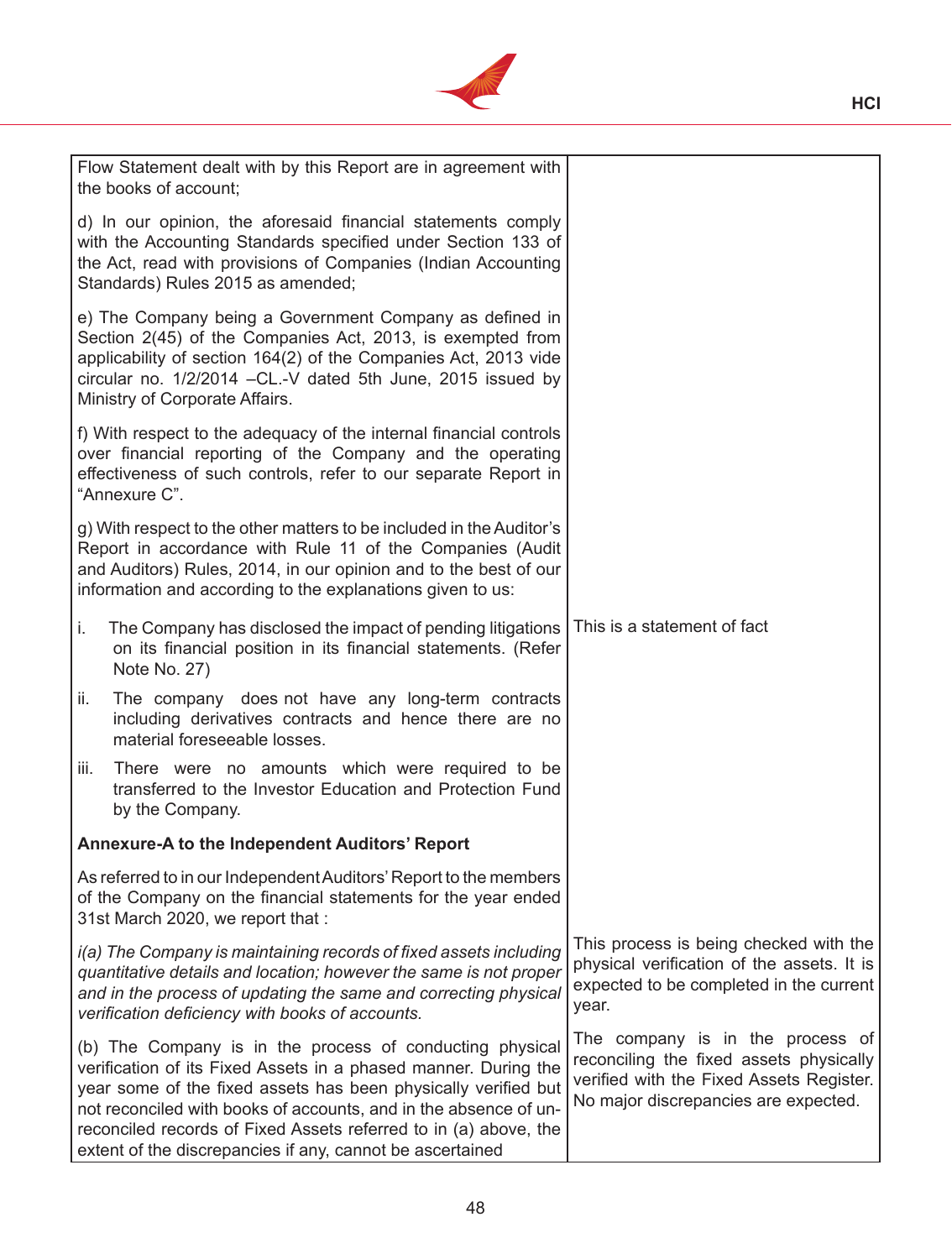

**HCI**

|                                                                                                                                                    | Flow Statement dealt with by this Report are in agreement with<br>the books of account;                                                                                                                                                                                                                                                                                                            |                                                                                                                                                                 |
|----------------------------------------------------------------------------------------------------------------------------------------------------|----------------------------------------------------------------------------------------------------------------------------------------------------------------------------------------------------------------------------------------------------------------------------------------------------------------------------------------------------------------------------------------------------|-----------------------------------------------------------------------------------------------------------------------------------------------------------------|
|                                                                                                                                                    | d) In our opinion, the aforesaid financial statements comply<br>with the Accounting Standards specified under Section 133 of<br>the Act, read with provisions of Companies (Indian Accounting<br>Standards) Rules 2015 as amended;                                                                                                                                                                 |                                                                                                                                                                 |
|                                                                                                                                                    | e) The Company being a Government Company as defined in<br>Section 2(45) of the Companies Act, 2013, is exempted from<br>applicability of section 164(2) of the Companies Act, 2013 vide<br>circular no. 1/2/2014 - CL.-V dated 5th June, 2015 issued by<br>Ministry of Corporate Affairs.                                                                                                         |                                                                                                                                                                 |
|                                                                                                                                                    | f) With respect to the adequacy of the internal financial controls<br>over financial reporting of the Company and the operating<br>effectiveness of such controls, refer to our separate Report in<br>"Annexure C".                                                                                                                                                                                |                                                                                                                                                                 |
|                                                                                                                                                    | g) With respect to the other matters to be included in the Auditor's<br>Report in accordance with Rule 11 of the Companies (Audit<br>and Auditors) Rules, 2014, in our opinion and to the best of our<br>information and according to the explanations given to us:                                                                                                                                |                                                                                                                                                                 |
| i.<br>The Company has disclosed the impact of pending litigations<br>on its financial position in its financial statements. (Refer<br>Note No. 27) |                                                                                                                                                                                                                                                                                                                                                                                                    | This is a statement of fact                                                                                                                                     |
| The company does not have any long-term contracts<br>ii.<br>including derivatives contracts and hence there are no<br>material foreseeable losses. |                                                                                                                                                                                                                                                                                                                                                                                                    |                                                                                                                                                                 |
| There were no amounts which were required to be<br>iii.<br>transferred to the Investor Education and Protection Fund<br>by the Company.            |                                                                                                                                                                                                                                                                                                                                                                                                    |                                                                                                                                                                 |
|                                                                                                                                                    | Annexure-A to the Independent Auditors' Report                                                                                                                                                                                                                                                                                                                                                     |                                                                                                                                                                 |
|                                                                                                                                                    | As referred to in our Independent Auditors' Report to the members<br>of the Company on the financial statements for the year ended<br>31st March 2020, we report that :                                                                                                                                                                                                                            |                                                                                                                                                                 |
|                                                                                                                                                    | i(a) The Company is maintaining records of fixed assets including<br>quantitative details and location; however the same is not proper<br>and in the process of updating the same and correcting physical<br>verification deficiency with books of accounts.                                                                                                                                       | This process is being checked with the<br>physical verification of the assets. It is<br>expected to be completed in the current<br>year.                        |
|                                                                                                                                                    | (b) The Company is in the process of conducting physical<br>verification of its Fixed Assets in a phased manner. During the<br>year some of the fixed assets has been physically verified but<br>not reconciled with books of accounts, and in the absence of un-<br>reconciled records of Fixed Assets referred to in (a) above, the<br>extent of the discrepancies if any, cannot be ascertained | The company is in the process of<br>reconciling the fixed assets physically<br>verified with the Fixed Assets Register.<br>No major discrepancies are expected. |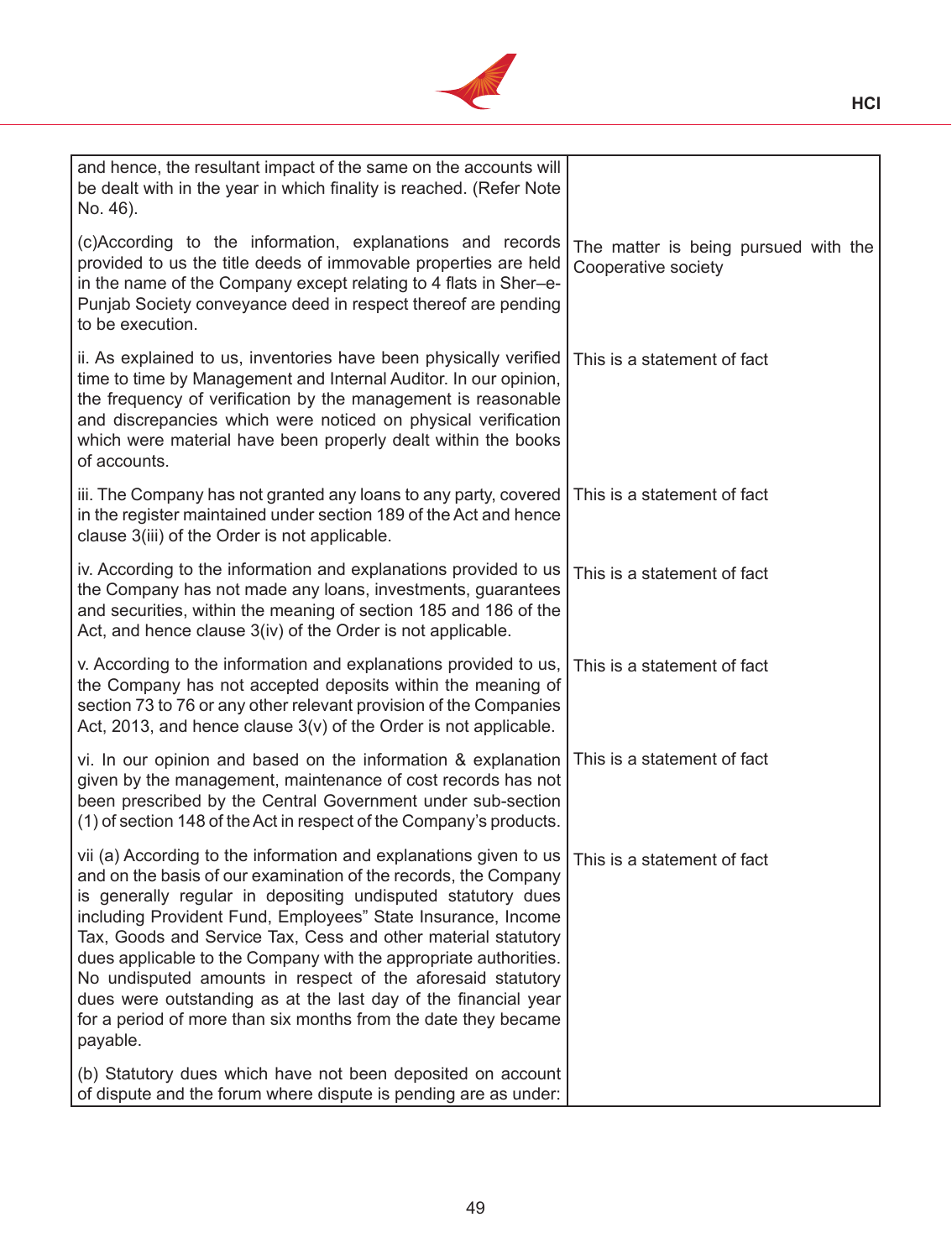

| and hence, the resultant impact of the same on the accounts will<br>be dealt with in the year in which finality is reached. (Refer Note<br>No. 46).                                                                                                                                                                                                                                                                                                                                                                                                                                                                      |                                                             |
|--------------------------------------------------------------------------------------------------------------------------------------------------------------------------------------------------------------------------------------------------------------------------------------------------------------------------------------------------------------------------------------------------------------------------------------------------------------------------------------------------------------------------------------------------------------------------------------------------------------------------|-------------------------------------------------------------|
| (c)According to the information, explanations and records<br>provided to us the title deeds of immovable properties are held<br>in the name of the Company except relating to 4 flats in Sher-e-<br>Punjab Society conveyance deed in respect thereof are pending<br>to be execution.                                                                                                                                                                                                                                                                                                                                    | The matter is being pursued with the<br>Cooperative society |
| ii. As explained to us, inventories have been physically verified<br>time to time by Management and Internal Auditor. In our opinion,<br>the frequency of verification by the management is reasonable<br>and discrepancies which were noticed on physical verification<br>which were material have been properly dealt within the books<br>of accounts.                                                                                                                                                                                                                                                                 | This is a statement of fact                                 |
| iii. The Company has not granted any loans to any party, covered<br>in the register maintained under section 189 of the Act and hence<br>clause 3(iii) of the Order is not applicable.                                                                                                                                                                                                                                                                                                                                                                                                                                   | This is a statement of fact                                 |
| iv. According to the information and explanations provided to us<br>the Company has not made any loans, investments, guarantees<br>and securities, within the meaning of section 185 and 186 of the<br>Act, and hence clause 3(iv) of the Order is not applicable.                                                                                                                                                                                                                                                                                                                                                       | This is a statement of fact                                 |
| v. According to the information and explanations provided to us,<br>the Company has not accepted deposits within the meaning of<br>section 73 to 76 or any other relevant provision of the Companies<br>Act, 2013, and hence clause $3(v)$ of the Order is not applicable.                                                                                                                                                                                                                                                                                                                                               | This is a statement of fact                                 |
| vi. In our opinion and based on the information & explanation<br>given by the management, maintenance of cost records has not<br>been prescribed by the Central Government under sub-section<br>(1) of section 148 of the Act in respect of the Company's products.                                                                                                                                                                                                                                                                                                                                                      | This is a statement of fact                                 |
| vii (a) According to the information and explanations given to us<br>and on the basis of our examination of the records, the Company<br>is generally regular in depositing undisputed statutory dues<br>including Provident Fund, Employees" State Insurance, Income<br>Tax, Goods and Service Tax, Cess and other material statutory<br>dues applicable to the Company with the appropriate authorities.<br>No undisputed amounts in respect of the aforesaid statutory<br>dues were outstanding as at the last day of the financial year<br>for a period of more than six months from the date they became<br>payable. | This is a statement of fact                                 |
| (b) Statutory dues which have not been deposited on account<br>of dispute and the forum where dispute is pending are as under:                                                                                                                                                                                                                                                                                                                                                                                                                                                                                           |                                                             |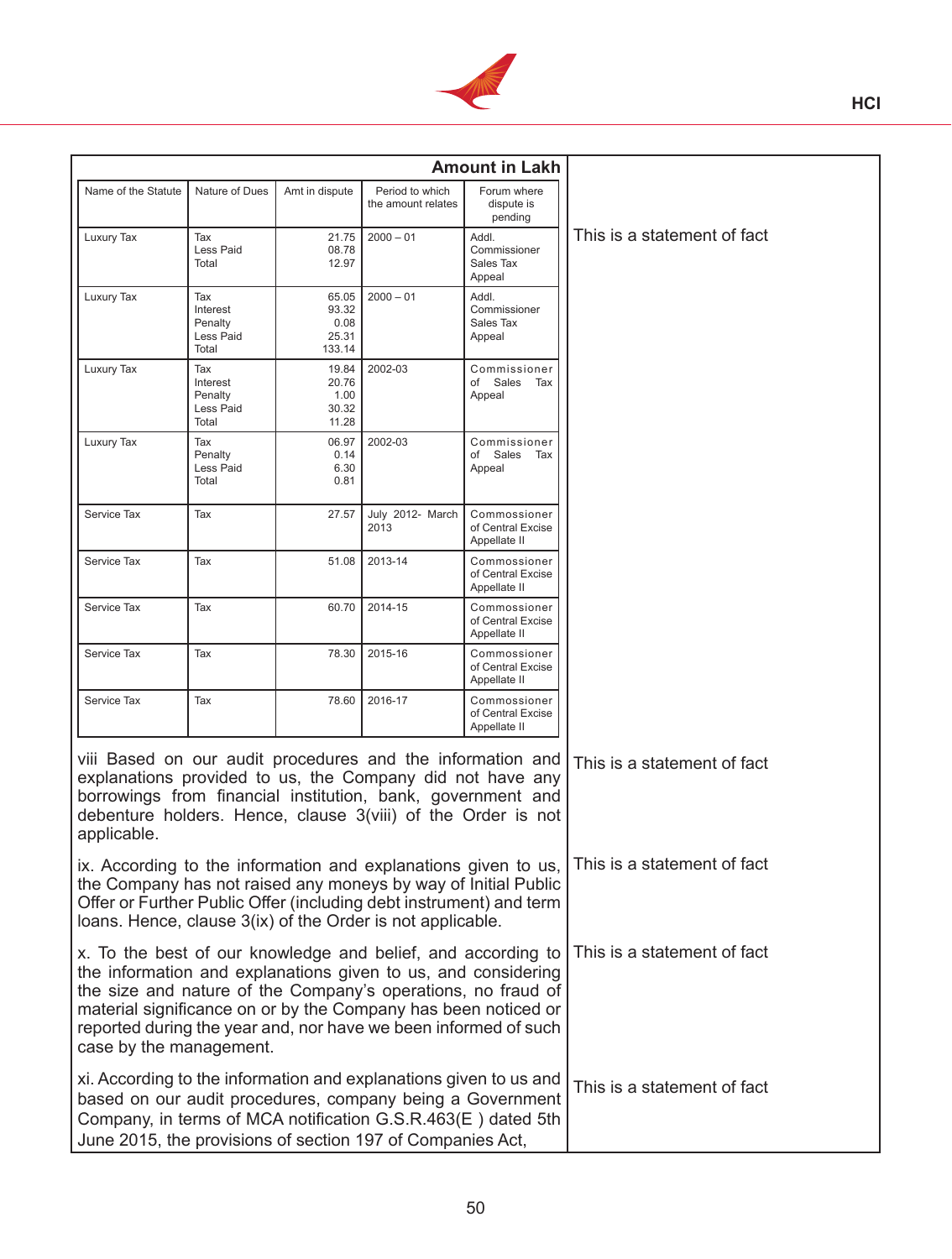

| Name of the Statute                                                                                                                                                                                                                                                                                                                                           | Nature of Dues                                   | Amt in dispute                            | Period to which<br>the amount relates | Forum where<br>dispute is<br>pending              |                             |
|---------------------------------------------------------------------------------------------------------------------------------------------------------------------------------------------------------------------------------------------------------------------------------------------------------------------------------------------------------------|--------------------------------------------------|-------------------------------------------|---------------------------------------|---------------------------------------------------|-----------------------------|
| Luxury Tax                                                                                                                                                                                                                                                                                                                                                    | Tax<br>Less Paid<br>Total                        | 21.75<br>08.78<br>12.97                   | $2000 - 01$                           | Addl.<br>Commissioner<br>Sales Tax<br>Appeal      | This is a statement of fact |
| Luxury Tax                                                                                                                                                                                                                                                                                                                                                    | Tax<br>Interest<br>Penalty<br>Less Paid<br>Total | 65.05<br>93.32<br>0.08<br>25.31<br>133.14 | $2000 - 01$                           | Addl.<br>Commissioner<br>Sales Tax<br>Appeal      |                             |
| Luxury Tax                                                                                                                                                                                                                                                                                                                                                    | Tax<br>Interest<br>Penalty<br>Less Paid<br>Total | 19.84<br>20.76<br>1.00<br>30.32<br>11.28  | 2002-03                               | Commissioner<br>of Sales<br>Tax<br>Appeal         |                             |
| Luxury Tax                                                                                                                                                                                                                                                                                                                                                    | Tax<br>Penalty<br>Less Paid<br>Total             | 06.97<br>0.14<br>6.30<br>0.81             | 2002-03                               | Commissioner<br>of Sales<br>Tax<br>Appeal         |                             |
| Service Tax                                                                                                                                                                                                                                                                                                                                                   | Tax                                              | 27.57                                     | July 2012- March<br>2013              | Commossioner<br>of Central Excise<br>Appellate II |                             |
| Service Tax                                                                                                                                                                                                                                                                                                                                                   | Tax                                              | 51.08                                     | 2013-14                               | Commossioner<br>of Central Excise<br>Appellate II |                             |
| Service Tax                                                                                                                                                                                                                                                                                                                                                   | Tax                                              | 60.70                                     | 2014-15                               | Commossioner<br>of Central Excise<br>Appellate II |                             |
| Service Tax                                                                                                                                                                                                                                                                                                                                                   | Tax                                              | 78.30                                     | 2015-16                               | Commossioner<br>of Central Excise<br>Appellate II |                             |
| Service Tax                                                                                                                                                                                                                                                                                                                                                   | Tax                                              | 78.60                                     | 2016-17                               | Commossioner<br>of Central Excise<br>Appellate II |                             |
| viii Based on our audit procedures and the information and<br>explanations provided to us, the Company did not have any<br>borrowings from financial institution, bank, government and<br>debenture holders. Hence, clause 3(viii) of the Order is not<br>applicable.                                                                                         |                                                  |                                           |                                       |                                                   | This is a statement of fact |
| ix. According to the information and explanations given to us,<br>the Company has not raised any moneys by way of Initial Public<br>Offer or Further Public Offer (including debt instrument) and term<br>loans. Hence, clause 3(ix) of the Order is not applicable.                                                                                          |                                                  |                                           |                                       | This is a statement of fact                       |                             |
| x. To the best of our knowledge and belief, and according to<br>the information and explanations given to us, and considering<br>the size and nature of the Company's operations, no fraud of<br>material significance on or by the Company has been noticed or<br>reported during the year and, nor have we been informed of such<br>case by the management. |                                                  |                                           | This is a statement of fact           |                                                   |                             |
| xi. According to the information and explanations given to us and<br>based on our audit procedures, company being a Government<br>Company, in terms of MCA notification G.S.R.463(E) dated 5th<br>June 2015, the provisions of section 197 of Companies Act,                                                                                                  |                                                  |                                           |                                       | This is a statement of fact                       |                             |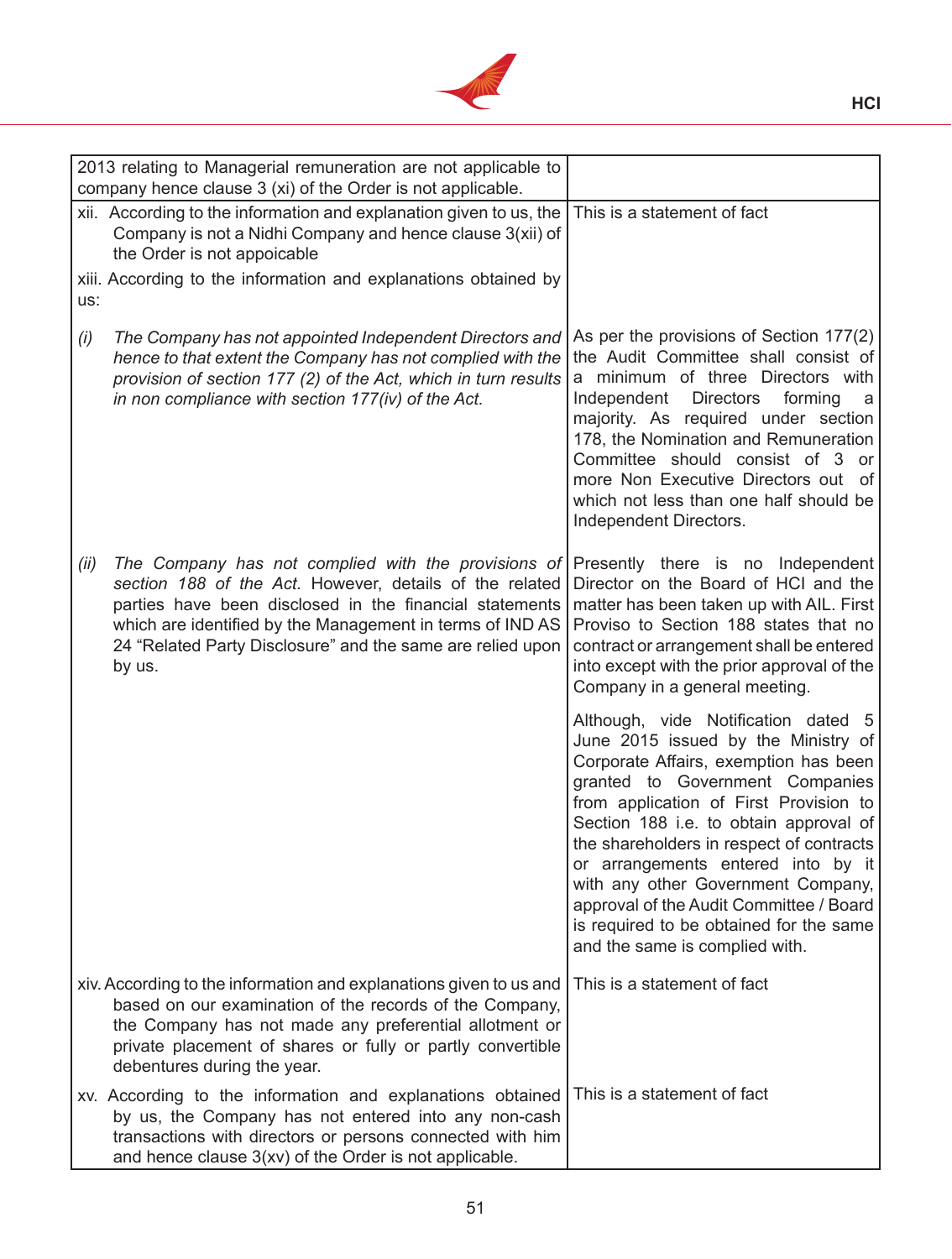

| 2013 relating to Managerial remuneration are not applicable to<br>company hence clause 3 (xi) of the Order is not applicable.                                                                                                                                                                                          |                                                                                                                                                                                                                                                                                                                                                                                                                                                                                            |
|------------------------------------------------------------------------------------------------------------------------------------------------------------------------------------------------------------------------------------------------------------------------------------------------------------------------|--------------------------------------------------------------------------------------------------------------------------------------------------------------------------------------------------------------------------------------------------------------------------------------------------------------------------------------------------------------------------------------------------------------------------------------------------------------------------------------------|
| xii. According to the information and explanation given to us, the<br>Company is not a Nidhi Company and hence clause 3(xii) of<br>the Order is not appoicable                                                                                                                                                         | This is a statement of fact                                                                                                                                                                                                                                                                                                                                                                                                                                                                |
| xiii. According to the information and explanations obtained by<br>us:                                                                                                                                                                                                                                                 |                                                                                                                                                                                                                                                                                                                                                                                                                                                                                            |
| (i)<br>The Company has not appointed Independent Directors and<br>hence to that extent the Company has not complied with the<br>provision of section 177 (2) of the Act, which in turn results<br>in non compliance with section 177(iv) of the Act.                                                                   | As per the provisions of Section 177(2)<br>the Audit Committee shall consist of<br>a minimum of three Directors with<br>Independent<br><b>Directors</b><br>forming<br>a<br>majority. As required under section<br>178, the Nomination and Remuneration<br>Committee should consist of 3 or<br>more Non Executive Directors out of<br>which not less than one half should be<br>Independent Directors.                                                                                      |
| The Company has not complied with the provisions of<br>(ii)<br>section 188 of the Act. However, details of the related<br>parties have been disclosed in the financial statements<br>which are identified by the Management in terms of IND AS<br>24 "Related Party Disclosure" and the same are relied upon<br>by us. | Presently there is no Independent<br>Director on the Board of HCI and the<br>matter has been taken up with AIL. First<br>Proviso to Section 188 states that no<br>contract or arrangement shall be entered<br>into except with the prior approval of the<br>Company in a general meeting.                                                                                                                                                                                                  |
|                                                                                                                                                                                                                                                                                                                        | Although, vide Notification dated 5<br>June 2015 issued by the Ministry of<br>Corporate Affairs, exemption has been<br>granted to Government Companies<br>from application of First Provision to<br>Section 188 i.e. to obtain approval of<br>the shareholders in respect of contracts<br>or arrangements entered into by it<br>with any other Government Company,<br>approval of the Audit Committee / Board<br>is required to be obtained for the same<br>and the same is complied with. |
| xiv. According to the information and explanations given to us and<br>based on our examination of the records of the Company,<br>the Company has not made any preferential allotment or<br>private placement of shares or fully or partly convertible<br>debentures during the year.                                   | This is a statement of fact                                                                                                                                                                                                                                                                                                                                                                                                                                                                |
| xv. According to the information and explanations obtained<br>by us, the Company has not entered into any non-cash<br>transactions with directors or persons connected with him<br>and hence clause 3(xv) of the Order is not applicable.                                                                              | This is a statement of fact                                                                                                                                                                                                                                                                                                                                                                                                                                                                |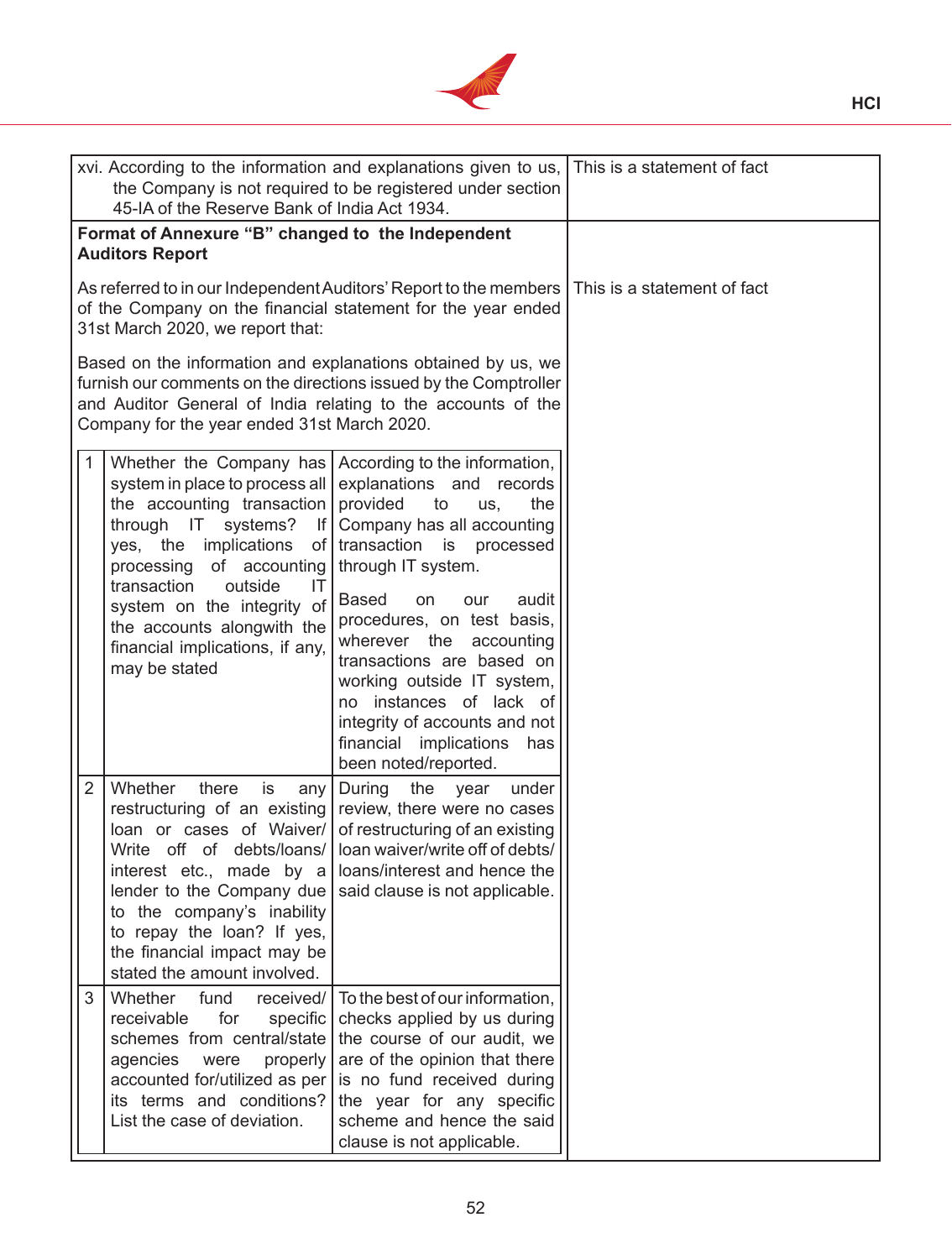

| xvi. According to the information and explanations given to us, This is a statement of fact<br>the Company is not required to be registered under section<br>45-IA of the Reserve Bank of India Act 1934.                                                                                                                                                                                                                                                                                                                                                                                                                                                                                                                                                                                             |  |
|-------------------------------------------------------------------------------------------------------------------------------------------------------------------------------------------------------------------------------------------------------------------------------------------------------------------------------------------------------------------------------------------------------------------------------------------------------------------------------------------------------------------------------------------------------------------------------------------------------------------------------------------------------------------------------------------------------------------------------------------------------------------------------------------------------|--|
| Format of Annexure "B" changed to the Independent<br><b>Auditors Report</b>                                                                                                                                                                                                                                                                                                                                                                                                                                                                                                                                                                                                                                                                                                                           |  |
| As referred to in our Independent Auditors' Report to the members   This is a statement of fact<br>of the Company on the financial statement for the year ended<br>31st March 2020, we report that:                                                                                                                                                                                                                                                                                                                                                                                                                                                                                                                                                                                                   |  |
| Based on the information and explanations obtained by us, we<br>furnish our comments on the directions issued by the Comptroller<br>and Auditor General of India relating to the accounts of the<br>Company for the year ended 31st March 2020.                                                                                                                                                                                                                                                                                                                                                                                                                                                                                                                                                       |  |
| 1<br>Whether the Company has According to the information,<br>system in place to process all explanations and<br>records<br>the accounting transaction provided<br>to<br>the<br>us,<br>through IT systems?<br>Company has all accounting<br> f <br>yes, the implications<br>of transaction is<br>processed<br>through IT system.<br>processing of accounting<br>transaction<br>outside<br>IT<br><b>Based</b><br>audit<br><b>on</b><br>our<br>system on the integrity of<br>procedures, on test basis,<br>the accounts alongwith the<br>wherever the<br>accounting<br>financial implications, if any,<br>transactions are based on<br>may be stated<br>working outside IT system,<br>no instances of lack of<br>integrity of accounts and not<br>financial implications<br>has<br>been noted/reported. |  |
| $\overline{2}$<br>Whether<br>there<br>is<br>During<br>the<br>under<br>any<br>year<br>restructuring of an existing   review, there were no cases<br>loan or cases of Waiver/ of restructuring of an existing<br>Write off of debts/loans/   loan waiver/write off of debts/<br>loans/interest and hence the<br>interest etc., made by a<br>lender to the Company due<br>said clause is not applicable.<br>to the company's inability<br>to repay the loan? If yes,<br>the financial impact may be<br>stated the amount involved.                                                                                                                                                                                                                                                                       |  |
| 3<br>Whether<br>fund<br>received/<br>To the best of our information,<br>for<br>receivable<br>checks applied by us during<br>specific<br>schemes from central/state<br>the course of our audit, we<br>are of the opinion that there<br>agencies<br>were<br>properly<br>accounted for/utilized as per<br>is no fund received during<br>its terms and conditions?<br>the year for any specific<br>List the case of deviation.<br>scheme and hence the said<br>clause is not applicable.                                                                                                                                                                                                                                                                                                                  |  |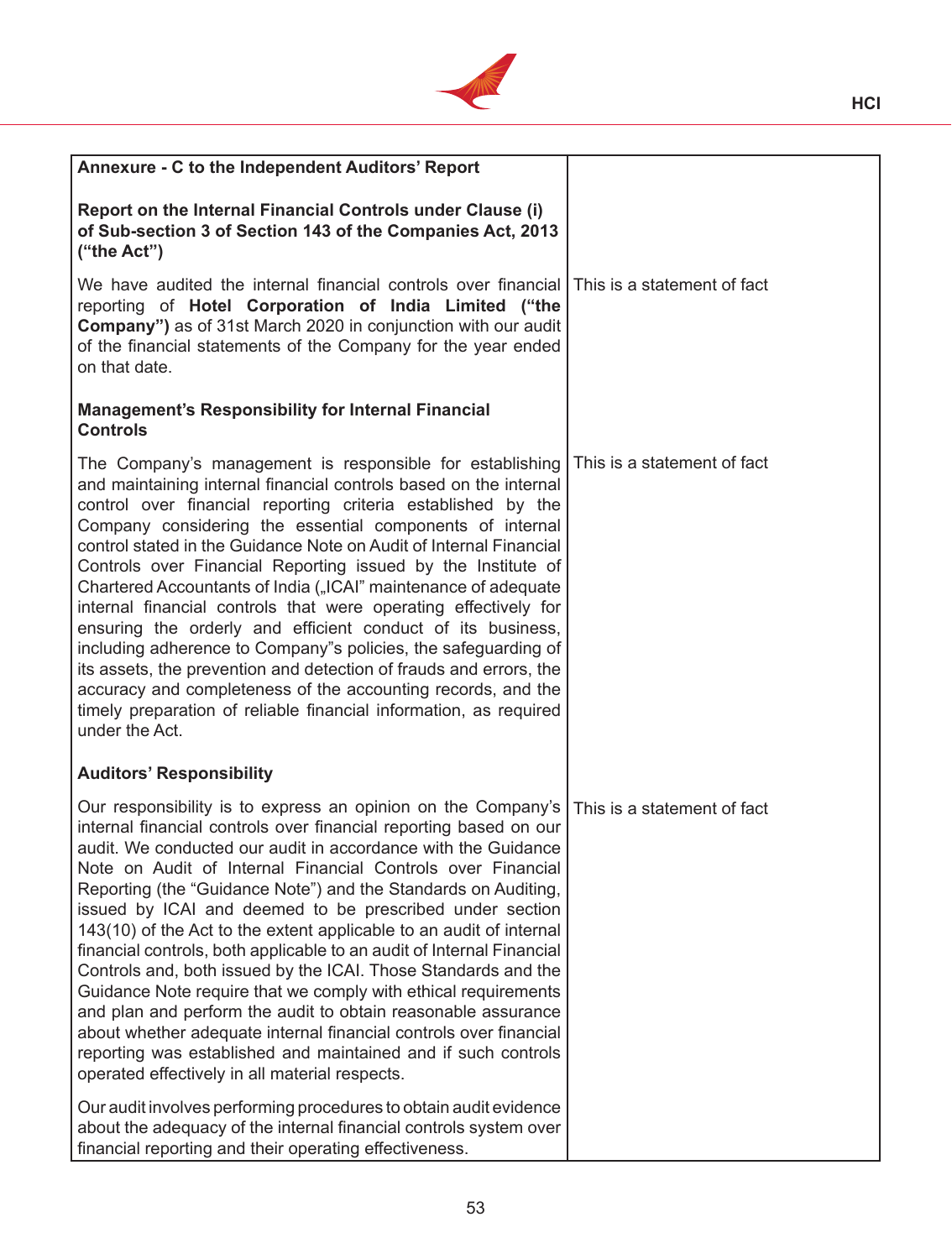

| Annexure - C to the Independent Auditors' Report                                                                                                                                                                                                                                                                                                                                                                                                                                                                                                                                                                                                                                                                                                                                                                                                                                                                                                                                                                  |                             |
|-------------------------------------------------------------------------------------------------------------------------------------------------------------------------------------------------------------------------------------------------------------------------------------------------------------------------------------------------------------------------------------------------------------------------------------------------------------------------------------------------------------------------------------------------------------------------------------------------------------------------------------------------------------------------------------------------------------------------------------------------------------------------------------------------------------------------------------------------------------------------------------------------------------------------------------------------------------------------------------------------------------------|-----------------------------|
| Report on the Internal Financial Controls under Clause (i)<br>of Sub-section 3 of Section 143 of the Companies Act, 2013<br>("the Act")                                                                                                                                                                                                                                                                                                                                                                                                                                                                                                                                                                                                                                                                                                                                                                                                                                                                           |                             |
| We have audited the internal financial controls over financial<br>reporting of Hotel Corporation of India Limited ("the<br><b>Company")</b> as of 31st March 2020 in conjunction with our audit<br>of the financial statements of the Company for the year ended<br>on that date.                                                                                                                                                                                                                                                                                                                                                                                                                                                                                                                                                                                                                                                                                                                                 | This is a statement of fact |
| <b>Management's Responsibility for Internal Financial</b><br><b>Controls</b>                                                                                                                                                                                                                                                                                                                                                                                                                                                                                                                                                                                                                                                                                                                                                                                                                                                                                                                                      |                             |
| The Company's management is responsible for establishing<br>and maintaining internal financial controls based on the internal<br>control over financial reporting criteria established by the<br>Company considering the essential components of internal<br>control stated in the Guidance Note on Audit of Internal Financial<br>Controls over Financial Reporting issued by the Institute of<br>Chartered Accountants of India ("ICAI" maintenance of adequate<br>internal financial controls that were operating effectively for<br>ensuring the orderly and efficient conduct of its business,<br>including adherence to Company"s policies, the safeguarding of<br>its assets, the prevention and detection of frauds and errors, the<br>accuracy and completeness of the accounting records, and the<br>timely preparation of reliable financial information, as required<br>under the Act.                                                                                                                | This is a statement of fact |
| <b>Auditors' Responsibility</b>                                                                                                                                                                                                                                                                                                                                                                                                                                                                                                                                                                                                                                                                                                                                                                                                                                                                                                                                                                                   |                             |
| Our responsibility is to express an opinion on the Company's<br>internal financial controls over financial reporting based on our<br>audit. We conducted our audit in accordance with the Guidance<br>Note on Audit of Internal Financial Controls over Financial<br>Reporting (the "Guidance Note") and the Standards on Auditing,<br>issued by ICAI and deemed to be prescribed under section<br>143(10) of the Act to the extent applicable to an audit of internal<br>financial controls, both applicable to an audit of Internal Financial<br>Controls and, both issued by the ICAI. Those Standards and the<br>Guidance Note require that we comply with ethical requirements<br>and plan and perform the audit to obtain reasonable assurance<br>about whether adequate internal financial controls over financial<br>reporting was established and maintained and if such controls<br>operated effectively in all material respects.<br>Our audit involves performing procedures to obtain audit evidence | This is a statement of fact |
| about the adequacy of the internal financial controls system over<br>financial reporting and their operating effectiveness.                                                                                                                                                                                                                                                                                                                                                                                                                                                                                                                                                                                                                                                                                                                                                                                                                                                                                       |                             |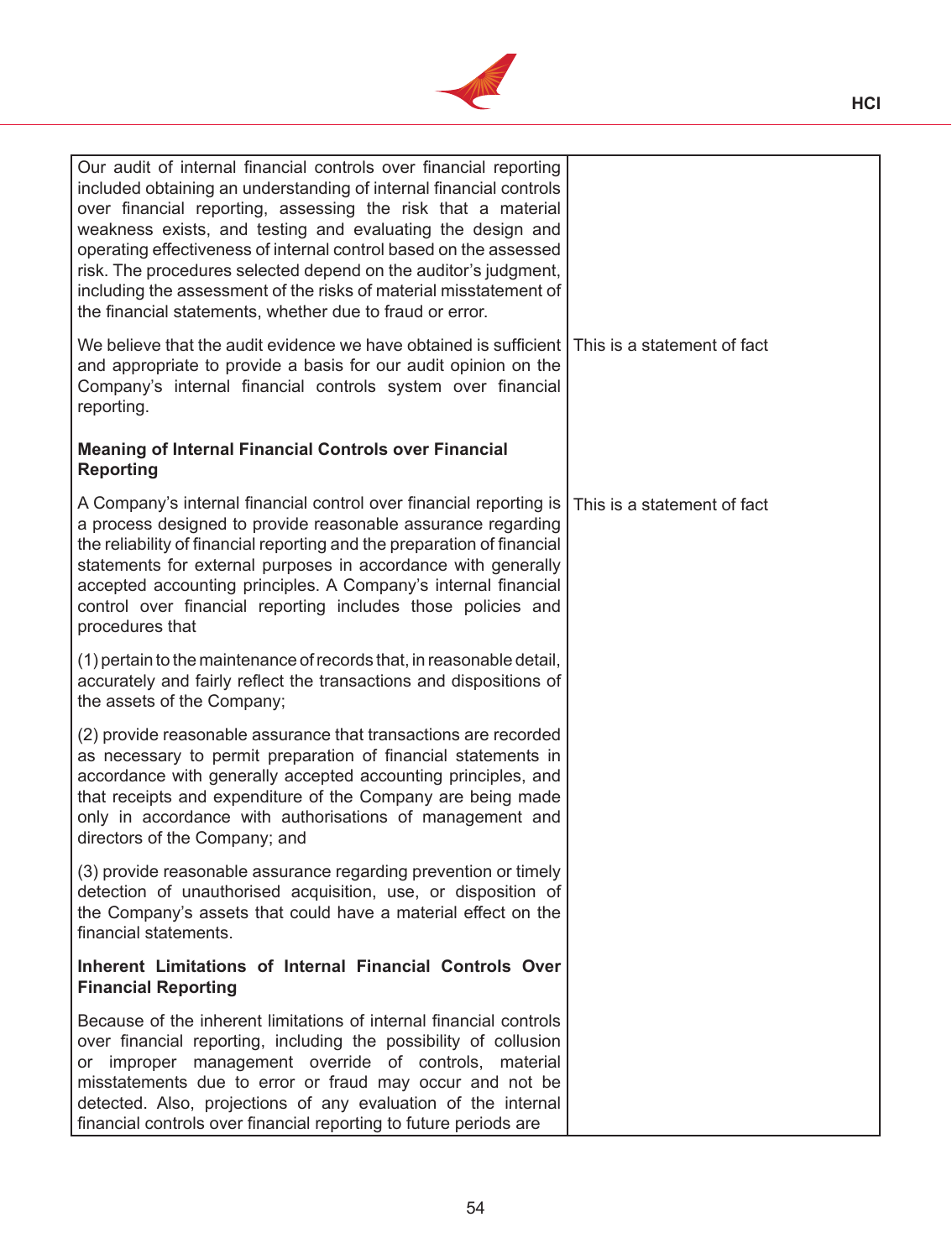

| Our audit of internal financial controls over financial reporting<br>included obtaining an understanding of internal financial controls<br>over financial reporting, assessing the risk that a material<br>weakness exists, and testing and evaluating the design and<br>operating effectiveness of internal control based on the assessed<br>risk. The procedures selected depend on the auditor's judgment,<br>including the assessment of the risks of material misstatement of<br>the financial statements, whether due to fraud or error. |                             |
|------------------------------------------------------------------------------------------------------------------------------------------------------------------------------------------------------------------------------------------------------------------------------------------------------------------------------------------------------------------------------------------------------------------------------------------------------------------------------------------------------------------------------------------------|-----------------------------|
| We believe that the audit evidence we have obtained is sufficient<br>and appropriate to provide a basis for our audit opinion on the<br>Company's internal financial controls system over financial<br>reporting.                                                                                                                                                                                                                                                                                                                              | This is a statement of fact |
| <b>Meaning of Internal Financial Controls over Financial</b><br><b>Reporting</b>                                                                                                                                                                                                                                                                                                                                                                                                                                                               |                             |
| A Company's internal financial control over financial reporting is<br>a process designed to provide reasonable assurance regarding<br>the reliability of financial reporting and the preparation of financial<br>statements for external purposes in accordance with generally<br>accepted accounting principles. A Company's internal financial<br>control over financial reporting includes those policies and<br>procedures that                                                                                                            | This is a statement of fact |
| (1) pertain to the maintenance of records that, in reasonable detail,<br>accurately and fairly reflect the transactions and dispositions of<br>the assets of the Company;                                                                                                                                                                                                                                                                                                                                                                      |                             |
| (2) provide reasonable assurance that transactions are recorded<br>as necessary to permit preparation of financial statements in<br>accordance with generally accepted accounting principles, and<br>that receipts and expenditure of the Company are being made<br>only in accordance with authorisations of management and<br>directors of the Company; and                                                                                                                                                                                  |                             |
| (3) provide reasonable assurance regarding prevention or timely<br>detection of unauthorised acquisition, use, or disposition of<br>the Company's assets that could have a material effect on the<br>financial statements.                                                                                                                                                                                                                                                                                                                     |                             |
| Inherent Limitations of Internal Financial Controls Over<br><b>Financial Reporting</b>                                                                                                                                                                                                                                                                                                                                                                                                                                                         |                             |
| Because of the inherent limitations of internal financial controls<br>over financial reporting, including the possibility of collusion<br>or improper management override of controls, material<br>misstatements due to error or fraud may occur and not be<br>detected. Also, projections of any evaluation of the internal<br>financial controls over financial reporting to future periods are                                                                                                                                              |                             |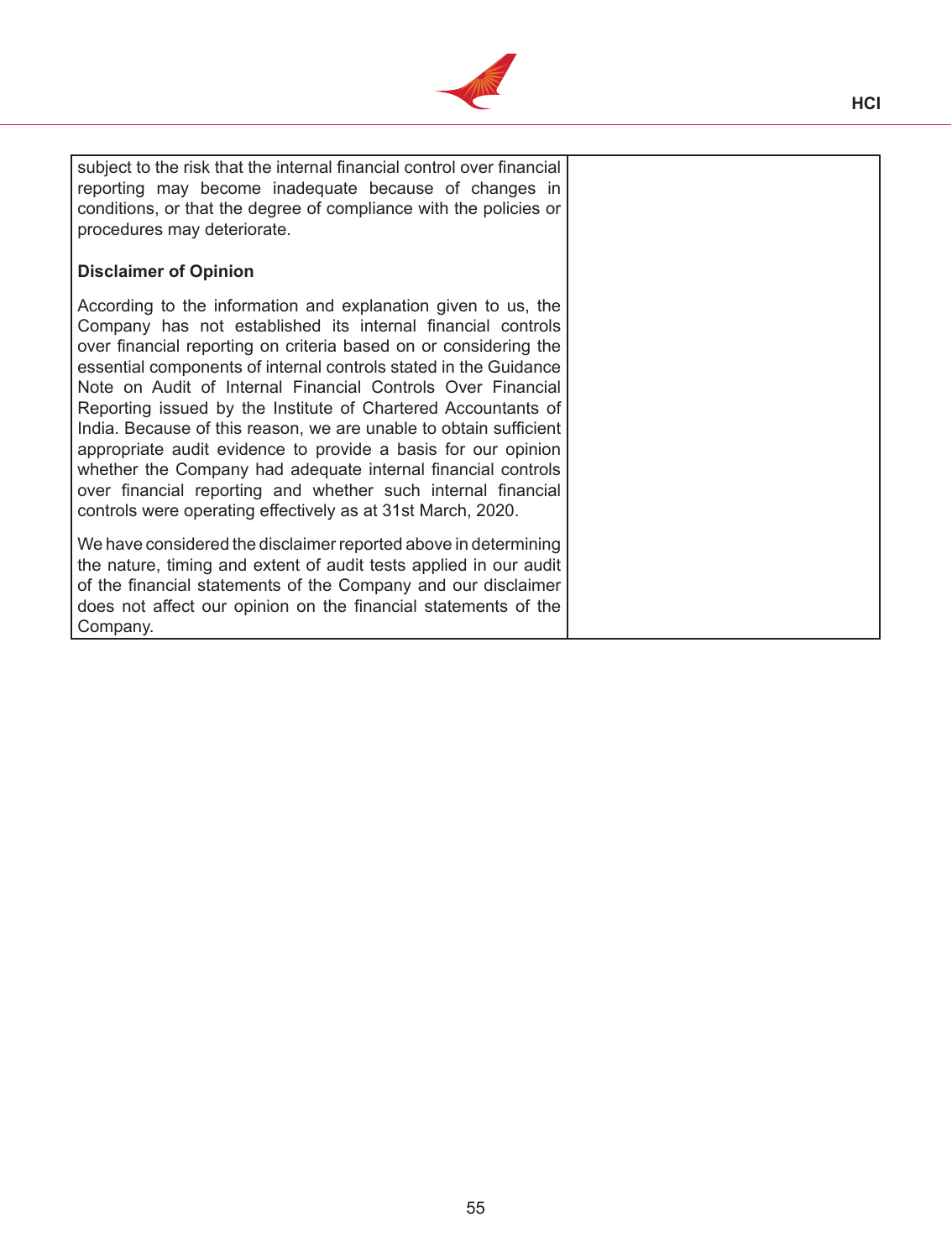

subject to the risk that the internal financial control over financial reporting may become inadequate because of changes in conditions, or that the degree of compliance with the policies or procedures may deteriorate.

# **Disclaimer of Opinion**

According to the information and explanation given to us, the Company has not established its internal financial controls over financial reporting on criteria based on or considering the essential components of internal controls stated in the Guidance Note on Audit of Internal Financial Controls Over Financial Reporting issued by the Institute of Chartered Accountants of India. Because of this reason, we are unable to obtain sufficient appropriate audit evidence to provide a basis for our opinion whether the Company had adequate internal financial controls over financial reporting and whether such internal financial controls were operating effectively as at 31st March, 2020.

We have considered the disclaimer reported above in determining the nature, timing and extent of audit tests applied in our audit of the financial statements of the Company and our disclaimer does not affect our opinion on the financial statements of the Company.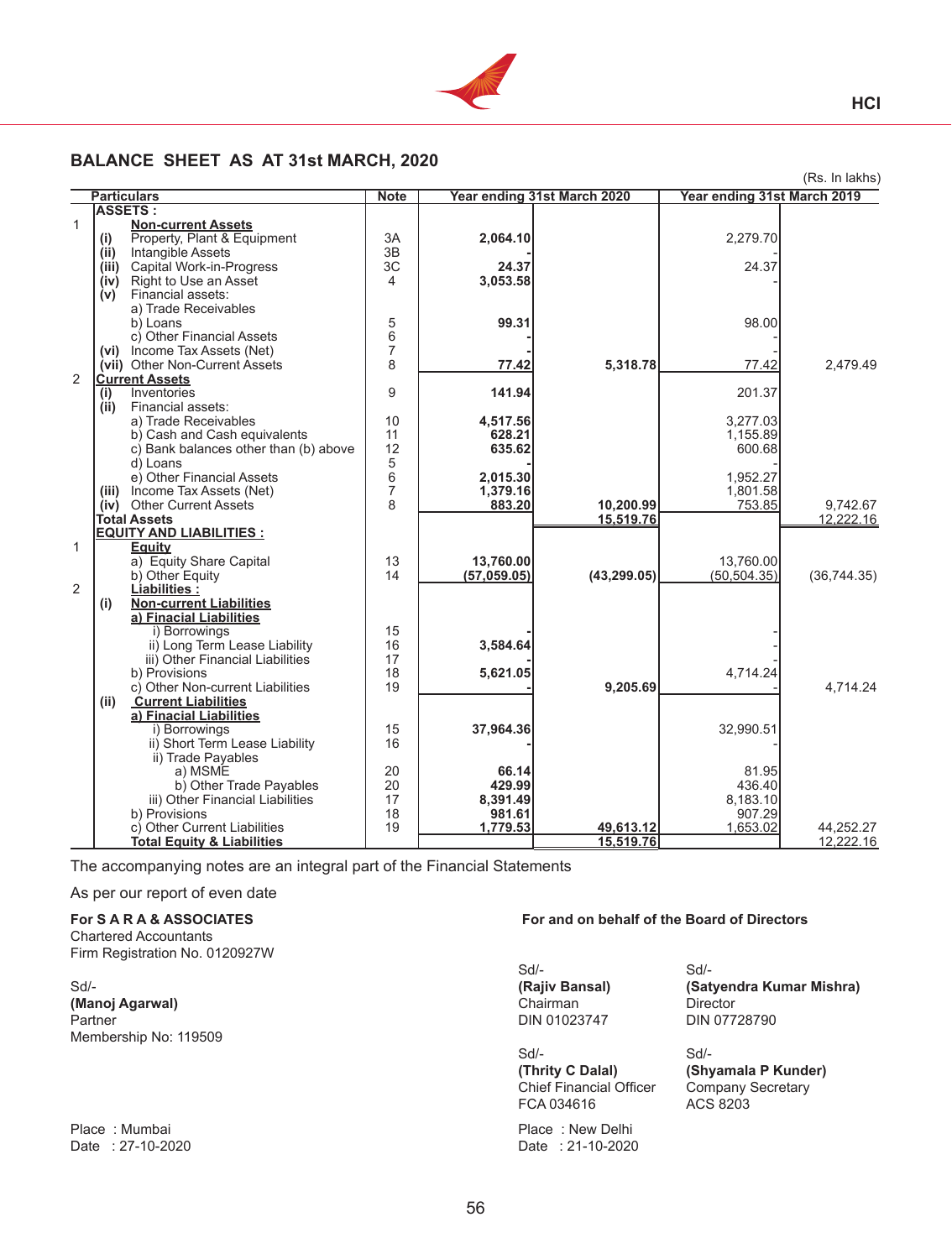

### **BALANCE SHEET AS AT 31st MARCH, 2020**

|                |      |                                       |                |             |                             |                             | (Rs. In lakhs) |
|----------------|------|---------------------------------------|----------------|-------------|-----------------------------|-----------------------------|----------------|
|                |      | <b>Particulars</b>                    | <b>Note</b>    |             | Year ending 31st March 2020 | Year ending 31st March 2019 |                |
|                |      | <b>ASSETS:</b>                        |                |             |                             |                             |                |
| $\mathbf{1}$   |      | <b>Non-current Assets</b>             |                |             |                             |                             |                |
|                | (i)  | Property, Plant & Equipment           | 3A             | 2,064.10    |                             | 2,279.70                    |                |
|                | (ii) | Intangible Assets                     | 3B             |             |                             |                             |                |
|                |      | (iii) Capital Work-in-Progress        | 3C             | 24.37       |                             | 24.37                       |                |
|                |      | (iv) Right to Use an Asset            | 4              | 3,053.58    |                             |                             |                |
|                | (v)  | Financial assets:                     |                |             |                             |                             |                |
|                |      | a) Trade Receivables                  |                |             |                             |                             |                |
|                |      | b) Loans                              | 5              | 99.31       |                             | 98.00                       |                |
|                |      | c) Other Financial Assets             | 6              |             |                             |                             |                |
|                |      | (vi) Income Tax Assets (Net)          | $\overline{7}$ |             |                             |                             |                |
|                |      | (vii) Other Non-Current Assets        | 8              | 77.42       | 5,318.78                    | 77.42                       | 2,479.49       |
| $\overline{2}$ |      | <b>Current Assets</b>                 |                |             |                             |                             |                |
|                | (i)  | Inventories                           | 9              | 141.94      |                             | 201.37                      |                |
|                | (ii) | Financial assets:                     |                |             |                             |                             |                |
|                |      | a) Trade Receivables                  | 10             | 4,517.56    |                             | 3,277.03                    |                |
|                |      | b) Cash and Cash equivalents          | 11             | 628.21      |                             | 1,155.89                    |                |
|                |      | c) Bank balances other than (b) above | 12             | 635.62      |                             | 600.68                      |                |
|                |      | d) Loans                              | 5              |             |                             |                             |                |
|                |      | e) Other Financial Assets             | 6              | 2,015.30    |                             | 1,952.27                    |                |
|                |      | (iii) Income Tax Assets (Net)         | 7              | 1,379.16    |                             | 1,801.58                    |                |
|                |      | (iv) Other Current Assets             | 8              | 883.20      | 10,200.99                   | 753.85                      | 9,742.67       |
|                |      | <b>Total Assets</b>                   |                |             | 15,519.76                   |                             | 12,222.16      |
|                |      | <b>EQUITY AND LIABILITIES:</b>        |                |             |                             |                             |                |
| 1              |      | <b>Equity</b>                         |                |             |                             |                             |                |
|                |      | a) Equity Share Capital               | 13             | 13,760.00   |                             | 13,760.00                   |                |
|                |      | b) Other Equity                       | 14             | (57,059.05) | (43, 299.05)                | (50, 504.35)                | (36,744.35)    |
| $\overline{2}$ |      | Liabilities :                         |                |             |                             |                             |                |
|                | (i)  | <b>Non-current Liabilities</b>        |                |             |                             |                             |                |
|                |      | a) Finacial Liabilities               |                |             |                             |                             |                |
|                |      | i) Borrowings                         | 15             |             |                             |                             |                |
|                |      | ii) Long Term Lease Liability         | 16             | 3,584.64    |                             |                             |                |
|                |      | iii) Other Financial Liabilities      | 17             |             |                             |                             |                |
|                |      | b) Provisions                         | 18             | 5,621.05    |                             | 4,714.24                    |                |
|                |      | c) Other Non-current Liabilities      | 19             |             | 9,205.69                    |                             | 4.714.24       |
|                | (ii) | <b>Current Liabilities</b>            |                |             |                             |                             |                |
|                |      | a) Finacial Liabilities               |                |             |                             |                             |                |
|                |      | i) Borrowings                         | 15             | 37,964.36   |                             | 32,990.51                   |                |
|                |      | ii) Short Term Lease Liability        | 16             |             |                             |                             |                |
|                |      | ii) Trade Payables                    |                |             |                             |                             |                |
|                |      | a) MSME                               | 20             | 66.14       |                             | 81.95                       |                |
|                |      | b) Other Trade Payables               | 20             | 429.99      |                             | 436.40                      |                |
|                |      | iii) Other Financial Liabilities      | 17             | 8,391.49    |                             | 8,183.10                    |                |
|                |      | b) Provisions                         | 18             | 981.61      |                             | 907.29                      |                |
|                |      | c) Other Current Liabilities          | 19             | 1,779.53    | 49,613.12                   | 1,653.02                    | 44,252.27      |
|                |      | <b>Total Equity &amp; Liabilities</b> |                |             | 15,519.76                   |                             | 12,222.16      |

The accompanying notes are an integral part of the Financial Statements

#### As per our report of even date

Chartered Accountants Firm Registration No. 0120927W

**(Manoj Agarwal) Chairman** Director **Director Chairman** Director **Director Partner DIN 07728790** Membership No: 119509

#### **For S A R A & ASSOCIATES For and on behalf of the Board of Directors**

 $Sd/ Sd/-$ DIN 01023747

 $Sd/ Sd/-$ **(Thrity C Dalal) (Shyamala P Kunder)**  Chief Financial Officer Company Secretary<br>FCA 034616 ACS 8203 FCA 034616 ACS 8203

Place : Mumbai Place : Mumbai Place : New Delhi<br>
Date : 27-10-2020 Date : 21-10-2020

Sd/- **(Rajiv Bansal) (Satyendra Kumar Mishra)**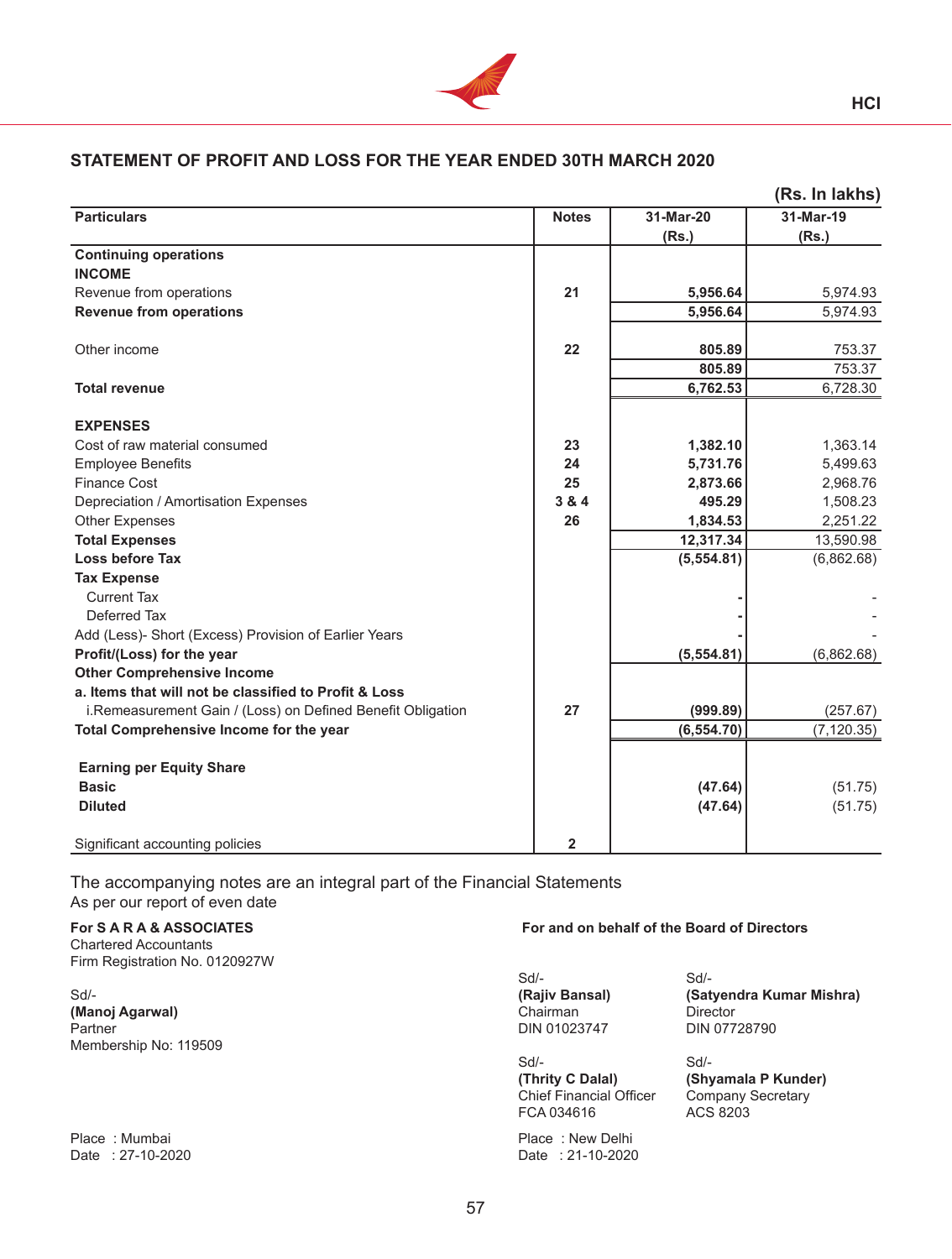

# **STATEMENT OF PROFIT AND LOSS FOR THE YEAR ENDED 30TH MARCH 2020**

|                                                             |              |             | (Rs. In lakhs) |
|-------------------------------------------------------------|--------------|-------------|----------------|
| <b>Particulars</b>                                          | <b>Notes</b> | 31-Mar-20   | 31-Mar-19      |
|                                                             |              | (Rs.)       | (Rs.)          |
| <b>Continuing operations</b>                                |              |             |                |
| <b>INCOME</b>                                               |              |             |                |
| Revenue from operations                                     | 21           | 5,956.64    | 5,974.93       |
| <b>Revenue from operations</b>                              |              | 5,956.64    | 5,974.93       |
| Other income                                                | 22           | 805.89      | 753.37         |
|                                                             |              | 805.89      | 753.37         |
| <b>Total revenue</b>                                        |              | 6,762.53    | 6,728.30       |
| <b>EXPENSES</b>                                             |              |             |                |
| Cost of raw material consumed                               | 23           | 1,382.10    | 1,363.14       |
| <b>Employee Benefits</b>                                    | 24           | 5,731.76    | 5,499.63       |
| <b>Finance Cost</b>                                         | 25           | 2,873.66    | 2,968.76       |
| Depreciation / Amortisation Expenses                        | 3 & 4        | 495.29      | 1,508.23       |
| <b>Other Expenses</b>                                       | 26           | 1,834.53    | 2,251.22       |
| <b>Total Expenses</b>                                       |              | 12,317.34   | 13,590.98      |
| Loss before Tax                                             |              | (5,554.81)  | (6,862.68)     |
| <b>Tax Expense</b>                                          |              |             |                |
| <b>Current Tax</b>                                          |              |             |                |
| Deferred Tax                                                |              |             |                |
| Add (Less)- Short (Excess) Provision of Earlier Years       |              |             |                |
| Profit/(Loss) for the year                                  |              | (5,554.81)  | (6,862.68)     |
| <b>Other Comprehensive Income</b>                           |              |             |                |
| a. Items that will not be classified to Profit & Loss       |              |             |                |
| i.Remeasurement Gain / (Loss) on Defined Benefit Obligation | 27           | (999.89)    | (257.67)       |
| Total Comprehensive Income for the year                     |              | (6, 554.70) | (7, 120.35)    |
| <b>Earning per Equity Share</b>                             |              |             |                |
| <b>Basic</b>                                                |              | (47.64)     | (51.75)        |
| <b>Diluted</b>                                              |              | (47.64)     | (51.75)        |
| Significant accounting policies                             | $\mathbf{2}$ |             |                |

The accompanying notes are an integral part of the Financial Statements As per our report of even date

Chartered Accountants

Firm Registration No. 0120927W

**(Manoj Agarwal) Chairman** Director **Director Chairman** Director **Director Partner DIN 07728790** Membership No: 119509

#### **For S A R A & ASSOCIATES For and on behalf of the Board of Directors**

 $Sd$  -  $Sd$  -  $Sd$  -DIN 01023747

 $Sd$  -  $Sd$  -  $Sd$  -**(Thrity C Dalal) (Shyamala P Kunder)**  Chief Financial Officer Company S<br>FCA 034616 6 6203 FCA 034616 ACS 8203

Place : Mumbai Place : Mumbai Place : New Delhi<br>
Date : 27-10-2020 Date : 21-10-2020

Sd/- **(Rajiv Bansal) (Satyendra Kumar Mishra)**

**HCI**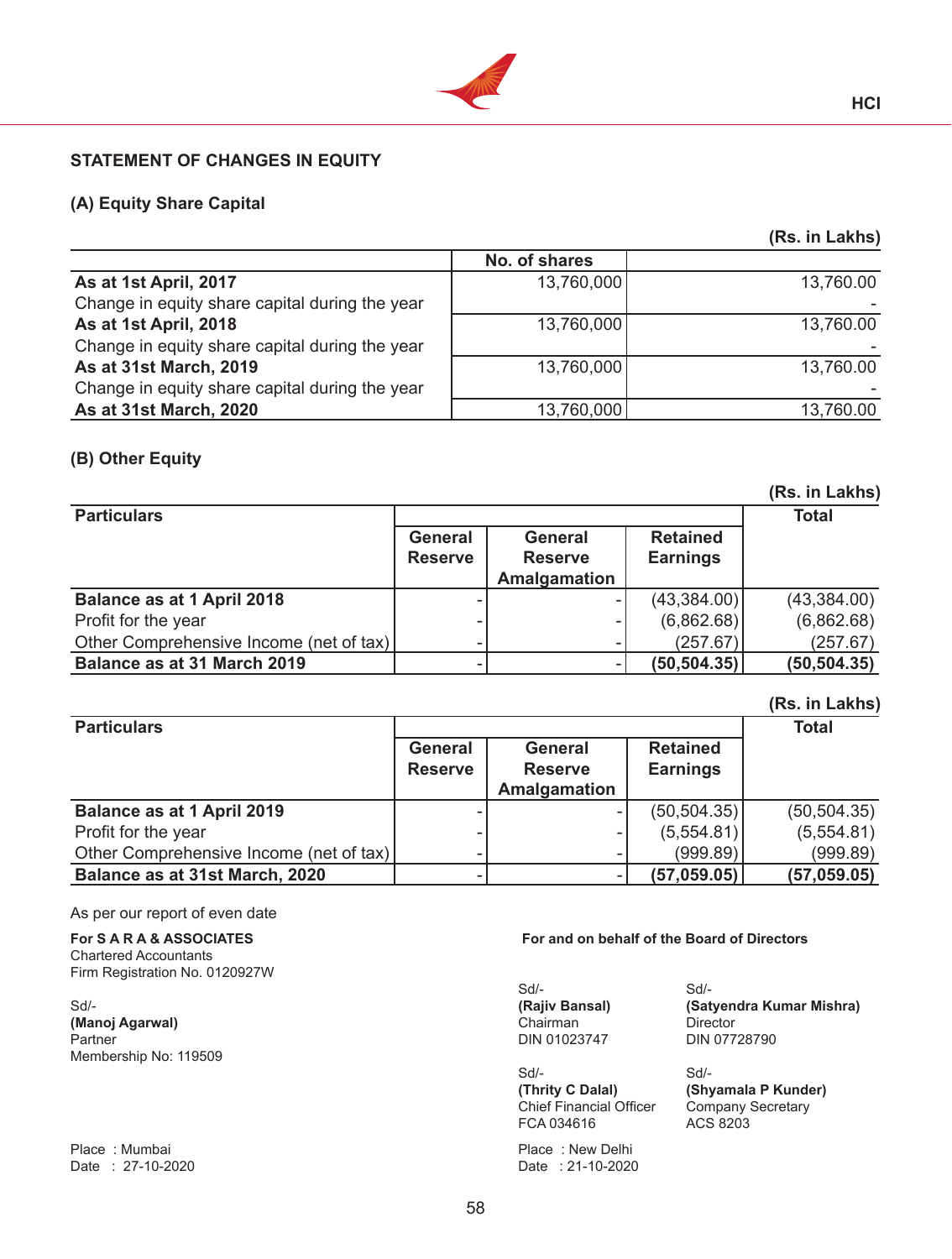

# **STATEMENT OF CHANGES IN EQUITY**

### **(A) Equity Share Capital**

#### **(Rs. in Lakhs)**

**HCI**

|                                                | No. of shares |           |
|------------------------------------------------|---------------|-----------|
| As at 1st April, 2017                          | 13,760,000    | 13,760.00 |
| Change in equity share capital during the year |               |           |
| As at 1st April, 2018                          | 13,760,000    | 13,760.00 |
| Change in equity share capital during the year |               |           |
| As at 31st March, 2019                         | 13,760,000    | 13,760.00 |
| Change in equity share capital during the year |               |           |
| <b>As at 31st March, 2020</b>                  | 13,760,000    | 13,760.00 |
|                                                |               |           |

#### **(B) Other Equity**

**(Rs. in Lakhs) Particulars Total General Reserve General Reserve Amalgamation Retained Earnings Balance as at 1 April 2018** - (43,384.00) (43,384.00) Profit for the year  $(6,862.68)$   $(6,862.68)$ Other Comprehensive Income (net of tax) - - (257.67) (257.67) **Balance as at 31 March 2019** - (50,504.35) (50,504.35)

#### **(Rs. in Lakhs)**

| <b>Particulars</b>                      |                |                     |                 | <b>Total</b> |
|-----------------------------------------|----------------|---------------------|-----------------|--------------|
|                                         | <b>General</b> | <b>General</b>      | <b>Retained</b> |              |
|                                         | <b>Reserve</b> | <b>Reserve</b>      | <b>Earnings</b> |              |
|                                         |                | <b>Amalgamation</b> |                 |              |
| <b>Balance as at 1 April 2019</b>       |                |                     | (50, 504.35)    | (50, 504.35) |
| Profit for the year                     |                |                     | (5,554.81)      | (5,554.81)   |
| Other Comprehensive Income (net of tax) |                |                     | (999.89)        | (999.89)     |
| Balance as at 31st March, 2020          |                |                     | (57,059.05)     | (57,059.05)  |

As per our report of even date

Chartered Accountants Firm Registration No. 0120927W

**(Manoj Agarwal)** Chairman Director Membership No: 119509

Date : 27-10-2020

#### **For S A R A & ASSOCIATES For and on behalf of the Board of Directors**

 $Sd$  -  $Sd$  -  $Sd$  -

 $Sd$  -  $Sd$  -  $Sd$  -**(Thrity C Dalal) (Shyamala P Kunder)**  Chief Financial Officer Company S<br>FCA 034616 6 6203 FCA 034616 ACS 8203

Place : Mumbai Place : Mumbai Place : New Delhi<br>
Date : 27-10-2020

Sd/- **(Rajiv Bansal) (Satyendra Kumar Mishra)** DIN 07728790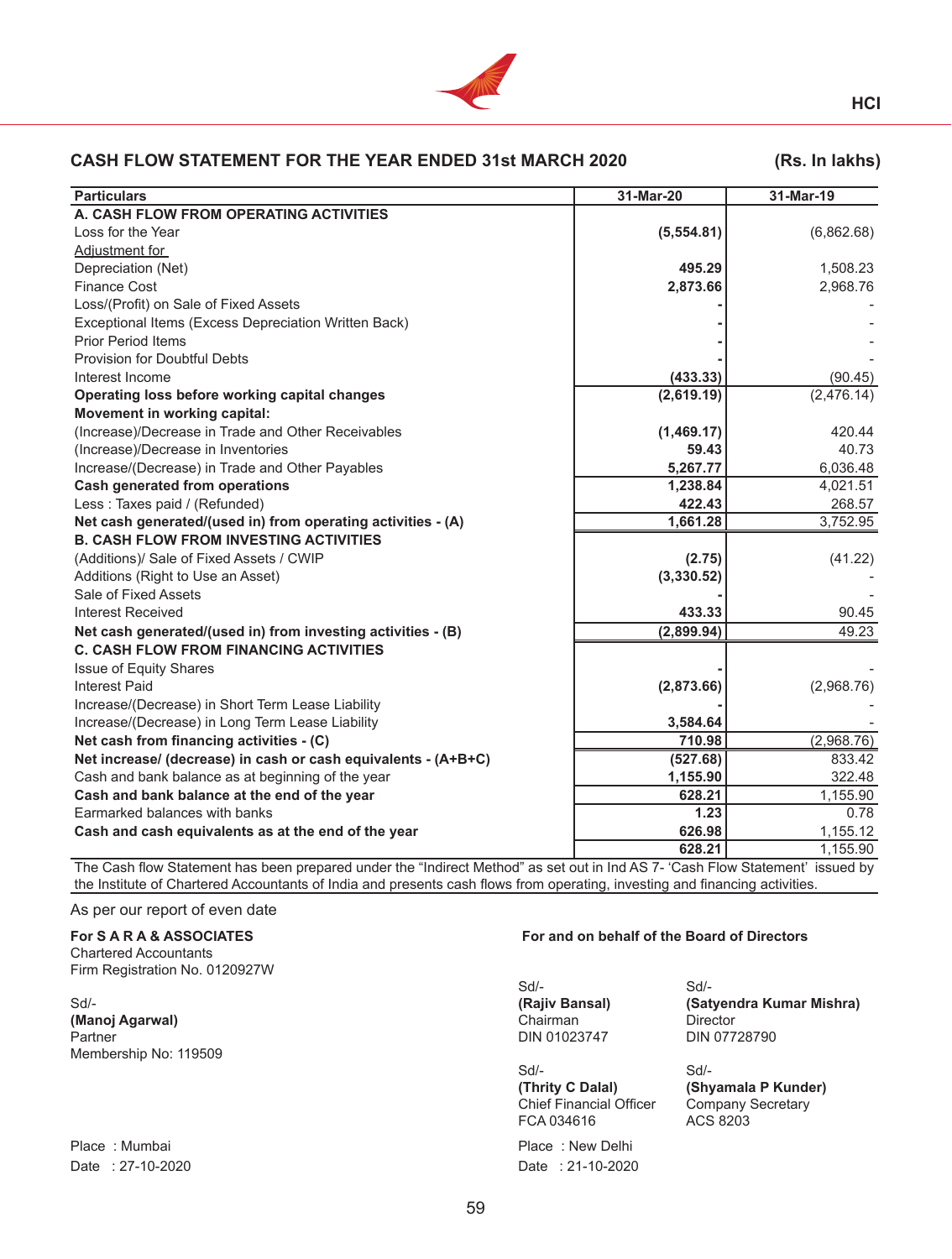

### **CASH FLOW STATEMENT FOR THE YEAR ENDED 31st MARCH 2020 (Rs. In lakhs)**

**HCI**

| <b>Particulars</b>                                             | 31-Mar-20  | 31-Mar-19  |
|----------------------------------------------------------------|------------|------------|
| A. CASH FLOW FROM OPERATING ACTIVITIES                         |            |            |
| Loss for the Year                                              | (5,554.81) | (6,862.68) |
| Adjustment for                                                 |            |            |
| Depreciation (Net)                                             | 495.29     | 1,508.23   |
| <b>Finance Cost</b>                                            | 2,873.66   | 2,968.76   |
| Loss/(Profit) on Sale of Fixed Assets                          |            |            |
| Exceptional Items (Excess Depreciation Written Back)           |            |            |
| <b>Prior Period Items</b>                                      |            |            |
| <b>Provision for Doubtful Debts</b>                            |            |            |
| Interest Income                                                | (433.33)   | (90.45)    |
| Operating loss before working capital changes                  | (2,619.19) | (2,476.14) |
| Movement in working capital:                                   |            |            |
| (Increase)/Decrease in Trade and Other Receivables             | (1,469.17) | 420.44     |
| (Increase)/Decrease in Inventories                             | 59.43      | 40.73      |
| Increase/(Decrease) in Trade and Other Payables                | 5,267.77   | 6,036.48   |
| <b>Cash generated from operations</b>                          | 1,238.84   | 4,021.51   |
| Less: Taxes paid / (Refunded)                                  | 422.43     | 268.57     |
| Net cash generated/(used in) from operating activities - (A)   | 1,661.28   | 3,752.95   |
| <b>B. CASH FLOW FROM INVESTING ACTIVITIES</b>                  |            |            |
| (Additions)/ Sale of Fixed Assets / CWIP                       | (2.75)     | (41.22)    |
| Additions (Right to Use an Asset)                              | (3,330.52) |            |
| Sale of Fixed Assets                                           |            |            |
| <b>Interest Received</b>                                       | 433.33     | 90.45      |
| Net cash generated/(used in) from investing activities - (B)   | (2,899.94) | 49.23      |
| <b>C. CASH FLOW FROM FINANCING ACTIVITIES</b>                  |            |            |
| <b>Issue of Equity Shares</b>                                  |            |            |
| <b>Interest Paid</b>                                           | (2,873.66) | (2,968.76) |
| Increase/(Decrease) in Short Term Lease Liability              |            |            |
| Increase/(Decrease) in Long Term Lease Liability               | 3,584.64   |            |
| Net cash from financing activities - (C)                       | 710.98     | (2,968.76) |
| Net increase/ (decrease) in cash or cash equivalents - (A+B+C) | (527.68)   | 833.42     |
| Cash and bank balance as at beginning of the year              | 1,155.90   | 322.48     |
| Cash and bank balance at the end of the year                   | 628.21     | 1,155.90   |
| Earmarked balances with banks                                  | 1.23       | 0.78       |
| Cash and cash equivalents as at the end of the year            | 626.98     | 1,155.12   |
|                                                                | 628.21     | 1,155.90   |

The Cash flow Statement has been prepared under the "Indirect Method" as set out in Ind AS 7- 'Cash Flow Statement' issued by the Institute of Chartered Accountants of India and presents cash flows from operating, investing and financing activities.

As per our report of even date

Chartered Accountants Firm Registration No. 0120927W

**(Manoj Agarwal) (Manoj Agarwal) Chairman** Director **Director Director Partner DIN 07728790** Membership No: 119509

Place : Mumbai **Place** : Mumbai **Place** : New Delhi

#### **For S A R A & ASSOCIATES For and on behalf of the Board of Directors**

 $Sd/ Sd/-$ DIN 01023747

 $Sd/ Sd/-$ **(Thrity C Dalal) (Shyamala P Kunder)**  Chief Financial Officer Company S<br>FCA 034616 ACS 8203 FCA 034616 ACS 8203

Date : 27-10-2020 Date : 21-10-2020

Sd/- **(Rajiv Bansal) (Satyendra Kumar Mishra)**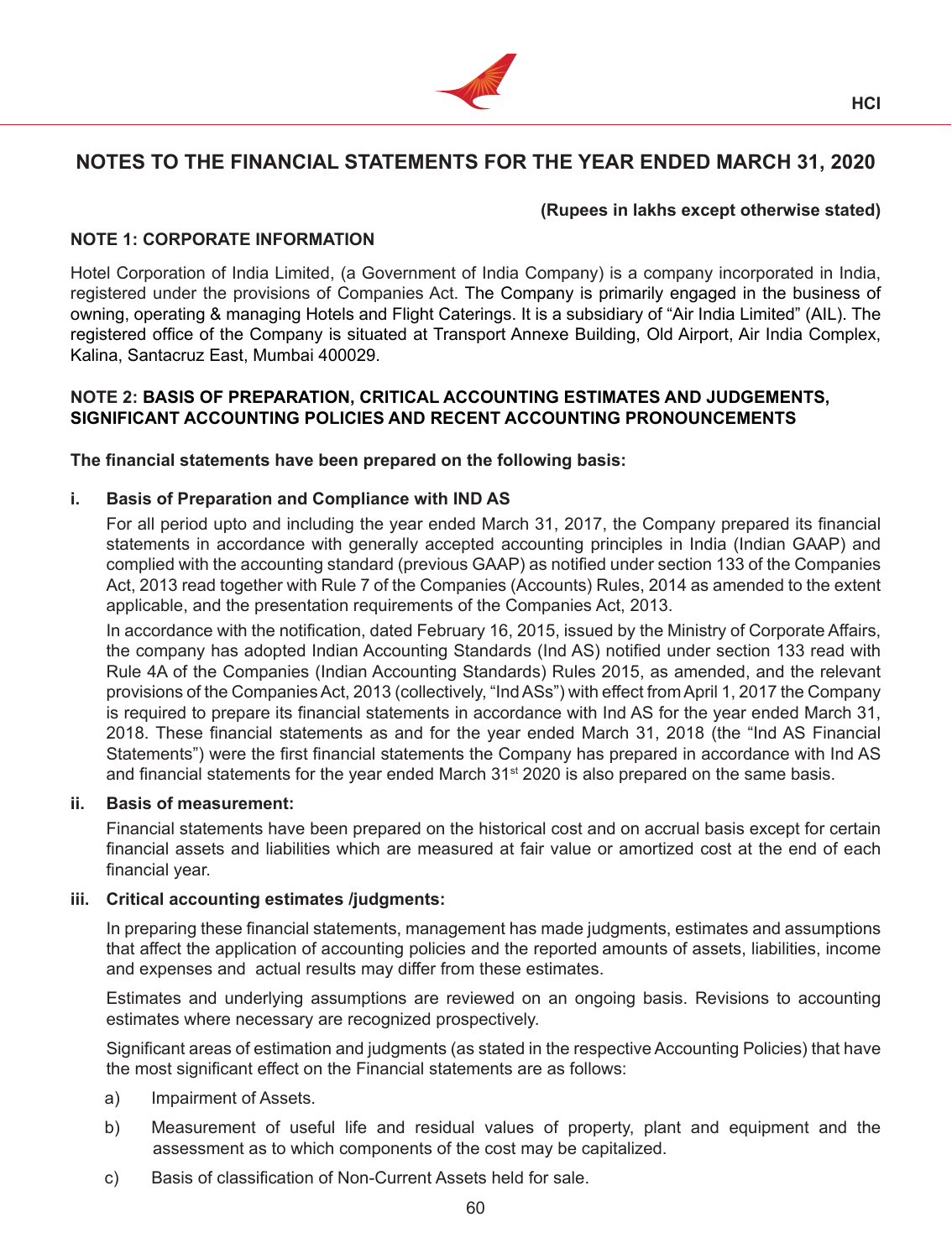

# **NOTES TO THE FINANCIAL STATEMENTS FOR THE YEAR ENDED MARCH 31, 2020**

# **(Rupees in lakhs except otherwise stated)**

**HCI**

# **NOTE 1: CORPORATE INFORMATION**

Hotel Corporation of India Limited, (a Government of India Company) is a company incorporated in India, registered under the provisions of Companies Act. The Company is primarily engaged in the business of owning, operating & managing Hotels and Flight Caterings. It is a subsidiary of "Air India Limited" (AIL). The registered office of the Company is situated at Transport Annexe Building, Old Airport, Air India Complex, Kalina, Santacruz East, Mumbai 400029.

# **NOTE 2: BASIS OF PREPARATION, CRITICAL ACCOUNTING ESTIMATES AND JUDGEMENTS, SIGNIFICANT ACCOUNTING POLICIES AND RECENT ACCOUNTING PRONOUNCEMENTS**

### **The financial statements have been prepared on the following basis:**

### **i. Basis of Preparation and Compliance with IND AS**

 For all period upto and including the year ended March 31, 2017, the Company prepared its financial statements in accordance with generally accepted accounting principles in India (Indian GAAP) and complied with the accounting standard (previous GAAP) as notified under section 133 of the Companies Act, 2013 read together with Rule 7 of the Companies (Accounts) Rules, 2014 as amended to the extent applicable, and the presentation requirements of the Companies Act, 2013.

 In accordance with the notification, dated February 16, 2015, issued by the Ministry of Corporate Affairs, the company has adopted Indian Accounting Standards (Ind AS) notified under section 133 read with Rule 4A of the Companies (Indian Accounting Standards) Rules 2015, as amended, and the relevant provisions of the Companies Act, 2013 (collectively, "Ind ASs") with effect from April 1, 2017 the Company is required to prepare its financial statements in accordance with Ind AS for the year ended March 31, 2018. These financial statements as and for the year ended March 31, 2018 (the "Ind AS Financial Statements") were the first financial statements the Company has prepared in accordance with Ind AS and financial statements for the year ended March 31<sup>st</sup> 2020 is also prepared on the same basis.

### **ii. Basis of measurement:**

Financial statements have been prepared on the historical cost and on accrual basis except for certain financial assets and liabilities which are measured at fair value or amortized cost at the end of each financial year.

### **iii. Critical accounting estimates /judgments:**

In preparing these financial statements, management has made judgments, estimates and assumptions that affect the application of accounting policies and the reported amounts of assets, liabilities, income and expenses and actual results may differ from these estimates.

Estimates and underlying assumptions are reviewed on an ongoing basis. Revisions to accounting estimates where necessary are recognized prospectively.

 Significant areas of estimation and judgments (as stated in the respective Accounting Policies) that have the most significant effect on the Financial statements are as follows:

- a) Impairment of Assets.
- b) Measurement of useful life and residual values of property, plant and equipment and the assessment as to which components of the cost may be capitalized.
- c) Basis of classification of Non-Current Assets held for sale.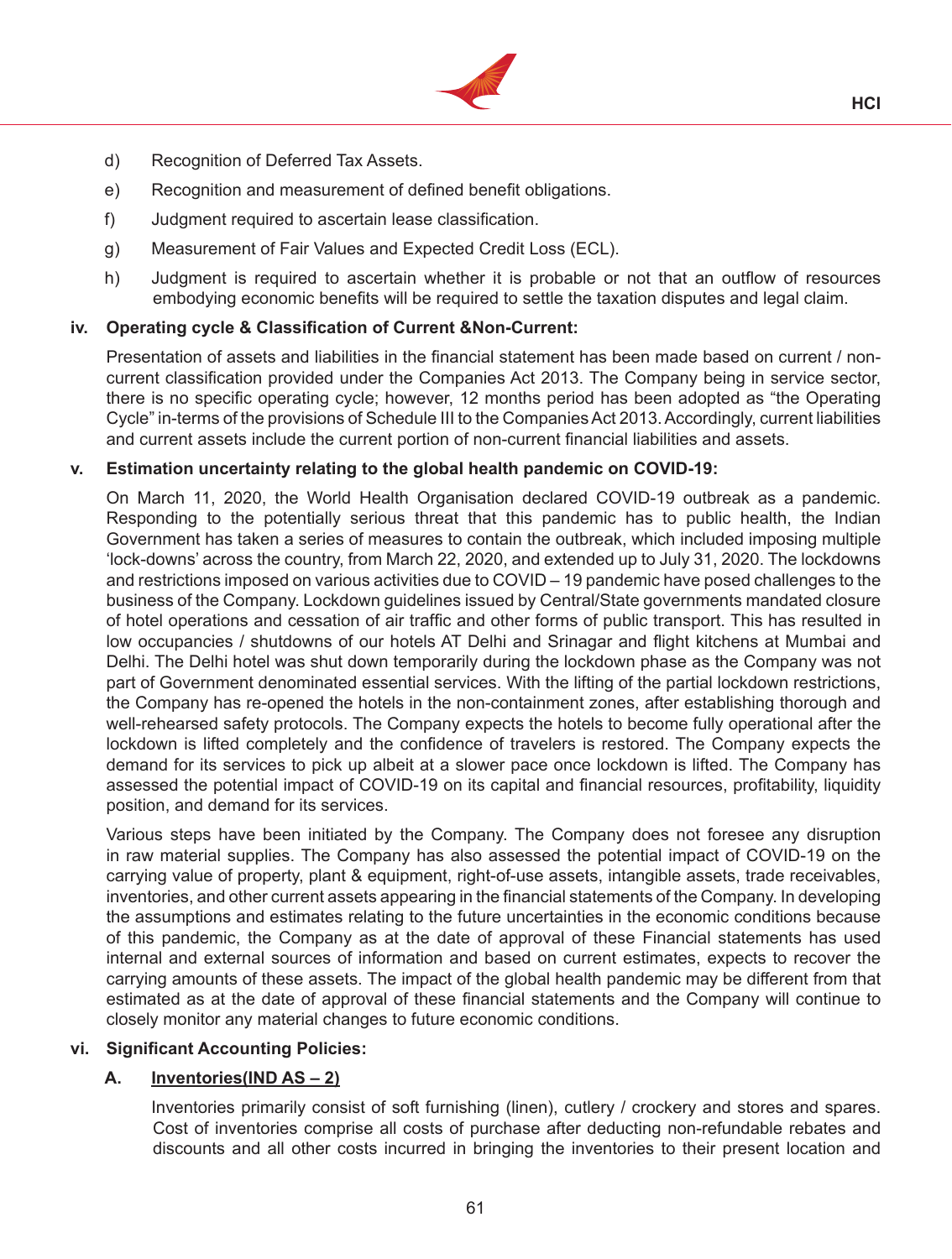

- d) Recognition of Deferred Tax Assets.
- e) Recognition and measurement of defined benefit obligations.
- f) Judgment required to ascertain lease classification.
- g) Measurement of Fair Values and Expected Credit Loss (ECL).
- h) Judgment is required to ascertain whether it is probable or not that an outflow of resources embodying economic benefits will be required to settle the taxation disputes and legal claim.

### **iv. Operating cycle & Classification of Current &Non-Current:**

 Presentation of assets and liabilities in the financial statement has been made based on current / noncurrent classification provided under the Companies Act 2013. The Company being in service sector, there is no specific operating cycle; however, 12 months period has been adopted as "the Operating Cycle" in-terms of the provisions of Schedule III to the Companies Act 2013. Accordingly, current liabilities and current assets include the current portion of non-current financial liabilities and assets.

### **v. Estimation uncertainty relating to the global health pandemic on COVID-19:**

On March 11, 2020, the World Health Organisation declared COVID-19 outbreak as a pandemic. Responding to the potentially serious threat that this pandemic has to public health, the Indian Government has taken a series of measures to contain the outbreak, which included imposing multiple 'lock-downs' across the country, from March 22, 2020, and extended up to July 31, 2020. The lockdowns and restrictions imposed on various activities due to COVID – 19 pandemic have posed challenges to the business of the Company. Lockdown guidelines issued by Central/State governments mandated closure of hotel operations and cessation of air traffic and other forms of public transport. This has resulted in low occupancies / shutdowns of our hotels AT Delhi and Srinagar and flight kitchens at Mumbai and Delhi. The Delhi hotel was shut down temporarily during the lockdown phase as the Company was not part of Government denominated essential services. With the lifting of the partial lockdown restrictions, the Company has re-opened the hotels in the non-containment zones, after establishing thorough and well-rehearsed safety protocols. The Company expects the hotels to become fully operational after the lockdown is lifted completely and the confidence of travelers is restored. The Company expects the demand for its services to pick up albeit at a slower pace once lockdown is lifted. The Company has assessed the potential impact of COVID-19 on its capital and financial resources, profitability, liquidity position, and demand for its services.

Various steps have been initiated by the Company. The Company does not foresee any disruption in raw material supplies. The Company has also assessed the potential impact of COVID-19 on the carrying value of property, plant & equipment, right-of-use assets, intangible assets, trade receivables, inventories, and other current assets appearing in the financial statements of the Company. In developing the assumptions and estimates relating to the future uncertainties in the economic conditions because of this pandemic, the Company as at the date of approval of these Financial statements has used internal and external sources of information and based on current estimates, expects to recover the carrying amounts of these assets. The impact of the global health pandemic may be different from that estimated as at the date of approval of these financial statements and the Company will continue to closely monitor any material changes to future economic conditions.

### **vi. Significant Accounting Policies:**

# **A. Inventories(IND AS – 2)**

Inventories primarily consist of soft furnishing (linen), cutlery / crockery and stores and spares. Cost of inventories comprise all costs of purchase after deducting non-refundable rebates and discounts and all other costs incurred in bringing the inventories to their present location and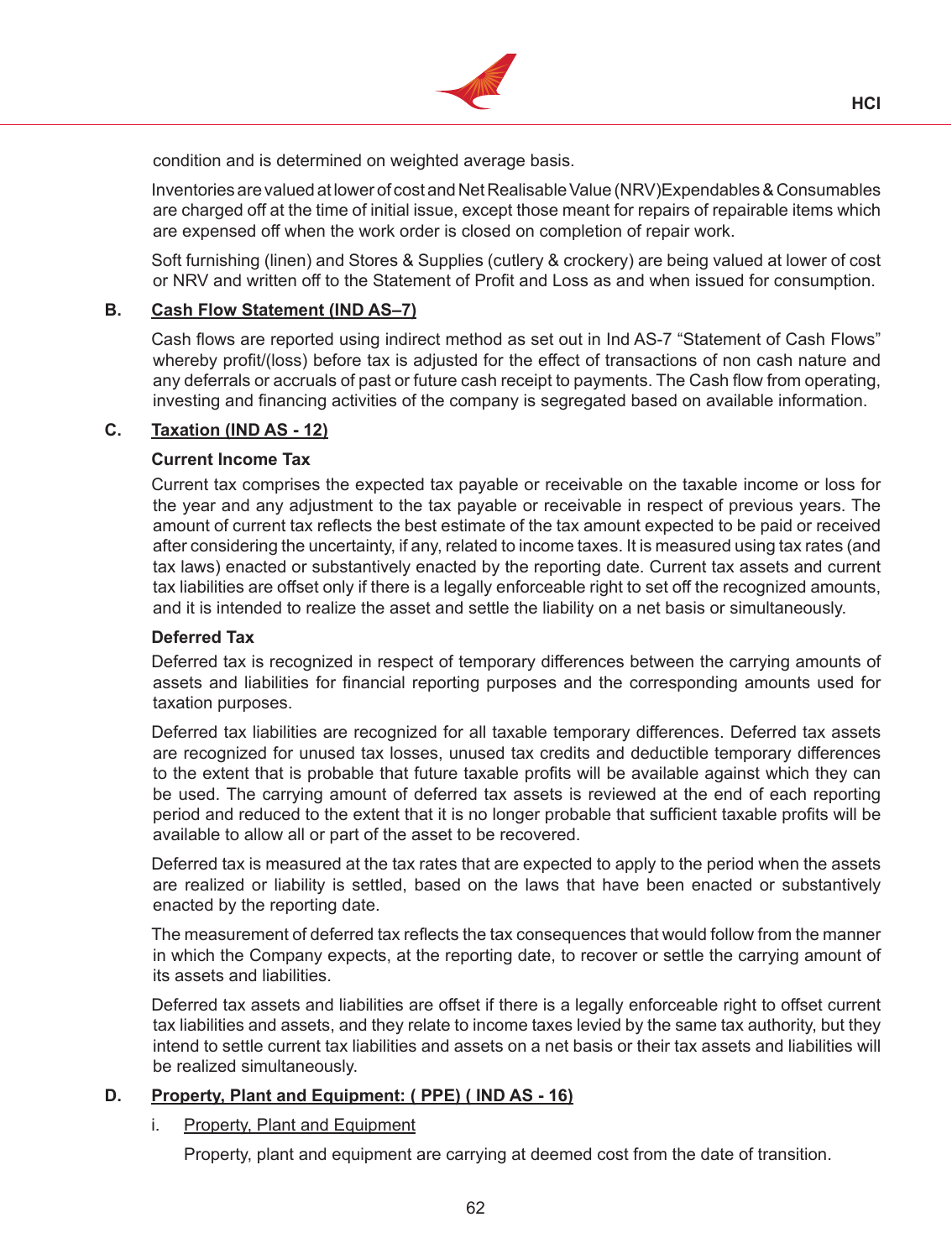

condition and is determined on weighted average basis.

Inventories are valued at lower of cost and Net Realisable Value (NRV)Expendables & Consumables are charged off at the time of initial issue, except those meant for repairs of repairable items which are expensed off when the work order is closed on completion of repair work.

Soft furnishing (linen) and Stores & Supplies (cutlery & crockery) are being valued at lower of cost or NRV and written off to the Statement of Profit and Loss as and when issued for consumption.

# **B. Cash Flow Statement (IND AS–7)**

 Cash flows are reported using indirect method as set out in Ind AS-7 "Statement of Cash Flows" whereby profit/(loss) before tax is adjusted for the effect of transactions of non cash nature and any deferrals or accruals of past or future cash receipt to payments. The Cash flow from operating, investing and financing activities of the company is segregated based on available information.

# **C. Taxation (IND AS - 12)**

# **Current Income Tax**

Current tax comprises the expected tax payable or receivable on the taxable income or loss for the year and any adjustment to the tax payable or receivable in respect of previous years. The amount of current tax reflects the best estimate of the tax amount expected to be paid or received after considering the uncertainty, if any, related to income taxes. It is measured using tax rates (and tax laws) enacted or substantively enacted by the reporting date. Current tax assets and current tax liabilities are offset only if there is a legally enforceable right to set off the recognized amounts, and it is intended to realize the asset and settle the liability on a net basis or simultaneously.

# **Deferred Tax**

Deferred tax is recognized in respect of temporary differences between the carrying amounts of assets and liabilities for financial reporting purposes and the corresponding amounts used for taxation purposes.

Deferred tax liabilities are recognized for all taxable temporary differences. Deferred tax assets are recognized for unused tax losses, unused tax credits and deductible temporary differences to the extent that is probable that future taxable profits will be available against which they can be used. The carrying amount of deferred tax assets is reviewed at the end of each reporting period and reduced to the extent that it is no longer probable that sufficient taxable profits will be available to allow all or part of the asset to be recovered.

Deferred tax is measured at the tax rates that are expected to apply to the period when the assets are realized or liability is settled, based on the laws that have been enacted or substantively enacted by the reporting date.

 The measurement of deferred tax reflects the tax consequences that would follow from the manner in which the Company expects, at the reporting date, to recover or settle the carrying amount of its assets and liabilities.

Deferred tax assets and liabilities are offset if there is a legally enforceable right to offset current tax liabilities and assets, and they relate to income taxes levied by the same tax authority, but they intend to settle current tax liabilities and assets on a net basis or their tax assets and liabilities will be realized simultaneously.

# **D. Property, Plant and Equipment: ( PPE) ( IND AS - 16)**

# i. Property, Plant and Equipment

Property, plant and equipment are carrying at deemed cost from the date of transition.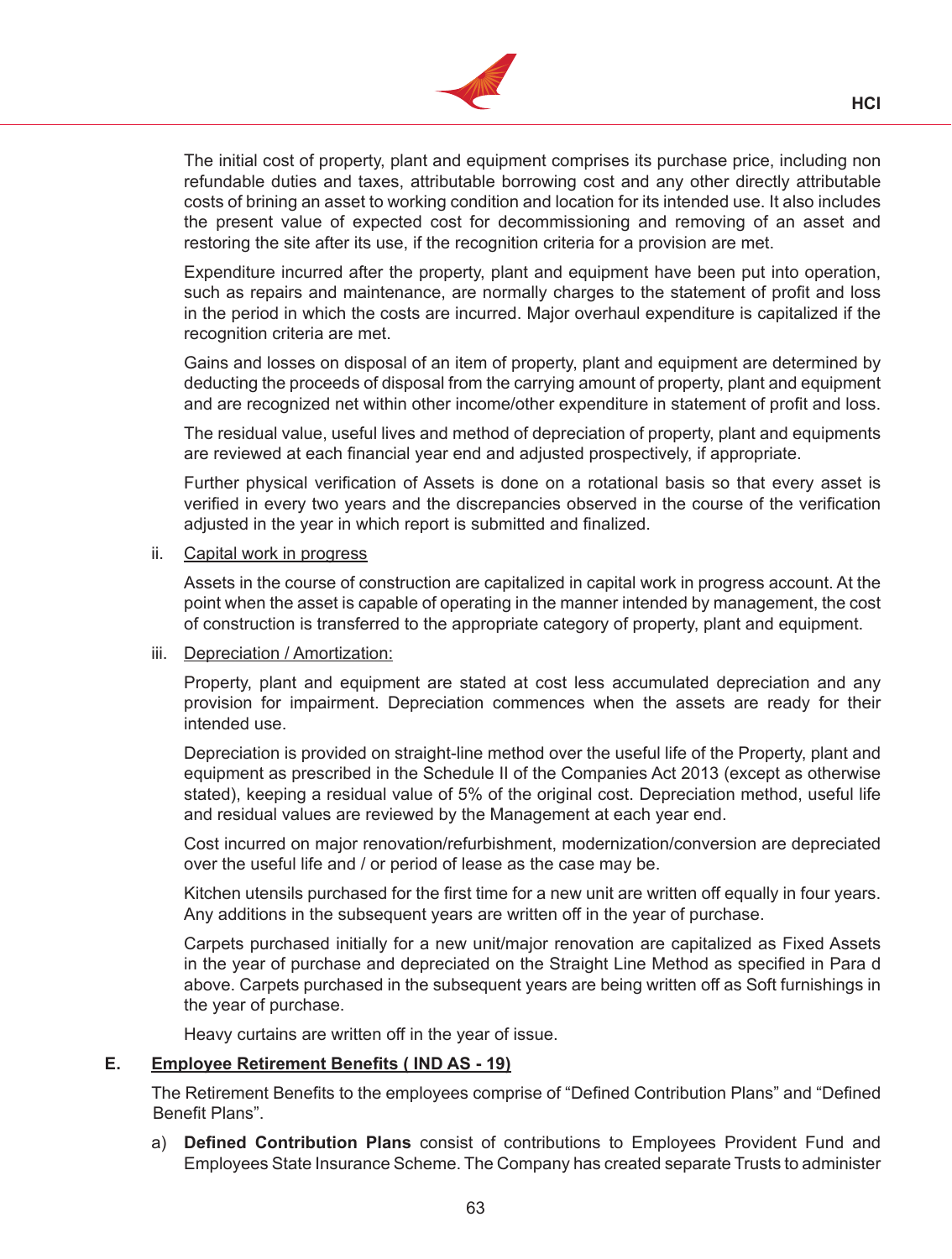

The initial cost of property, plant and equipment comprises its purchase price, including non refundable duties and taxes, attributable borrowing cost and any other directly attributable costs of brining an asset to working condition and location for its intended use. It also includes the present value of expected cost for decommissioning and removing of an asset and restoring the site after its use, if the recognition criteria for a provision are met.

Expenditure incurred after the property, plant and equipment have been put into operation, such as repairs and maintenance, are normally charges to the statement of profit and loss in the period in which the costs are incurred. Major overhaul expenditure is capitalized if the recognition criteria are met.

Gains and losses on disposal of an item of property, plant and equipment are determined by deducting the proceeds of disposal from the carrying amount of property, plant and equipment and are recognized net within other income/other expenditure in statement of profit and loss.

The residual value, useful lives and method of depreciation of property, plant and equipments are reviewed at each financial year end and adjusted prospectively, if appropriate.

 Further physical verification of Assets is done on a rotational basis so that every asset is verified in every two years and the discrepancies observed in the course of the verification adjusted in the year in which report is submitted and finalized.

### ii. Capital work in progress

Assets in the course of construction are capitalized in capital work in progress account. At the point when the asset is capable of operating in the manner intended by management, the cost of construction is transferred to the appropriate category of property, plant and equipment.

### iii. Depreciation / Amortization:

Property, plant and equipment are stated at cost less accumulated depreciation and any provision for impairment. Depreciation commences when the assets are ready for their intended use.

Depreciation is provided on straight-line method over the useful life of the Property, plant and equipment as prescribed in the Schedule II of the Companies Act 2013 (except as otherwise stated), keeping a residual value of 5% of the original cost. Depreciation method, useful life and residual values are reviewed by the Management at each year end.

Cost incurred on major renovation/refurbishment, modernization/conversion are depreciated over the useful life and / or period of lease as the case may be.

 Kitchen utensils purchased for the first time for a new unit are written off equally in four years. Any additions in the subsequent years are written off in the year of purchase.

Carpets purchased initially for a new unit/major renovation are capitalized as Fixed Assets in the year of purchase and depreciated on the Straight Line Method as specified in Para d above. Carpets purchased in the subsequent years are being written off as Soft furnishings in the year of purchase.

Heavy curtains are written off in the year of issue.

### **E. Employee Retirement Benefits ( IND AS - 19)**

 The Retirement Benefits to the employees comprise of "Defined Contribution Plans" and "Defined Benefit Plans".

a) **Defined Contribution Plans** consist of contributions to Employees Provident Fund and Employees State Insurance Scheme. The Company has created separate Trusts to administer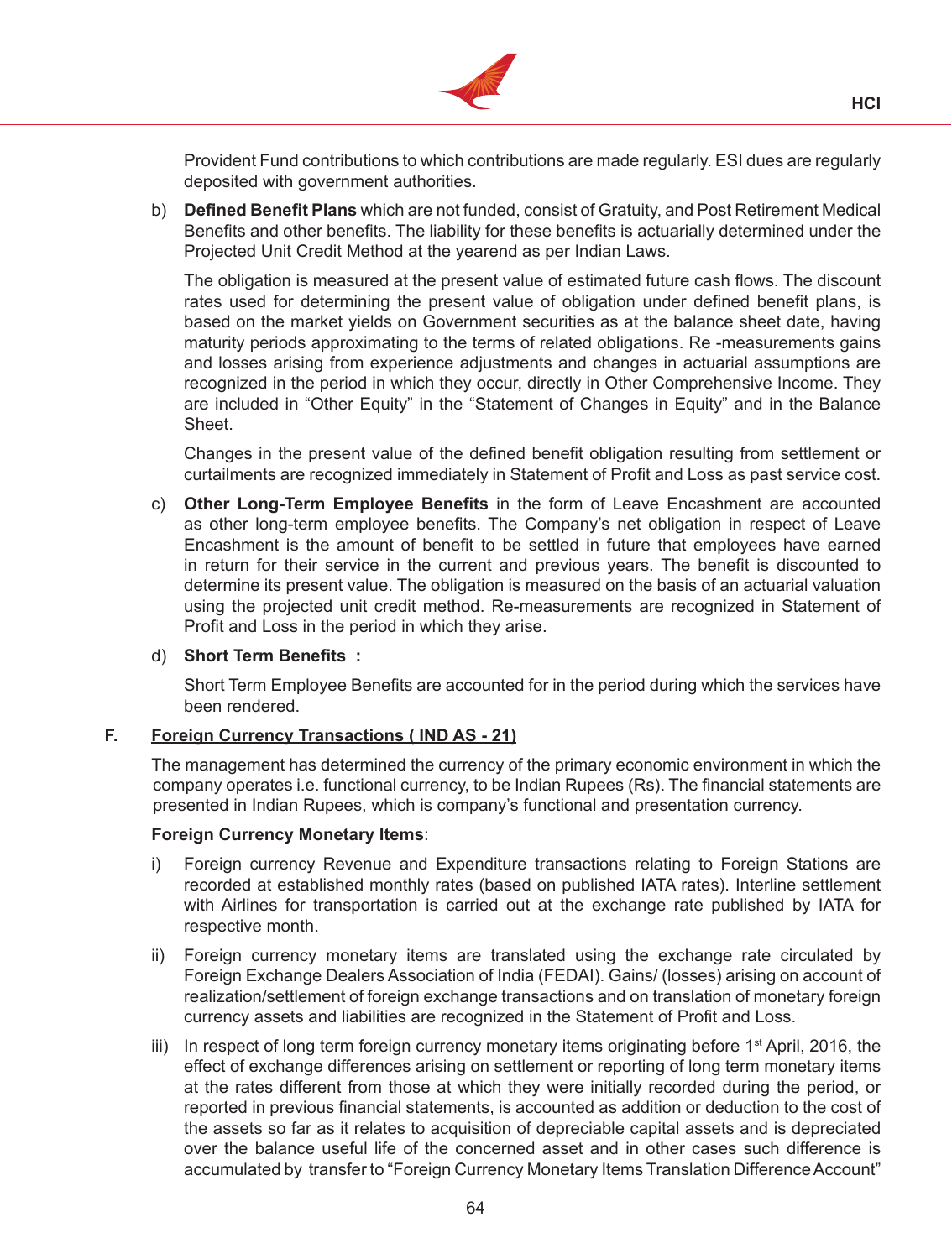

Provident Fund contributions to which contributions are made regularly. ESI dues are regularly deposited with government authorities.

b) **Defined Benefit Plans** which are not funded, consist of Gratuity, and Post Retirement Medical Benefits and other benefits. The liability for these benefits is actuarially determined under the Projected Unit Credit Method at the yearend as per Indian Laws.

 The obligation is measured at the present value of estimated future cash flows. The discount rates used for determining the present value of obligation under defined benefit plans, is based on the market yields on Government securities as at the balance sheet date, having maturity periods approximating to the terms of related obligations. Re -measurements gains and losses arising from experience adjustments and changes in actuarial assumptions are recognized in the period in which they occur, directly in Other Comprehensive Income. They are included in "Other Equity" in the "Statement of Changes in Equity" and in the Balance Sheet.

 Changes in the present value of the defined benefit obligation resulting from settlement or curtailments are recognized immediately in Statement of Profit and Loss as past service cost.

c) **Other Long-Term Employee Benefits** in the form of Leave Encashment are accounted as other long-term employee benefits. The Company's net obligation in respect of Leave Encashment is the amount of benefit to be settled in future that employees have earned in return for their service in the current and previous years. The benefit is discounted to determine its present value. The obligation is measured on the basis of an actuarial valuation using the projected unit credit method. Re-measurements are recognized in Statement of Profit and Loss in the period in which they arise.

# d) **Short Term Benefits :**

Short Term Employee Benefits are accounted for in the period during which the services have been rendered.

# **F. Foreign Currency Transactions ( IND AS - 21)**

The management has determined the currency of the primary economic environment in which the company operates i.e. functional currency, to be Indian Rupees (Rs). The financial statements are presented in Indian Rupees, which is company's functional and presentation currency.

### **Foreign Currency Monetary Items**:

- i) Foreign currency Revenue and Expenditure transactions relating to Foreign Stations are recorded at established monthly rates (based on published IATA rates). Interline settlement with Airlines for transportation is carried out at the exchange rate published by IATA for respective month.
- ii) Foreign currency monetary items are translated using the exchange rate circulated by Foreign Exchange Dealers Association of India (FEDAI). Gains/ (losses) arising on account of realization/settlement of foreign exchange transactions and on translation of monetary foreign currency assets and liabilities are recognized in the Statement of Profit and Loss.
- iii) In respect of long term foreign currency monetary items originating before  $1<sup>st</sup>$  April, 2016, the effect of exchange differences arising on settlement or reporting of long term monetary items at the rates different from those at which they were initially recorded during the period, or reported in previous financial statements, is accounted as addition or deduction to the cost of the assets so far as it relates to acquisition of depreciable capital assets and is depreciated over the balance useful life of the concerned asset and in other cases such difference is accumulated by transfer to "Foreign Currency Monetary Items Translation Difference Account"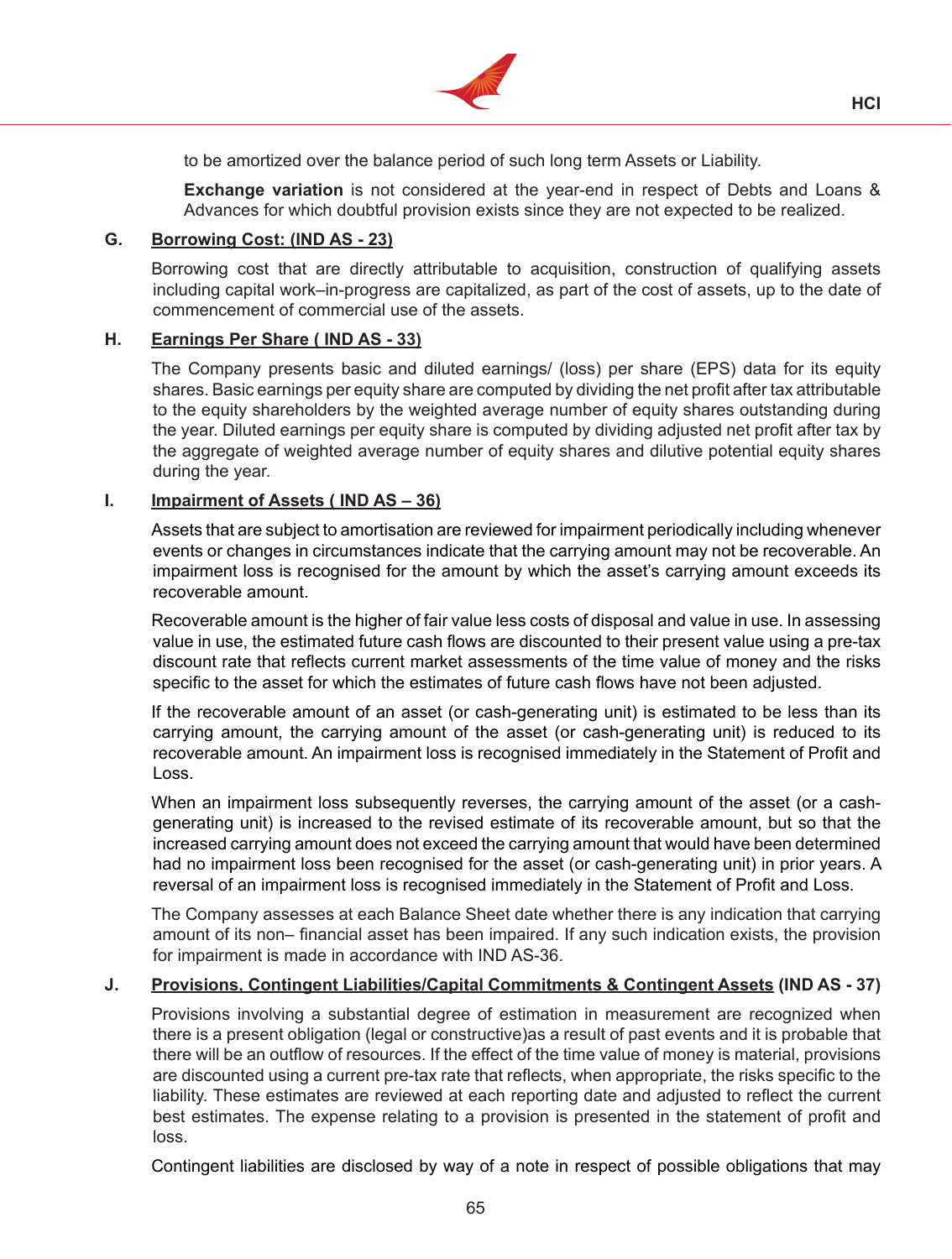

to be amortized over the balance period of such long term Assets or Liability.

**Exchange variation** is not considered at the year-end in respect of Debts and Loans & Advances for which doubtful provision exists since they are not expected to be realized.

# **G. Borrowing Cost: (IND AS - 23)**

Borrowing cost that are directly attributable to acquisition, construction of qualifying assets including capital work–in-progress are capitalized, as part of the cost of assets, up to the date of commencement of commercial use of the assets.

# **H. Earnings Per Share ( IND AS - 33)**

The Company presents basic and diluted earnings/ (loss) per share (EPS) data for its equity shares. Basic earnings per equity share are computed by dividing the net profit after tax attributable to the equity shareholders by the weighted average number of equity shares outstanding during the year. Diluted earnings per equity share is computed by dividing adjusted net profit after tax by the aggregate of weighted average number of equity shares and dilutive potential equity shares during the year.

### **I. Impairment of Assets ( IND AS – 36)**

Assets that are subject to amortisation are reviewed for impairment periodically including whenever events or changes in circumstances indicate that the carrying amount may not be recoverable. An impairment loss is recognised for the amount by which the asset's carrying amount exceeds its recoverable amount.

Recoverable amount is the higher of fair value less costs of disposal and value in use. In assessing value in use, the estimated future cash flows are discounted to their present value using a pre-tax discount rate that reflects current market assessments of the time value of money and the risks specific to the asset for which the estimates of future cash flows have not been adjusted.

If the recoverable amount of an asset (or cash-generating unit) is estimated to be less than its carrying amount, the carrying amount of the asset (or cash-generating unit) is reduced to its recoverable amount. An impairment loss is recognised immediately in the Statement of Profit and Loss.

When an impairment loss subsequently reverses, the carrying amount of the asset (or a cashgenerating unit) is increased to the revised estimate of its recoverable amount, but so that the increased carrying amount does not exceed the carrying amount that would have been determined had no impairment loss been recognised for the asset (or cash-generating unit) in prior years. A reversal of an impairment loss is recognised immediately in the Statement of Profit and Loss.

The Company assesses at each Balance Sheet date whether there is any indication that carrying amount of its non– financial asset has been impaired. If any such indication exists, the provision for impairment is made in accordance with IND AS-36.

# **J. Provisions, Contingent Liabilities/Capital Commitments & Contingent Assets (IND AS - 37)**

Provisions involving a substantial degree of estimation in measurement are recognized when there is a present obligation (legal or constructive)as a result of past events and it is probable that there will be an outflow of resources. If the effect of the time value of money is material, provisions are discounted using a current pre-tax rate that reflects, when appropriate, the risks specific to the liability. These estimates are reviewed at each reporting date and adjusted to reflect the current best estimates. The expense relating to a provision is presented in the statement of profit and loss.

Contingent liabilities are disclosed by way of a note in respect of possible obligations that may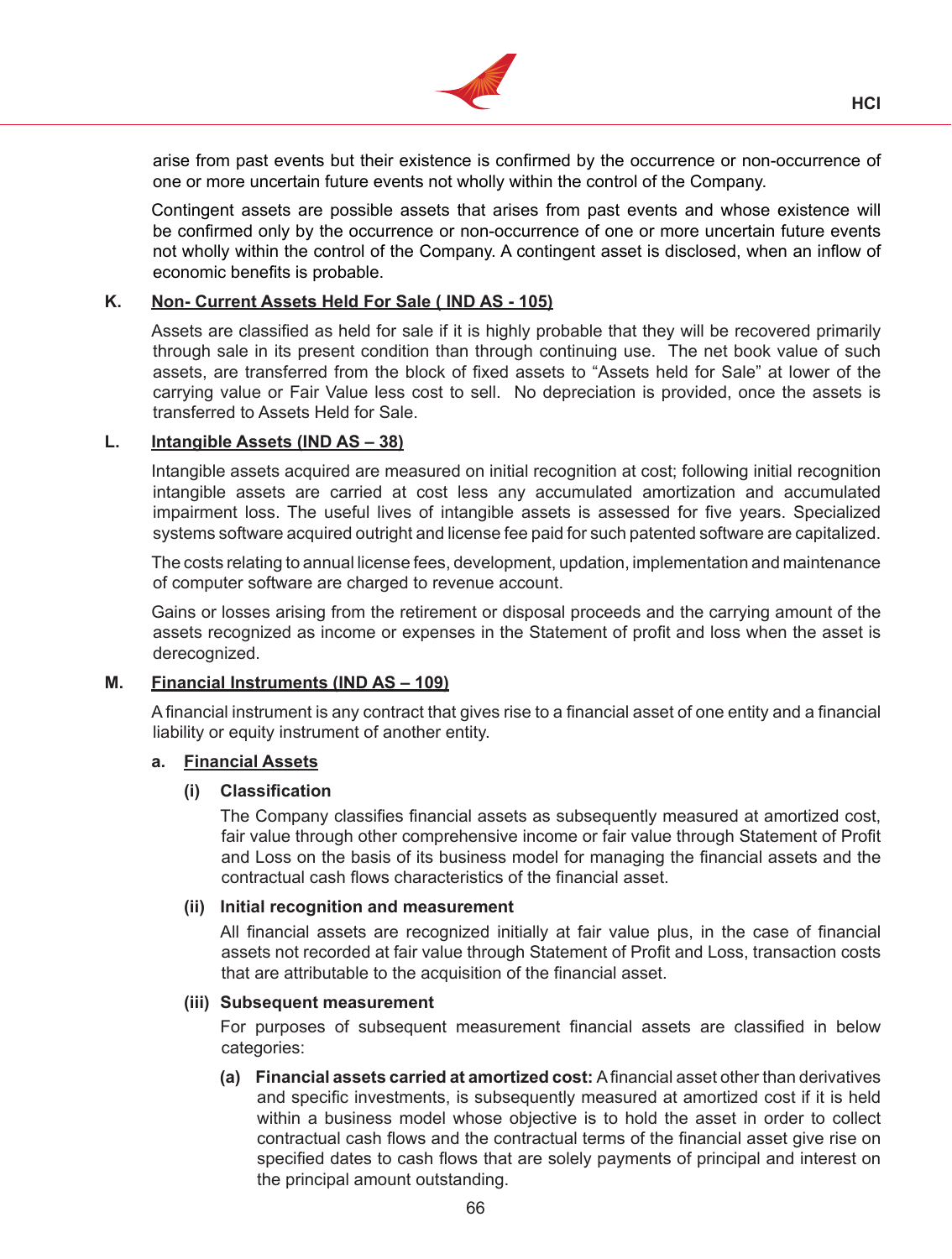

arise from past events but their existence is confirmed by the occurrence or non-occurrence of one or more uncertain future events not wholly within the control of the Company.

Contingent assets are possible assets that arises from past events and whose existence will be confirmed only by the occurrence or non-occurrence of one or more uncertain future events not wholly within the control of the Company. A contingent asset is disclosed, when an inflow of economic benefits is probable.

### **K. Non- Current Assets Held For Sale ( IND AS - 105)**

Assets are classified as held for sale if it is highly probable that they will be recovered primarily through sale in its present condition than through continuing use. The net book value of such assets, are transferred from the block of fixed assets to "Assets held for Sale" at lower of the carrying value or Fair Value less cost to sell. No depreciation is provided, once the assets is transferred to Assets Held for Sale.

### **L. Intangible Assets (IND AS – 38)**

Intangible assets acquired are measured on initial recognition at cost; following initial recognition intangible assets are carried at cost less any accumulated amortization and accumulated impairment loss. The useful lives of intangible assets is assessed for five years. Specialized systems software acquired outright and license fee paid for such patented software are capitalized.

The costs relating to annual license fees, development, updation, implementation and maintenance of computer software are charged to revenue account.

Gains or losses arising from the retirement or disposal proceeds and the carrying amount of the assets recognized as income or expenses in the Statement of profit and loss when the asset is derecognized.

### **M. Financial Instruments (IND AS – 109)**

Afinancial instrument is any contract that gives rise to a financial asset of one entity and a financial liability or equity instrument of another entity.

### **a. Financial Assets**

### **(i) Classification**

The Company classifies financial assets as subsequently measured at amortized cost, fair value through other comprehensive income or fair value through Statement of Profit and Loss on the basis of its business model for managing the financial assets and the contractual cash flows characteristics of the financial asset.

### **(ii) Initial recognition and measurement**

All financial assets are recognized initially at fair value plus, in the case of financial assets not recorded at fair value through Statement of Profit and Loss, transaction costs that are attributable to the acquisition of the financial asset.

### **(iii) Subsequent measurement**

For purposes of subsequent measurement financial assets are classified in below categories:

**(a) Financial assets carried at amortized cost:** Afinancial asset other than derivatives and specific investments, is subsequently measured at amortized cost if it is held within a business model whose objective is to hold the asset in order to collect contractual cash flows and the contractual terms of the financial asset give rise on specified dates to cash flows that are solely payments of principal and interest on the principal amount outstanding.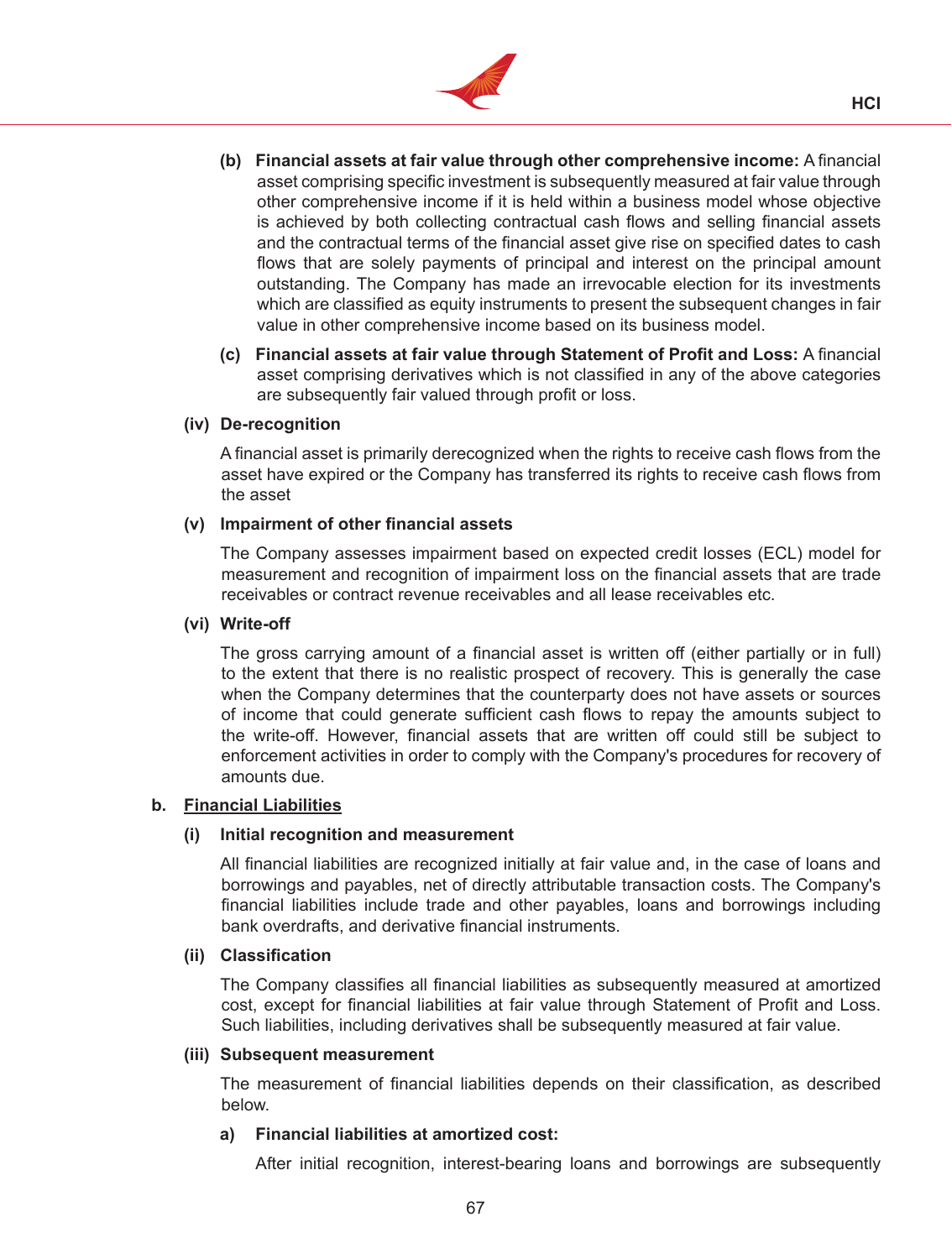

- **(b) Financial assets at fair value through other comprehensive income:** A financial asset comprising specific investment is subsequently measured at fair value through other comprehensive income if it is held within a business model whose objective is achieved by both collecting contractual cash flows and selling financial assets and the contractual terms of the financial asset give rise on specified dates to cash flows that are solely payments of principal and interest on the principal amount outstanding. The Company has made an irrevocable election for its investments which are classified as equity instruments to present the subsequent changes in fair value in other comprehensive income based on its business model.
- **(c) Financial assets at fair value through Statement of Profit and Loss:** A financial asset comprising derivatives which is not classified in any of the above categories are subsequently fair valued through profit or loss.

### **(iv) De-recognition**

A financial asset is primarily derecognized when the rights to receive cash flows from the asset have expired or the Company has transferred its rights to receive cash flows from the asset

# **(v) Impairment of other financial assets**

The Company assesses impairment based on expected credit losses (ECL) model for measurement and recognition of impairment loss on the financial assets that are trade receivables or contract revenue receivables and all lease receivables etc.

### **(vi) Write-off**

The gross carrying amount of a financial asset is written off (either partially or in full) to the extent that there is no realistic prospect of recovery. This is generally the case when the Company determines that the counterparty does not have assets or sources of income that could generate sufficient cash flows to repay the amounts subject to the write-off. However, financial assets that are written off could still be subject to enforcement activities in order to comply with the Company's procedures for recovery of amounts due.

# **b. Financial Liabilities**

### **(i) Initial recognition and measurement**

All financial liabilities are recognized initially at fair value and, in the case of loans and borrowings and payables, net of directly attributable transaction costs. The Company's financial liabilities include trade and other payables, loans and borrowings including bank overdrafts, and derivative financial instruments.

### **(ii) Classification**

 The Company classifies all financial liabilities as subsequently measured at amortized cost, except for financial liabilities at fair value through Statement of Profit and Loss. Such liabilities, including derivatives shall be subsequently measured at fair value.

### **(iii) Subsequent measurement**

The measurement of financial liabilities depends on their classification, as described below.

### **a) Financial liabilities at amortized cost:**

After initial recognition, interest-bearing loans and borrowings are subsequently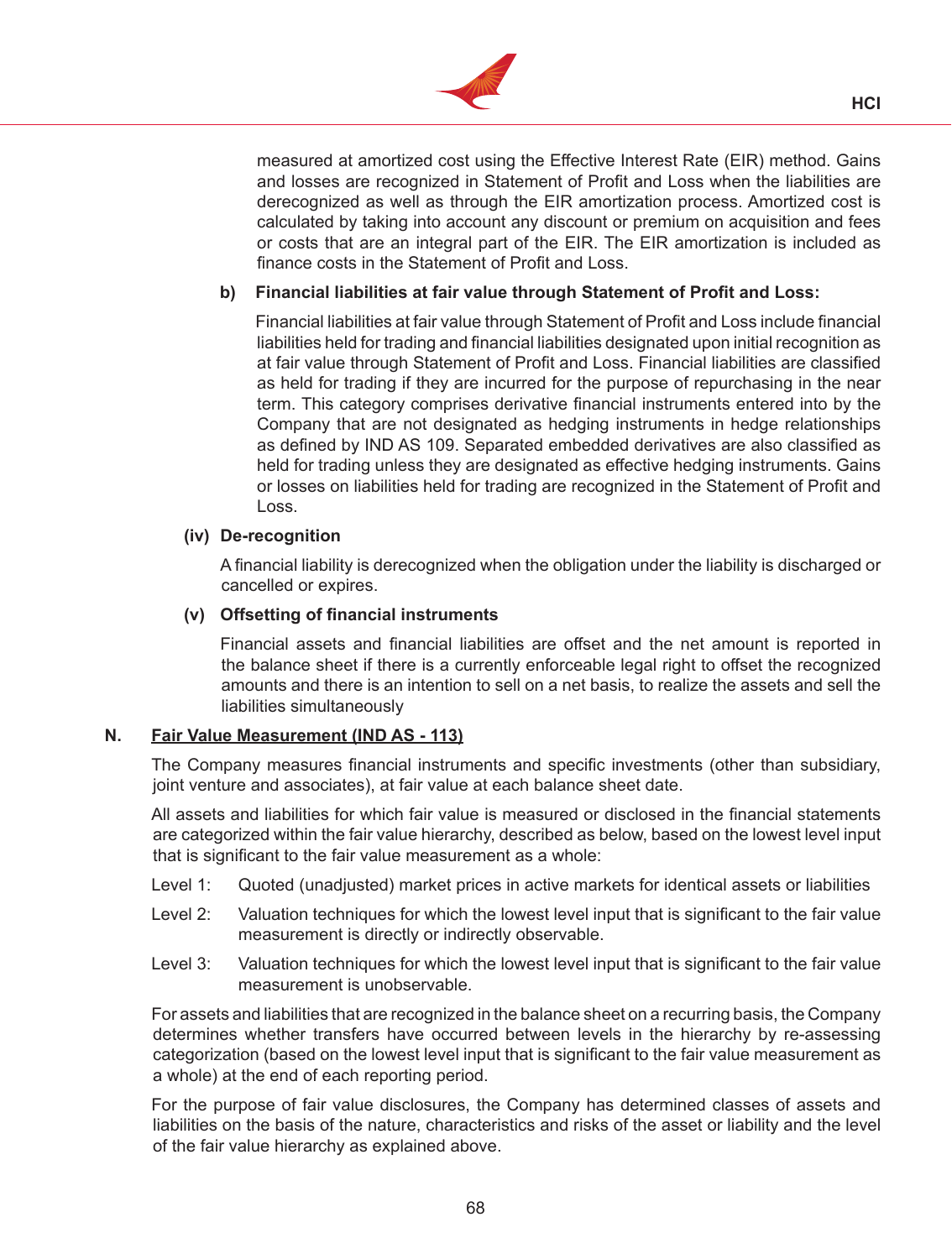

measured at amortized cost using the Effective Interest Rate (EIR) method. Gains and losses are recognized in Statement of Profit and Loss when the liabilities are derecognized as well as through the EIR amortization process. Amortized cost is calculated by taking into account any discount or premium on acquisition and fees or costs that are an integral part of the EIR. The EIR amortization is included as finance costs in the Statement of Profit and Loss.

# **b) Financial liabilities at fair value through Statement of Profit and Loss:**

Financial liabilities at fair value through Statement of Profit and Loss include financial liabilities held for trading and financial liabilities designated upon initial recognition as at fair value through Statement of Profit and Loss. Financial liabilities are classified as held for trading if they are incurred for the purpose of repurchasing in the near term. This category comprises derivative financial instruments entered into by the Company that are not designated as hedging instruments in hedge relationships as defined by IND AS 109. Separated embedded derivatives are also classified as held for trading unless they are designated as effective hedging instruments. Gains or losses on liabilities held for trading are recognized in the Statement of Profit and Loss.

### **(iv) De-recognition**

A financial liability is derecognized when the obligation under the liability is discharged or cancelled or expires.

# **(v) Offsetting of financial instruments**

Financial assets and financial liabilities are offset and the net amount is reported in the balance sheet if there is a currently enforceable legal right to offset the recognized amounts and there is an intention to sell on a net basis, to realize the assets and sell the liabilities simultaneously

### **N. Fair Value Measurement (IND AS - 113)**

The Company measures financial instruments and specific investments (other than subsidiary, joint venture and associates), at fair value at each balance sheet date.

 All assets and liabilities for which fair value is measured or disclosed in the financial statements are categorized within the fair value hierarchy, described as below, based on the lowest level input that is significant to the fair value measurement as a whole:

- Level 1: Quoted (unadjusted) market prices in active markets for identical assets or liabilities
- Level 2: Valuation techniques for which the lowest level input that is significant to the fair value measurement is directly or indirectly observable.
- Level 3: Valuation techniques for which the lowest level input that is significant to the fair value measurement is unobservable.

For assets and liabilities that are recognized in the balance sheet on a recurring basis, the Company determines whether transfers have occurred between levels in the hierarchy by re-assessing categorization (based on the lowest level input that is significant to the fair value measurement as a whole) at the end of each reporting period.

For the purpose of fair value disclosures, the Company has determined classes of assets and liabilities on the basis of the nature, characteristics and risks of the asset or liability and the level of the fair value hierarchy as explained above.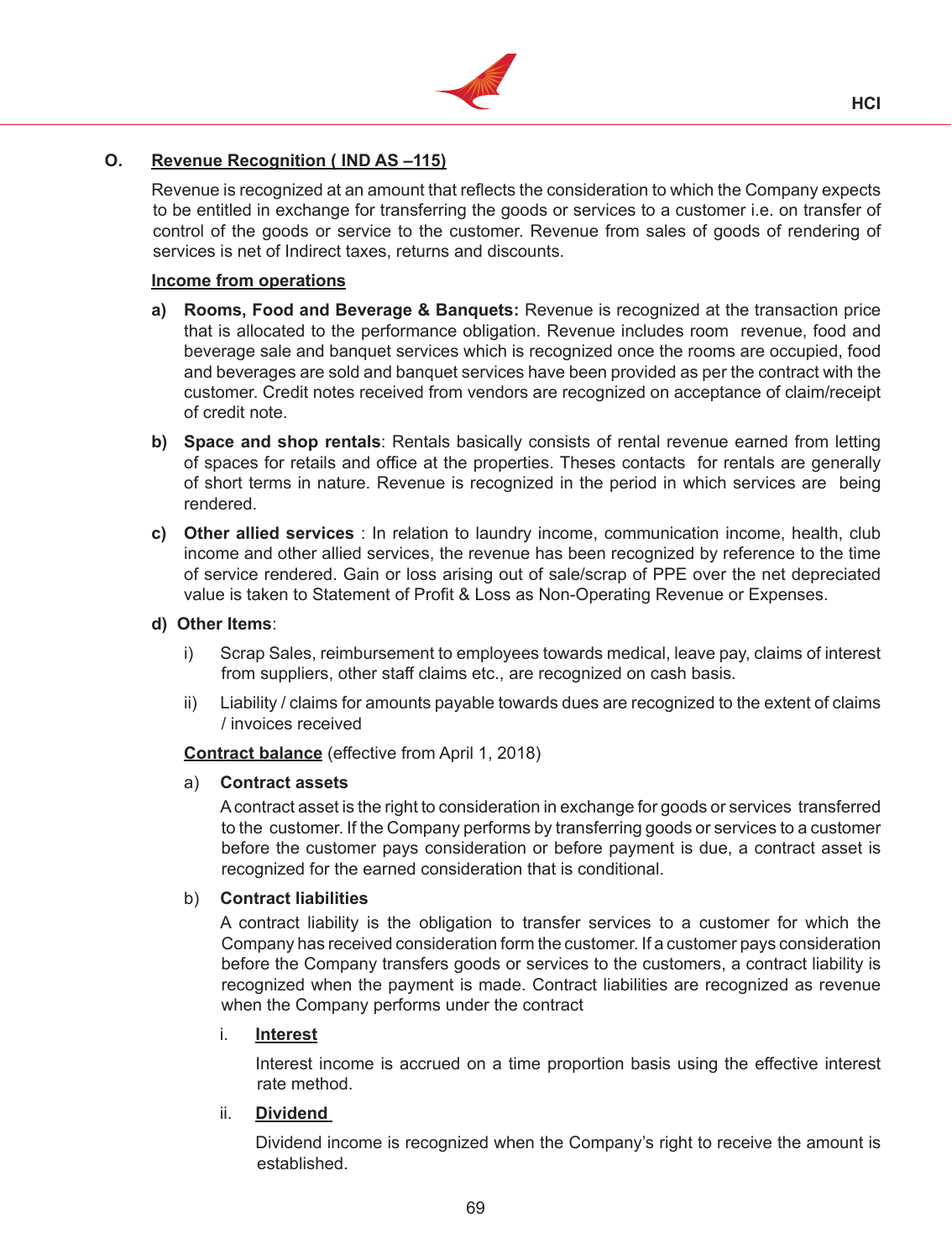

# **O. Revenue Recognition ( IND AS –115)**

Revenue is recognized at an amount that reflects the consideration to which the Company expects to be entitled in exchange for transferring the goods or services to a customer i.e. on transfer of control of the goods or service to the customer. Revenue from sales of goods of rendering of services is net of Indirect taxes, returns and discounts.

#### **Income from operations**

- **a) Rooms, Food and Beverage & Banquets:** Revenue is recognized at the transaction price that is allocated to the performance obligation. Revenue includes room revenue, food and beverage sale and banquet services which is recognized once the rooms are occupied, food and beverages are sold and banquet services have been provided as per the contract with the customer. Credit notes received from vendors are recognized on acceptance of claim/receipt of credit note.
- **b) Space and shop rentals**: Rentals basically consists of rental revenue earned from letting of spaces for retails and office at the properties. Theses contacts for rentals are generally of short terms in nature. Revenue is recognized in the period in which services are being rendered.
- **c) Other allied services** : In relation to laundry income, communication income, health, club income and other allied services, the revenue has been recognized by reference to the time of service rendered. Gain or loss arising out of sale/scrap of PPE over the net depreciated value is taken to Statement of Profit & Loss as Non-Operating Revenue or Expenses.

#### **d) Other Items**:

- i) Scrap Sales, reimbursement to employees towards medical, leave pay, claims of interest from suppliers, other staff claims etc., are recognized on cash basis.
- ii) Liability / claims for amounts payable towards dues are recognized to the extent of claims / invoices received

**Contract balance** (effective from April 1, 2018)

## a) **Contract assets**

A contract asset is the right to consideration in exchange for goods or services transferred to the customer. If the Company performs by transferring goods or services to a customer before the customer pays consideration or before payment is due, a contract asset is recognized for the earned consideration that is conditional.

#### b) **Contract liabilities**

A contract liability is the obligation to transfer services to a customer for which the Company has received consideration form the customer. If a customer pays consideration before the Company transfers goods or services to the customers, a contract liability is recognized when the payment is made. Contract liabilities are recognized as revenue when the Company performs under the contract

#### i. **Interest**

Interest income is accrued on a time proportion basis using the effective interest rate method.

## ii. **Dividend**

Dividend income is recognized when the Company's right to receive the amount is established.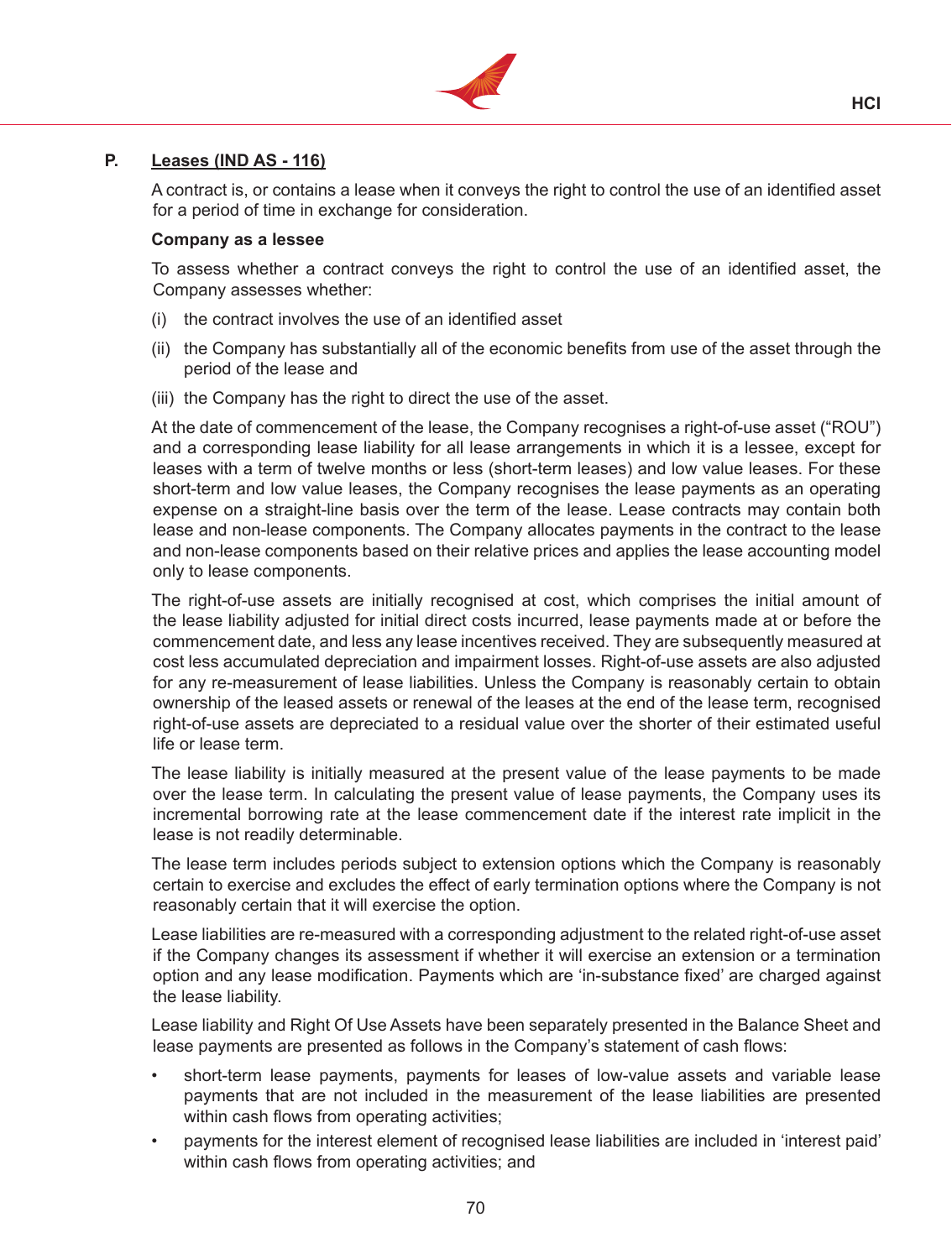

## **P. Leases (IND AS - 116)**

A contract is, or contains a lease when it conveys the right to control the use of an identified asset for a period of time in exchange for consideration.

#### **Company as a lessee**

To assess whether a contract conveys the right to control the use of an identified asset, the Company assesses whether:

- (i) the contract involves the use of an identified asset
- (ii) the Company has substantially all of the economic benefits from use of the asset through the period of the lease and
- (iii) the Company has the right to direct the use of the asset.

At the date of commencement of the lease, the Company recognises a right-of-use asset ("ROU") and a corresponding lease liability for all lease arrangements in which it is a lessee, except for leases with a term of twelve months or less (short-term leases) and low value leases. For these short-term and low value leases, the Company recognises the lease payments as an operating expense on a straight-line basis over the term of the lease. Lease contracts may contain both lease and non-lease components. The Company allocates payments in the contract to the lease and non-lease components based on their relative prices and applies the lease accounting model only to lease components.

The right-of-use assets are initially recognised at cost, which comprises the initial amount of the lease liability adjusted for initial direct costs incurred, lease payments made at or before the commencement date, and less any lease incentives received. They are subsequently measured at cost less accumulated depreciation and impairment losses. Right-of-use assets are also adjusted for any re-measurement of lease liabilities. Unless the Company is reasonably certain to obtain ownership of the leased assets or renewal of the leases at the end of the lease term, recognised right-of-use assets are depreciated to a residual value over the shorter of their estimated useful life or lease term.

The lease liability is initially measured at the present value of the lease payments to be made over the lease term. In calculating the present value of lease payments, the Company uses its incremental borrowing rate at the lease commencement date if the interest rate implicit in the lease is not readily determinable.

The lease term includes periods subject to extension options which the Company is reasonably certain to exercise and excludes the effect of early termination options where the Company is not reasonably certain that it will exercise the option.

 Lease liabilities are re-measured with a corresponding adjustment to the related right-of-use asset if the Company changes its assessment if whether it will exercise an extension or a termination option and any lease modification. Payments which are 'in-substance fixed' are charged against the lease liability.

 Lease liability and Right Of Use Assets have been separately presented in the Balance Sheet and lease payments are presented as follows in the Company's statement of cash flows:

- short-term lease payments, payments for leases of low-value assets and variable lease payments that are not included in the measurement of the lease liabilities are presented within cash flows from operating activities;
- payments for the interest element of recognised lease liabilities are included in 'interest paid' within cash flows from operating activities; and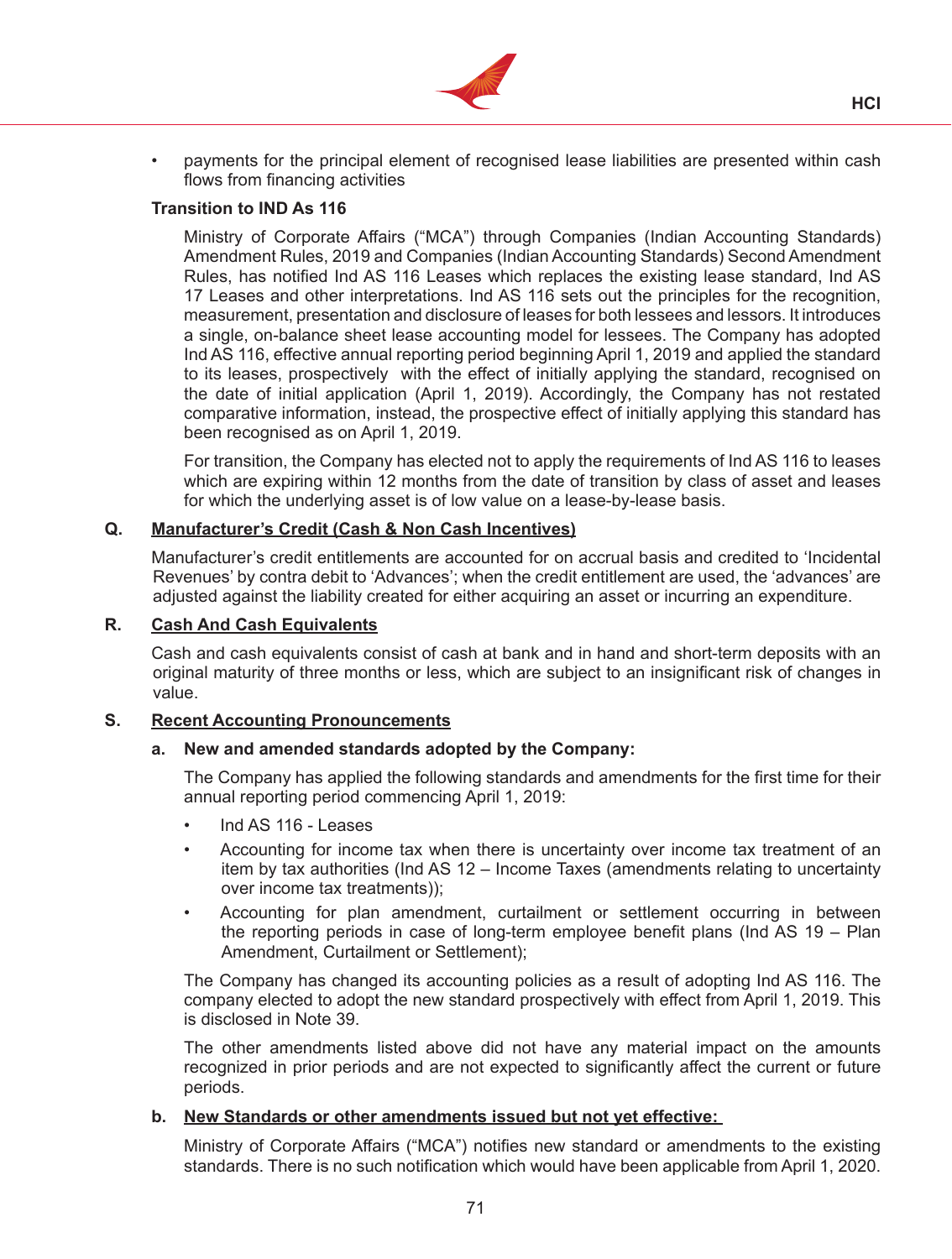

• payments for the principal element of recognised lease liabilities are presented within cash flows from financing activities

#### **Transition to IND As 116**

Ministry of Corporate Affairs ("MCA") through Companies (Indian Accounting Standards) Amendment Rules, 2019 and Companies (Indian Accounting Standards) Second Amendment Rules, has notified Ind AS 116 Leases which replaces the existing lease standard, Ind AS 17 Leases and other interpretations. Ind AS 116 sets out the principles for the recognition, measurement, presentation and disclosure of leases for both lessees and lessors. It introduces a single, on-balance sheet lease accounting model for lessees. The Company has adopted Ind AS 116, effective annual reporting period beginning April 1, 2019 and applied the standard to its leases, prospectively with the effect of initially applying the standard, recognised on the date of initial application (April 1, 2019). Accordingly, the Company has not restated comparative information, instead, the prospective effect of initially applying this standard has been recognised as on April 1, 2019.

For transition, the Company has elected not to apply the requirements of Ind AS 116 to leases which are expiring within 12 months from the date of transition by class of asset and leases for which the underlying asset is of low value on a lease-by-lease basis.

#### **Q. Manufacturer's Credit (Cash & Non Cash Incentives)**

Manufacturer's credit entitlements are accounted for on accrual basis and credited to 'Incidental Revenues' by contra debit to 'Advances'; when the credit entitlement are used, the 'advances' are adjusted against the liability created for either acquiring an asset or incurring an expenditure.

#### **R. Cash And Cash Equivalents**

Cash and cash equivalents consist of cash at bank and in hand and short-term deposits with an original maturity of three months or less, which are subject to an insignificant risk of changes in value.

#### **S. Recent Accounting Pronouncements**

#### **a. New and amended standards adopted by the Company:**

The Company has applied the following standards and amendments for the first time for their annual reporting period commencing April 1, 2019:

- Ind AS 116 Leases
- Accounting for income tax when there is uncertainty over income tax treatment of an item by tax authorities (Ind AS 12 – Income Taxes (amendments relating to uncertainty over income tax treatments));
- Accounting for plan amendment, curtailment or settlement occurring in between the reporting periods in case of long-term employee benefit plans (Ind AS 19 – Plan Amendment, Curtailment or Settlement);

The Company has changed its accounting policies as a result of adopting Ind AS 116. The company elected to adopt the new standard prospectively with effect from April 1, 2019. This is disclosed in Note 39.

The other amendments listed above did not have any material impact on the amounts recognized in prior periods and are not expected to significantly affect the current or future periods.

#### **b. New Standards or other amendments issued but not yet effective:**

Ministry of Corporate Affairs ("MCA") notifies new standard or amendments to the existing standards. There is no such notification which would have been applicable from April 1, 2020.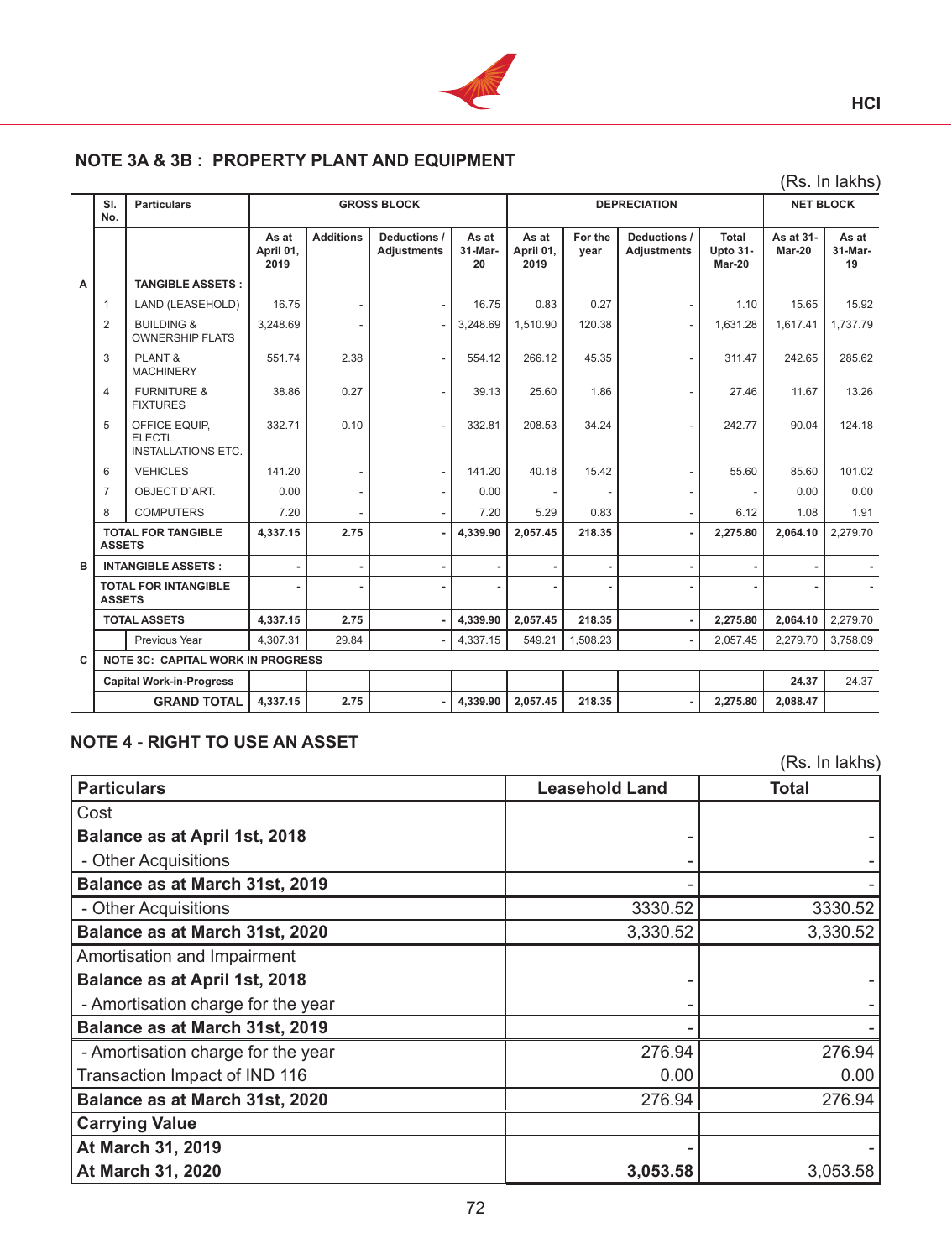

# **NOTE 3A & 3B : PROPERTY PLANT AND EQUIPMENT**

|   |                |                                                             |                            |                  |                                    |                        |                            |                 |                                    |                                           |                     | (Rs. In lakhs)         |
|---|----------------|-------------------------------------------------------------|----------------------------|------------------|------------------------------------|------------------------|----------------------------|-----------------|------------------------------------|-------------------------------------------|---------------------|------------------------|
|   | SI.<br>No.     | <b>Particulars</b>                                          |                            |                  | <b>GROSS BLOCK</b>                 |                        |                            |                 | <b>DEPRECIATION</b>                |                                           |                     | <b>NET BLOCK</b>       |
|   |                |                                                             | As at<br>April 01,<br>2019 | <b>Additions</b> | Deductions /<br><b>Adjustments</b> | As at<br>31-Mar-<br>20 | As at<br>April 01,<br>2019 | For the<br>year | Deductions /<br><b>Adjustments</b> | <b>Total</b><br><b>Upto 31-</b><br>Mar-20 | As at 31-<br>Mar-20 | As at<br>31-Mar-<br>19 |
| A |                | <b>TANGIBLE ASSETS:</b>                                     |                            |                  |                                    |                        |                            |                 |                                    |                                           |                     |                        |
|   | $\mathbf{1}$   | LAND (LEASEHOLD)                                            | 16.75                      |                  |                                    | 16.75                  | 0.83                       | 0.27            |                                    | 1.10                                      | 15.65               | 15.92                  |
|   | $\overline{2}$ | <b>BUILDING &amp;</b><br><b>OWNERSHIP FLATS</b>             | 3,248.69                   |                  |                                    | 3,248.69               | 1,510.90                   | 120.38          |                                    | 1,631.28                                  | 1,617.41            | 1.737.79               |
|   | 3              | PLANT &<br><b>MACHINERY</b>                                 | 551.74                     | 2.38             |                                    | 554.12                 | 266.12                     | 45.35           |                                    | 311.47                                    | 242.65              | 285.62                 |
|   | $\overline{4}$ | <b>FURNITURE &amp;</b><br><b>FIXTURES</b>                   | 38.86                      | 0.27             |                                    | 39.13                  | 25.60                      | 1.86            |                                    | 27.46                                     | 11.67               | 13.26                  |
|   | 5              | OFFICE EQUIP.<br><b>ELECTL</b><br><b>INSTALLATIONS ETC.</b> | 332.71                     | 0.10             |                                    | 332.81                 | 208.53                     | 34.24           |                                    | 242.77                                    | 90.04               | 124.18                 |
|   | 6              | <b>VEHICLES</b>                                             | 141.20                     |                  |                                    | 141.20                 | 40.18                      | 15.42           |                                    | 55.60                                     | 85.60               | 101.02                 |
|   | $\overline{7}$ | OBJECT D'ART.                                               | 0.00                       |                  |                                    | 0.00                   |                            |                 |                                    |                                           | 0.00                | 0.00                   |
|   | 8              | <b>COMPUTERS</b>                                            | 7.20                       |                  |                                    | 7.20                   | 5.29                       | 0.83            |                                    | 6.12                                      | 1.08                | 1.91                   |
|   | <b>ASSETS</b>  | <b>TOTAL FOR TANGIBLE</b>                                   | 4,337.15                   | 2.75             |                                    | 4,339.90               | 2.057.45                   | 218.35          |                                    | 2,275.80                                  | 2.064.10            | 2,279.70               |
| B |                | <b>INTANGIBLE ASSETS:</b>                                   |                            |                  |                                    |                        |                            |                 |                                    |                                           |                     |                        |
|   | <b>ASSETS</b>  | <b>TOTAL FOR INTANGIBLE</b>                                 |                            |                  |                                    |                        |                            |                 |                                    |                                           |                     |                        |
|   |                | <b>TOTAL ASSETS</b>                                         | 4,337.15                   | 2.75             |                                    | 4,339.90               | 2,057.45                   | 218.35          |                                    | 2,275.80                                  | 2,064.10            | 2,279.70               |
|   |                | Previous Year                                               | 4.307.31                   | 29.84            |                                    | 4.337.15               | 549.21                     | 1.508.23        |                                    | 2.057.45                                  | 2,279.70            | 3,758.09               |
| C |                | <b>NOTE 3C: CAPITAL WORK IN PROGRESS</b>                    |                            |                  |                                    |                        |                            |                 |                                    |                                           |                     |                        |
|   |                | <b>Capital Work-in-Progress</b>                             |                            |                  |                                    |                        |                            |                 |                                    |                                           | 24.37               | 24.37                  |
|   |                | <b>GRAND TOTAL</b>                                          | 4,337.15                   | 2.75             |                                    | 4,339.90               | 2,057.45                   | 218.35          |                                    | 2,275.80                                  | 2,088.47            |                        |

# **NOTE 4 - RIGHT TO USE AN ASSET**

|                                      |                       | (Rs. In lakhs) |
|--------------------------------------|-----------------------|----------------|
| <b>Particulars</b>                   | <b>Leasehold Land</b> | <b>Total</b>   |
| Cost                                 |                       |                |
| <b>Balance as at April 1st, 2018</b> |                       |                |
| - Other Acquisitions                 |                       |                |
| Balance as at March 31st, 2019       |                       |                |
| - Other Acquisitions                 | 3330.52               | 3330.52        |
| Balance as at March 31st, 2020       | 3,330.52              | 3,330.52       |
| Amortisation and Impairment          |                       |                |
| <b>Balance as at April 1st, 2018</b> |                       |                |
| - Amortisation charge for the year   |                       |                |
| Balance as at March 31st, 2019       |                       |                |
| - Amortisation charge for the year   | 276.94                | 276.94         |
| Transaction Impact of IND 116        | 0.00                  | 0.00           |
| Balance as at March 31st, 2020       | 276.94                | 276.94         |
| <b>Carrying Value</b>                |                       |                |
| At March 31, 2019                    |                       |                |
| At March 31, 2020                    | 3,053.58              | 3,053.58       |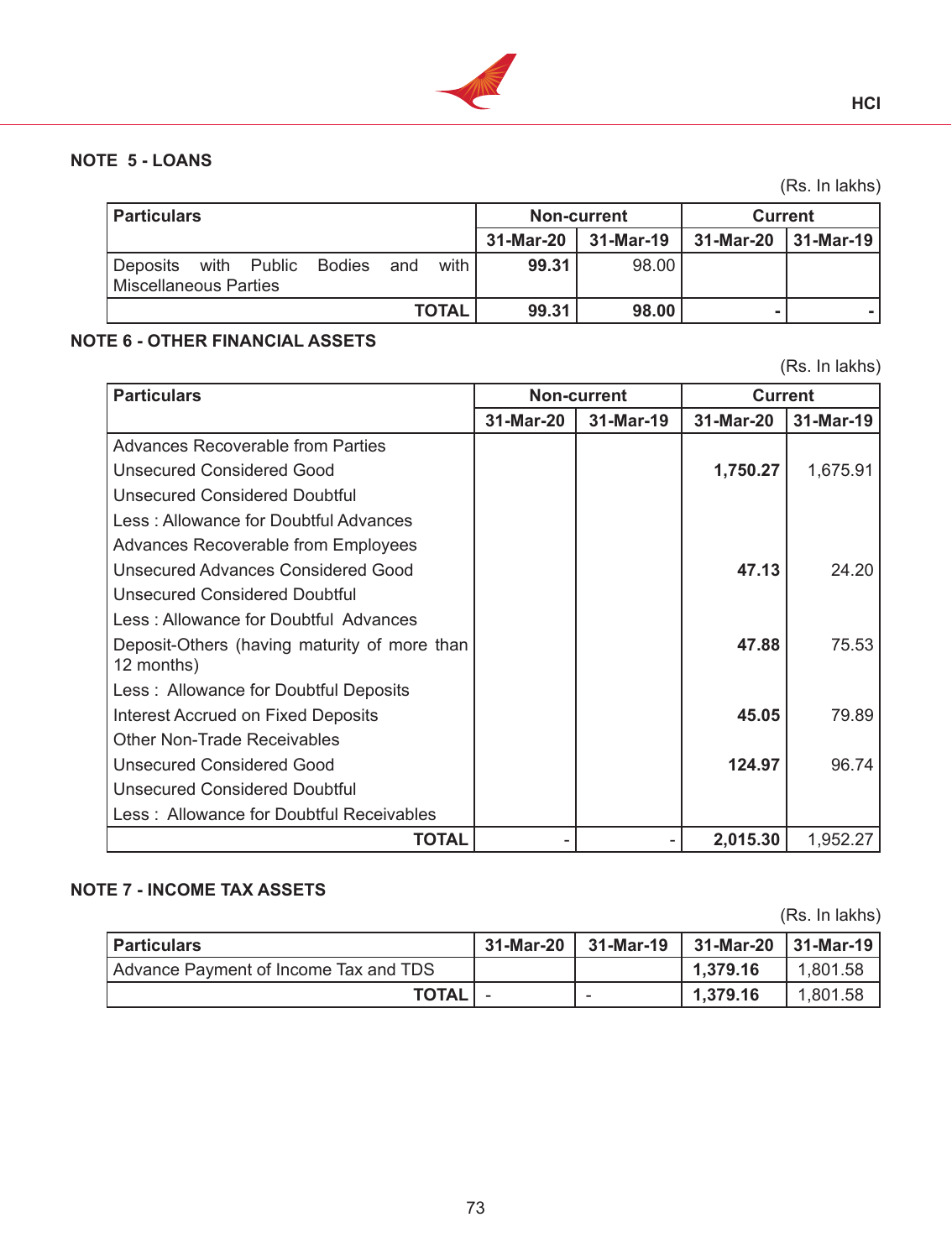

# **NOTE 5 - LOANS**

**Particulars Non-current 1 Current 31-Mar-20 31-Mar-19 31-Mar-20 31-Mar-19** Deposits with Public Bodies and with Miscellaneous Parties  **99.31** 98.00 TOTAL 99.31 98.00 - -

# **NOTE 6 - OTHER FINANCIAL ASSETS**

(Rs. In lakhs)

| <b>Particulars</b>                           |           | <b>Non-current</b> | <b>Current</b> |           |
|----------------------------------------------|-----------|--------------------|----------------|-----------|
|                                              | 31-Mar-20 | 31-Mar-19          | 31-Mar-20      | 31-Mar-19 |
| <b>Advances Recoverable from Parties</b>     |           |                    |                |           |
| Unsecured Considered Good                    |           |                    | 1,750.27       | 1,675.91  |
| <b>Unsecured Considered Doubtful</b>         |           |                    |                |           |
| Less: Allowance for Doubtful Advances        |           |                    |                |           |
| <b>Advances Recoverable from Employees</b>   |           |                    |                |           |
| <b>Unsecured Advances Considered Good</b>    |           |                    | 47.13          | 24.20     |
| <b>Unsecured Considered Doubtful</b>         |           |                    |                |           |
| Less: Allowance for Doubtful Advances        |           |                    |                |           |
| Deposit-Others (having maturity of more than |           |                    | 47.88          | 75.53     |
| 12 months)                                   |           |                    |                |           |
| Less: Allowance for Doubtful Deposits        |           |                    |                |           |
| <b>Interest Accrued on Fixed Deposits</b>    |           |                    | 45.05          | 79.89     |
| <b>Other Non-Trade Receivables</b>           |           |                    |                |           |
| <b>Unsecured Considered Good</b>             |           |                    | 124.97         | 96.74     |
| <b>Unsecured Considered Doubtful</b>         |           |                    |                |           |
| Less: Allowance for Doubtful Receivables     |           |                    |                |           |
| TOTAL                                        |           |                    | 2,015.30       | 1,952.27  |

## **NOTE 7 - INCOME TAX ASSETS**

(Rs. In lakhs)

| <b>Particulars</b>                    | 31-Mar-20 l | <b>1 31-Mar-19</b> | 31-Mar-20   31-Mar-19 |          |
|---------------------------------------|-------------|--------------------|-----------------------|----------|
| Advance Payment of Income Tax and TDS |             |                    | 1.379.16              | 1,801.58 |
| <b>TOTAL</b>                          |             | -                  | 1.379.16              | 1,801.58 |

**HCI**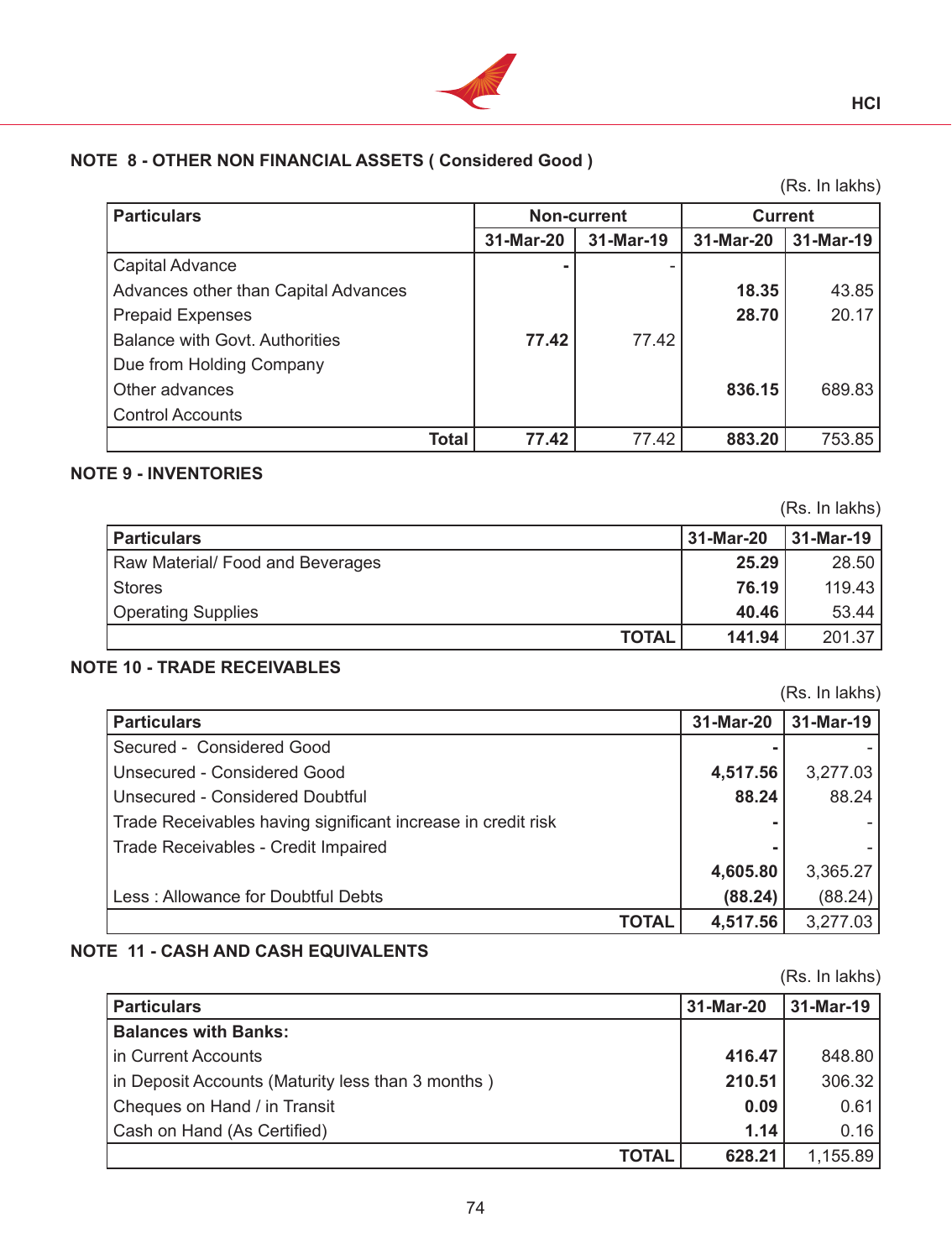

# **NOTE 8 - OTHER NON FINANCIAL ASSETS ( Considered Good )**

(Rs. In lakhs)

| <b>Particulars</b>                    |           | <b>Non-current</b> | <b>Current</b> |           |
|---------------------------------------|-----------|--------------------|----------------|-----------|
|                                       | 31-Mar-20 | 31-Mar-19          | 31-Mar-20      | 31-Mar-19 |
| Capital Advance                       |           |                    |                |           |
| Advances other than Capital Advances  |           |                    | 18.35          | 43.85     |
| <b>Prepaid Expenses</b>               |           |                    | 28.70          | 20.17     |
| <b>Balance with Govt. Authorities</b> | 77.42     | 77.42              |                |           |
| Due from Holding Company              |           |                    |                |           |
| Other advances                        |           |                    | 836.15         | 689.83    |
| <b>Control Accounts</b>               |           |                    |                |           |
| <b>Total</b>                          | 77.42     | 77.42              | 883.20         | 753.85    |

## **NOTE 9 - INVENTORIES**

(Rs. In lakhs) **Particulars 31-Mar-20 31-Mar-19** Raw Material/ Food and Beverages 28.50 Stores **76.19** 119.43 Operating Supplies **40.46 40.46 53.44 TOTAL 141.94 201.37** 

## **NOTE 10 - TRADE RECEIVABLES**

(Rs. In lakhs)

| <b>Particulars</b>                                           |              | 31-Mar-20 | 31-Mar-19 |
|--------------------------------------------------------------|--------------|-----------|-----------|
| Secured - Considered Good                                    |              |           |           |
| <b>Unsecured - Considered Good</b>                           |              | 4,517.56  | 3,277.03  |
| Unsecured - Considered Doubtful                              |              | 88.24     | 88.24     |
| Trade Receivables having significant increase in credit risk |              |           |           |
| Trade Receivables - Credit Impaired                          |              |           |           |
|                                                              |              | 4,605.80  | 3,365.27  |
| Less: Allowance for Doubtful Debts                           |              | (88.24)   | (88.24)   |
|                                                              | <b>TOTAL</b> | 4,517.56  | 3,277.03  |

## **NOTE 11 - CASH AND CASH EQUIVALENTS**

(Rs. In lakhs) **Particulars 31-Mar-20 31-Mar-19 Balances with Banks:** in Current Accounts **416.47** 848.80 in Deposit Accounts (Maturity less than 3 months ) **210.51 210.51 210.51** 306.32 Cheques on Hand / in Transit **0.09** 0.61 Cash on Hand (As Certified) **1.14** 0.16 **TOTAL 628.21** 1,155.89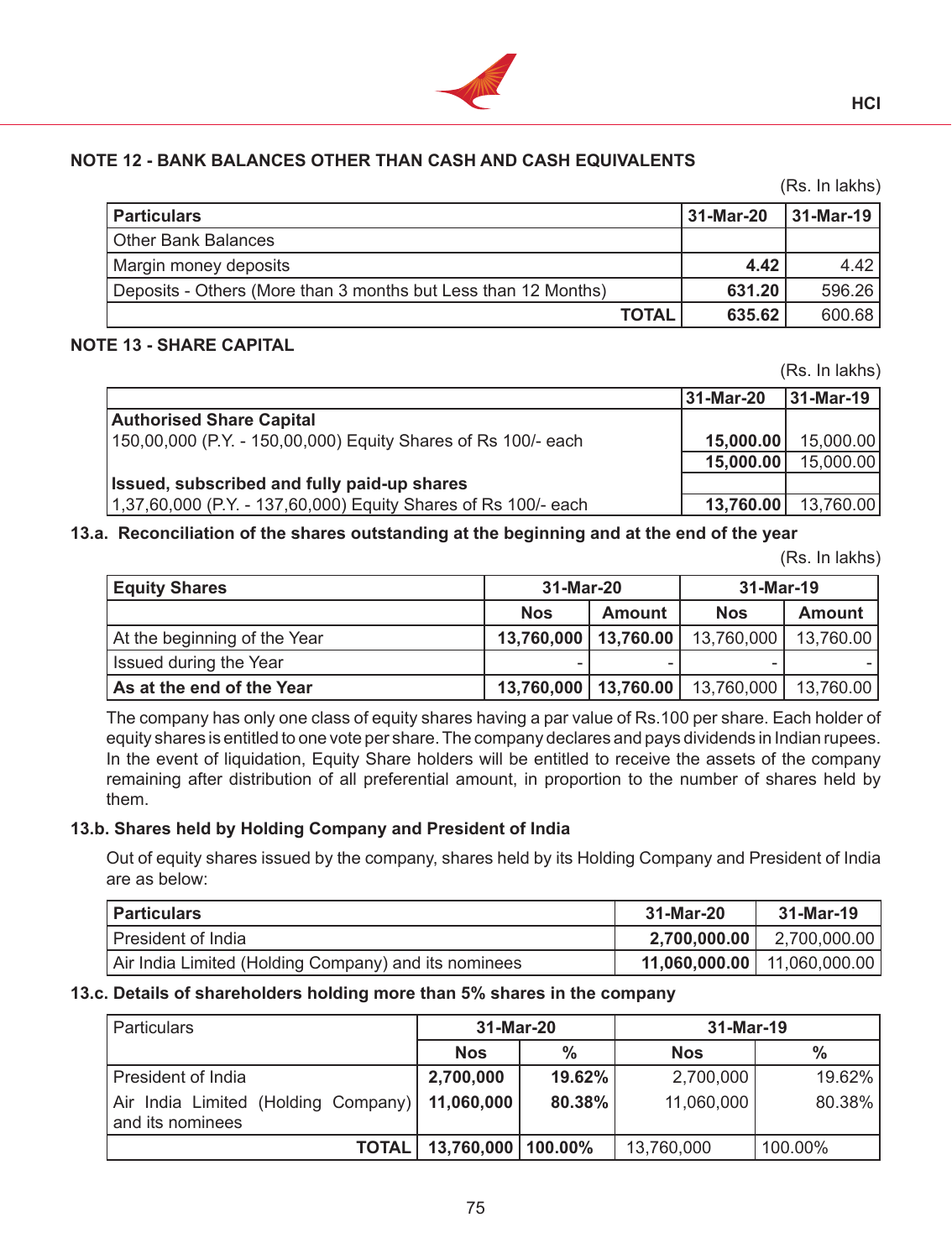

# **NOTE 12 - BANK BALANCES OTHER THAN CASH AND CASH EQUIVALENTS**

|                                                                |           | (Rs. In lakhs) |
|----------------------------------------------------------------|-----------|----------------|
| <b>Particulars</b>                                             | 31-Mar-20 | 31-Mar-19      |
| <b>Other Bank Balances</b>                                     |           |                |
| Margin money deposits                                          | 4.42      | 4.42           |
| Deposits - Others (More than 3 months but Less than 12 Months) | 631.20    | 596.26         |
| <b>TOTAL</b>                                                   | 635.62    | 600.68         |

#### **NOTE 13 - SHARE CAPITAL**

|                                                                |           | (Rs. In lakhs) |
|----------------------------------------------------------------|-----------|----------------|
|                                                                | 31-Mar-20 | $ 31-Mar-19 $  |
| <b>Authorised Share Capital</b>                                |           |                |
| 150,00,000 (P.Y. - 150,00,000) Equity Shares of Rs 100/- each  | 15,000.00 | 15,000.00      |
|                                                                | 15,000.00 | 15,000.00      |
| Issued, subscribed and fully paid-up shares                    |           |                |
| 1,37,60,000 (P.Y. - 137,60,000) Equity Shares of Rs 100/- each | 13,760.00 | 13,760.00      |

## **13.a. Reconciliation of the shares outstanding at the beginning and at the end of the year**

(Rs. In lakhs)

| <b>Equity Shares</b>         | 31-Mar-20              |               | 31-Mar-19                             |               |
|------------------------------|------------------------|---------------|---------------------------------------|---------------|
|                              | <b>Nos</b>             | <b>Amount</b> | <b>Nos</b>                            | <b>Amount</b> |
| At the beginning of the Year | 13,760,000   13,760.00 |               | 13,760,000                            | 13,760.00     |
| Issued during the Year       |                        |               |                                       |               |
| As at the end of the Year    |                        |               | $13,760,000$   13,760.00   13,760,000 | 13,760.00     |

The company has only one class of equity shares having a par value of Rs.100 per share. Each holder of equity shares is entitled to one vote per share. The company declares and pays dividends in Indian rupees. In the event of liquidation, Equity Share holders will be entitled to receive the assets of the company remaining after distribution of all preferential amount, in proportion to the number of shares held by them.

## **13.b. Shares held by Holding Company and President of India**

Out of equity shares issued by the company, shares held by its Holding Company and President of India are as below:

| <b>Particulars</b>                                   | 31-Mar-20    | 31-Mar-19                     |
|------------------------------------------------------|--------------|-------------------------------|
| President of India                                   | 2,700,000.00 | 2,700,000.00                  |
| Air India Limited (Holding Company) and its nominees |              | 11,060,000.00   11,060,000.00 |

## **13.c. Details of shareholders holding more than 5% shares in the company**

| <b>Particulars</b>                                                   | 31-Mar-20            |               | 31-Mar-19  |         |  |
|----------------------------------------------------------------------|----------------------|---------------|------------|---------|--|
|                                                                      | <b>Nos</b>           | $\frac{0}{0}$ | <b>Nos</b> | $\%$    |  |
| President of India                                                   | 2,700,000            | 19.62%        | 2,700,000  | 19.62%  |  |
| Air India Limited (Holding Company)   11,060,000<br>and its nominees |                      | 80.38%        | 11,060,000 | 80.38%  |  |
| <b>TOTAL</b>                                                         | 13,760,000   100.00% |               | 13,760,000 | 100.00% |  |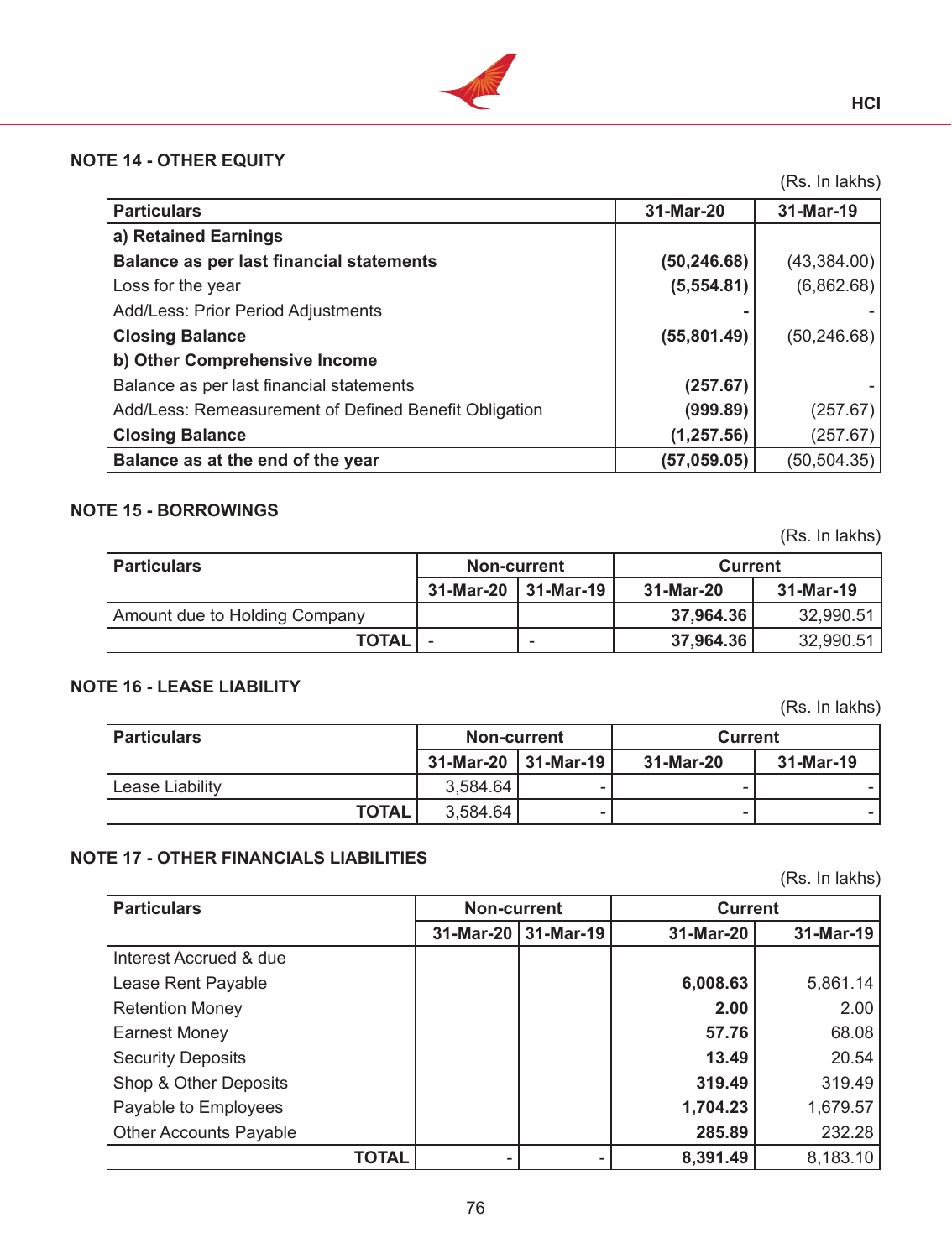

## **NOTE 14 - OTHER EQUITY**

**Particulars 31-Mar-20 31-Mar-19 a) Retained Earnings Balance as per last financial statements (50,246.68)** (43,384.00) Loss for the year (5,554.81) (6,862.68) Add/Less: Prior Period Adjustments **Closing Balance** (55,801.49) (50,246.68) **b) Other Comprehensive Income** Balance as per last financial statements (257.67) Add/Less: Remeasurement of Defined Benefit Obligation (999.89) (257.67) **Closing Balance** (1,257.56) (257.67) **Balance as at the end of the year (57,059.05)** (50,504.35)

## **NOTE 15 - BORROWINGS**

(Rs. In lakhs)

| <b>Particulars</b>            | <b>Non-current</b> |                     | <b>Current</b> |           |  |
|-------------------------------|--------------------|---------------------|----------------|-----------|--|
|                               |                    | 31-Mar-20 31-Mar-19 | 31-Mar-20      | 31-Mar-19 |  |
| Amount due to Holding Company |                    |                     | 37,964.36      | 32,990.51 |  |
| <b>TOTAL</b>                  | -                  | -                   | 37,964.36      | 32,990.51 |  |

## **NOTE 16 - LEASE LIABILITY**

(Rs. In lakhs)

| <b>Particulars</b> | Non-current         |   | <b>Current</b> |           |
|--------------------|---------------------|---|----------------|-----------|
|                    | 31-Mar-20 31-Mar-19 |   | 31-Mar-20      | 31-Mar-19 |
| Lease Liability    | 3,584.64            |   |                |           |
| <b>TOTAL</b>       | 3,584.64            | - |                |           |

## **NOTE 17 - OTHER FINANCIALS LIABILITIES**

(Rs. In lakhs)

| <b>Particulars</b>            | <b>Non-current</b> |                       | <b>Current</b> |           |
|-------------------------------|--------------------|-----------------------|----------------|-----------|
|                               |                    | 31-Mar-20   31-Mar-19 | 31-Mar-20      | 31-Mar-19 |
| Interest Accrued & due        |                    |                       |                |           |
| Lease Rent Payable            |                    |                       | 6,008.63       | 5,861.14  |
| <b>Retention Money</b>        |                    |                       | 2.00           | 2.00      |
| <b>Earnest Money</b>          |                    |                       | 57.76          | 68.08     |
| <b>Security Deposits</b>      |                    |                       | 13.49          | 20.54     |
| Shop & Other Deposits         |                    |                       | 319.49         | 319.49    |
| Payable to Employees          |                    |                       | 1,704.23       | 1,679.57  |
| <b>Other Accounts Payable</b> |                    |                       | 285.89         | 232.28    |
| <b>TOTAL</b>                  |                    |                       | 8,391.49       | 8,183.10  |

(Rs. In lakhs)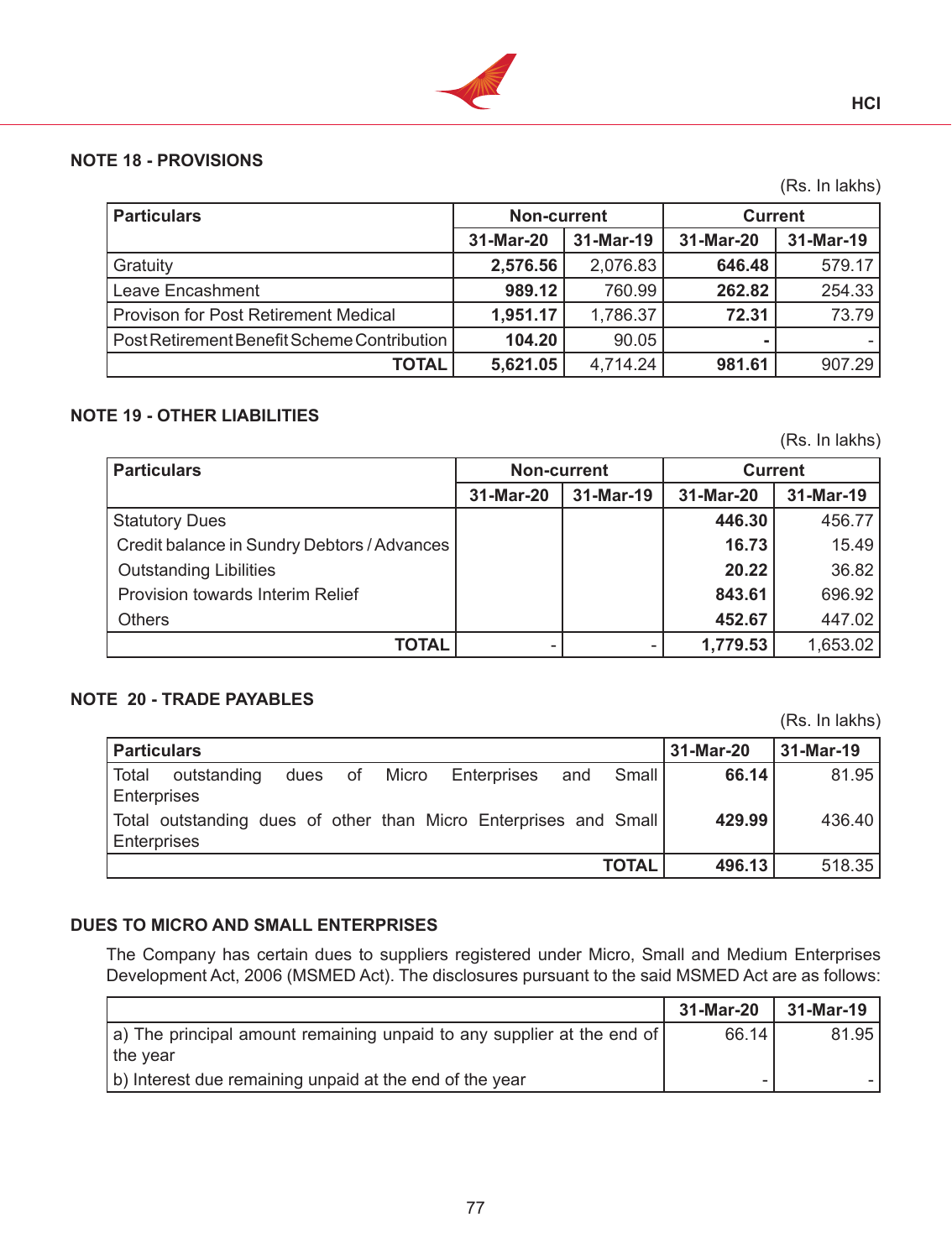# **NOTE 18 - PROVISIONS**

| <b>Particulars</b>                          | <b>Non-current</b> |           | <b>Current</b> |           |
|---------------------------------------------|--------------------|-----------|----------------|-----------|
|                                             | 31-Mar-20          | 31-Mar-19 | 31-Mar-20      | 31-Mar-19 |
| Gratuity                                    | 2,576.56           | 2,076.83  | 646.48         | 579.17    |
| Leave Encashment                            | 989.12             | 760.99    | 262.82         | 254.33    |
| <b>Provison for Post Retirement Medical</b> | 1,951.17           | 1,786.37  | 72.31          | 73.79     |
| Post Retirement Benefit Scheme Contribution | 104.20             | 90.05     |                |           |
| <b>TOTAL</b>                                | 5,621.05           | 4,714.24  | 981.61         | 907.29    |

#### **NOTE 19 - OTHER LIABILITIES**

(Rs. In lakhs)

(Rs. In lakhs)

| <b>Particulars</b>                          | <b>Non-current</b> |           | <b>Current</b> |           |
|---------------------------------------------|--------------------|-----------|----------------|-----------|
|                                             | 31-Mar-20          | 31-Mar-19 | 31-Mar-20      | 31-Mar-19 |
| <b>Statutory Dues</b>                       |                    |           | 446.30         | 456.77    |
| Credit balance in Sundry Debtors / Advances |                    |           | 16.73          | 15.49     |
| <b>Outstanding Libilities</b>               |                    |           | 20.22          | 36.82     |
| Provision towards Interim Relief            |                    |           | 843.61         | 696.92    |
| <b>Others</b>                               |                    |           | 452.67         | 447.02    |
| <b>TOTAL</b>                                |                    |           | 1,779.53       | 1,653.02  |

## **NOTE 20 - TRADE PAYABLES**

(Rs. In lakhs)

| <b>Particulars</b>                                                                 | 31-Mar-20 | 31-Mar-19 |
|------------------------------------------------------------------------------------|-----------|-----------|
| Small  <br>outstanding<br>Total<br>dues of Micro Enterprises<br>and<br>Enterprises | 66.14     | 81.95     |
| Total outstanding dues of other than Micro Enterprises and Small<br>Enterprises    | 429.99    | 436.40    |
| <b>TOTAL</b>                                                                       | 496.13    | 518.35    |

## **DUES TO MICRO AND SMALL ENTERPRISES**

The Company has certain dues to suppliers registered under Micro, Small and Medium Enterprises Development Act, 2006 (MSMED Act). The disclosures pursuant to the said MSMED Act are as follows:

|                                                                        | 31-Mar-20 | 31-Mar-19 |
|------------------------------------------------------------------------|-----------|-----------|
| a) The principal amount remaining unpaid to any supplier at the end of | 66.14     | 81.95     |
| the year                                                               |           |           |
| (b) Interest due remaining unpaid at the end of the year               |           |           |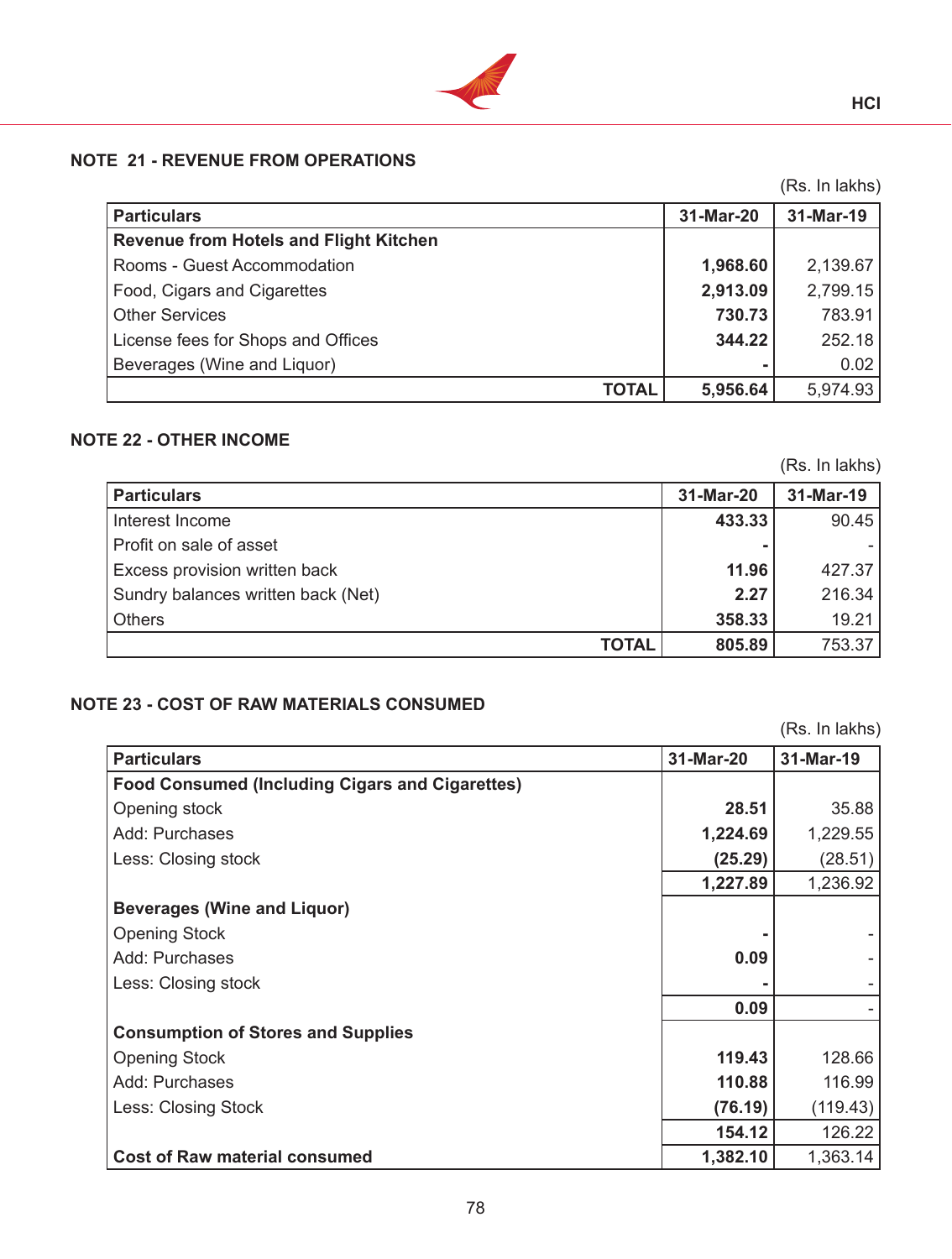

## **NOTE 21 - REVENUE FROM OPERATIONS**

|                                               |           | (Rs. In lakhs) |
|-----------------------------------------------|-----------|----------------|
| <b>Particulars</b>                            | 31-Mar-20 | 31-Mar-19      |
| <b>Revenue from Hotels and Flight Kitchen</b> |           |                |
| Rooms - Guest Accommodation                   | 1,968.60  | 2,139.67       |
| Food, Cigars and Cigarettes                   | 2,913.09  | 2,799.15       |
| <b>Other Services</b>                         | 730.73    | 783.91         |
| License fees for Shops and Offices            | 344.22    | 252.18         |
| Beverages (Wine and Liquor)                   |           | 0.02           |
| <b>TOTAL</b>                                  | 5,956.64  | 5,974.93       |

#### **NOTE 22 - OTHER INCOME**

(Rs. In lakhs)

| <b>Particulars</b>                 | 31-Mar-20 | 31-Mar-19 |
|------------------------------------|-----------|-----------|
| Interest Income                    | 433.33    | 90.45     |
| Profit on sale of asset            |           |           |
| Excess provision written back      | 11.96     | 427.37    |
| Sundry balances written back (Net) | 2.27      | 216.34    |
| <b>Others</b>                      | 358.33    | 19.21     |
| <b>TOTAL</b>                       | 805.89    | 753.37    |

## **NOTE 23 - COST OF RAW MATERIALS CONSUMED**

(Rs. In lakhs) **Particulars 31-Mar-20 31-Mar-19 Food Consumed (Including Cigars and Cigarettes)** Opening stock **28.51** 35.88 Add: Purchases **1,224.69** 1,229.55 Less: Closing stock (25.29) (28.51)  **1,227.89** 1,236.92 **Beverages (Wine and Liquor) Opening Stock** Add: Purchases **0.09 - 0.09** Less: Closing stock **- and a structure of the structure of the structure of the structure of the structure of the structure of the structure of the structure of the structure of the structure of the structure of the struct 0.09** - **Consumption of Stores and Supplies** Opening Stock **119.43** 128.66 Add: Purchases **110.88 116.99** Less: Closing Stock **(76.19)** (119.43)  **154.12** 126.22 **Cost of Raw material consumed 1,382.10 | 1,363.14**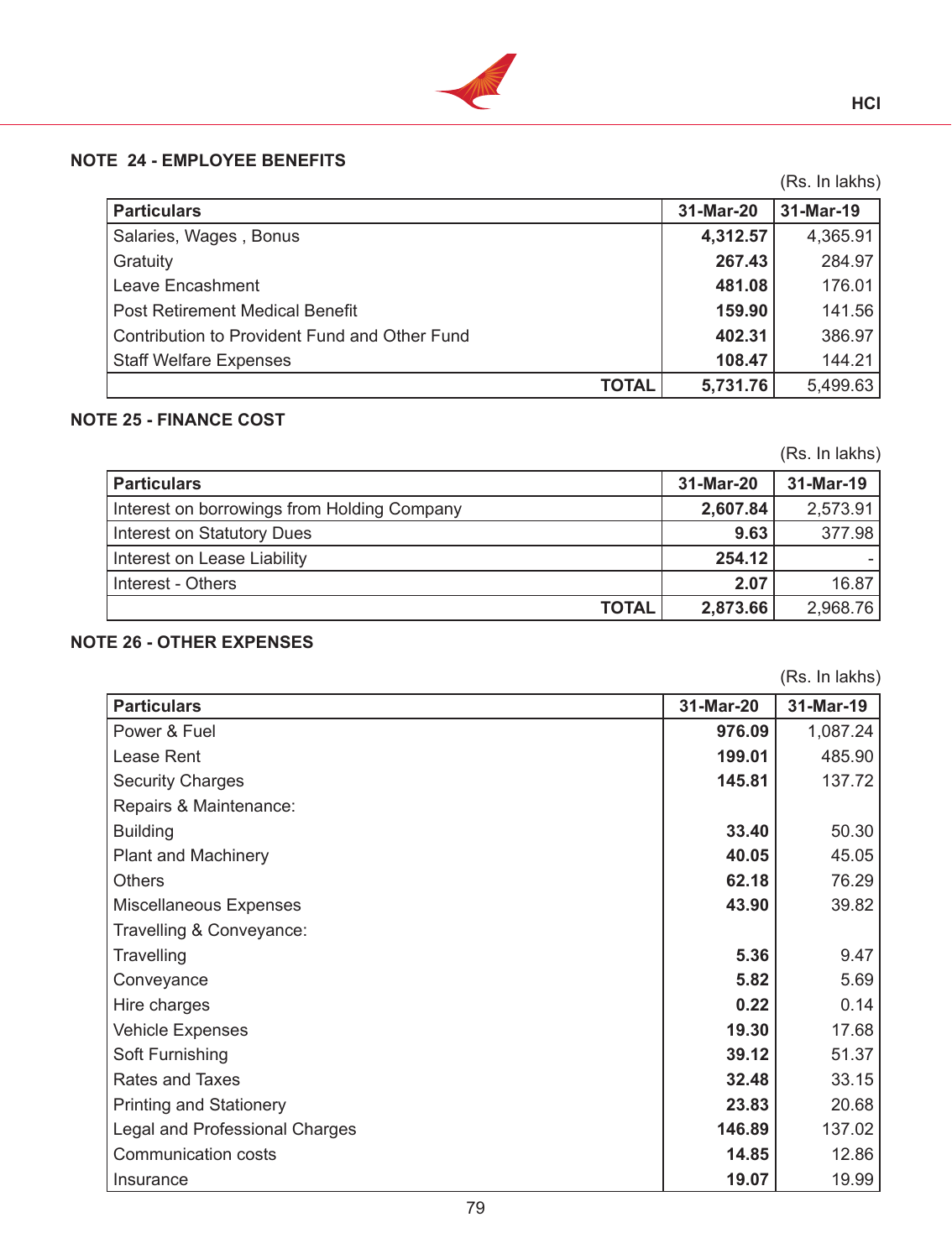

# **NOTE 24 - EMPLOYEE BENEFITS**

(Rs. In lakhs)

| <b>Particulars</b>                            |              | 31-Mar-20 | 31-Mar-19 |
|-----------------------------------------------|--------------|-----------|-----------|
| Salaries, Wages, Bonus                        |              | 4,312.57  | 4,365.91  |
| Gratuity                                      |              | 267.43    | 284.97    |
| Leave Encashment                              |              | 481.08    | 176.01    |
| <b>Post Retirement Medical Benefit</b>        |              | 159.90    | 141.56    |
| Contribution to Provident Fund and Other Fund |              | 402.31    | 386.97    |
| <b>Staff Welfare Expenses</b>                 |              | 108.47    | 144.21    |
|                                               | <b>TOTAL</b> | 5,731.76  | 5,499.63  |

# **NOTE 25 - FINANCE COST**

(Rs. In lakhs)

| <b>Particulars</b>                          | 31-Mar-20 | 31-Mar-19 |
|---------------------------------------------|-----------|-----------|
| Interest on borrowings from Holding Company | 2,607.84  | 2,573.91  |
| <b>Interest on Statutory Dues</b>           | 9.63      | 377.98    |
| Interest on Lease Liability                 | 254.12    |           |
| Interest - Others                           | 2.07      | 16.87     |
| <b>TOTAL</b>                                | 2,873.66  | 2,968.76  |

# **NOTE 26 - OTHER EXPENSES**

(Rs. In lakhs)

| <b>Particulars</b>             | 31-Mar-20 | 31-Mar-19 |
|--------------------------------|-----------|-----------|
| Power & Fuel                   | 976.09    | 1,087.24  |
| Lease Rent                     | 199.01    | 485.90    |
| <b>Security Charges</b>        | 145.81    | 137.72    |
| Repairs & Maintenance:         |           |           |
| <b>Building</b>                | 33.40     | 50.30     |
| <b>Plant and Machinery</b>     | 40.05     | 45.05     |
| <b>Others</b>                  | 62.18     | 76.29     |
| Miscellaneous Expenses         | 43.90     | 39.82     |
| Travelling & Conveyance:       |           |           |
| Travelling                     | 5.36      | 9.47      |
| Conveyance                     | 5.82      | 5.69      |
| Hire charges                   | 0.22      | 0.14      |
| <b>Vehicle Expenses</b>        | 19.30     | 17.68     |
| Soft Furnishing                | 39.12     | 51.37     |
| <b>Rates and Taxes</b>         | 32.48     | 33.15     |
| <b>Printing and Stationery</b> | 23.83     | 20.68     |
| Legal and Professional Charges | 146.89    | 137.02    |
| Communication costs            | 14.85     | 12.86     |
| Insurance                      | 19.07     | 19.99     |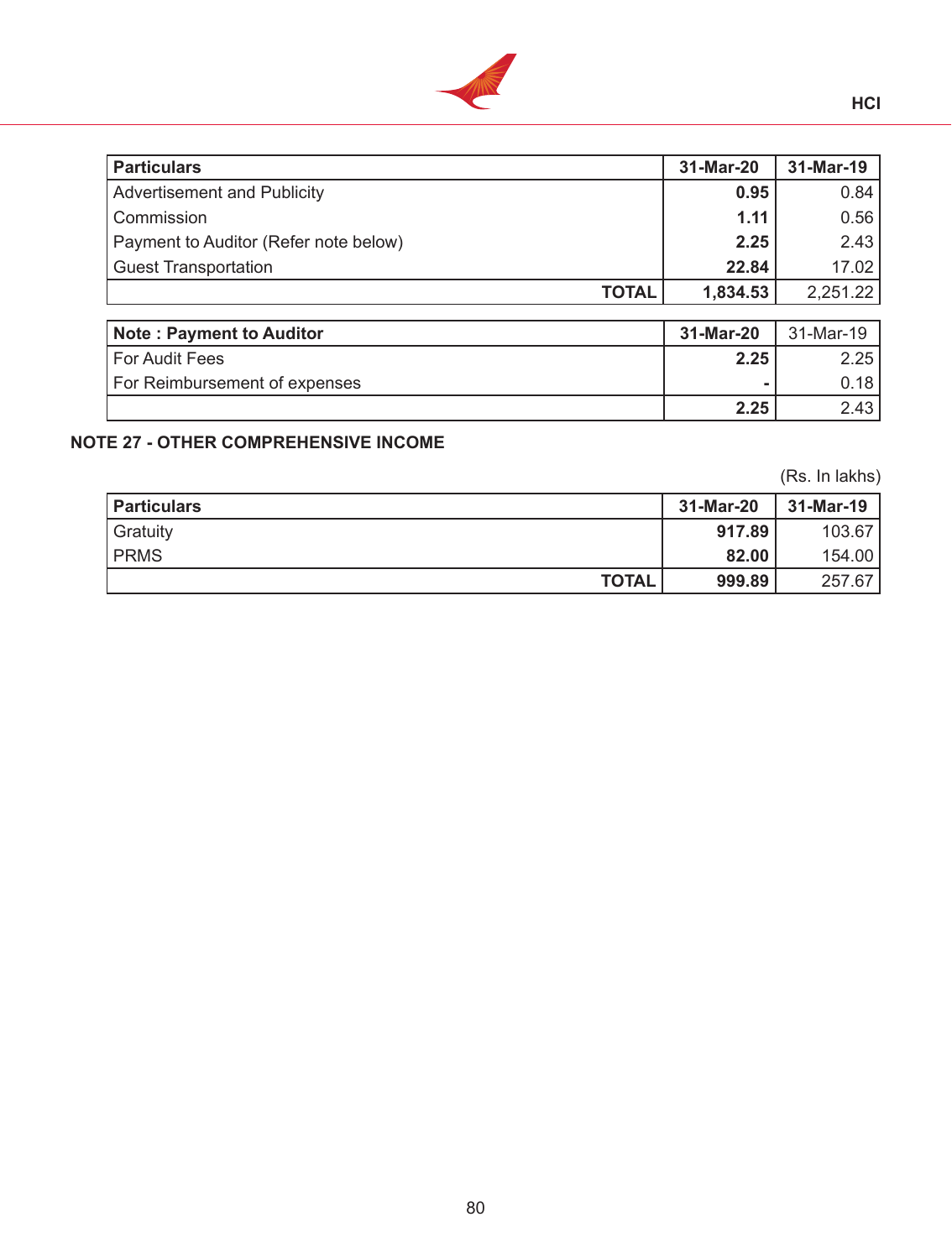

| <b>Particulars</b>                    | 31-Mar-20 | 31-Mar-19 |
|---------------------------------------|-----------|-----------|
| <b>Advertisement and Publicity</b>    | 0.95      | 0.84      |
| Commission                            | 1.11      | 0.56      |
| Payment to Auditor (Refer note below) | 2.25      | 2.43      |
| <b>Guest Transportation</b>           | 22.84     | 17.02     |
| <b>TOTAL</b>                          | 1,834.53  | 2,251.22  |
|                                       |           |           |
| <b>Note: Payment to Auditor</b>       | 31-Mar-20 | 31-Mar-19 |
| For Audit Fees                        | 2.25      | 2.25      |
| For Reimbursement of expenses         |           | 0.18      |

## **NOTE 27 - OTHER COMPREHENSIVE INCOME**

(Rs. In lakhs)

 **2.25** 2.43

| <b>Particulars</b> |              | 31-Mar-20 | 31-Mar-19 |
|--------------------|--------------|-----------|-----------|
| Gratuity           |              | 917.89    | 103.67    |
| <b>PRMS</b>        |              | 82.00     | 154.00    |
|                    | <b>TOTAL</b> | 999.89    | 257.67    |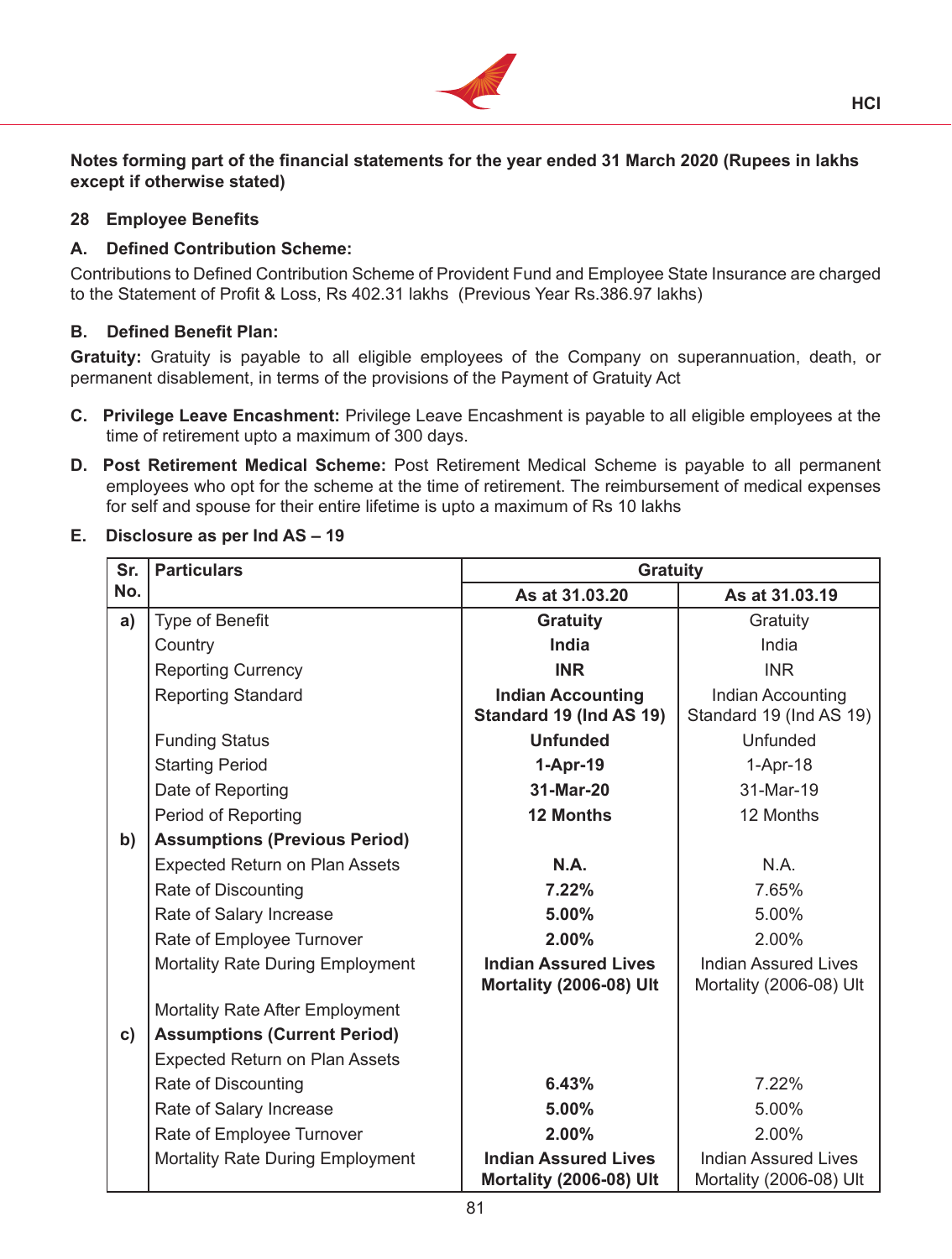

**Notes forming part of the financial statements for the year ended 31 March 2020 (Rupees in lakhs except if otherwise stated)**

#### **28 Employee Benefits**

#### **A. Defined Contribution Scheme:**

Contributions to Defined Contribution Scheme of Provident Fund and Employee State Insurance are charged to the Statement of Profit & Loss, Rs 402.31 lakhs (Previous Year Rs.386.97 lakhs)

#### **B. Defined Benefit Plan:**

**Gratuity:** Gratuity is payable to all eligible employees of the Company on superannuation, death, or permanent disablement, in terms of the provisions of the Payment of Gratuity Act

- **C. Privilege Leave Encashment:** Privilege Leave Encashment is payable to all eligible employees at the time of retirement upto a maximum of 300 days.
- **D. Post Retirement Medical Scheme:** Post Retirement Medical Scheme is payable to all permanent employees who opt for the scheme at the time of retirement. The reimbursement of medical expenses for self and spouse for their entire lifetime is upto a maximum of Rs 10 lakhs

#### **E. Disclosure as per Ind AS – 19**

| Sr.           | <b>Particulars</b>                    | <b>Gratuity</b>                                               |                                                        |  |
|---------------|---------------------------------------|---------------------------------------------------------------|--------------------------------------------------------|--|
| No.           |                                       | As at 31.03.20                                                | As at 31.03.19                                         |  |
| a)            | Type of Benefit                       | <b>Gratuity</b>                                               | Gratuity                                               |  |
|               | Country                               | <b>India</b>                                                  | India                                                  |  |
|               | <b>Reporting Currency</b>             | <b>INR</b>                                                    | <b>INR</b>                                             |  |
|               | <b>Reporting Standard</b>             | <b>Indian Accounting</b>                                      | <b>Indian Accounting</b>                               |  |
|               |                                       | Standard 19 (Ind AS 19)                                       | Standard 19 (Ind AS 19)                                |  |
|               | <b>Funding Status</b>                 | <b>Unfunded</b>                                               | <b>Unfunded</b>                                        |  |
|               | <b>Starting Period</b>                | $1-Apr-19$                                                    | $1-Apr-18$                                             |  |
|               | Date of Reporting                     | 31-Mar-20                                                     | 31-Mar-19                                              |  |
|               | Period of Reporting                   | <b>12 Months</b>                                              | 12 Months                                              |  |
| b)            | <b>Assumptions (Previous Period)</b>  |                                                               |                                                        |  |
|               | <b>Expected Return on Plan Assets</b> | <b>N.A.</b>                                                   | N.A.                                                   |  |
|               | Rate of Discounting                   | 7.22%                                                         | 7.65%                                                  |  |
|               | Rate of Salary Increase               | 5.00%                                                         | 5.00%                                                  |  |
|               | Rate of Employee Turnover             | 2.00%                                                         | 2.00%                                                  |  |
|               | Mortality Rate During Employment      | <b>Indian Assured Lives</b>                                   | <b>Indian Assured Lives</b>                            |  |
|               |                                       | Mortality (2006-08) Ult                                       | Mortality (2006-08) Ult                                |  |
|               | Mortality Rate After Employment       |                                                               |                                                        |  |
| $\mathbf{c})$ | <b>Assumptions (Current Period)</b>   |                                                               |                                                        |  |
|               | <b>Expected Return on Plan Assets</b> |                                                               |                                                        |  |
|               | Rate of Discounting                   | 6.43%                                                         | 7.22%                                                  |  |
|               | Rate of Salary Increase               | 5.00%                                                         | 5.00%                                                  |  |
|               | Rate of Employee Turnover             | 2.00%                                                         | 2.00%                                                  |  |
|               | Mortality Rate During Employment      | <b>Indian Assured Lives</b><br><b>Mortality (2006-08) Ult</b> | <b>Indian Assured Lives</b><br>Mortality (2006-08) Ult |  |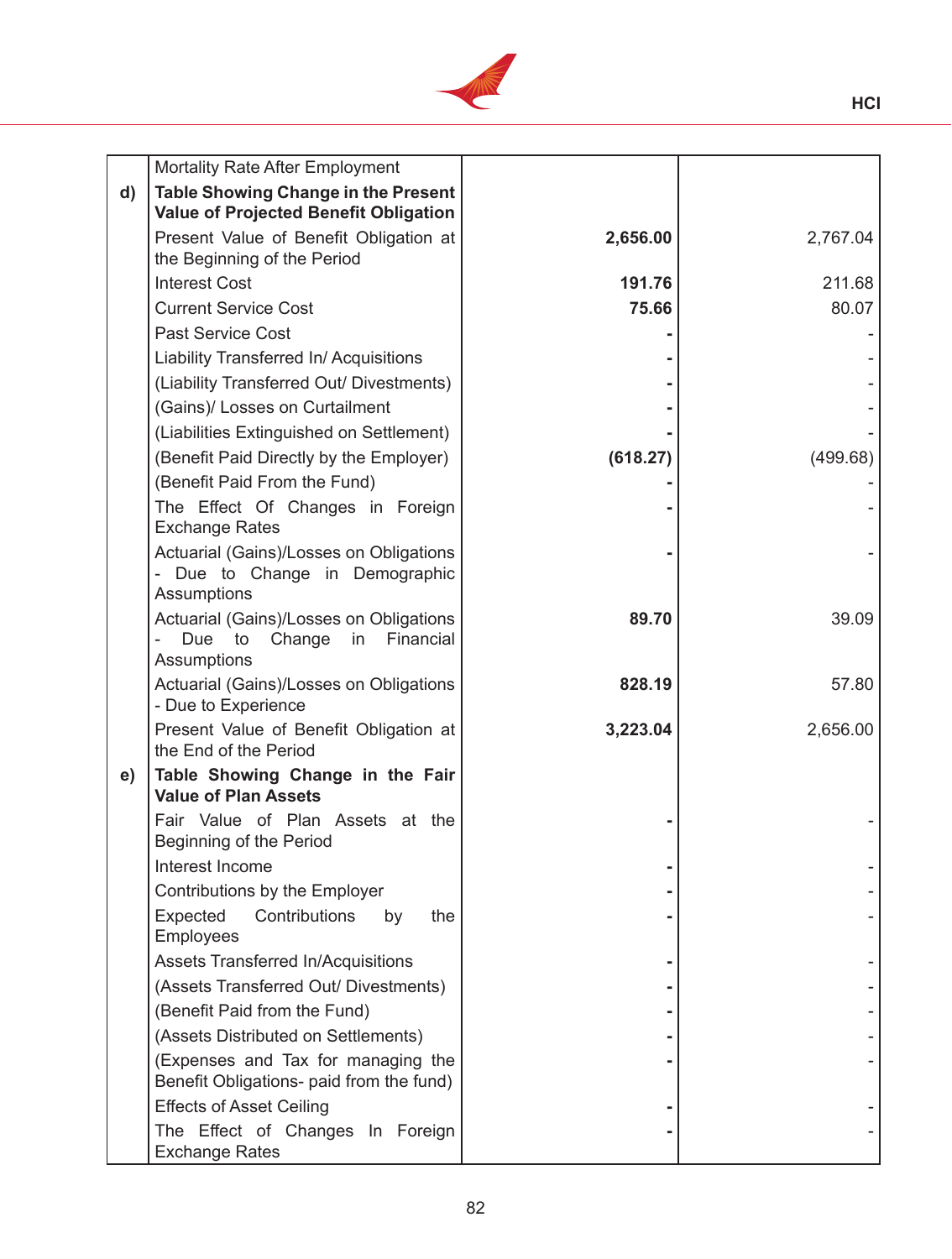

|    | Mortality Rate After Employment                                                                  |          |          |
|----|--------------------------------------------------------------------------------------------------|----------|----------|
| d) | <b>Table Showing Change in the Present</b>                                                       |          |          |
|    | Value of Projected Benefit Obligation                                                            |          |          |
|    | Present Value of Benefit Obligation at                                                           | 2,656.00 | 2,767.04 |
|    | the Beginning of the Period                                                                      |          |          |
|    | <b>Interest Cost</b>                                                                             | 191.76   | 211.68   |
|    | <b>Current Service Cost</b>                                                                      | 75.66    | 80.07    |
|    | <b>Past Service Cost</b>                                                                         |          |          |
|    | Liability Transferred In/Acquisitions                                                            |          |          |
|    | (Liability Transferred Out/ Divestments)                                                         |          |          |
|    | (Gains)/ Losses on Curtailment                                                                   |          |          |
|    | (Liabilities Extinguished on Settlement)                                                         |          |          |
|    | (Benefit Paid Directly by the Employer)                                                          | (618.27) | (499.68) |
|    | (Benefit Paid From the Fund)                                                                     |          |          |
|    | The Effect Of Changes in Foreign<br><b>Exchange Rates</b>                                        |          |          |
|    | Actuarial (Gains)/Losses on Obligations<br>Due to Change in Demographic<br>Assumptions           |          |          |
|    | Actuarial (Gains)/Losses on Obligations<br>Due<br>Financial<br>to<br>Change<br>in<br>Assumptions | 89.70    | 39.09    |
|    | Actuarial (Gains)/Losses on Obligations<br>- Due to Experience                                   | 828.19   | 57.80    |
|    | Present Value of Benefit Obligation at<br>the End of the Period                                  | 3,223.04 | 2,656.00 |
| e) | Table Showing Change in the Fair<br><b>Value of Plan Assets</b>                                  |          |          |
|    | Fair Value of Plan Assets at the<br>Beginning of the Period                                      |          |          |
|    | Interest Income                                                                                  |          |          |
|    | Contributions by the Employer                                                                    |          |          |
|    | Expected<br>Contributions<br>the<br>by<br><b>Employees</b>                                       |          |          |
|    | Assets Transferred In/Acquisitions                                                               |          |          |
|    | (Assets Transferred Out/ Divestments)                                                            |          |          |
|    | (Benefit Paid from the Fund)                                                                     |          |          |
|    | (Assets Distributed on Settlements)                                                              |          |          |
|    | (Expenses and Tax for managing the<br>Benefit Obligations- paid from the fund)                   |          |          |
|    | <b>Effects of Asset Ceiling</b>                                                                  |          |          |
|    | The Effect of Changes In Foreign<br><b>Exchange Rates</b>                                        |          |          |

**HCI**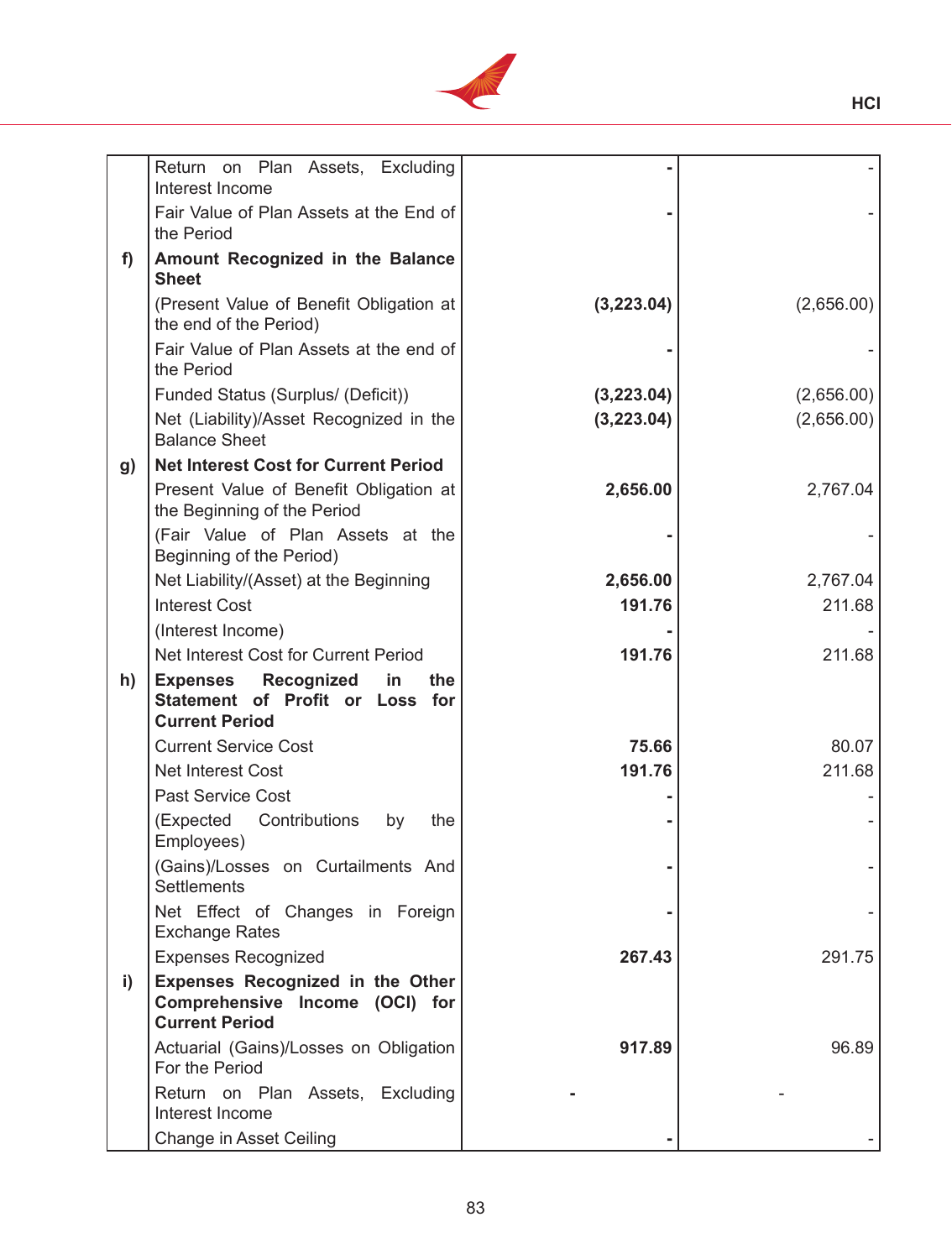

|              | Return on Plan Assets, Excluding<br>Interest Income                                         |            |            |
|--------------|---------------------------------------------------------------------------------------------|------------|------------|
|              | Fair Value of Plan Assets at the End of<br>the Period                                       |            |            |
| f)           | Amount Recognized in the Balance<br><b>Sheet</b>                                            |            |            |
|              | (Present Value of Benefit Obligation at<br>the end of the Period)                           | (3,223.04) | (2,656.00) |
|              | Fair Value of Plan Assets at the end of<br>the Period                                       |            |            |
|              | Funded Status (Surplus/ (Deficit))                                                          | (3,223.04) | (2,656.00) |
|              | Net (Liability)/Asset Recognized in the<br><b>Balance Sheet</b>                             | (3,223.04) | (2,656.00) |
| g)           | <b>Net Interest Cost for Current Period</b>                                                 |            |            |
|              | Present Value of Benefit Obligation at<br>the Beginning of the Period                       | 2,656.00   | 2,767.04   |
|              | (Fair Value of Plan Assets at the<br>Beginning of the Period)                               |            |            |
|              | Net Liability/(Asset) at the Beginning                                                      | 2,656.00   | 2,767.04   |
|              | <b>Interest Cost</b>                                                                        | 191.76     | 211.68     |
|              | (Interest Income)                                                                           |            |            |
|              | Net Interest Cost for Current Period                                                        | 191.76     | 211.68     |
| h)           | <b>Expenses Recognized</b><br>in<br>the<br>Statement of Profit or Loss for                  |            |            |
|              | <b>Current Period</b>                                                                       |            |            |
|              | <b>Current Service Cost</b>                                                                 | 75.66      | 80.07      |
|              | <b>Net Interest Cost</b>                                                                    | 191.76     | 211.68     |
|              | <b>Past Service Cost</b>                                                                    |            |            |
|              | (Expected Contributions<br>by<br>the<br>Employees)                                          |            |            |
|              | (Gains)/Losses on Curtailments And<br><b>Settlements</b>                                    |            |            |
|              | Net Effect of Changes in Foreign<br><b>Exchange Rates</b>                                   |            |            |
|              | <b>Expenses Recognized</b>                                                                  | 267.43     | 291.75     |
| $\mathbf{i}$ | Expenses Recognized in the Other<br>Comprehensive Income (OCI) for<br><b>Current Period</b> |            |            |
|              | Actuarial (Gains)/Losses on Obligation<br>For the Period                                    | 917.89     | 96.89      |
|              | Return on Plan Assets, Excluding<br>Interest Income                                         |            |            |
|              | Change in Asset Ceiling                                                                     |            |            |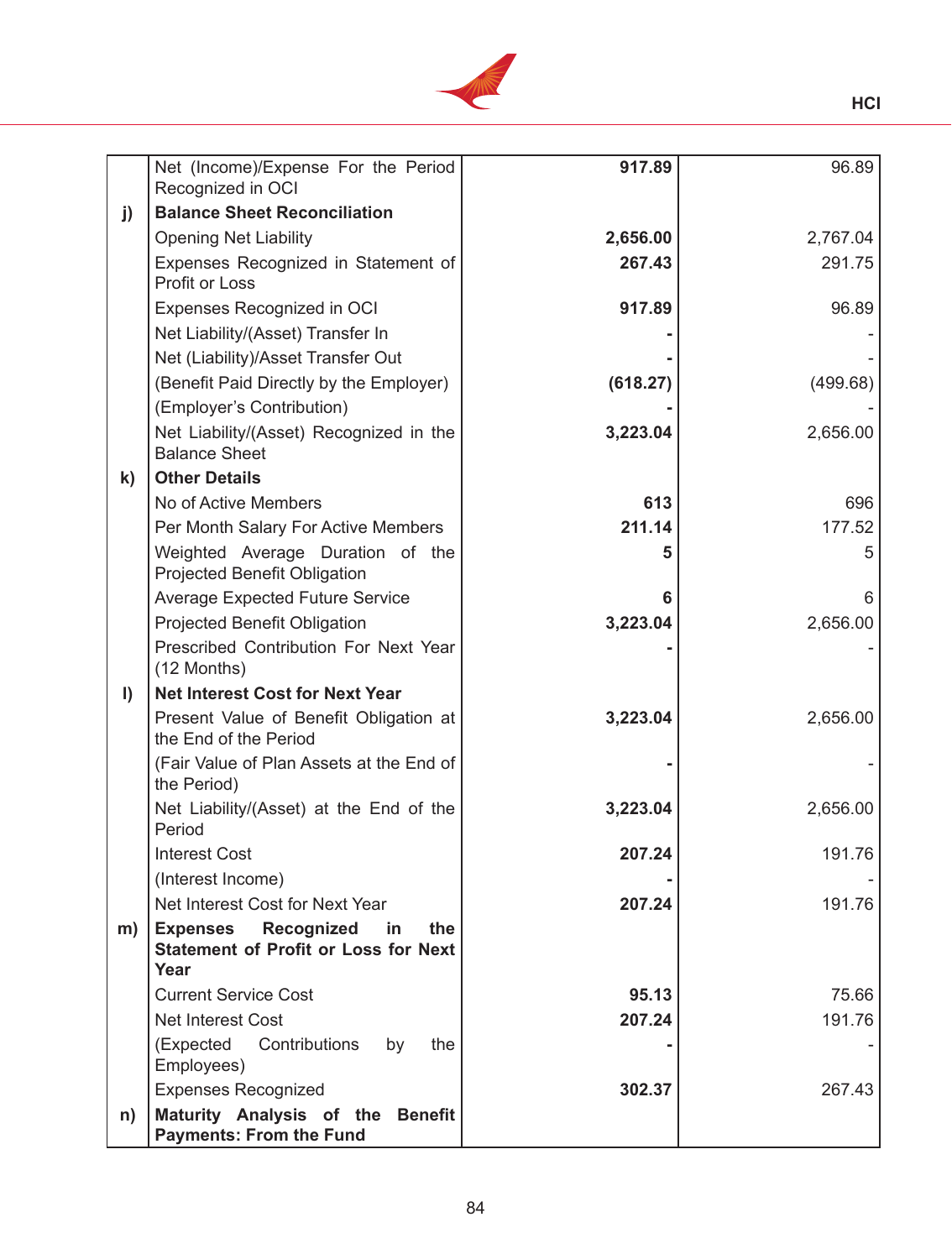

|              | Net (Income)/Expense For the Period<br>Recognized in OCI                                          | 917.89   | 96.89    |
|--------------|---------------------------------------------------------------------------------------------------|----------|----------|
|              | <b>Balance Sheet Reconciliation</b>                                                               |          |          |
| j)           | <b>Opening Net Liability</b>                                                                      | 2,656.00 | 2,767.04 |
|              | Expenses Recognized in Statement of                                                               | 267.43   | 291.75   |
|              | Profit or Loss                                                                                    |          |          |
|              | Expenses Recognized in OCI                                                                        | 917.89   | 96.89    |
|              | Net Liability/(Asset) Transfer In                                                                 |          |          |
|              | Net (Liability)/Asset Transfer Out                                                                |          |          |
|              | (Benefit Paid Directly by the Employer)                                                           | (618.27) | (499.68) |
|              | (Employer's Contribution)                                                                         |          |          |
|              | Net Liability/(Asset) Recognized in the<br><b>Balance Sheet</b>                                   | 3,223.04 | 2,656.00 |
| k)           | <b>Other Details</b>                                                                              |          |          |
|              | No of Active Members                                                                              | 613      | 696      |
|              | Per Month Salary For Active Members                                                               | 211.14   | 177.52   |
|              | Weighted Average Duration of the<br><b>Projected Benefit Obligation</b>                           | 5        | 5        |
|              | <b>Average Expected Future Service</b>                                                            |          | 6        |
|              | <b>Projected Benefit Obligation</b>                                                               | 3,223.04 | 2,656.00 |
|              | Prescribed Contribution For Next Year<br>$(12$ Months)                                            |          |          |
| $\mathbf{I}$ | <b>Net Interest Cost for Next Year</b>                                                            |          |          |
|              | Present Value of Benefit Obligation at<br>the End of the Period                                   | 3,223.04 | 2,656.00 |
|              | (Fair Value of Plan Assets at the End of<br>the Period)                                           |          |          |
|              | Net Liability/(Asset) at the End of the<br>Period                                                 | 3,223.04 | 2,656.00 |
|              | <b>Interest Cost</b>                                                                              | 207.24   | 191.76   |
|              | (Interest Income)                                                                                 |          |          |
|              | Net Interest Cost for Next Year                                                                   | 207.24   | 191.76   |
| m)           | <b>Expenses</b><br>Recognized<br>in<br>the<br><b>Statement of Profit or Loss for Next</b><br>Year |          |          |
|              | <b>Current Service Cost</b>                                                                       | 95.13    | 75.66    |
|              | <b>Net Interest Cost</b>                                                                          | 207.24   | 191.76   |
|              | (Expected<br>Contributions<br>the<br>by<br>Employees)                                             |          |          |
|              | <b>Expenses Recognized</b>                                                                        | 302.37   | 267.43   |
| n)           | Maturity Analysis of the Benefit<br><b>Payments: From the Fund</b>                                |          |          |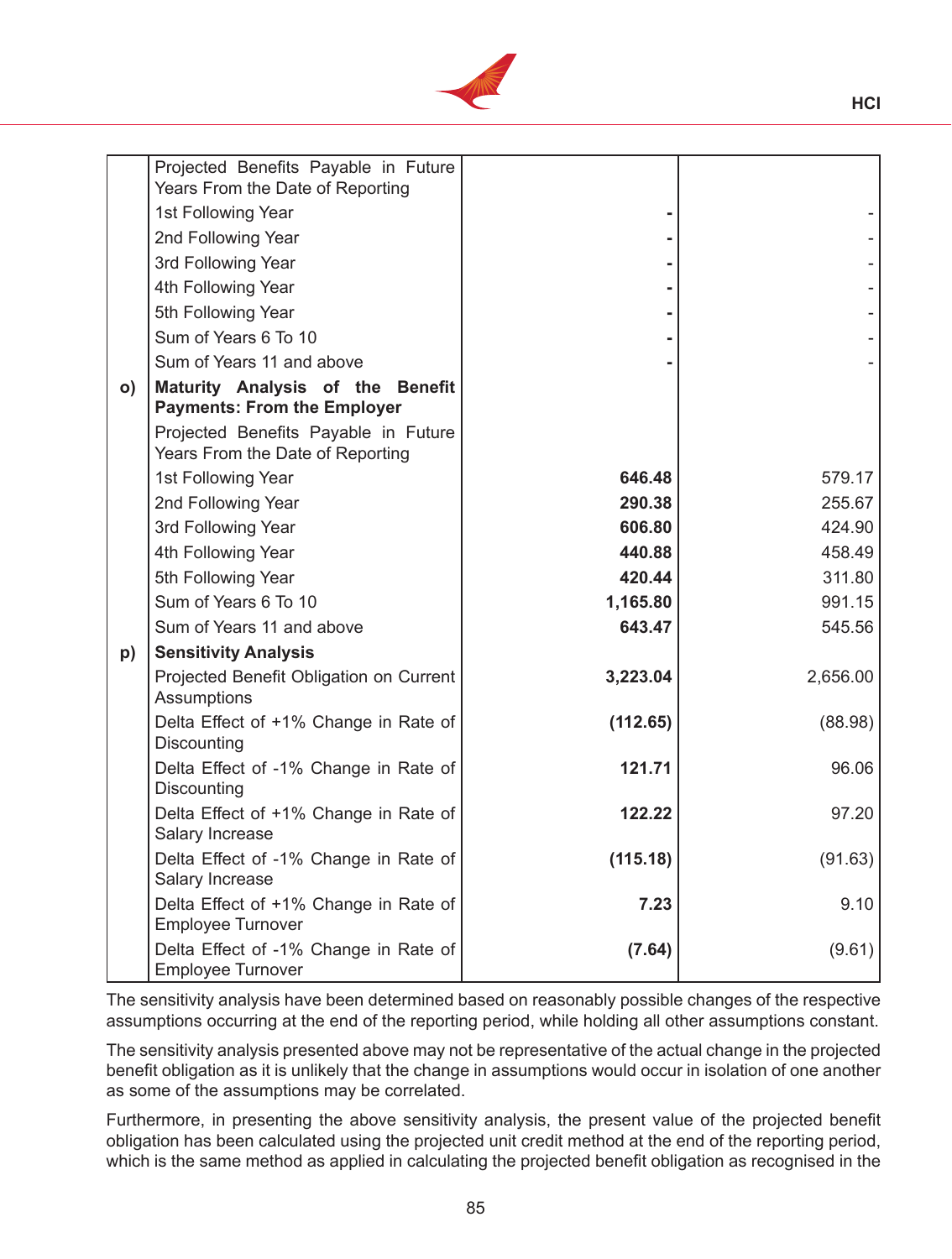

|              | Projected Benefits Payable in Future<br>Years From the Date of Reporting |          |          |
|--------------|--------------------------------------------------------------------------|----------|----------|
|              | 1st Following Year                                                       |          |          |
|              | 2nd Following Year                                                       |          |          |
|              | 3rd Following Year                                                       |          |          |
|              | 4th Following Year                                                       |          |          |
|              | 5th Following Year                                                       |          |          |
|              | Sum of Years 6 To 10                                                     |          |          |
|              | Sum of Years 11 and above                                                |          |          |
| $\mathsf{o}$ | Maturity Analysis of the Benefit<br><b>Payments: From the Employer</b>   |          |          |
|              | Projected Benefits Payable in Future<br>Years From the Date of Reporting |          |          |
|              | 1st Following Year                                                       | 646.48   | 579.17   |
|              | 2nd Following Year                                                       | 290.38   | 255.67   |
|              | 3rd Following Year                                                       | 606.80   | 424.90   |
|              | 4th Following Year                                                       | 440.88   | 458.49   |
|              | 5th Following Year                                                       | 420.44   | 311.80   |
|              | Sum of Years 6 To 10                                                     | 1,165.80 | 991.15   |
|              | Sum of Years 11 and above                                                | 643.47   | 545.56   |
| p)           | <b>Sensitivity Analysis</b>                                              |          |          |
|              | Projected Benefit Obligation on Current<br><b>Assumptions</b>            | 3,223.04 | 2,656.00 |
|              | Delta Effect of +1% Change in Rate of<br>Discounting                     | (112.65) | (88.98)  |
|              | Delta Effect of -1% Change in Rate of<br>Discounting                     | 121.71   | 96.06    |
|              | Delta Effect of +1% Change in Rate of<br>Salary Increase                 | 122.22   | 97.20    |
|              | Delta Effect of -1% Change in Rate of<br>Salary Increase                 | (115.18) | (91.63)  |
|              | Delta Effect of +1% Change in Rate of<br><b>Employee Turnover</b>        | 7.23     | 9.10     |
|              | Delta Effect of -1% Change in Rate of<br><b>Employee Turnover</b>        | (7.64)   | (9.61)   |

The sensitivity analysis have been determined based on reasonably possible changes of the respective assumptions occurring at the end of the reporting period, while holding all other assumptions constant.

The sensitivity analysis presented above may not be representative of the actual change in the projected benefit obligation as it is unlikely that the change in assumptions would occur in isolation of one another as some of the assumptions may be correlated.

 Furthermore, in presenting the above sensitivity analysis, the present value of the projected benefit obligation has been calculated using the projected unit credit method at the end of the reporting period, which is the same method as applied in calculating the projected benefit obligation as recognised in the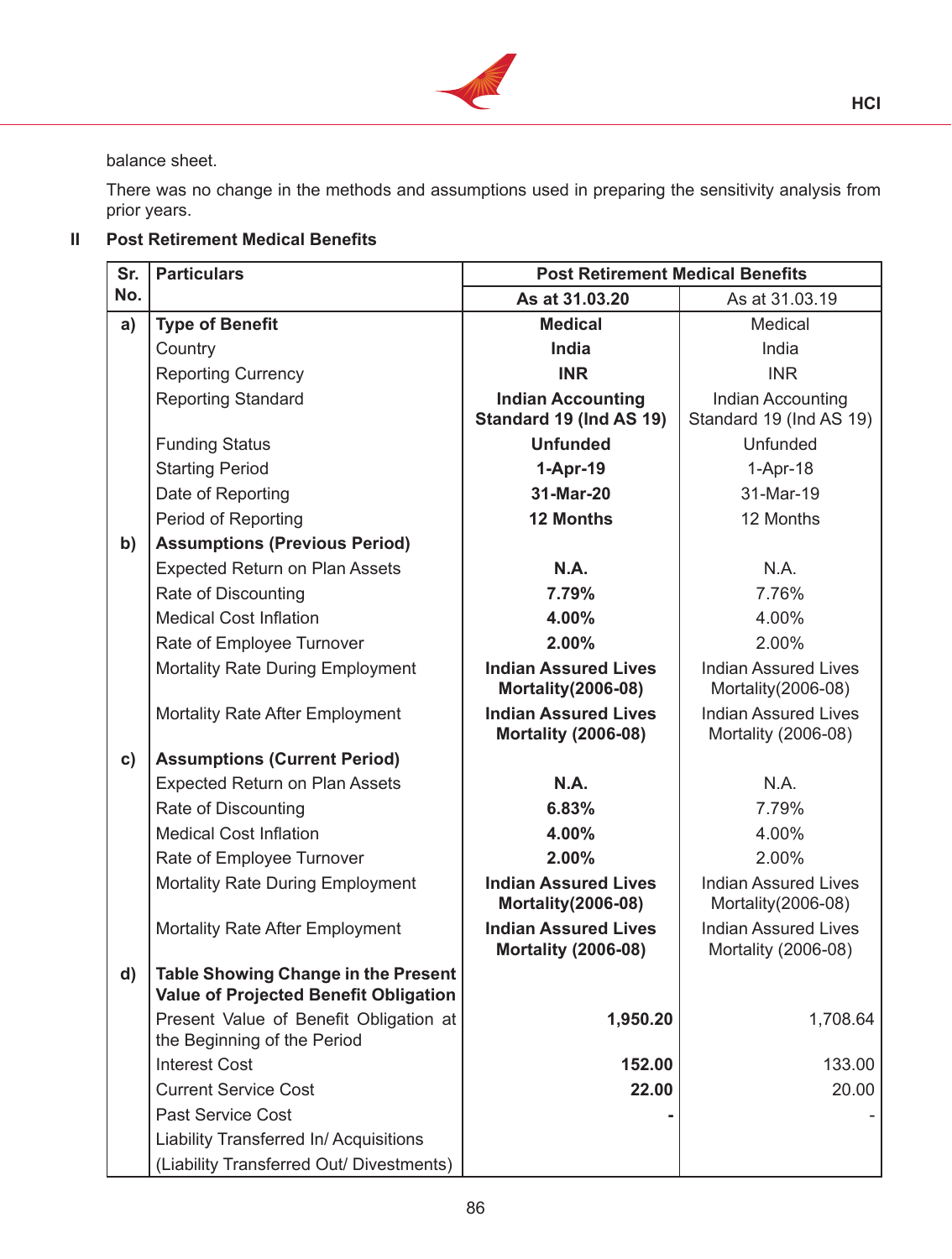

balance sheet.

There was no change in the methods and assumptions used in preparing the sensitivity analysis from prior years.

# **II Post Retirement Medical Benefits**

| Sr.          | <b>Particulars</b>                                                                  | <b>Post Retirement Medical Benefits</b>                   |                                                    |  |
|--------------|-------------------------------------------------------------------------------------|-----------------------------------------------------------|----------------------------------------------------|--|
| No.          |                                                                                     | As at 31.03.20                                            | As at 31.03.19                                     |  |
| a)           | <b>Type of Benefit</b>                                                              | <b>Medical</b>                                            | Medical                                            |  |
|              | Country                                                                             | <b>India</b>                                              | India                                              |  |
|              | <b>Reporting Currency</b>                                                           | <b>INR</b>                                                | <b>INR</b>                                         |  |
|              | <b>Reporting Standard</b>                                                           | <b>Indian Accounting</b>                                  | Indian Accounting                                  |  |
|              |                                                                                     | Standard 19 (Ind AS 19)                                   | Standard 19 (Ind AS 19)                            |  |
|              | <b>Funding Status</b>                                                               | <b>Unfunded</b>                                           | Unfunded                                           |  |
|              | <b>Starting Period</b>                                                              | $1-Apr-19$                                                | $1-Apr-18$                                         |  |
|              | Date of Reporting                                                                   | 31-Mar-20                                                 | 31-Mar-19                                          |  |
|              | Period of Reporting                                                                 | <b>12 Months</b>                                          | 12 Months                                          |  |
| $\mathbf{b}$ | <b>Assumptions (Previous Period)</b>                                                |                                                           |                                                    |  |
|              | <b>Expected Return on Plan Assets</b>                                               | <b>N.A.</b>                                               | N.A.                                               |  |
|              | Rate of Discounting                                                                 | 7.79%                                                     | 7.76%                                              |  |
|              | <b>Medical Cost Inflation</b>                                                       | 4.00%                                                     | 4.00%                                              |  |
|              | Rate of Employee Turnover                                                           | 2.00%                                                     | 2.00%                                              |  |
|              | <b>Mortality Rate During Employment</b>                                             | <b>Indian Assured Lives</b><br>Mortality (2006-08)        | <b>Indian Assured Lives</b><br>Mortality (2006-08) |  |
|              | Mortality Rate After Employment                                                     | <b>Indian Assured Lives</b><br><b>Mortality (2006-08)</b> | <b>Indian Assured Lives</b><br>Mortality (2006-08) |  |
| c)           | <b>Assumptions (Current Period)</b>                                                 |                                                           |                                                    |  |
|              | <b>Expected Return on Plan Assets</b>                                               | <b>N.A.</b>                                               | N.A.                                               |  |
|              | Rate of Discounting                                                                 | 6.83%                                                     | 7.79%                                              |  |
|              | <b>Medical Cost Inflation</b>                                                       | 4.00%                                                     | 4.00%                                              |  |
|              | Rate of Employee Turnover                                                           | 2.00%                                                     | 2.00%                                              |  |
|              | Mortality Rate During Employment                                                    | <b>Indian Assured Lives</b><br>Mortality (2006-08)        | <b>Indian Assured Lives</b><br>Mortality (2006-08) |  |
|              | Mortality Rate After Employment                                                     | <b>Indian Assured Lives</b><br><b>Mortality (2006-08)</b> | <b>Indian Assured Lives</b><br>Mortality (2006-08) |  |
| d)           | <b>Table Showing Change in the Present</b><br>Value of Projected Benefit Obligation |                                                           |                                                    |  |
|              | Present Value of Benefit Obligation at<br>the Beginning of the Period               | 1,950.20                                                  | 1,708.64                                           |  |
|              | <b>Interest Cost</b>                                                                | 152.00                                                    | 133.00                                             |  |
|              | <b>Current Service Cost</b>                                                         | 22.00                                                     | 20.00                                              |  |
|              | <b>Past Service Cost</b>                                                            |                                                           |                                                    |  |
|              | Liability Transferred In/Acquisitions                                               |                                                           |                                                    |  |
|              | (Liability Transferred Out/ Divestments)                                            |                                                           |                                                    |  |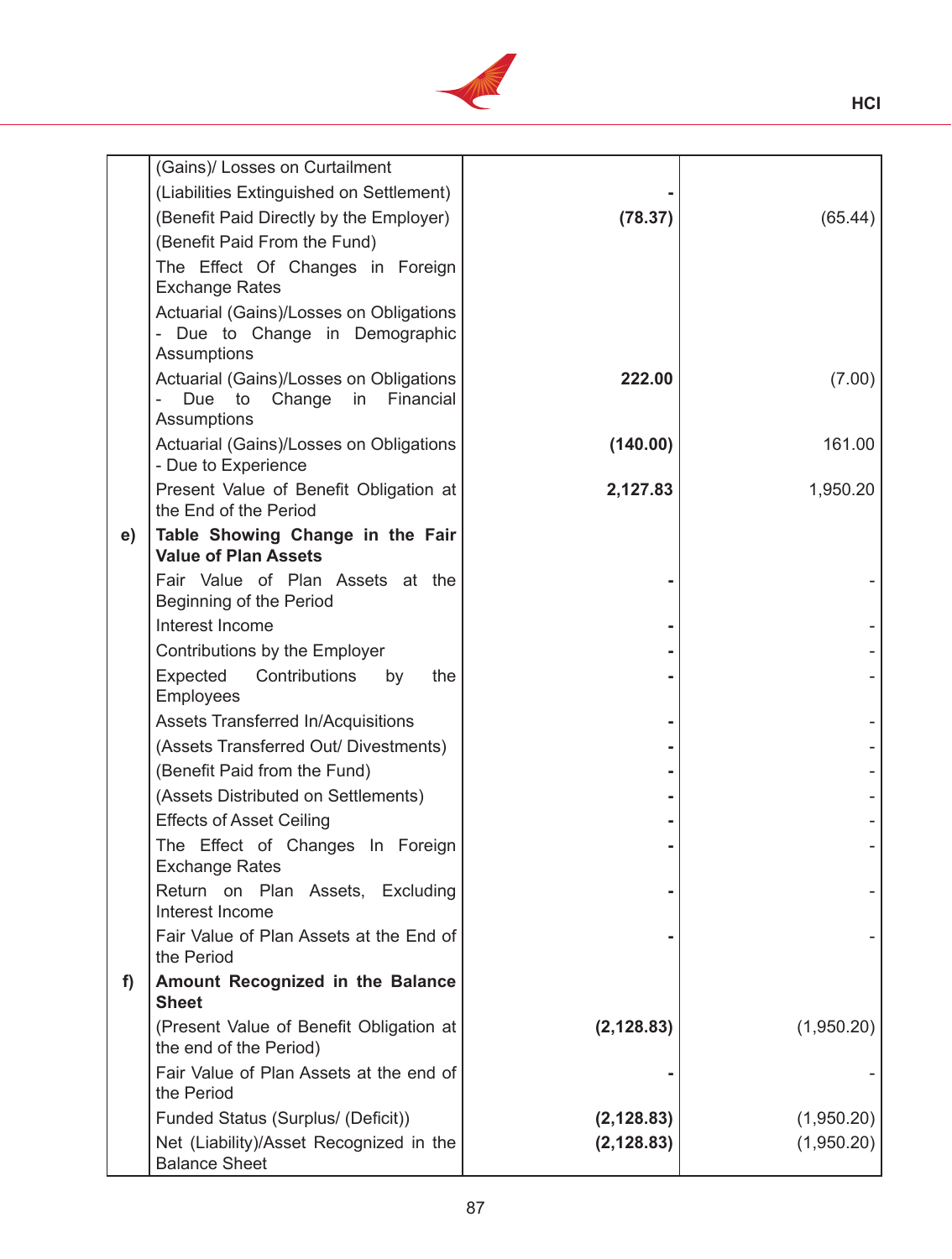

|    | (Gains)/ Losses on Curtailment                                          |             |            |
|----|-------------------------------------------------------------------------|-------------|------------|
|    | (Liabilities Extinguished on Settlement)                                |             |            |
|    | (Benefit Paid Directly by the Employer)                                 | (78.37)     | (65.44)    |
|    | (Benefit Paid From the Fund)                                            |             |            |
|    |                                                                         |             |            |
|    | The Effect Of Changes in Foreign<br><b>Exchange Rates</b>               |             |            |
|    |                                                                         |             |            |
|    | Actuarial (Gains)/Losses on Obligations<br>Due to Change in Demographic |             |            |
|    | <b>Assumptions</b>                                                      |             |            |
|    | Actuarial (Gains)/Losses on Obligations                                 | 222.00      | (7.00)     |
|    | Due to Change<br>in Financial                                           |             |            |
|    | <b>Assumptions</b>                                                      |             |            |
|    | Actuarial (Gains)/Losses on Obligations                                 | (140.00)    | 161.00     |
|    | - Due to Experience                                                     |             |            |
|    | Present Value of Benefit Obligation at                                  | 2,127.83    | 1,950.20   |
|    | the End of the Period                                                   |             |            |
| e) | Table Showing Change in the Fair                                        |             |            |
|    | <b>Value of Plan Assets</b>                                             |             |            |
|    | Fair Value of Plan Assets at the                                        |             |            |
|    | Beginning of the Period                                                 |             |            |
|    | Interest Income                                                         |             |            |
|    | Contributions by the Employer                                           |             |            |
|    | Contributions<br>Expected<br>the<br>by                                  |             |            |
|    | <b>Employees</b>                                                        |             |            |
|    | Assets Transferred In/Acquisitions                                      |             |            |
|    | (Assets Transferred Out/ Divestments)                                   |             |            |
|    | (Benefit Paid from the Fund)                                            |             |            |
|    | (Assets Distributed on Settlements)                                     |             |            |
|    | <b>Effects of Asset Ceiling</b>                                         |             |            |
|    |                                                                         |             |            |
|    | The Effect of Changes In Foreign<br><b>Exchange Rates</b>               |             |            |
|    | Return on Plan Assets, Excluding                                        |             |            |
|    | Interest Income                                                         |             |            |
|    | Fair Value of Plan Assets at the End of                                 |             |            |
|    | the Period                                                              |             |            |
| f) | Amount Recognized in the Balance                                        |             |            |
|    | <b>Sheet</b>                                                            |             |            |
|    | (Present Value of Benefit Obligation at                                 | (2, 128.83) | (1,950.20) |
|    | the end of the Period)                                                  |             |            |
|    | Fair Value of Plan Assets at the end of                                 |             |            |
|    | the Period                                                              |             |            |
|    | Funded Status (Surplus/ (Deficit))                                      | (2, 128.83) | (1,950.20) |
|    | Net (Liability)/Asset Recognized in the                                 | (2, 128.83) | (1,950.20) |
|    | <b>Balance Sheet</b>                                                    |             |            |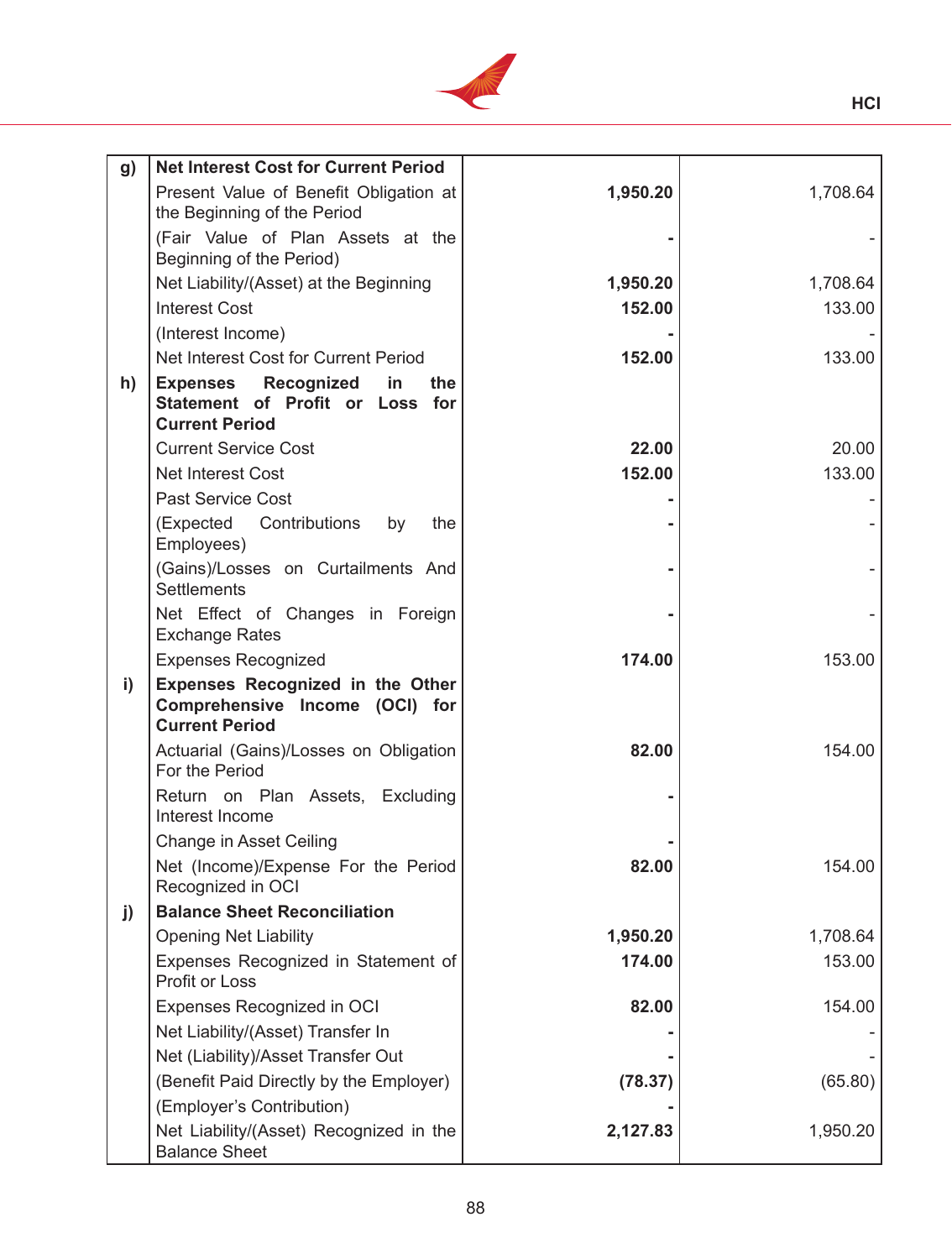

| g) | <b>Net Interest Cost for Current Period</b>                                                 |          |          |
|----|---------------------------------------------------------------------------------------------|----------|----------|
|    | Present Value of Benefit Obligation at                                                      | 1,950.20 | 1,708.64 |
|    | the Beginning of the Period                                                                 |          |          |
|    | (Fair Value of Plan Assets at the                                                           |          |          |
|    | Beginning of the Period)                                                                    |          |          |
|    | Net Liability/(Asset) at the Beginning                                                      | 1,950.20 | 1,708.64 |
|    | <b>Interest Cost</b>                                                                        | 152.00   | 133.00   |
|    | (Interest Income)                                                                           |          |          |
|    | Net Interest Cost for Current Period                                                        | 152.00   | 133.00   |
| h) | <b>Expenses Recognized</b><br>in<br>the                                                     |          |          |
|    | Statement of Profit or Loss for                                                             |          |          |
|    | <b>Current Period</b>                                                                       |          |          |
|    | <b>Current Service Cost</b>                                                                 | 22.00    | 20.00    |
|    | <b>Net Interest Cost</b>                                                                    | 152.00   | 133.00   |
|    | <b>Past Service Cost</b>                                                                    |          |          |
|    | (Expected<br>Contributions<br>the<br>by<br>Employees)                                       |          |          |
|    | (Gains)/Losses on Curtailments And<br><b>Settlements</b>                                    |          |          |
|    | Net Effect of Changes in Foreign<br><b>Exchange Rates</b>                                   |          |          |
|    | <b>Expenses Recognized</b>                                                                  | 174.00   | 153.00   |
| i) | Expenses Recognized in the Other<br>Comprehensive Income (OCI) for<br><b>Current Period</b> |          |          |
|    | Actuarial (Gains)/Losses on Obligation<br>For the Period                                    | 82.00    | 154.00   |
|    | Return on Plan Assets, Excluding<br>Interest Income                                         |          |          |
|    | Change in Asset Ceiling                                                                     |          |          |
|    | Net (Income)/Expense For the Period<br>Recognized in OCI                                    | 82.00    | 154.00   |
| j) | <b>Balance Sheet Reconciliation</b>                                                         |          |          |
|    | <b>Opening Net Liability</b>                                                                | 1,950.20 | 1,708.64 |
|    | Expenses Recognized in Statement of<br>Profit or Loss                                       | 174.00   | 153.00   |
|    | Expenses Recognized in OCI                                                                  | 82.00    | 154.00   |
|    | Net Liability/(Asset) Transfer In                                                           |          |          |
|    | Net (Liability)/Asset Transfer Out                                                          |          |          |
|    | (Benefit Paid Directly by the Employer)                                                     | (78.37)  | (65.80)  |
|    | (Employer's Contribution)                                                                   |          |          |
|    | Net Liability/(Asset) Recognized in the<br><b>Balance Sheet</b>                             | 2,127.83 | 1,950.20 |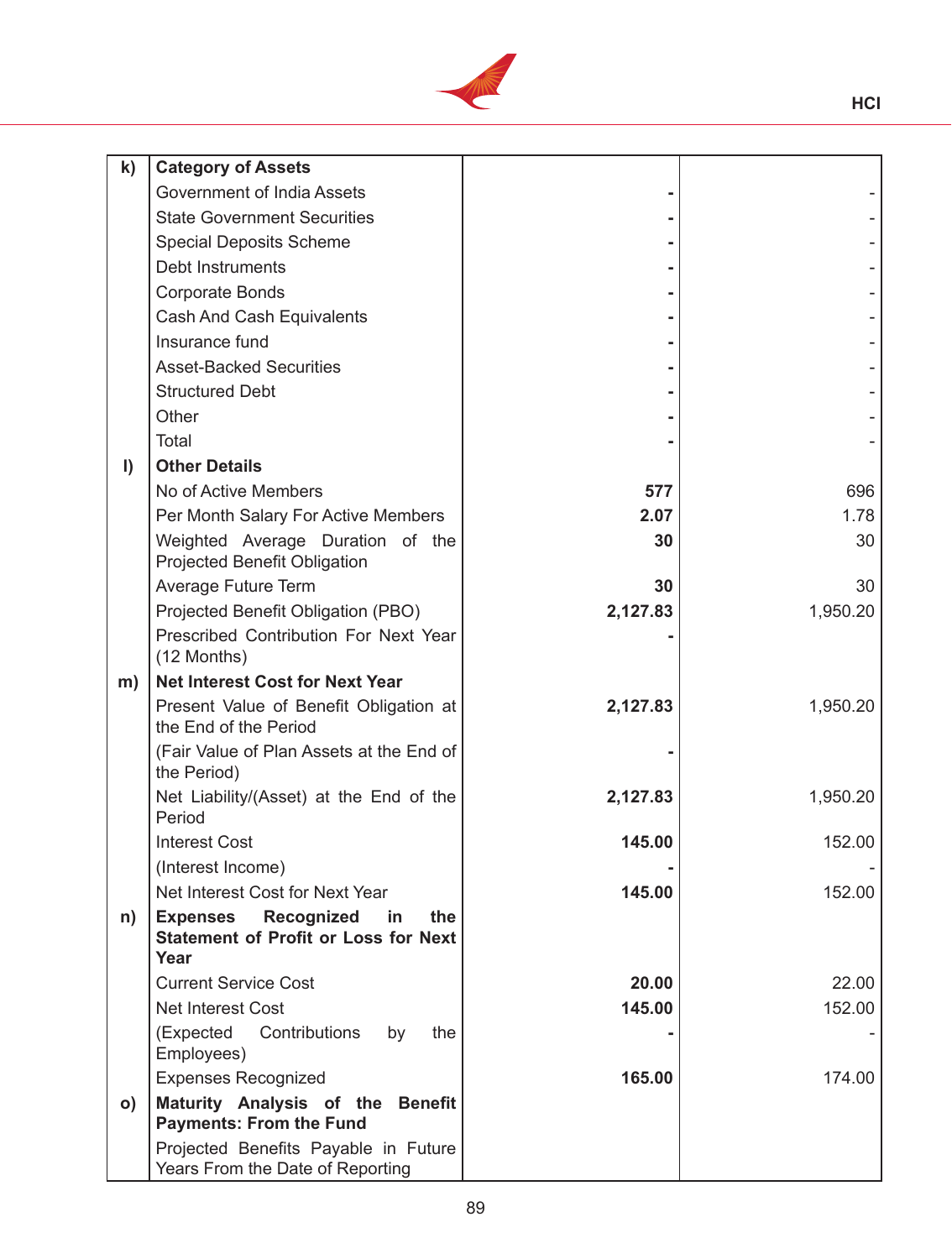

| k)           | <b>Category of Assets</b>                                                                         |          |          |
|--------------|---------------------------------------------------------------------------------------------------|----------|----------|
|              | Government of India Assets                                                                        |          |          |
|              | <b>State Government Securities</b>                                                                |          |          |
|              | <b>Special Deposits Scheme</b>                                                                    |          |          |
|              | <b>Debt Instruments</b>                                                                           |          |          |
|              | <b>Corporate Bonds</b>                                                                            |          |          |
|              | Cash And Cash Equivalents                                                                         |          |          |
|              | Insurance fund                                                                                    |          |          |
|              | <b>Asset-Backed Securities</b>                                                                    |          |          |
|              | <b>Structured Debt</b>                                                                            |          |          |
|              | Other                                                                                             |          |          |
|              | Total                                                                                             |          |          |
| $\mathsf{I}$ | <b>Other Details</b>                                                                              |          |          |
|              | No of Active Members                                                                              | 577      | 696      |
|              | Per Month Salary For Active Members                                                               | 2.07     | 1.78     |
|              | Weighted Average Duration of the<br><b>Projected Benefit Obligation</b>                           | 30       | 30       |
|              | Average Future Term                                                                               | 30       | 30       |
|              | Projected Benefit Obligation (PBO)                                                                | 2,127.83 | 1,950.20 |
|              | Prescribed Contribution For Next Year<br>(12 Months)                                              |          |          |
| m)           | <b>Net Interest Cost for Next Year</b>                                                            |          |          |
|              | Present Value of Benefit Obligation at<br>the End of the Period                                   | 2,127.83 | 1,950.20 |
|              | (Fair Value of Plan Assets at the End of<br>the Period)                                           |          |          |
|              | Net Liability/(Asset) at the End of the<br>Period                                                 | 2,127.83 | 1,950.20 |
|              | <b>Interest Cost</b>                                                                              | 145.00   | 152.00   |
|              | (Interest Income)                                                                                 |          |          |
|              | Net Interest Cost for Next Year                                                                   | 145.00   | 152.00   |
| n)           | Recognized<br>the<br><b>Expenses</b><br>in<br><b>Statement of Profit or Loss for Next</b><br>Year |          |          |
|              | <b>Current Service Cost</b>                                                                       | 20.00    | 22.00    |
|              | <b>Net Interest Cost</b>                                                                          | 145.00   | 152.00   |
|              | (Expected<br>Contributions<br>the<br>by<br>Employees)                                             |          |          |
|              | <b>Expenses Recognized</b>                                                                        | 165.00   | 174.00   |
| $\mathbf{o}$ | Maturity Analysis of the Benefit<br><b>Payments: From the Fund</b>                                |          |          |
|              | Projected Benefits Payable in Future<br>Years From the Date of Reporting                          |          |          |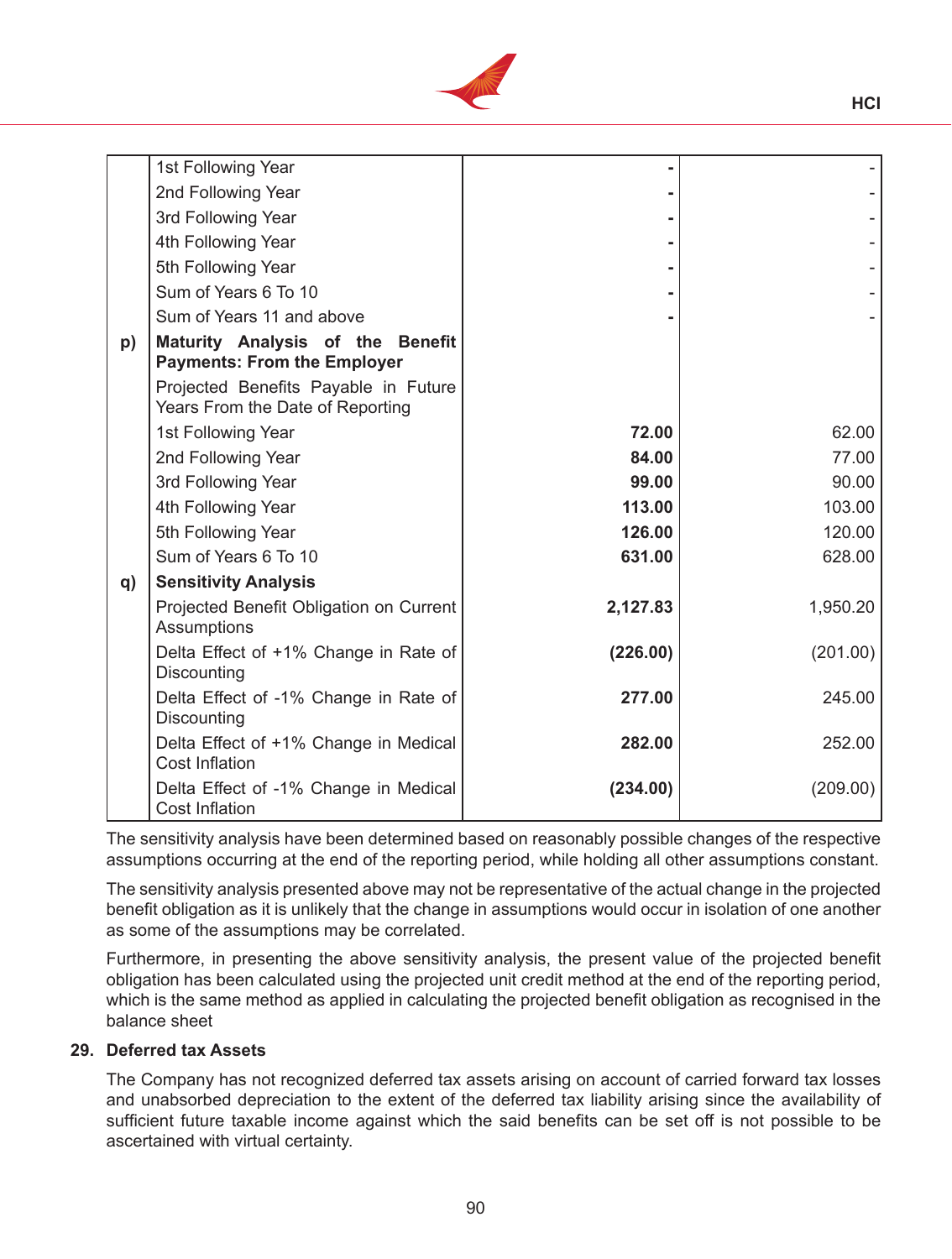

|    | 1st Following Year                                                       |          |          |
|----|--------------------------------------------------------------------------|----------|----------|
|    | 2nd Following Year                                                       |          |          |
|    | 3rd Following Year                                                       |          |          |
|    | 4th Following Year                                                       |          |          |
|    | 5th Following Year                                                       |          |          |
|    | Sum of Years 6 To 10                                                     |          |          |
|    | Sum of Years 11 and above                                                |          |          |
| p) | Maturity Analysis of the Benefit<br><b>Payments: From the Employer</b>   |          |          |
|    | Projected Benefits Payable in Future<br>Years From the Date of Reporting |          |          |
|    | 1st Following Year                                                       | 72.00    | 62.00    |
|    | 2nd Following Year                                                       | 84.00    | 77.00    |
|    | 3rd Following Year                                                       | 99.00    | 90.00    |
|    | 4th Following Year                                                       | 113.00   | 103.00   |
|    | 5th Following Year                                                       | 126.00   | 120.00   |
|    | Sum of Years 6 To 10                                                     | 631.00   | 628.00   |
| q) | <b>Sensitivity Analysis</b>                                              |          |          |
|    | Projected Benefit Obligation on Current<br>Assumptions                   | 2,127.83 | 1,950.20 |
|    | Delta Effect of +1% Change in Rate of<br>Discounting                     | (226.00) | (201.00) |
|    | Delta Effect of -1% Change in Rate of<br>Discounting                     | 277.00   | 245.00   |
|    | Delta Effect of +1% Change in Medical<br><b>Cost Inflation</b>           | 282.00   | 252.00   |
|    | Delta Effect of -1% Change in Medical<br><b>Cost Inflation</b>           | (234.00) | (209.00) |

The sensitivity analysis have been determined based on reasonably possible changes of the respective assumptions occurring at the end of the reporting period, while holding all other assumptions constant.

The sensitivity analysis presented above may not be representative of the actual change in the projected benefit obligation as it is unlikely that the change in assumptions would occur in isolation of one another as some of the assumptions may be correlated.

 Furthermore, in presenting the above sensitivity analysis, the present value of the projected benefit obligation has been calculated using the projected unit credit method at the end of the reporting period, which is the same method as applied in calculating the projected benefit obligation as recognised in the balance sheet

## **29. Deferred tax Assets**

The Company has not recognized deferred tax assets arising on account of carried forward tax losses and unabsorbed depreciation to the extent of the deferred tax liability arising since the availability of sufficient future taxable income against which the said benefits can be set off is not possible to be ascertained with virtual certainty.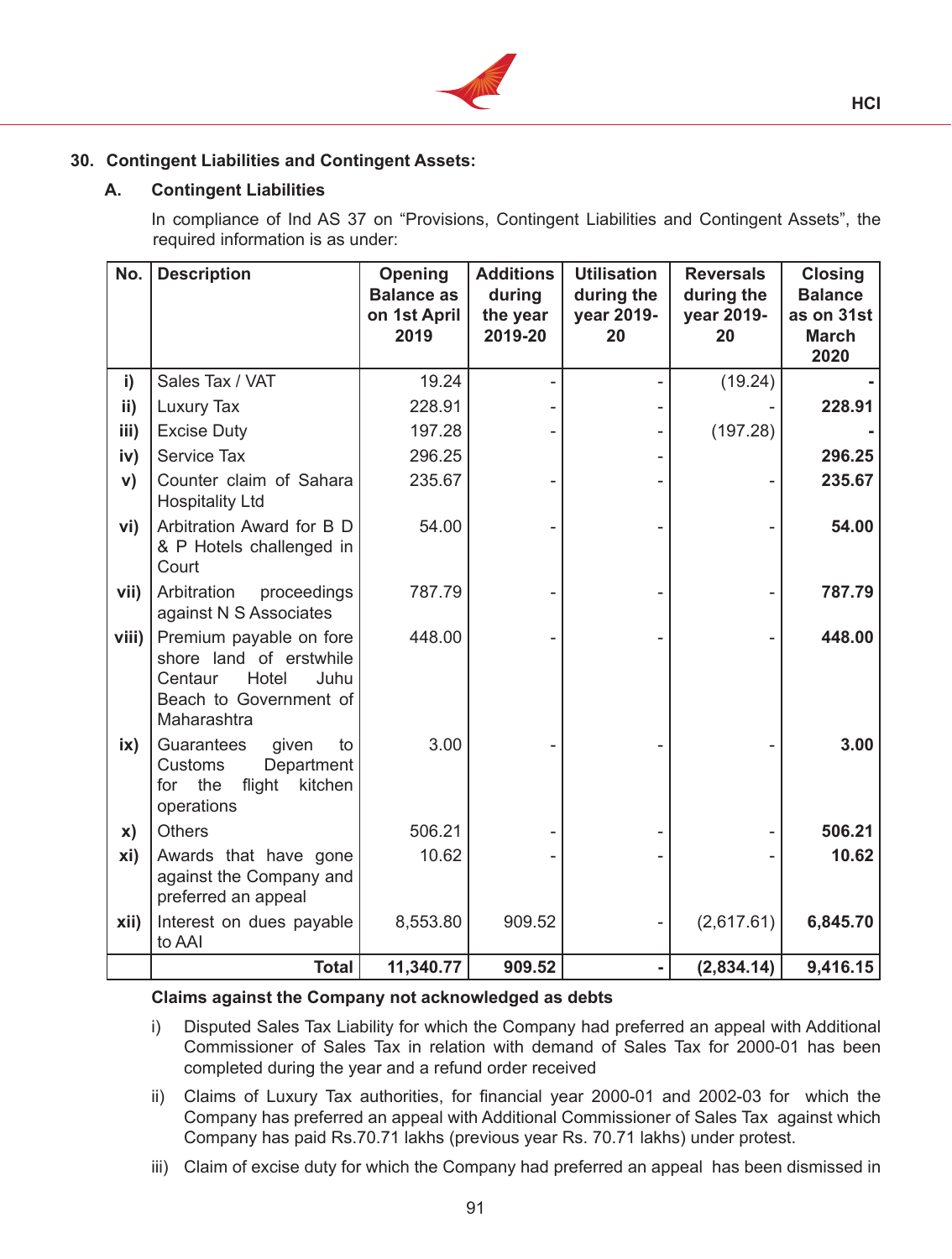

## **30. Contingent Liabilities and Contingent Assets:**

## **A. Contingent Liabilities**

In compliance of Ind AS 37 on "Provisions, Contingent Liabilities and Contingent Assets", the required information is as under:

| No.           | <b>Description</b>                                                                                                      | Opening<br><b>Balance as</b><br>on 1st April<br>2019 | <b>Additions</b><br>during<br>the year<br>2019-20 | <b>Utilisation</b><br>during the<br>year 2019-<br>20 | <b>Reversals</b><br>during the<br>year 2019-<br>20 | <b>Closing</b><br><b>Balance</b><br>as on 31st<br><b>March</b><br>2020 |
|---------------|-------------------------------------------------------------------------------------------------------------------------|------------------------------------------------------|---------------------------------------------------|------------------------------------------------------|----------------------------------------------------|------------------------------------------------------------------------|
| i)            | Sales Tax / VAT                                                                                                         | 19.24                                                |                                                   |                                                      | (19.24)                                            |                                                                        |
| ii)           | Luxury Tax                                                                                                              | 228.91                                               |                                                   |                                                      |                                                    | 228.91                                                                 |
| iii)          | <b>Excise Duty</b>                                                                                                      | 197.28                                               |                                                   |                                                      | (197.28)                                           |                                                                        |
| iv)           | <b>Service Tax</b>                                                                                                      | 296.25                                               |                                                   |                                                      |                                                    | 296.25                                                                 |
| V)            | Counter claim of Sahara<br><b>Hospitality Ltd</b>                                                                       | 235.67                                               |                                                   |                                                      |                                                    | 235.67                                                                 |
| vi)           | Arbitration Award for B D<br>& P Hotels challenged in<br>Court                                                          | 54.00                                                |                                                   |                                                      |                                                    | 54.00                                                                  |
| vii)          | Arbitration<br>proceedings<br>against N S Associates                                                                    | 787.79                                               |                                                   |                                                      |                                                    | 787.79                                                                 |
| viii)         | Premium payable on fore<br>shore land of erstwhile<br>Hotel<br>Centaur<br>Juhu<br>Beach to Government of<br>Maharashtra | 448.00                                               |                                                   |                                                      |                                                    | 448.00                                                                 |
| $\mathsf{ix}$ | <b>Guarantees</b><br>given<br>to<br>Customs<br>Department<br>flight<br>for<br>the<br>kitchen<br>operations              | 3.00                                                 |                                                   |                                                      |                                                    | 3.00                                                                   |
| X)            | <b>Others</b>                                                                                                           | 506.21                                               |                                                   |                                                      |                                                    | 506.21                                                                 |
| xi)           | Awards that have gone<br>against the Company and<br>preferred an appeal                                                 | 10.62                                                |                                                   |                                                      |                                                    | 10.62                                                                  |
| xii)          | Interest on dues payable<br>to AAI                                                                                      | 8,553.80                                             | 909.52                                            |                                                      | (2,617.61)                                         | 6,845.70                                                               |
|               | <b>Total</b>                                                                                                            | 11,340.77                                            | 909.52                                            |                                                      | (2,834.14)                                         | 9,416.15                                                               |

#### **Claims against the Company not acknowledged as debts**

- i) Disputed Sales Tax Liability for which the Company had preferred an appeal with Additional Commissioner of Sales Tax in relation with demand of Sales Tax for 2000-01 has been completed during the year and a refund order received
- ii) Claims of Luxury Tax authorities, for financial year 2000-01 and 2002-03 for which the Company has preferred an appeal with Additional Commissioner of Sales Tax against which Company has paid Rs.70.71 lakhs (previous year Rs. 70.71 lakhs) under protest.
- iii) Claim of excise duty for which the Company had preferred an appeal has been dismissed in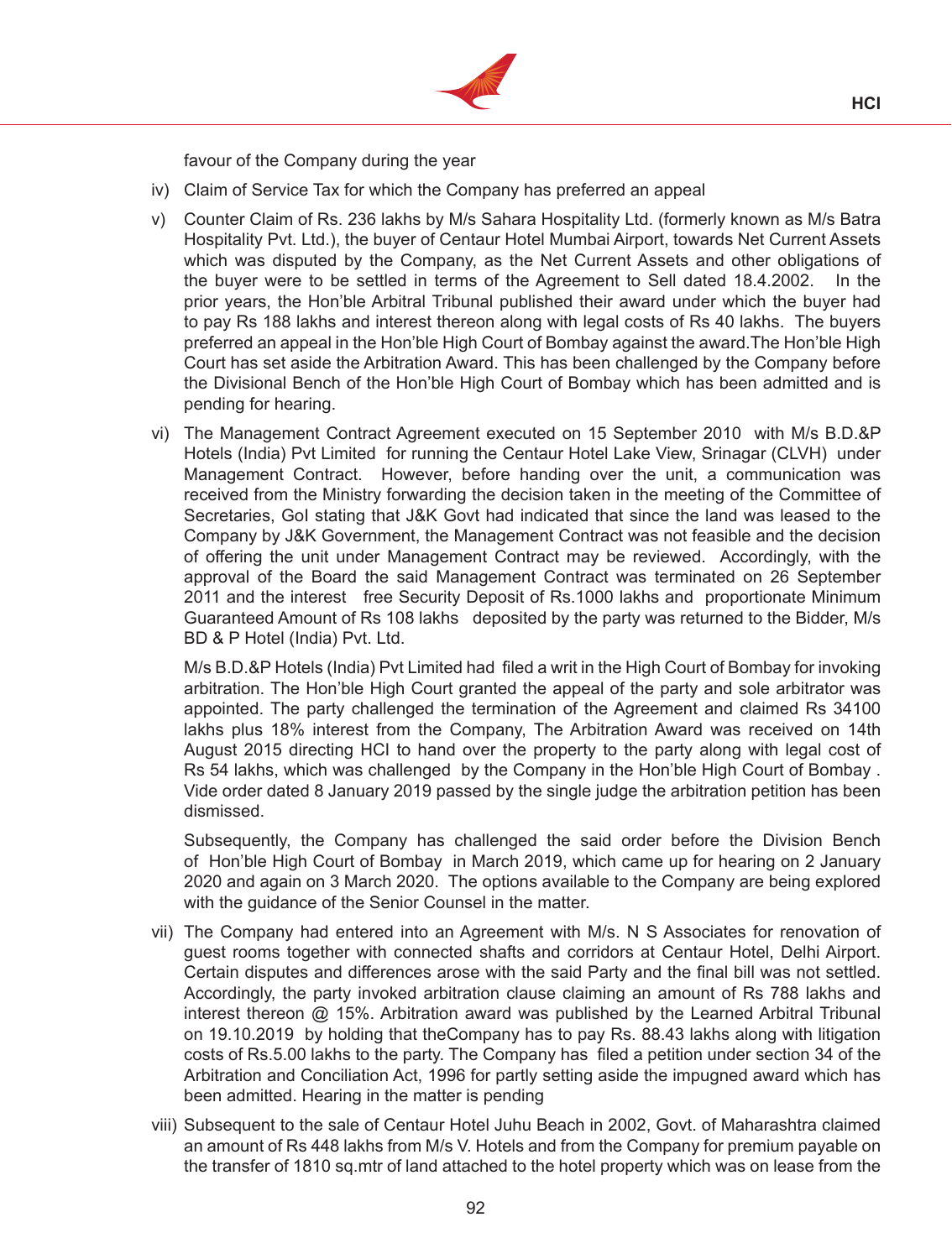

favour of the Company during the year

- iv) Claim of Service Tax for which the Company has preferred an appeal
- v) Counter Claim of Rs. 236 lakhs by M/s Sahara Hospitality Ltd. (formerly known as M/s Batra Hospitality Pvt. Ltd.), the buyer of Centaur Hotel Mumbai Airport, towards Net Current Assets which was disputed by the Company, as the Net Current Assets and other obligations of the buyer were to be settled in terms of the Agreement to Sell dated 18.4.2002. In the prior years, the Hon'ble Arbitral Tribunal published their award under which the buyer had to pay Rs 188 lakhs and interest thereon along with legal costs of Rs 40 lakhs. The buyers preferred an appeal in the Hon'ble High Court of Bombay against the award.The Hon'ble High Court has set aside the Arbitration Award. This has been challenged by the Company before the Divisional Bench of the Hon'ble High Court of Bombay which has been admitted and is pending for hearing.
- vi) The Management Contract Agreement executed on 15 September 2010 with M/s B.D.&P Hotels (India) Pvt Limited for running the Centaur Hotel Lake View, Srinagar (CLVH) under Management Contract. However, before handing over the unit, a communication was received from the Ministry forwarding the decision taken in the meeting of the Committee of Secretaries, GoI stating that J&K Govt had indicated that since the land was leased to the Company by J&K Government, the Management Contract was not feasible and the decision of offering the unit under Management Contract may be reviewed. Accordingly, with the approval of the Board the said Management Contract was terminated on 26 September 2011 and the interest free Security Deposit of Rs.1000 lakhs and proportionate Minimum Guaranteed Amount of Rs 108 lakhs deposited by the party was returned to the Bidder, M/s BD & P Hotel (India) Pvt. Ltd.

 M/s B.D.&P Hotels (India) Pvt Limited had filed a writ in the High Court of Bombay for invoking arbitration. The Hon'ble High Court granted the appeal of the party and sole arbitrator was appointed. The party challenged the termination of the Agreement and claimed Rs 34100 lakhs plus 18% interest from the Company, The Arbitration Award was received on 14th August 2015 directing HCI to hand over the property to the party along with legal cost of Rs 54 lakhs, which was challenged by the Company in the Hon'ble High Court of Bombay . Vide order dated 8 January 2019 passed by the single judge the arbitration petition has been dismissed.

Subsequently, the Company has challenged the said order before the Division Bench of Hon'ble High Court of Bombay in March 2019, which came up for hearing on 2 January 2020 and again on 3 March 2020. The options available to the Company are being explored with the guidance of the Senior Counsel in the matter.

- vii) The Company had entered into an Agreement with M/s. N S Associates for renovation of guest rooms together with connected shafts and corridors at Centaur Hotel, Delhi Airport. Certain disputes and differences arose with the said Party and the final bill was not settled. Accordingly, the party invoked arbitration clause claiming an amount of Rs 788 lakhs and interest thereon @ 15%. Arbitration award was published by the Learned Arbitral Tribunal on 19.10.2019 by holding that theCompany has to pay Rs. 88.43 lakhs along with litigation costs of Rs.5.00 lakhs to the party. The Company has filed a petition under section 34 of the Arbitration and Conciliation Act, 1996 for partly setting aside the impugned award which has been admitted. Hearing in the matter is pending
- viii) Subsequent to the sale of Centaur Hotel Juhu Beach in 2002, Govt. of Maharashtra claimed an amount of Rs 448 lakhs from M/s V. Hotels and from the Company for premium payable on the transfer of 1810 sq.mtr of land attached to the hotel property which was on lease from the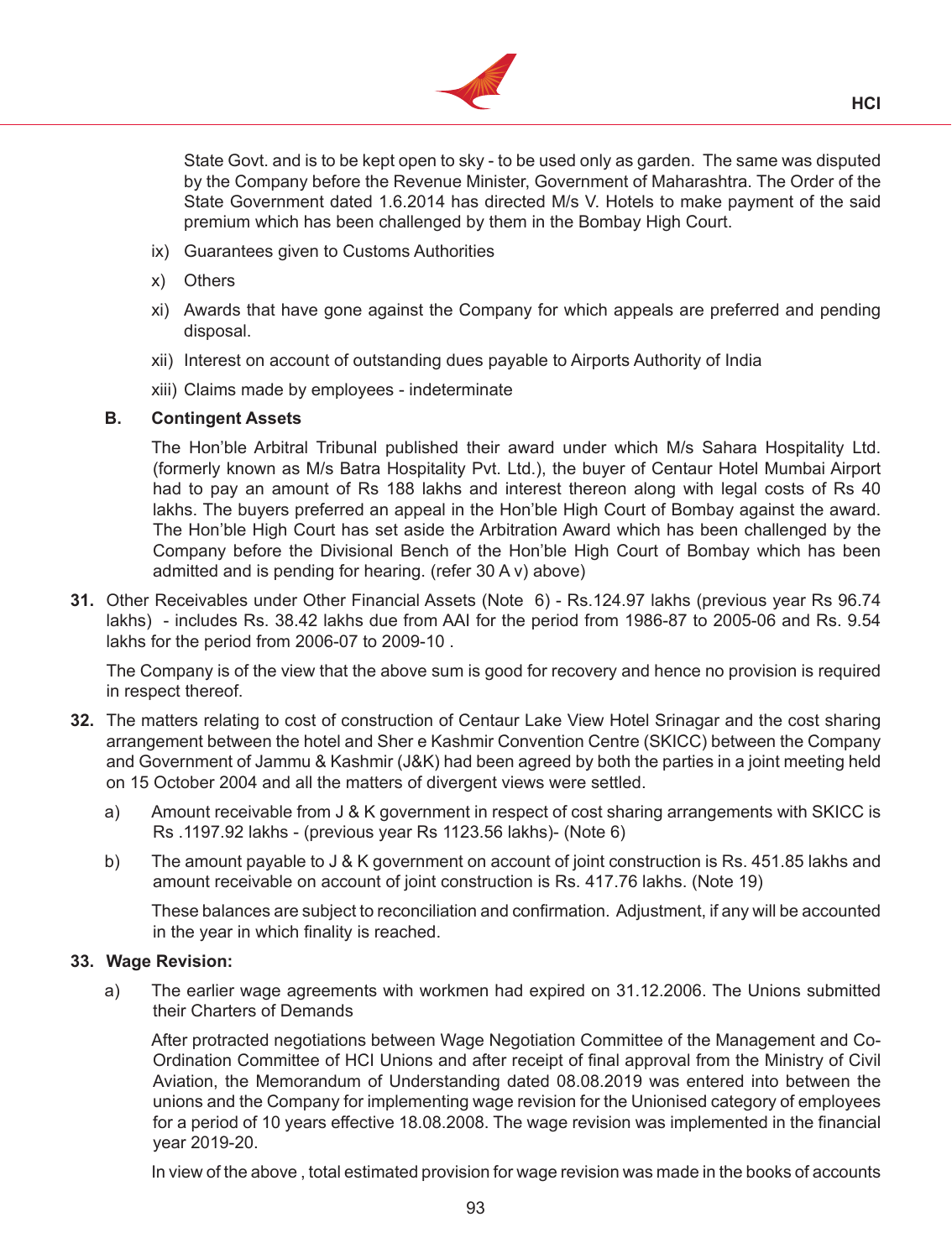

State Govt. and is to be kept open to sky - to be used only as garden. The same was disputed by the Company before the Revenue Minister, Government of Maharashtra. The Order of the State Government dated 1.6.2014 has directed M/s V. Hotels to make payment of the said premium which has been challenged by them in the Bombay High Court.

**HCI**

- ix) Guarantees given to Customs Authorities
- x) Others
- xi) Awards that have gone against the Company for which appeals are preferred and pending disposal.
- xii) Interest on account of outstanding dues payable to Airports Authority of India
- xiii) Claims made by employees indeterminate

#### **B. Contingent Assets**

 The Hon'ble Arbitral Tribunal published their award under which M/s Sahara Hospitality Ltd. (formerly known as M/s Batra Hospitality Pvt. Ltd.), the buyer of Centaur Hotel Mumbai Airport had to pay an amount of Rs 188 lakhs and interest thereon along with legal costs of Rs 40 lakhs. The buyers preferred an appeal in the Hon'ble High Court of Bombay against the award. The Hon'ble High Court has set aside the Arbitration Award which has been challenged by the Company before the Divisional Bench of the Hon'ble High Court of Bombay which has been admitted and is pending for hearing. (refer 30 A v) above)

**31.** Other Receivables under Other Financial Assets (Note 6) - Rs.124.97 lakhs (previous year Rs 96.74 lakhs) - includes Rs. 38.42 lakhs due from AAI for the period from 1986-87 to 2005-06 and Rs. 9.54 lakhs for the period from 2006-07 to 2009-10 .

The Company is of the view that the above sum is good for recovery and hence no provision is required in respect thereof.

- **32.** The matters relating to cost of construction of Centaur Lake View Hotel Srinagar and the cost sharing arrangement between the hotel and Sher e Kashmir Convention Centre (SKICC) between the Company and Government of Jammu & Kashmir (J&K) had been agreed by both the parties in a joint meeting held on 15 October 2004 and all the matters of divergent views were settled.
	- a) Amount receivable from J & K government in respect of cost sharing arrangements with SKICC is Rs .1197.92 lakhs - (previous year Rs 1123.56 lakhs)- (Note 6)
	- b) The amount payable to J & K government on account of joint construction is Rs. 451.85 lakhs and amount receivable on account of joint construction is Rs. 417.76 lakhs. (Note 19)

 These balances are subject to reconciliation and confirmation. Adjustment, if any will be accounted in the year in which finality is reached.

#### **33. Wage Revision:**

a) The earlier wage agreements with workmen had expired on 31.12.2006. The Unions submitted their Charters of Demands

After protracted negotiations between Wage Negotiation Committee of the Management and Co-Ordination Committee of HCI Unions and after receipt of final approval from the Ministry of Civil Aviation, the Memorandum of Understanding dated 08.08.2019 was entered into between the unions and the Company for implementing wage revision for the Unionised category of employees for a period of 10 years effective 18.08.2008. The wage revision was implemented in the financial year 2019-20.

In view of the above , total estimated provision for wage revision was made in the books of accounts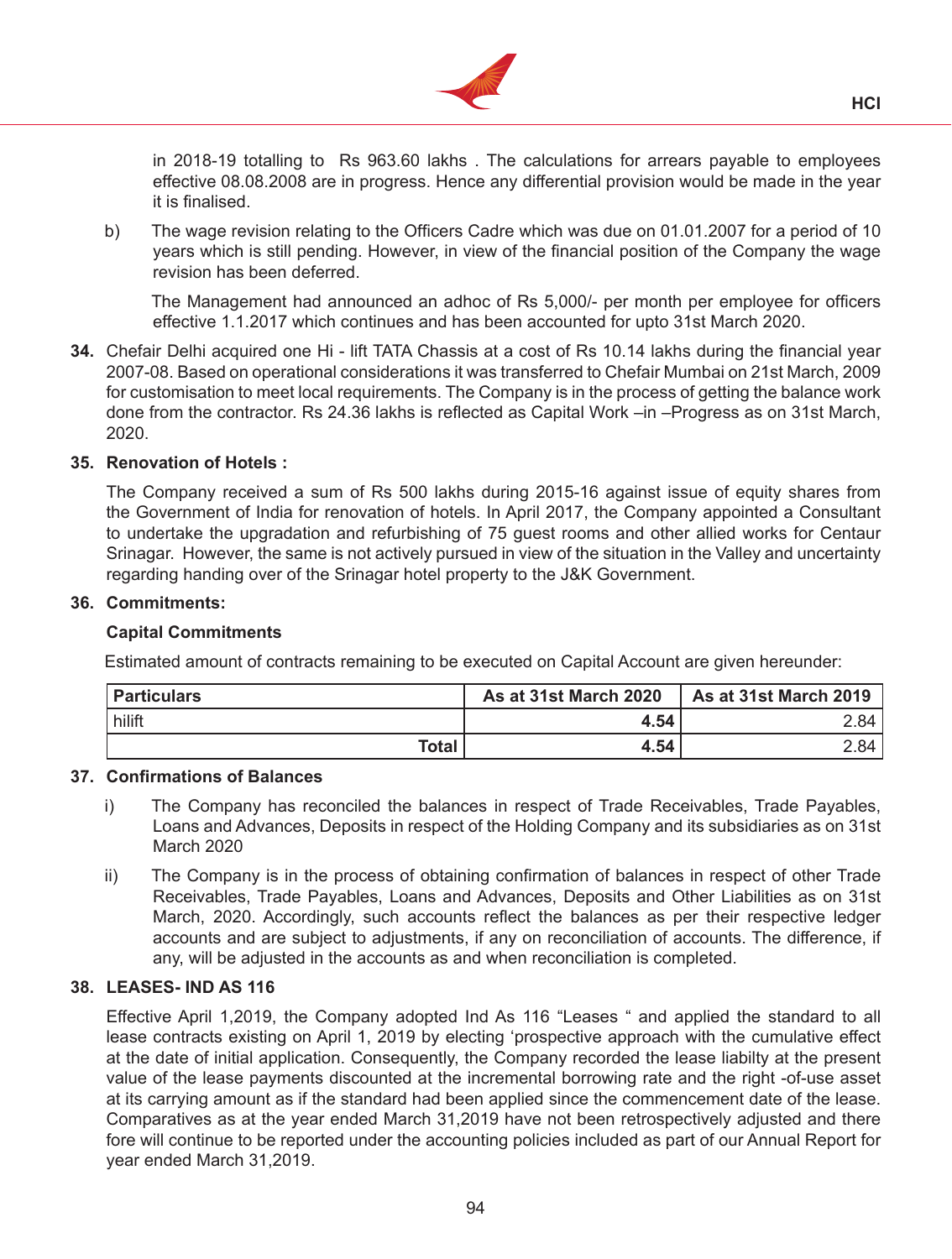

in 2018-19 totalling to Rs 963.60 lakhs . The calculations for arrears payable to employees effective 08.08.2008 are in progress. Hence any differential provision would be made in the year it is finalised.

b) The wage revision relating to the Officers Cadre which was due on 01.01.2007 for a period of 10 years which is still pending. However, in view of the financial position of the Company the wage revision has been deferred.

 The Management had announced an adhoc of Rs 5,000/- per month per employee for officers effective 1.1.2017 which continues and has been accounted for upto 31st March 2020.

**34.** Chefair Delhi acquired one Hi - lift TATA Chassis at a cost of Rs 10.14 lakhs during the financial year 2007-08. Based on operational considerations it was transferred to Chefair Mumbai on 21st March, 2009 for customisation to meet local requirements. The Company is in the process of getting the balance work done from the contractor. Rs 24.36 lakhs is reflected as Capital Work –in –Progress as on 31st March, 2020.

#### **35. Renovation of Hotels :**

The Company received a sum of Rs 500 lakhs during 2015-16 against issue of equity shares from the Government of India for renovation of hotels. In April 2017, the Company appointed a Consultant to undertake the upgradation and refurbishing of 75 guest rooms and other allied works for Centaur Srinagar. However, the same is not actively pursued in view of the situation in the Valley and uncertainty regarding handing over of the Srinagar hotel property to the J&K Government.

#### **36. Commitments:**

#### **Capital Commitments**

Estimated amount of contracts remaining to be executed on Capital Account are given hereunder:

| <b>Particulars</b> | As at 31st March 2020 | As at 31st March 2019 |
|--------------------|-----------------------|-----------------------|
| hilift             | 4.54                  | 2.84                  |
| Total              | 4.54                  | 2.84                  |

#### **37. Confirmations of Balances**

- i) The Company has reconciled the balances in respect of Trade Receivables, Trade Payables, Loans and Advances, Deposits in respect of the Holding Company and its subsidiaries as on 31st March 2020
- ii) The Company is in the process of obtaining confirmation of balances in respect of other Trade Receivables, Trade Payables, Loans and Advances, Deposits and Other Liabilities as on 31st March, 2020. Accordingly, such accounts reflect the balances as per their respective ledger accounts and are subject to adjustments, if any on reconciliation of accounts. The difference, if any, will be adjusted in the accounts as and when reconciliation is completed.

#### **38. LEASES- IND AS 116**

 Effective April 1,2019, the Company adopted Ind As 116 "Leases " and applied the standard to all lease contracts existing on April 1, 2019 by electing 'prospective approach with the cumulative effect at the date of initial application. Consequently, the Company recorded the lease liabilty at the present value of the lease payments discounted at the incremental borrowing rate and the right -of-use asset at its carrying amount as if the standard had been applied since the commencement date of the lease. Comparatives as at the year ended March 31,2019 have not been retrospectively adjusted and there fore will continue to be reported under the accounting policies included as part of our Annual Report for year ended March 31,2019.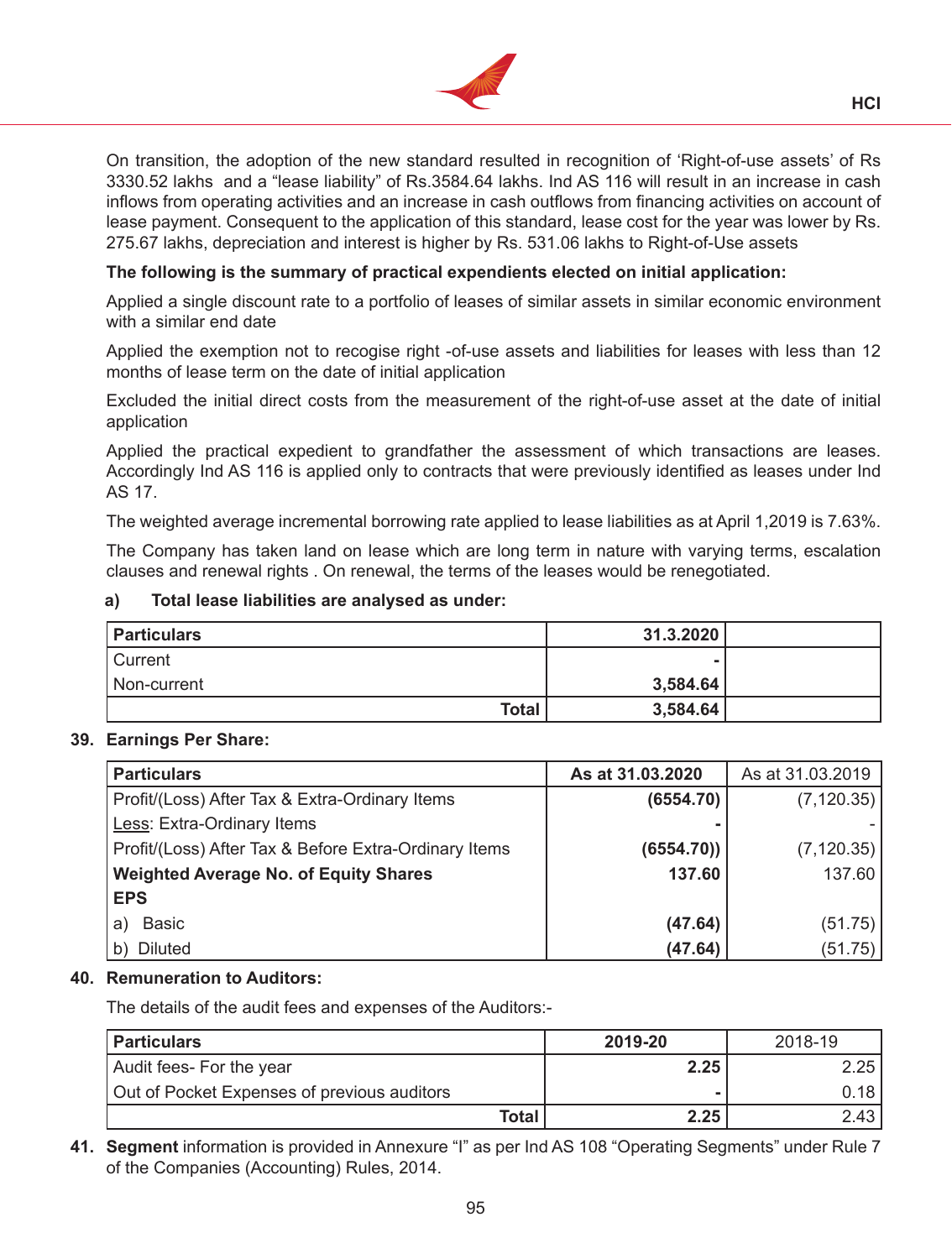

On transition, the adoption of the new standard resulted in recognition of 'Right-of-use assets' of Rs 3330.52 lakhs and a "lease liability" of Rs.3584.64 lakhs. Ind AS 116 will result in an increase in cash inflows from operating activities and an increase in cash outflows from financing activities on account of lease payment. Consequent to the application of this standard, lease cost for the year was lower by Rs. 275.67 lakhs, depreciation and interest is higher by Rs. 531.06 lakhs to Right-of-Use assets

#### **The following is the summary of practical expendients elected on initial application:**

Applied a single discount rate to a portfolio of leases of similar assets in similar economic environment with a similar end date

Applied the exemption not to recogise right -of-use assets and liabilities for leases with less than 12 months of lease term on the date of initial application

Excluded the initial direct costs from the measurement of the right-of-use asset at the date of initial application

Applied the practical expedient to grandfather the assessment of which transactions are leases. Accordingly Ind AS 116 is applied only to contracts that were previously identified as leases under Ind AS 17.

The weighted average incremental borrowing rate applied to lease liabilities as at April 1,2019 is 7.63%.

The Company has taken land on lease which are long term in nature with varying terms, escalation clauses and renewal rights . On renewal, the terms of the leases would be renegotiated.

#### **a) Total lease liabilities are analysed as under:**

| <b>Particulars</b> | 31.3.2020 |  |
|--------------------|-----------|--|
| Current            |           |  |
| Non-current        | 3,584.64  |  |
| <b>Total</b>       | 3,584.64  |  |

#### **39. Earnings Per Share:**

| <b>Particulars</b>                                    | As at 31.03.2020 | As at 31.03.2019 |
|-------------------------------------------------------|------------------|------------------|
| Profit/(Loss) After Tax & Extra-Ordinary Items        | (6554.70)        | (7, 120.35)      |
| <b>Less: Extra-Ordinary Items</b>                     |                  |                  |
| Profit/(Loss) After Tax & Before Extra-Ordinary Items | (6554.70)        | (7, 120.35)      |
| <b>Weighted Average No. of Equity Shares</b>          | 137.60           | 137.60           |
| <b>EPS</b>                                            |                  |                  |
| <b>Basic</b><br>a)                                    | (47.64)          | (51.75)          |
| <b>Diluted</b>                                        | (47.64)          | (51.75)          |

#### **40. Remuneration to Auditors:**

The details of the audit fees and expenses of the Auditors:-

| <b>Particulars</b>                          | 2019-20 | 2018-19 |
|---------------------------------------------|---------|---------|
| Audit fees- For the year                    | 2.25    | 2.25    |
| Out of Pocket Expenses of previous auditors |         | 0.18    |
| <b>Total</b>                                | 2.25    | 2.43    |

**41. Segment** information is provided in Annexure "I" as per Ind AS 108 "Operating Segments" under Rule 7 of the Companies (Accounting) Rules, 2014.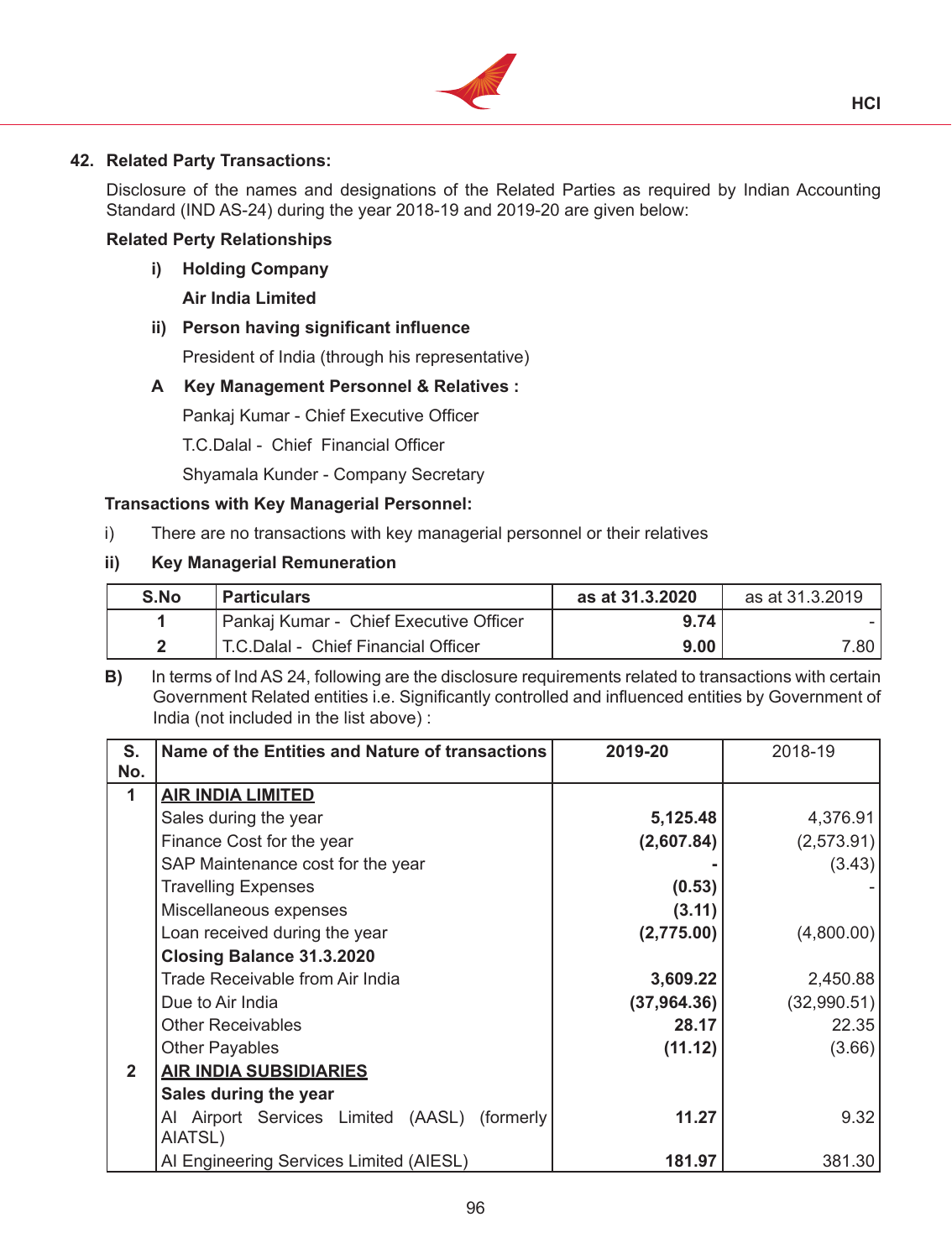

# **42. Related Party Transactions:**

Disclosure of the names and designations of the Related Parties as required by Indian Accounting Standard (IND AS-24) during the year 2018-19 and 2019-20 are given below:

## **Related Perty Relationships**

**i) Holding Company**

 **Air India Limited**

# **ii) Person having significant influence**

President of India (through his representative)

# **A Key Management Personnel & Relatives :**

 Pankaj Kumar - Chief Executive Officer

 T.C.Dalal - Chief Financial Officer

Shyamala Kunder - Company Secretary

## **Transactions with Key Managerial Personnel:**

i) There are no transactions with key managerial personnel or their relatives

## **ii) Key Managerial Remuneration**

| S.No | Particulars                            | as at 31.3.2020 | as at 31.3.2019 |
|------|----------------------------------------|-----------------|-----------------|
|      | Pankaj Kumar - Chief Executive Officer | 9.74            |                 |
|      | T.C.Dalal - Chief Financial Officer    | 9.00            | 7.80            |

#### **B)** In terms of Ind AS 24, following are the disclosure requirements related to transactions with certain Government Related entities i.e. Significantly controlled and influenced entities by Government of India (not included in the list above) :

| S.             | Name of the Entities and Nature of transactions | 2019-20     | 2018-19     |
|----------------|-------------------------------------------------|-------------|-------------|
| No.            |                                                 |             |             |
| 1              | <b>AIR INDIA LIMITED</b>                        |             |             |
|                | Sales during the year                           | 5,125.48    | 4,376.91    |
|                | Finance Cost for the year                       | (2,607.84)  | (2,573.91)  |
|                | SAP Maintenance cost for the year               |             | (3.43)      |
|                | <b>Travelling Expenses</b>                      | (0.53)      |             |
|                | Miscellaneous expenses                          | (3.11)      |             |
|                | Loan received during the year                   | (2,775.00)  | (4,800.00)  |
|                | Closing Balance 31.3.2020                       |             |             |
|                | Trade Receivable from Air India                 | 3,609.22    | 2,450.88    |
|                | Due to Air India                                | (37,964.36) | (32,990.51) |
|                | <b>Other Receivables</b>                        | 28.17       | 22.35       |
|                | <b>Other Payables</b>                           | (11.12)     | (3.66)      |
| $\overline{2}$ | <b>AIR INDIA SUBSIDIARIES</b>                   |             |             |
|                | Sales during the year                           |             |             |
|                | Al Airport Services Limited (AASL) (formerly    | 11.27       | 9.32        |
|                | AIATSL)                                         |             |             |
|                | Al Engineering Services Limited (AIESL)         | 181.97      | 381.30      |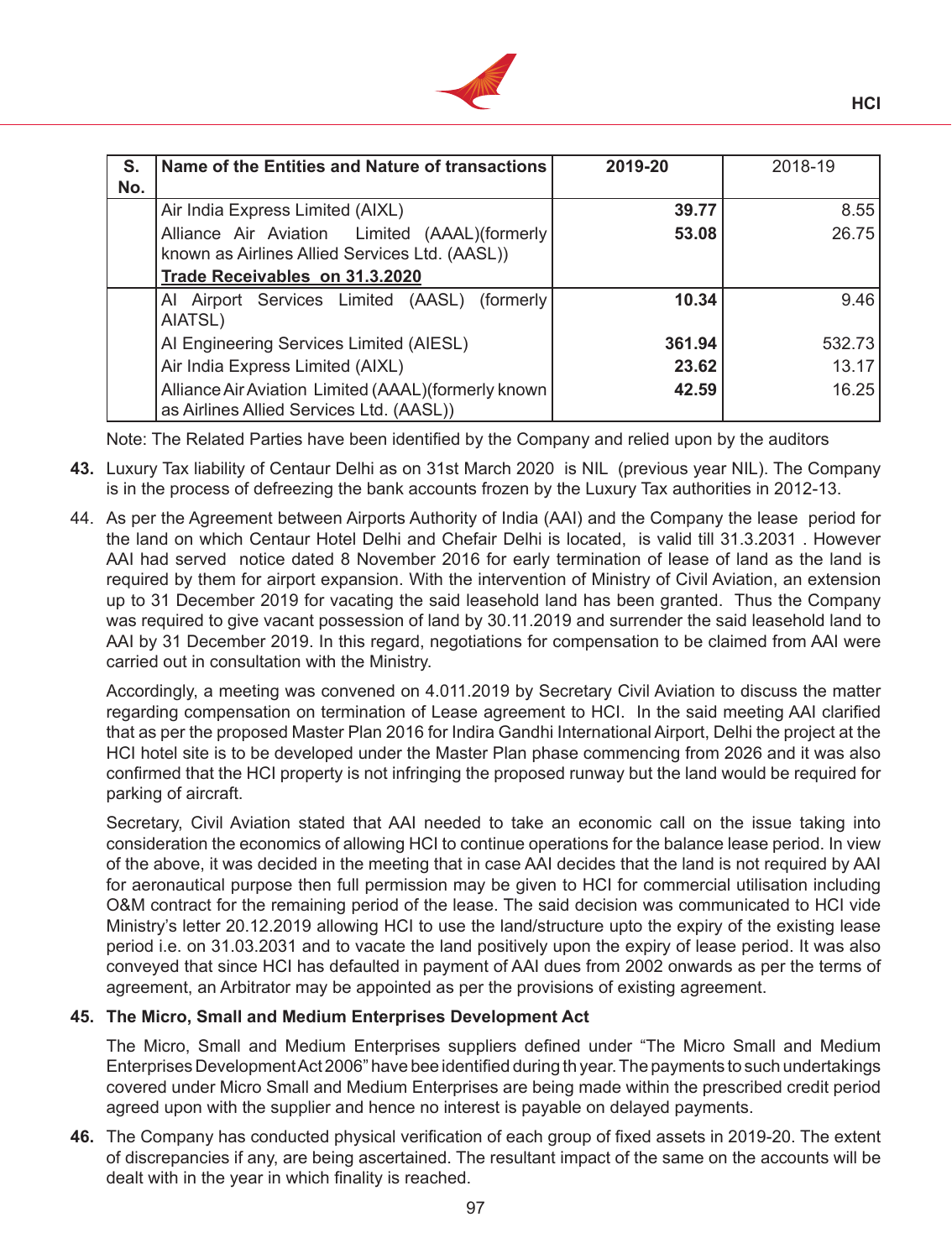

| S.<br>No. | Name of the Entities and Nature of transactions                                                 | 2019-20 | 2018-19 |
|-----------|-------------------------------------------------------------------------------------------------|---------|---------|
|           | Air India Express Limited (AIXL)                                                                | 39.77   | 8.55    |
|           | Alliance Air Aviation Limited (AAAL)(formerly<br>known as Airlines Allied Services Ltd. (AASL)) | 53.08   | 26.75   |
|           | Trade Receivables on 31.3.2020                                                                  |         |         |
|           | Al Airport Services Limited (AASL)<br>(formerly)<br>AIATSL)                                     | 10.34   | 9.46    |
|           | Al Engineering Services Limited (AIESL)                                                         | 361.94  | 532.73  |
|           | Air India Express Limited (AIXL)                                                                | 23.62   | 13.17   |
|           | Alliance Air Aviation Limited (AAAL)(formerly known<br>as Airlines Allied Services Ltd. (AASL)) | 42.59   | 16.25   |

 Note: The Related Parties have been identified by the Company and relied upon by the auditors

- **43.** Luxury Tax liability of Centaur Delhi as on 31st March 2020 is NIL (previous year NIL). The Company is in the process of defreezing the bank accounts frozen by the Luxury Tax authorities in 2012-13.
- 44. As per the Agreement between Airports Authority of India (AAI) and the Company the lease period for the land on which Centaur Hotel Delhi and Chefair Delhi is located, is valid till 31.3.2031 . However AAI had served notice dated 8 November 2016 for early termination of lease of land as the land is required by them for airport expansion. With the intervention of Ministry of Civil Aviation, an extension up to 31 December 2019 for vacating the said leasehold land has been granted. Thus the Company was required to give vacant possession of land by 30.11.2019 and surrender the said leasehold land to AAI by 31 December 2019. In this regard, negotiations for compensation to be claimed from AAI were carried out in consultation with the Ministry.

Accordingly, a meeting was convened on 4.011.2019 by Secretary Civil Aviation to discuss the matter regarding compensation on termination of Lease agreement to HCI. In the said meeting AAI clarified that as per the proposed Master Plan 2016 for Indira Gandhi International Airport, Delhi the project at the HCI hotel site is to be developed under the Master Plan phase commencing from 2026 and it was also confirmed that the HCI property is not infringing the proposed runway but the land would be required for parking of aircraft.

Secretary, Civil Aviation stated that AAI needed to take an economic call on the issue taking into consideration the economics of allowing HCI to continue operations for the balance lease period. In view of the above, it was decided in the meeting that in case AAI decides that the land is not required by AAI for aeronautical purpose then full permission may be given to HCI for commercial utilisation including O&M contract for the remaining period of the lease. The said decision was communicated to HCI vide Ministry's letter 20.12.2019 allowing HCI to use the land/structure upto the expiry of the existing lease period i.e. on 31.03.2031 and to vacate the land positively upon the expiry of lease period. It was also conveyed that since HCI has defaulted in payment of AAI dues from 2002 onwards as per the terms of agreement, an Arbitrator may be appointed as per the provisions of existing agreement.

## **45. The Micro, Small and Medium Enterprises Development Act**

 The Micro, Small and Medium Enterprises suppliers defined under "The Micro Small and Medium Enterprises DevelopmentAct 2006" have bee identified during th year.The payments to such undertakings covered under Micro Small and Medium Enterprises are being made within the prescribed credit period agreed upon with the supplier and hence no interest is payable on delayed payments.

**46.** The Company has conducted physical verification of each group of fixed assets in 2019-20. The extent of discrepancies if any, are being ascertained. The resultant impact of the same on the accounts will be dealt with in the year in which finality is reached.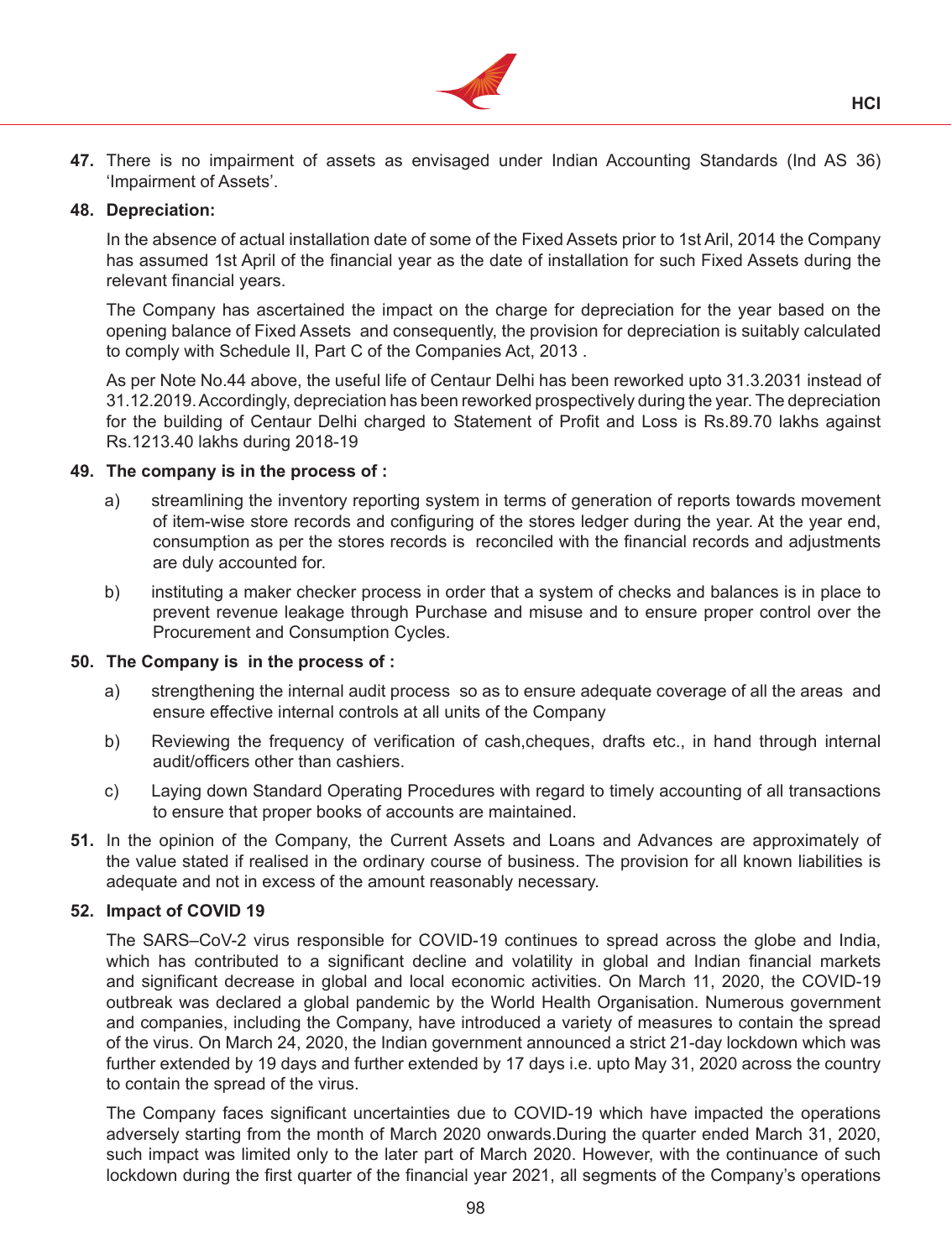

**47.** There is no impairment of assets as envisaged under Indian Accounting Standards (Ind AS 36) 'Impairment of Assets'.

#### **48. Depreciation:**

In the absence of actual installation date of some of the Fixed Assets prior to 1st Aril, 2014 the Company has assumed 1st April of the financial year as the date of installation for such Fixed Assets during the relevant financial years.

The Company has ascertained the impact on the charge for depreciation for the year based on the opening balance of Fixed Assets and consequently, the provision for depreciation is suitably calculated to comply with Schedule II, Part C of the Companies Act, 2013 .

As per Note No.44 above, the useful life of Centaur Delhi has been reworked upto 31.3.2031 instead of 31.12.2019. Accordingly, depreciation has been reworked prospectively during the year. The depreciation for the building of Centaur Delhi charged to Statement of Profit and Loss is Rs.89.70 lakhs against Rs.1213.40 lakhs during 2018-19

#### **49. The company is in the process of :**

- a) streamlining the inventory reporting system in terms of generation of reports towards movement of item-wise store records and configuring of the stores ledger during the year. At the year end, consumption as per the stores records is reconciled with the financial records and adjustments are duly accounted for.
- b) instituting a maker checker process in order that a system of checks and balances is in place to prevent revenue leakage through Purchase and misuse and to ensure proper control over the Procurement and Consumption Cycles.

#### **50. The Company is in the process of :**

- a) strengthening the internal audit process so as to ensure adequate coverage of all the areas and ensure effective internal controls at all units of the Company
- b) Reviewing the frequency of verification of cash, cheques, drafts etc., in hand through internal audit/officers other than cashiers.
- c) Laying down Standard Operating Procedures with regard to timely accounting of all transactions to ensure that proper books of accounts are maintained.
- **51.** In the opinion of the Company, the Current Assets and Loans and Advances are approximately of the value stated if realised in the ordinary course of business. The provision for all known liabilities is adequate and not in excess of the amount reasonably necessary.

#### **52. Impact of COVID 19**

The SARS–CoV-2 virus responsible for COVID-19 continues to spread across the globe and India, which has contributed to a significant decline and volatility in global and Indian financial markets and significant decrease in global and local economic activities. On March 11, 2020, the COVID-19 outbreak was declared a global pandemic by the World Health Organisation. Numerous government and companies, including the Company, have introduced a variety of measures to contain the spread of the virus. On March 24, 2020, the Indian government announced a strict 21-day lockdown which was further extended by 19 days and further extended by 17 days i.e. upto May 31, 2020 across the country to contain the spread of the virus.

 The Company faces significant uncertainties due to COVID-19 which have impacted the operations adversely starting from the month of March 2020 onwards.During the quarter ended March 31, 2020, such impact was limited only to the later part of March 2020. However, with the continuance of such lockdown during the first quarter of the financial year 2021, all segments of the Company's operations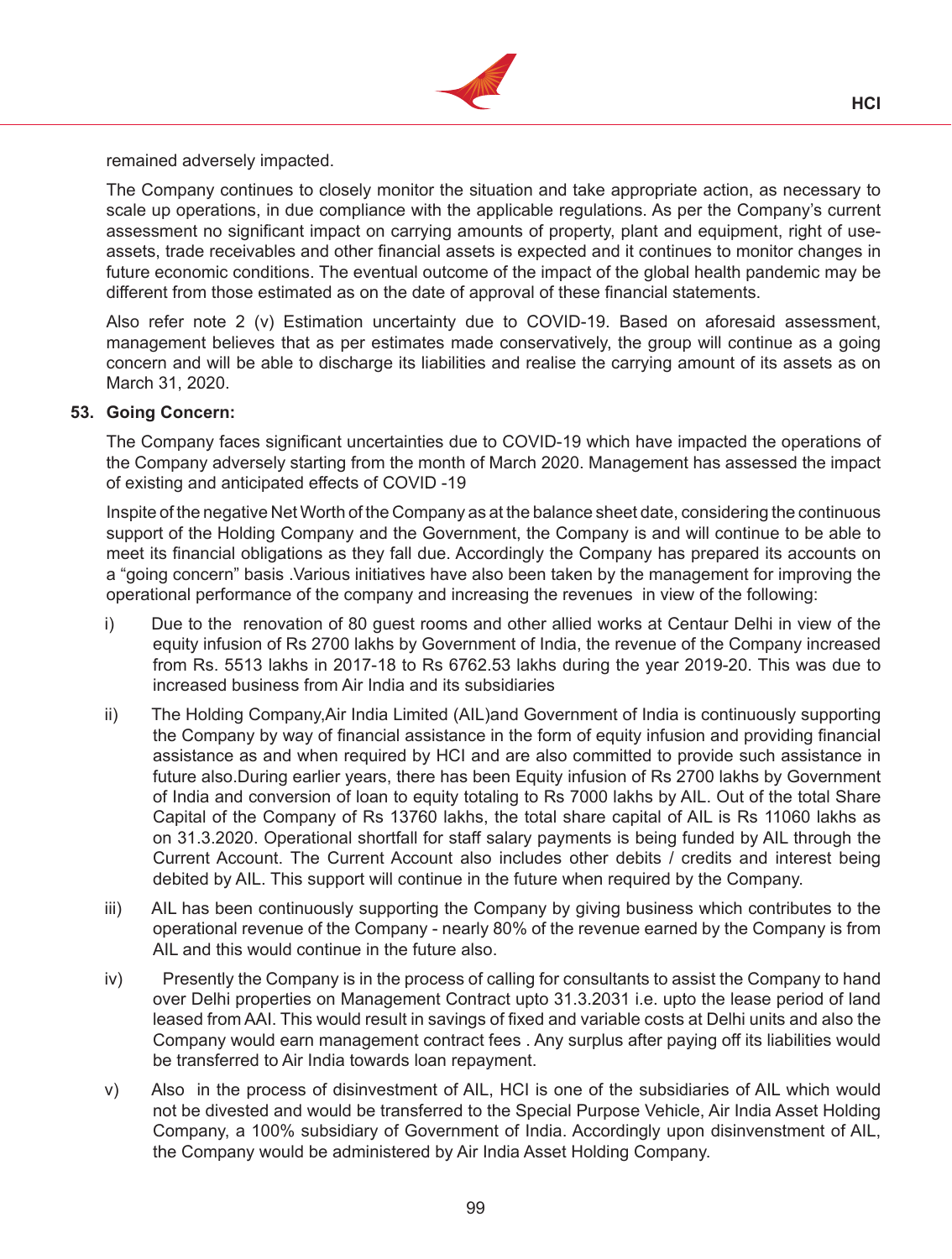

remained adversely impacted.

The Company continues to closely monitor the situation and take appropriate action, as necessary to scale up operations, in due compliance with the applicable regulations. As per the Company's current assessment no significant impact on carrying amounts of property, plant and equipment, right of useassets, trade receivables and other financial assets is expected and it continues to monitor changes in future economic conditions. The eventual outcome of the impact of the global health pandemic may be different from those estimated as on the date of approval of these financial statements.

Also refer note 2 (v) Estimation uncertainty due to COVID-19. Based on aforesaid assessment, management believes that as per estimates made conservatively, the group will continue as a going concern and will be able to discharge its liabilities and realise the carrying amount of its assets as on March 31, 2020.

#### **53. Going Concern:**

 The Company faces significant uncertainties due to COVID-19 which have impacted the operations of the Company adversely starting from the month of March 2020. Management has assessed the impact of existing and anticipated effects of COVID -19

Inspite of the negative Net Worth of the Company as at the balance sheet date, considering the continuous support of the Holding Company and the Government, the Company is and will continue to be able to meet its financial obligations as they fall due. Accordingly the Company has prepared its accounts on a "going concern" basis .Various initiatives have also been taken by the management for improving the operational performance of the company and increasing the revenues in view of the following:

- i) Due to the renovation of 80 guest rooms and other allied works at Centaur Delhi in view of the equity infusion of Rs 2700 lakhs by Government of India, the revenue of the Company increased from Rs. 5513 lakhs in 2017-18 to Rs 6762.53 lakhs during the year 2019-20. This was due to increased business from Air India and its subsidiaries
- ii) The Holding Company, Air India Limited (AIL)and Government of India is continuously supporting the Company by way of financial assistance in the form of equity infusion and providing financial assistance as and when required by HCI and are also committed to provide such assistance in future also.During earlier years, there has been Equity infusion of Rs 2700 lakhs by Government of India and conversion of loan to equity totaling to Rs 7000 lakhs by AIL. Out of the total Share Capital of the Company of Rs 13760 lakhs, the total share capital of AIL is Rs 11060 lakhs as on 31.3.2020. Operational shortfall for staff salary payments is being funded by AIL through the Current Account. The Current Account also includes other debits / credits and interest being debited by AIL. This support will continue in the future when required by the Company.
- iii) AIL has been continuously supporting the Company by giving business which contributes to the operational revenue of the Company - nearly 80% of the revenue earned by the Company is from AIL and this would continue in the future also.
- iv) Presently the Company is in the process of calling for consultants to assist the Company to hand over Delhi properties on Management Contract upto 31.3.2031 i.e. upto the lease period of land leased from AAI. This would result in savings of fixed and variable costs at Delhi units and also the Company would earn management contract fees . Any surplus after paying off its liabilities would be transferred to Air India towards loan repayment.
- v) Also in the process of disinvestment of AIL, HCI is one of the subsidiaries of AIL which would not be divested and would be transferred to the Special Purpose Vehicle, Air India Asset Holding Company, a 100% subsidiary of Government of India. Accordingly upon disinvenstment of AIL, the Company would be administered by Air India Asset Holding Company.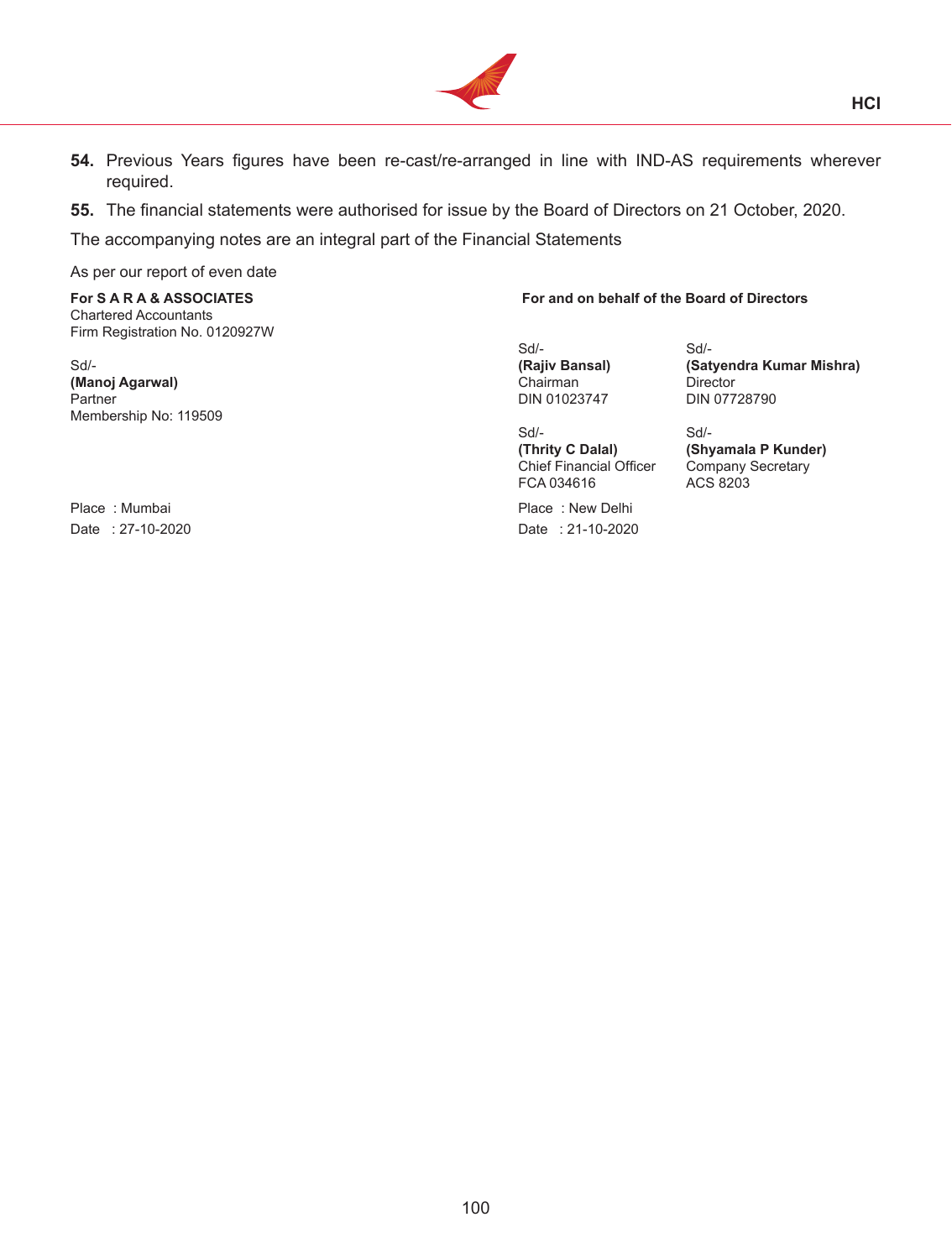

- **54.** Previous Years figures have been re-cast/re-arranged in line with IND-AS requirements wherever required.
- **55.** The financial statements were authorised for issue by the Board of Directors on 21 October, 2020.

The accompanying notes are an integral part of the Financial Statements

As per our report of even date

Chartered Accountants Firm Registration No. 0120927W

**(Manoj Agarwal)** Chairman Director Membership No: 119509

**For S A R A & ASSOCIATES For and on behalf of the Board of Directors**

 $Sd/ Sd/-$ DIN 01023747

 $Sd/ Sd/-$ **(Thrity C Dalal) (Shyamala P Kunder)**  Chief Financial Officer Company S<br>FCA 034616 ACS 8203  $FCA\ 034616$   $ACS\ 8203$ 

Place : Mumbai **Place : Mumbai** Place : New Delhi Date : 27-10-2020 Date : 21-10-2020

Sd/- **(Rajiv Bansal) (Satyendra Kumar Mishra)**